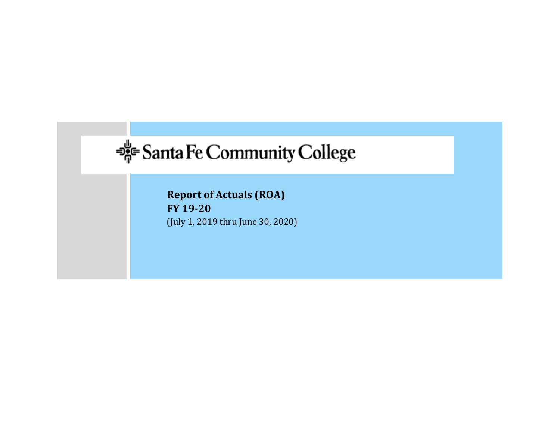# **BE** Santa Fe Community College

**Report of Actuals (ROA) FY 19‐20** (July 1, 2019 thru June 30, 2020)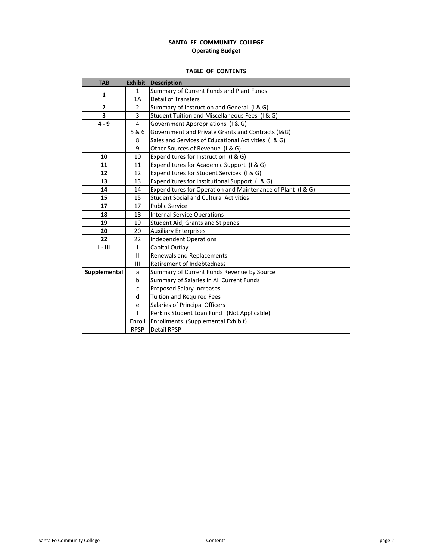# **SANTA FE COMMUNITY COLLEGE Operating Budget**

# **TABLE OF CONTENTS**

| <b>TAB</b>     | <b>Exhibit</b> | <b>Description</b>                                          |
|----------------|----------------|-------------------------------------------------------------|
| 1              | $\mathbf{1}$   | Summary of Current Funds and Plant Funds                    |
|                | 1A             | <b>Detail of Transfers</b>                                  |
| $\overline{2}$ | $\overline{2}$ | Summary of Instruction and General (I & G)                  |
| 3              | 3              | Student Tuition and Miscellaneous Fees (I & G)              |
| $4 - 9$        | 4              | Government Appropriations (I & G)                           |
|                | 5&6            | Government and Private Grants and Contracts (I&G)           |
|                | 8              | Sales and Services of Educational Activities (I & G)        |
|                | 9              | Other Sources of Revenue (I & G)                            |
| 10             | 10             | Expenditures for Instruction (I & G)                        |
| 11             | 11             | Expenditures for Academic Support (I & G)                   |
| 12             | 12             | Expenditures for Student Services (I & G)                   |
| 13             | 13             | Expenditures for Institutional Support (I & G)              |
| 14             | 14             | Expenditures for Operation and Maintenance of Plant (I & G) |
| 15             | 15             | <b>Student Social and Cultural Activities</b>               |
| 17             | 17             | <b>Public Service</b>                                       |
| 18             | 18             | <b>Internal Service Operations</b>                          |
| 19             | 19             | Student Aid, Grants and Stipends                            |
| 20             | 20             | <b>Auxiliary Enterprises</b>                                |
| 22             | 22             | <b>Independent Operations</b>                               |
| $I - III$      | $\mathbf{I}$   | Capital Outlay                                              |
|                | $\mathbf{II}$  | Renewals and Replacements                                   |
|                | Ш              | Retirement of Indebtedness                                  |
| Supplemental   | a              | Summary of Current Funds Revenue by Source                  |
|                | b              | Summary of Salaries in All Current Funds                    |
|                | C              | Proposed Salary Increases                                   |
|                | d              | <b>Tuition and Required Fees</b>                            |
|                | e              | Salaries of Principal Officers                              |
|                | f              | Perkins Student Loan Fund (Not Applicable)                  |
|                | Enroll         | Enrollments (Supplemental Exhibit)                          |
|                | <b>RPSP</b>    | <b>Detail RPSP</b>                                          |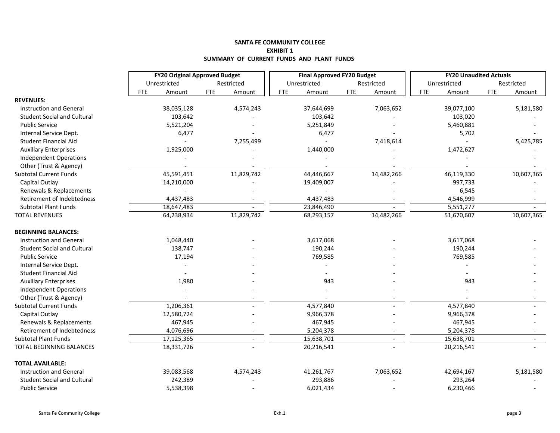#### **SANTA FE COMMUNITY COLLEGE EXHIBIT 1 SUMMARY OF CURRENT FUNDS AND PLANT FUNDS**

|                                    | <b>FY20 Original Approved Budget</b> |                      | <b>Final Approved FY20 Budget</b> |                          | <b>FY20 Unaudited Actuals</b> |                      |
|------------------------------------|--------------------------------------|----------------------|-----------------------------------|--------------------------|-------------------------------|----------------------|
|                                    | Unrestricted                         | Restricted           | Unrestricted                      | Restricted               | Unrestricted                  | Restricted           |
|                                    | <b>FTE</b><br>Amount                 | <b>FTE</b><br>Amount | <b>FTE</b><br>Amount              | <b>FTE</b><br>Amount     | <b>FTE</b><br>Amount          | <b>FTE</b><br>Amount |
| <b>REVENUES:</b>                   |                                      |                      |                                   |                          |                               |                      |
| <b>Instruction and General</b>     | 38,035,128                           | 4,574,243            | 37,644,699                        | 7,063,652                | 39,077,100                    | 5,181,580            |
| <b>Student Social and Cultural</b> | 103,642                              |                      | 103,642                           |                          | 103,020                       |                      |
| <b>Public Service</b>              | 5,521,204                            |                      | 5,251,849                         |                          | 5,460,881                     |                      |
| Internal Service Dept.             | 6,477                                |                      | 6,477                             |                          | 5,702                         |                      |
| Student Financial Aid              |                                      | 7,255,499            |                                   | 7,418,614                |                               | 5,425,785            |
| <b>Auxiliary Enterprises</b>       | 1,925,000                            |                      | 1,440,000                         |                          | 1,472,627                     |                      |
| Independent Operations             |                                      |                      |                                   |                          |                               |                      |
| Other (Trust & Agency)             |                                      |                      |                                   |                          |                               |                      |
| <b>Subtotal Current Funds</b>      | 45,591,451                           | 11,829,742           | 44,446,667                        | 14,482,266               | 46,119,330                    | 10,607,365           |
| Capital Outlay                     | 14,210,000                           |                      | 19,409,007                        |                          | 997,733                       |                      |
| Renewals & Replacements            |                                      |                      |                                   |                          | 6,545                         |                      |
| Retirement of Indebtedness         | 4,437,483                            |                      | 4,437,483                         |                          | 4,546,999                     |                      |
| <b>Subtotal Plant Funds</b>        | 18,647,483                           |                      | 23,846,490                        |                          | 5,551,277                     |                      |
| <b>TOTAL REVENUES</b>              | 64,238,934                           | 11,829,742           | 68,293,157                        | 14,482,266               | 51,670,607                    | 10,607,365           |
| <b>BEGINNING BALANCES:</b>         |                                      |                      |                                   |                          |                               |                      |
| <b>Instruction and General</b>     | 1,048,440                            |                      | 3,617,068                         |                          | 3,617,068                     |                      |
| <b>Student Social and Cultural</b> | 138,747                              |                      | 190,244                           |                          | 190,244                       |                      |
| <b>Public Service</b>              | 17,194                               |                      | 769,585                           |                          | 769,585                       |                      |
| Internal Service Dept.             |                                      |                      |                                   |                          |                               |                      |
| Student Financial Aid              |                                      |                      |                                   |                          |                               |                      |
| <b>Auxiliary Enterprises</b>       | 1,980                                |                      | 943                               |                          | 943                           |                      |
| Independent Operations             |                                      |                      |                                   |                          |                               |                      |
| Other (Trust & Agency)             |                                      |                      |                                   |                          |                               |                      |
| <b>Subtotal Current Funds</b>      | 1,206,361                            |                      | 4,577,840                         |                          | 4,577,840                     |                      |
| Capital Outlay                     | 12,580,724                           |                      | 9,966,378                         |                          | 9,966,378                     |                      |
| Renewals & Replacements            | 467,945                              |                      | 467,945                           |                          | 467,945                       |                      |
| Retirement of Indebtedness         | 4,076,696                            |                      | 5,204,378                         |                          | 5,204,378                     |                      |
| <b>Subtotal Plant Funds</b>        | 17,125,365                           |                      | 15,638,701                        | $\overline{\phantom{a}}$ | 15,638,701                    |                      |
| TOTAL BEGINNING BALANCES           | 18,331,726                           |                      | 20,216,541                        |                          | 20,216,541                    |                      |
| <b>TOTAL AVAILABLE:</b>            |                                      |                      |                                   |                          |                               |                      |
| <b>Instruction and General</b>     | 39,083,568                           | 4,574,243            | 41,261,767                        | 7,063,652                | 42,694,167                    | 5,181,580            |
| <b>Student Social and Cultural</b> | 242,389                              |                      | 293,886                           |                          | 293,264                       |                      |
| <b>Public Service</b>              | 5,538,398                            |                      | 6,021,434                         |                          | 6,230,466                     |                      |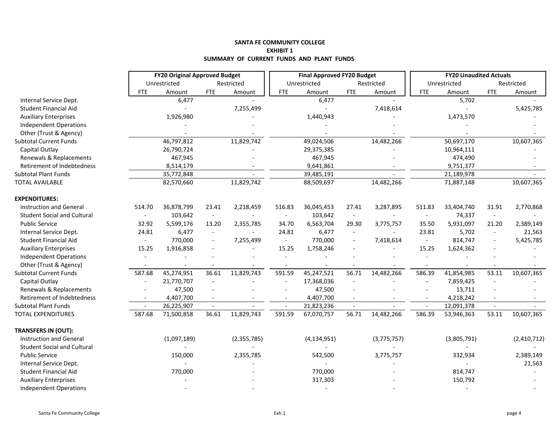#### **SANTA FE COMMUNITY COLLEGE EXHIBIT 1 SUMMARY OF CURRENT FUNDS AND PLANT FUNDS**

|                                    |                          | <b>FY20 Original Approved Budget</b> |                          |                |                          | <b>Final Approved FY20 Budget</b> |            |                          |                | <b>FY20 Unaudited Actuals</b> |                          |             |
|------------------------------------|--------------------------|--------------------------------------|--------------------------|----------------|--------------------------|-----------------------------------|------------|--------------------------|----------------|-------------------------------|--------------------------|-------------|
|                                    |                          | Unrestricted                         |                          | Restricted     |                          | Unrestricted                      |            | Restricted               |                | Unrestricted                  |                          | Restricted  |
|                                    | <b>FTE</b>               | Amount                               | <b>FTE</b>               | Amount         | <b>FTE</b>               | Amount                            | <b>FTE</b> | Amount                   | <b>FTE</b>     | Amount                        | <b>FTE</b>               | Amount      |
| Internal Service Dept.             |                          | 6,477                                |                          |                |                          | 6,477                             |            |                          |                | 5,702                         |                          |             |
| Student Financial Aid              |                          | $\overline{a}$                       |                          | 7,255,499      |                          | $\sim$                            |            | 7,418,614                |                | $\overline{\phantom{a}}$      |                          | 5,425,785   |
| <b>Auxiliary Enterprises</b>       |                          | 1,926,980                            |                          |                |                          | 1,440,943                         |            |                          |                | 1,473,570                     |                          |             |
| <b>Independent Operations</b>      |                          |                                      |                          |                |                          |                                   |            |                          |                |                               |                          |             |
| Other (Trust & Agency)             |                          |                                      |                          |                |                          |                                   |            |                          |                |                               |                          |             |
| <b>Subtotal Current Funds</b>      |                          | 46,797,812                           |                          | 11,829,742     |                          | 49,024,506                        |            | 14,482,266               |                | 50,697,170                    |                          | 10,607,365  |
| Capital Outlay                     |                          | 26,790,724                           |                          |                |                          | 29,375,385                        |            |                          |                | 10,964,111                    |                          |             |
| Renewals & Replacements            |                          | 467,945                              |                          |                |                          | 467,945                           |            |                          |                | 474,490                       |                          |             |
| Retirement of Indebtedness         |                          | 8,514,179                            |                          |                |                          | 9,641,861                         |            |                          |                | 9,751,377                     |                          |             |
| <b>Subtotal Plant Funds</b>        |                          | 35,772,848                           |                          |                |                          | 39,485,191                        |            |                          |                | 21,189,978                    |                          |             |
| <b>TOTAL AVAILABLE</b>             |                          | 82,570,660                           |                          | 11,829,742     |                          | 88,509,697                        |            | 14,482,266               |                | 71,887,148                    |                          | 10,607,365  |
| <b>EXPENDITURES:</b>               |                          |                                      |                          |                |                          |                                   |            |                          |                |                               |                          |             |
| <b>Instruction and General</b>     | 514.70                   | 36,878,799                           | 23.41                    | 2,218,459      | 516.83                   | 36,045,453                        | 27.41      | 3,287,895                | 511.83         | 33,404,740                    | 31.91                    | 2,770,868   |
| <b>Student Social and Cultural</b> | $\overline{\phantom{a}}$ | 103,642                              | $\sim$                   | $\blacksquare$ | $\overline{\phantom{a}}$ | 103,642                           | $\sim$     | $\overline{\phantom{a}}$ | $\blacksquare$ | 74,337                        | $\sim$                   |             |
| <b>Public Service</b>              | 32.92                    | 5,599,176                            | 13.20                    | 2,355,785      | 34.70                    | 6,563,704                         | 29.30      | 3,775,757                | 35.50          | 5,931,097                     | 21.20                    | 2,389,149   |
| Internal Service Dept.             | 24.81                    | 6,477                                | $\blacksquare$           |                | 24.81                    | 6,477                             | $\sim$     |                          | 23.81          | 5,702                         | $\overline{\phantom{a}}$ | 21,563      |
| <b>Student Financial Aid</b>       | $\blacksquare$           | 770,000                              | $\blacksquare$           | 7,255,499      | $\overline{\phantom{a}}$ | 770,000                           |            | 7,418,614                | $\sim$         | 814,747                       | $\blacksquare$           | 5,425,785   |
| <b>Auxiliary Enterprises</b>       | 15.25                    | 1,916,858                            |                          |                | 15.25                    | 1,758,246                         |            |                          | 15.25          | 1,624,362                     | $\overline{a}$           |             |
| Independent Operations             |                          |                                      |                          |                |                          |                                   |            |                          | $\sim$         |                               |                          |             |
| Other (Trust & Agency)             |                          |                                      |                          |                |                          |                                   |            |                          |                |                               |                          |             |
| <b>Subtotal Current Funds</b>      | 587.68                   | 45,274,951                           | 36.61                    | 11,829,743     | 591.59                   | 45,247,521                        | 56.71      | 14,482,266               | 586.39         | 41,854,985                    | 53.11                    | 10,607,365  |
| Capital Outlay                     | $\overline{a}$           | 21,770,707                           | $\overline{\phantom{a}}$ |                |                          | 17,368,036                        |            |                          | $\blacksquare$ | 7,859,425                     | $\sim$                   |             |
| Renewals & Replacements            |                          | 47,500                               |                          |                |                          | 47,500                            |            |                          |                | 13,711                        |                          |             |
| Retirement of Indebtedness         | $\blacksquare$           | 4,407,700                            |                          |                | $\overline{\phantom{a}}$ | 4,407,700                         |            |                          |                | 4,218,242                     |                          |             |
| <b>Subtotal Plant Funds</b>        |                          | 26,225,907                           | $\sim$                   |                | $\sim$                   | 21,823,236                        | $\sim$     |                          | $\sim$         | 12,091,378                    | $\sim$                   |             |
| <b>TOTAL EXPENDITURES</b>          | 587.68                   | 71,500,858                           | 36.61                    | 11,829,743     | 591.59                   | 67,070,757                        | 56.71      | 14,482,266               | 586.39         | 53,946,363                    | 53.11                    | 10,607,365  |
| <b>TRANSFERS IN (OUT):</b>         |                          |                                      |                          |                |                          |                                   |            |                          |                |                               |                          |             |
| <b>Instruction and General</b>     |                          | (1,097,189)                          |                          | (2,355,785)    |                          | (4, 134, 951)                     |            | (3,775,757)              |                | (3,805,791)                   |                          | (2,410,712) |
| <b>Student Social and Cultural</b> |                          |                                      |                          |                |                          |                                   |            |                          |                |                               |                          |             |
| <b>Public Service</b>              |                          | 150,000                              |                          | 2,355,785      |                          | 542,500                           |            | 3,775,757                |                | 332,934                       |                          | 2,389,149   |
| Internal Service Dept.             |                          |                                      |                          |                |                          |                                   |            |                          |                |                               |                          | 21,563      |
| Student Financial Aid              |                          | 770,000                              |                          |                |                          | 770,000                           |            |                          |                | 814,747                       |                          |             |
| <b>Auxiliary Enterprises</b>       |                          |                                      |                          |                |                          | 317,303                           |            |                          |                | 150,792                       |                          |             |
| <b>Independent Operations</b>      |                          |                                      |                          |                |                          | $\overline{\phantom{a}}$          |            |                          |                |                               |                          |             |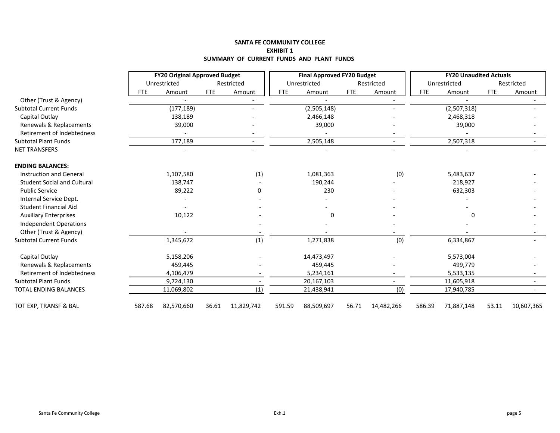#### **SANTA FE COMMUNITY COLLEGE EXHIBIT 1 SUMMARY OF CURRENT FUNDS AND PLANT FUNDS**

|                                    | <b>FY20 Original Approved Budget</b><br>Unrestricted |            |            |                          |            | <b>Final Approved FY20 Budget</b> |            |            | <b>FY20 Unaudited Actuals</b> |              |            |            |
|------------------------------------|------------------------------------------------------|------------|------------|--------------------------|------------|-----------------------------------|------------|------------|-------------------------------|--------------|------------|------------|
|                                    |                                                      |            |            | Restricted               |            | Unrestricted                      |            | Restricted |                               | Unrestricted |            | Restricted |
|                                    | <b>FTE</b>                                           | Amount     | <b>FTE</b> | Amount                   | <b>FTE</b> | Amount                            | <b>FTE</b> | Amount     | <b>FTE</b>                    | Amount       | <b>FTE</b> | Amount     |
| Other (Trust & Agency)             |                                                      |            |            |                          |            |                                   |            |            |                               |              |            |            |
| <b>Subtotal Current Funds</b>      |                                                      | (177, 189) |            |                          |            | (2,505,148)                       |            |            |                               | (2,507,318)  |            |            |
| Capital Outlay                     |                                                      | 138,189    |            |                          |            | 2,466,148                         |            |            |                               | 2,468,318    |            |            |
| Renewals & Replacements            |                                                      | 39,000     |            |                          |            | 39,000                            |            |            |                               | 39,000       |            |            |
| Retirement of Indebtedness         |                                                      |            |            |                          |            |                                   |            |            |                               |              |            |            |
| <b>Subtotal Plant Funds</b>        |                                                      | 177,189    |            |                          |            | 2,505,148                         |            |            |                               | 2,507,318    |            |            |
| <b>NET TRANSFERS</b>               |                                                      |            |            |                          |            |                                   |            |            |                               |              |            |            |
| <b>ENDING BALANCES:</b>            |                                                      |            |            |                          |            |                                   |            |            |                               |              |            |            |
| <b>Instruction and General</b>     |                                                      | 1,107,580  |            | (1)                      |            | 1,081,363                         |            | (0)        |                               | 5,483,637    |            |            |
| <b>Student Social and Cultural</b> |                                                      | 138,747    |            |                          |            | 190,244                           |            |            |                               | 218,927      |            |            |
| <b>Public Service</b>              |                                                      | 89,222     |            | 0                        |            | 230                               |            |            |                               | 632,303      |            |            |
| Internal Service Dept.             |                                                      |            |            |                          |            |                                   |            |            |                               |              |            |            |
| <b>Student Financial Aid</b>       |                                                      |            |            |                          |            |                                   |            |            |                               |              |            |            |
| <b>Auxiliary Enterprises</b>       |                                                      | 10,122     |            |                          |            | 0                                 |            |            |                               | $\Omega$     |            |            |
| Independent Operations             |                                                      |            |            |                          |            |                                   |            |            |                               |              |            |            |
| Other (Trust & Agency)             |                                                      |            |            |                          |            |                                   |            |            |                               |              |            |            |
| <b>Subtotal Current Funds</b>      |                                                      | 1,345,672  |            | (1)                      |            | 1,271,838                         |            | (0)        |                               | 6,334,867    |            |            |
| Capital Outlay                     |                                                      | 5,158,206  |            |                          |            | 14,473,497                        |            |            |                               | 5,573,004    |            |            |
| Renewals & Replacements            |                                                      | 459,445    |            |                          |            | 459,445                           |            |            |                               | 499,779      |            |            |
| Retirement of Indebtedness         |                                                      | 4,106,479  |            |                          |            | 5,234,161                         |            |            |                               | 5,533,135    |            |            |
| <b>Subtotal Plant Funds</b>        |                                                      | 9,724,130  |            | $\overline{\phantom{a}}$ |            | 20,167,103                        |            | ۰          |                               | 11,605,918   |            |            |
| <b>TOTAL ENDING BALANCES</b>       |                                                      | 11,069,802 |            | (1)                      |            | 21,438,941                        |            | (0)        |                               | 17,940,785   |            |            |
| TOT EXP, TRANSF & BAL              | 587.68                                               | 82,570,660 | 36.61      | 11,829,742               | 591.59     | 88,509,697                        | 56.71      | 14,482,266 | 586.39                        | 71,887,148   | 53.11      | 10,607,365 |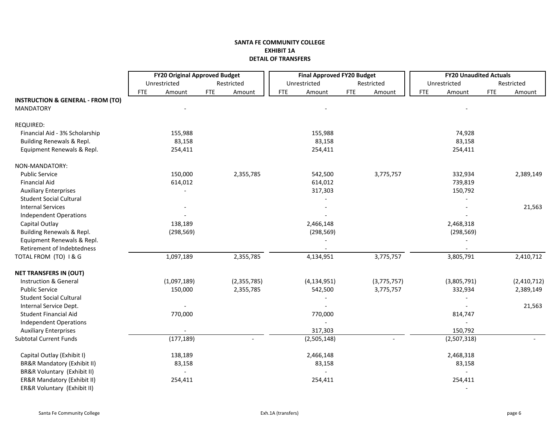### **SANTA FE COMMUNITY COLLEGE EXHIBIT 1A DETAIL OF TRANSFERS**

|                                              |            | <b>FY20 Original Approved Budget</b> |            |             |            | <b>Final Approved FY20 Budget</b> |            |             | <b>FY20 Unaudited Actuals</b> |            |             |
|----------------------------------------------|------------|--------------------------------------|------------|-------------|------------|-----------------------------------|------------|-------------|-------------------------------|------------|-------------|
|                                              |            | Unrestricted                         |            | Restricted  |            | Unrestricted                      |            | Restricted  | Unrestricted                  |            | Restricted  |
|                                              | <b>FTE</b> | Amount                               | <b>FTE</b> | Amount      | <b>FTE</b> | Amount                            | <b>FTE</b> | Amount      | <b>FTE</b><br>Amount          | <b>FTE</b> | Amount      |
| <b>INSTRUCTION &amp; GENERAL - FROM (TO)</b> |            |                                      |            |             |            |                                   |            |             |                               |            |             |
| <b>MANDATORY</b>                             |            |                                      |            |             |            |                                   |            |             |                               |            |             |
| REQUIRED:                                    |            |                                      |            |             |            |                                   |            |             |                               |            |             |
| Financial Aid - 3% Scholarship               |            | 155,988                              |            |             |            | 155,988                           |            |             | 74,928                        |            |             |
| Building Renewals & Repl.                    |            | 83,158                               |            |             |            | 83,158                            |            |             | 83,158                        |            |             |
| Equipment Renewals & Repl.                   |            | 254,411                              |            |             |            | 254,411                           |            |             | 254,411                       |            |             |
| NON-MANDATORY:                               |            |                                      |            |             |            |                                   |            |             |                               |            |             |
| <b>Public Service</b>                        |            | 150,000                              |            | 2,355,785   |            | 542,500                           |            | 3,775,757   | 332,934                       |            | 2,389,149   |
| <b>Financial Aid</b>                         |            | 614,012                              |            |             |            | 614,012                           |            |             | 739,819                       |            |             |
| <b>Auxiliary Enterprises</b>                 |            |                                      |            |             |            | 317,303                           |            |             | 150,792                       |            |             |
| <b>Student Social Cultural</b>               |            |                                      |            |             |            |                                   |            |             |                               |            |             |
| <b>Internal Services</b>                     |            |                                      |            |             |            |                                   |            |             |                               |            | 21,563      |
| <b>Independent Operations</b>                |            |                                      |            |             |            |                                   |            |             |                               |            |             |
| Capital Outlay                               |            | 138,189                              |            |             |            | 2,466,148                         |            |             | 2,468,318                     |            |             |
| Building Renewals & Repl.                    |            | (298, 569)                           |            |             |            | (298, 569)                        |            |             | (298, 569)                    |            |             |
| Equipment Renewals & Repl.                   |            |                                      |            |             |            |                                   |            |             |                               |            |             |
| Retirement of Indebtedness                   |            |                                      |            |             |            |                                   |            |             |                               |            |             |
| TOTAL FROM (TO) I & G                        |            | 1,097,189                            |            | 2,355,785   |            | 4,134,951                         |            | 3,775,757   | 3,805,791                     |            | 2,410,712   |
| <b>NET TRANSFERS IN (OUT)</b>                |            |                                      |            |             |            |                                   |            |             |                               |            |             |
| Instruction & General                        |            | (1,097,189)                          |            | (2,355,785) |            | (4, 134, 951)                     |            | (3,775,757) | (3,805,791)                   |            | (2,410,712) |
| <b>Public Service</b>                        |            | 150,000                              |            | 2,355,785   |            | 542,500                           |            | 3,775,757   | 332,934                       |            | 2,389,149   |
| <b>Student Social Cultural</b>               |            |                                      |            |             |            |                                   |            |             |                               |            |             |
| Internal Service Dept.                       |            |                                      |            |             |            |                                   |            |             |                               |            | 21,563      |
| Student Financial Aid                        |            | 770,000                              |            |             |            | 770,000                           |            |             | 814,747                       |            |             |
| <b>Independent Operations</b>                |            |                                      |            |             |            |                                   |            |             |                               |            |             |
| <b>Auxiliary Enterprises</b>                 |            |                                      |            |             |            | 317,303                           |            |             | 150,792                       |            |             |
| <b>Subtotal Current Funds</b>                |            | (177, 189)                           |            |             |            | (2,505,148)                       |            |             | (2,507,318)                   |            |             |
| Capital Outlay (Exhibit I)                   |            | 138,189                              |            |             |            | 2,466,148                         |            |             | 2,468,318                     |            |             |
| <b>BR&amp;R Mandatory (Exhibit II)</b>       |            | 83,158                               |            |             |            | 83,158                            |            |             | 83,158                        |            |             |
| BR&R Voluntary (Exhibit II)                  |            |                                      |            |             |            |                                   |            |             | $\sim$                        |            |             |
| ER&R Mandatory (Exhibit II)                  |            | 254,411                              |            |             |            | 254,411                           |            |             | 254,411                       |            |             |
| ER&R Voluntary (Exhibit II)                  |            |                                      |            |             |            |                                   |            |             |                               |            |             |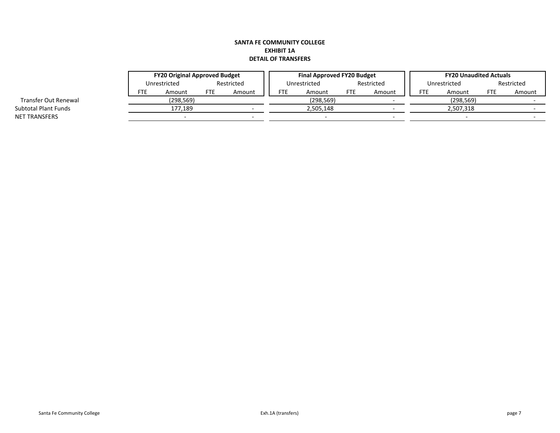# **SANTA FE COMMUNITY COLLEGE EXHIBIT 1A DETAIL OF TRANSFERS**

|                             |     | <b>FY20 Original Approved Budget</b> |            |        |              | <b>Final Approved FY20 Budget</b> |            |        |              | <b>FY20 Unaudited Actuals</b> |            |        |  |
|-----------------------------|-----|--------------------------------------|------------|--------|--------------|-----------------------------------|------------|--------|--------------|-------------------------------|------------|--------|--|
|                             |     | Unrestricted                         | Restricted |        | Unrestricted |                                   | Restricted |        | Unrestricted |                               | Restricted |        |  |
|                             | FTE | Amount                               | FTE        | Amount | <b>FTE</b>   | Amount                            | <b>FTE</b> | Amount | FTE          | Amount                        | <b>FTE</b> | Amount |  |
| Transfer Out Renewal        |     | (298, 569)                           |            |        |              | (298,569)                         |            |        |              | (298, 569)                    |            |        |  |
| <b>Subtotal Plant Funds</b> |     | 177.189                              |            |        |              | 2,505,148                         |            |        |              | 2,507,318                     |            |        |  |
| NET TRANSFERS               |     |                                      |            |        |              |                                   |            |        |              |                               |            |        |  |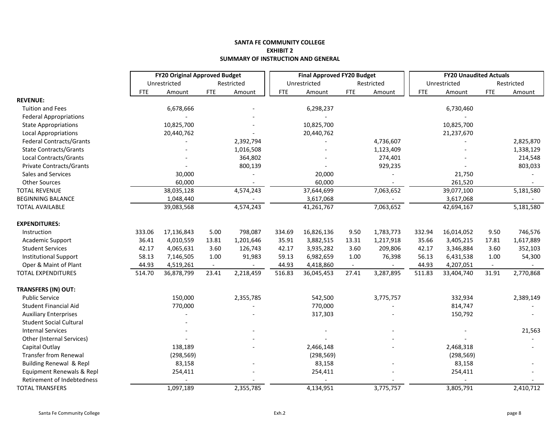#### **SANTA FE COMMUNITY COLLEGE EXHIBIT 2 SUMMARY OF INSTRUCTION AND GENERAL**

|                                    |            | <b>FY20 Original Approved Budget</b> |            |            |            | <b>Final Approved FY20 Budget</b> |            |            |            | <b>FY20 Unaudited Actuals</b> |            |            |
|------------------------------------|------------|--------------------------------------|------------|------------|------------|-----------------------------------|------------|------------|------------|-------------------------------|------------|------------|
|                                    |            | Unrestricted                         |            | Restricted |            | Unrestricted                      |            | Restricted |            | Unrestricted                  |            | Restricted |
|                                    | <b>FTE</b> | Amount                               | <b>FTE</b> | Amount     | <b>FTE</b> | Amount                            | <b>FTE</b> | Amount     | <b>FTE</b> | Amount                        | <b>FTE</b> | Amount     |
| <b>REVENUE:</b>                    |            |                                      |            |            |            |                                   |            |            |            |                               |            |            |
| <b>Tuition and Fees</b>            |            | 6,678,666                            |            |            |            | 6,298,237                         |            |            |            | 6,730,460                     |            |            |
| <b>Federal Appropriations</b>      |            |                                      |            |            |            |                                   |            |            |            |                               |            |            |
| <b>State Appropriations</b>        |            | 10,825,700                           |            |            |            | 10,825,700                        |            |            |            | 10,825,700                    |            |            |
| <b>Local Appropriations</b>        |            | 20,440,762                           |            |            |            | 20,440,762                        |            |            |            | 21,237,670                    |            |            |
| <b>Federal Contracts/Grants</b>    |            |                                      |            | 2,392,794  |            |                                   |            | 4,736,607  |            |                               |            | 2,825,870  |
| <b>State Contracts/Grants</b>      |            |                                      |            | 1,016,508  |            |                                   |            | 1,123,409  |            |                               |            | 1,338,129  |
| Local Contracts/Grants             |            |                                      |            | 364,802    |            |                                   |            | 274,401    |            |                               |            | 214,548    |
| Private Contracts/Grants           |            |                                      |            | 800,139    |            |                                   |            | 929,235    |            |                               |            | 803,033    |
| Sales and Services                 |            | 30,000                               |            |            |            | 20,000                            |            |            |            | 21,750                        |            |            |
| <b>Other Sources</b>               |            | 60,000                               |            |            |            | 60,000                            |            |            |            | 261,520                       |            |            |
| <b>TOTAL REVENUE</b>               |            | 38,035,128                           |            | 4,574,243  |            | 37,644,699                        |            | 7,063,652  |            | 39,077,100                    |            | 5,181,580  |
| <b>BEGINNING BALANCE</b>           |            | 1,048,440                            |            |            |            | 3,617,068                         |            |            |            | 3,617,068                     |            |            |
| <b>TOTAL AVAILABLE</b>             |            | 39,083,568                           |            | 4,574,243  |            | 41,261,767                        |            | 7,063,652  |            | 42,694,167                    |            | 5,181,580  |
| <b>EXPENDITURES:</b>               |            |                                      |            |            |            |                                   |            |            |            |                               |            |            |
| Instruction                        | 333.06     | 17,136,843                           | 5.00       | 798,087    | 334.69     | 16,826,136                        | 9.50       | 1,783,773  | 332.94     | 16,014,052                    | 9.50       | 746,576    |
| Academic Support                   | 36.41      | 4,010,559                            | 13.81      | 1,201,646  | 35.91      | 3,882,515                         | 13.31      | 1,217,918  | 35.66      | 3,405,215                     | 17.81      | 1,617,889  |
| <b>Student Services</b>            | 42.17      | 4,065,631                            | 3.60       | 126,743    | 42.17      | 3,935,282                         | 3.60       | 209,806    | 42.17      | 3,346,884                     | 3.60       | 352,103    |
| <b>Institutional Support</b>       | 58.13      | 7,146,505                            | 1.00       | 91,983     | 59.13      | 6,982,659                         | 1.00       | 76,398     | 56.13      | 6,431,538                     | 1.00       | 54,300     |
| Oper & Maint of Plant              | 44.93      | 4,519,261                            | $\sim$     |            | 44.93      | 4,418,860                         |            |            | 44.93      | 4,207,051                     | $\sim$     |            |
| <b>TOTAL EXPENDITURES</b>          | 514.70     | 36,878,799                           | 23.41      | 2,218,459  | 516.83     | 36,045,453                        | 27.41      | 3,287,895  | 511.83     | 33,404,740                    | 31.91      | 2,770,868  |
| <b>TRANSFERS (IN) OUT:</b>         |            |                                      |            |            |            |                                   |            |            |            |                               |            |            |
| <b>Public Service</b>              |            | 150,000                              |            | 2,355,785  |            | 542,500                           |            | 3,775,757  |            | 332,934                       |            | 2,389,149  |
| Student Financial Aid              |            | 770,000                              |            |            |            | 770,000                           |            |            |            | 814,747                       |            |            |
| <b>Auxiliary Enterprises</b>       |            |                                      |            |            |            | 317,303                           |            |            |            | 150,792                       |            |            |
| <b>Student Social Cultural</b>     |            |                                      |            |            |            |                                   |            |            |            |                               |            |            |
| <b>Internal Services</b>           |            |                                      |            |            |            |                                   |            |            |            |                               |            | 21,563     |
| Other (Internal Services)          |            |                                      |            |            |            |                                   |            |            |            |                               |            |            |
| Capital Outlay                     |            | 138,189                              |            |            |            | 2,466,148                         |            |            |            | 2,468,318                     |            |            |
| <b>Transfer from Renewal</b>       |            | (298, 569)                           |            |            |            | (298, 569)                        |            |            |            | (298, 569)                    |            |            |
| <b>Building Renewal &amp; Repl</b> |            | 83,158                               |            |            |            | 83,158                            |            |            |            | 83,158                        |            |            |
| Equipment Renewals & Repl          |            | 254,411                              |            |            |            | 254,411                           |            |            |            | 254,411                       |            |            |
| Retirement of Indebtedness         |            |                                      |            |            |            |                                   |            |            |            |                               |            |            |
| <b>TOTAL TRANSFERS</b>             |            | 1,097,189                            |            | 2,355,785  |            | 4,134,951                         |            | 3,775,757  |            | 3,805,791                     |            | 2,410,712  |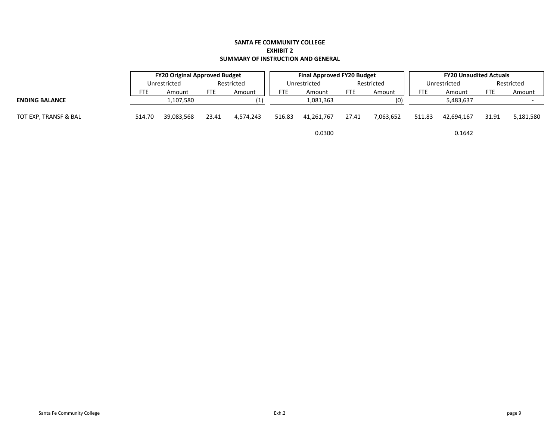#### **SANTA FE COMMUNITY COLLEGE EXHIBIT 2 SUMMARY OF INSTRUCTION AND GENERAL**

|                       | <b>FY20 Original Approved Budget</b> |              |            |            | <b>Final Approved FY20 Budget</b> |            |            |           | <b>FY20 Unaudited Actuals</b> |              |            |            |
|-----------------------|--------------------------------------|--------------|------------|------------|-----------------------------------|------------|------------|-----------|-------------------------------|--------------|------------|------------|
|                       |                                      | Unrestricted |            | Restricted | Unrestricted                      |            | Restricted |           |                               | Unrestricted |            | Restricted |
|                       | FTE                                  | Amount       | <b>FTE</b> | Amount     | <b>FTE</b>                        | Amount     | <b>FTE</b> | Amount    | <b>FTE</b>                    | Amount       | <b>FTE</b> | Amount     |
| <b>ENDING BALANCE</b> |                                      | 1,107,580    |            |            |                                   | 1,081,363  |            | (0)       |                               | 5,483,637    |            |            |
| TOT EXP, TRANSF & BAL | 514.70                               | 39,083,568   | 23.41      | 4.574.243  | 516.83                            | 41.261.767 | 27.41      | 7,063,652 | 511.83                        | 42.694.167   | 31.91      | 5,181,580  |
|                       |                                      |              |            |            |                                   | 0.0300     |            |           |                               | 0.1642       |            |            |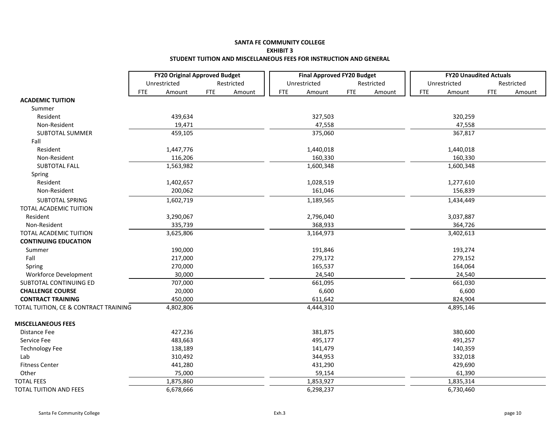### **SANTA FE COMMUNITY COLLEGE EXHIBIT 3 STUDENT TUITION AND MISCELLANEOUS FEES FOR INSTRUCTION AND GENERAL**

|                                       | <b>FY20 Original Approved Budget</b> |            |            | <b>Final Approved FY20 Budget</b> |              |            |            |  | <b>FY20 Unaudited Actuals</b> |              |            |            |  |
|---------------------------------------|--------------------------------------|------------|------------|-----------------------------------|--------------|------------|------------|--|-------------------------------|--------------|------------|------------|--|
|                                       | Unrestricted                         |            | Restricted |                                   | Unrestricted |            | Restricted |  |                               | Unrestricted |            | Restricted |  |
|                                       | FTE<br>Amount                        | <b>FTE</b> | Amount     | <b>FTE</b>                        | Amount       | <b>FTE</b> | Amount     |  | <b>FTE</b>                    | Amount       | <b>FTE</b> | Amount     |  |
| <b>ACADEMIC TUITION</b>               |                                      |            |            |                                   |              |            |            |  |                               |              |            |            |  |
| Summer                                |                                      |            |            |                                   |              |            |            |  |                               |              |            |            |  |
| Resident                              | 439,634                              |            |            |                                   | 327,503      |            |            |  |                               | 320,259      |            |            |  |
| Non-Resident                          | 19,471                               |            |            |                                   | 47,558       |            |            |  |                               | 47,558       |            |            |  |
| <b>SUBTOTAL SUMMER</b>                | 459,105                              |            |            |                                   | 375,060      |            |            |  |                               | 367,817      |            |            |  |
| Fall                                  |                                      |            |            |                                   |              |            |            |  |                               |              |            |            |  |
| Resident                              | 1,447,776                            |            |            |                                   | 1,440,018    |            |            |  |                               | 1,440,018    |            |            |  |
| Non-Resident                          | 116,206                              |            |            |                                   | 160,330      |            |            |  |                               | 160,330      |            |            |  |
| SUBTOTAL FALL                         | 1,563,982                            |            |            |                                   | 1,600,348    |            |            |  |                               | 1,600,348    |            |            |  |
| Spring                                |                                      |            |            |                                   |              |            |            |  |                               |              |            |            |  |
| Resident                              | 1,402,657                            |            |            |                                   | 1,028,519    |            |            |  |                               | 1,277,610    |            |            |  |
| Non-Resident                          | 200,062                              |            |            |                                   | 161,046      |            |            |  |                               | 156,839      |            |            |  |
| SUBTOTAL SPRING                       | 1,602,719                            |            |            |                                   | 1,189,565    |            |            |  |                               | 1,434,449    |            |            |  |
| TOTAL ACADEMIC TUITION                |                                      |            |            |                                   |              |            |            |  |                               |              |            |            |  |
| Resident                              | 3,290,067                            |            |            |                                   | 2,796,040    |            |            |  |                               | 3,037,887    |            |            |  |
| Non-Resident                          | 335,739                              |            |            |                                   | 368,933      |            |            |  |                               | 364,726      |            |            |  |
| TOTAL ACADEMIC TUITION                | 3,625,806                            |            |            |                                   | 3,164,973    |            |            |  |                               | 3,402,613    |            |            |  |
| <b>CONTINUING EDUCATION</b>           |                                      |            |            |                                   |              |            |            |  |                               |              |            |            |  |
| Summer                                | 190,000                              |            |            |                                   | 191,846      |            |            |  |                               | 193,274      |            |            |  |
| Fall                                  | 217,000                              |            |            |                                   | 279,172      |            |            |  |                               | 279,152      |            |            |  |
| Spring                                | 270,000                              |            |            |                                   | 165,537      |            |            |  |                               | 164,064      |            |            |  |
| Workforce Development                 | 30,000                               |            |            |                                   | 24,540       |            |            |  |                               | 24,540       |            |            |  |
| SUBTOTAL CONTINUING ED                | 707,000                              |            |            |                                   | 661,095      |            |            |  |                               | 661,030      |            |            |  |
| <b>CHALLENGE COURSE</b>               | 20,000                               |            |            |                                   | 6,600        |            |            |  |                               | 6,600        |            |            |  |
| <b>CONTRACT TRAINING</b>              | 450,000                              |            |            |                                   | 611,642      |            |            |  |                               | 824,904      |            |            |  |
| TOTAL TUITION, CE & CONTRACT TRAINING | 4,802,806                            |            |            |                                   | 4,444,310    |            |            |  |                               | 4,895,146    |            |            |  |
| <b>MISCELLANEOUS FEES</b>             |                                      |            |            |                                   |              |            |            |  |                               |              |            |            |  |
| Distance Fee                          | 427,236                              |            |            |                                   | 381,875      |            |            |  |                               | 380,600      |            |            |  |
| Service Fee                           | 483,663                              |            |            |                                   | 495,177      |            |            |  |                               | 491,257      |            |            |  |
| <b>Technology Fee</b>                 | 138,189                              |            |            |                                   | 141,479      |            |            |  |                               | 140,359      |            |            |  |
| Lab                                   | 310,492                              |            |            |                                   | 344,953      |            |            |  |                               | 332,018      |            |            |  |
| <b>Fitness Center</b>                 | 441,280                              |            |            |                                   | 431,290      |            |            |  |                               | 429,690      |            |            |  |
| Other                                 | 75,000                               |            |            |                                   | 59,154       |            |            |  |                               | 61,390       |            |            |  |
| <b>TOTAL FEES</b>                     | 1,875,860                            |            |            |                                   | 1,853,927    |            |            |  |                               | 1,835,314    |            |            |  |
| TOTAL TUITION AND FEES                | 6,678,666                            |            |            |                                   | 6,298,237    |            |            |  |                               | 6,730,460    |            |            |  |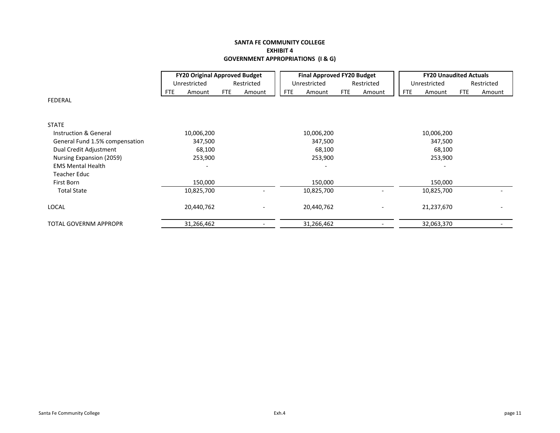# **SANTA FE COMMUNITY COLLEGE EXHIBIT 4 GOVERNMENT APPROPRIATIONS (I & G)**

|                                |     | <b>FY20 Original Approved Budget</b> |            |            |            | <b>Final Approved FY20 Budget</b> |            |            |            | <b>FY20 Unaudited Actuals</b> |     |            |
|--------------------------------|-----|--------------------------------------|------------|------------|------------|-----------------------------------|------------|------------|------------|-------------------------------|-----|------------|
|                                |     | Unrestricted                         |            | Restricted |            | Unrestricted                      |            | Restricted |            | Unrestricted                  |     | Restricted |
|                                | FTE | Amount                               | <b>FTE</b> | Amount     | <b>FTE</b> | Amount                            | <b>FTE</b> | Amount     | <b>FTE</b> | Amount                        | FTE | Amount     |
| <b>FEDERAL</b>                 |     |                                      |            |            |            |                                   |            |            |            |                               |     |            |
| <b>STATE</b>                   |     |                                      |            |            |            |                                   |            |            |            |                               |     |            |
| Instruction & General          |     | 10,006,200                           |            |            |            | 10,006,200                        |            |            |            | 10,006,200                    |     |            |
| General Fund 1.5% compensation |     | 347,500                              |            |            |            | 347,500                           |            |            |            | 347,500                       |     |            |
| Dual Credit Adjustment         |     | 68,100                               |            |            |            | 68,100                            |            |            |            | 68,100                        |     |            |
| Nursing Expansion (2059)       |     | 253,900                              |            |            |            | 253,900                           |            |            |            | 253,900                       |     |            |
| <b>EMS Mental Health</b>       |     |                                      |            |            |            |                                   |            |            |            |                               |     |            |
| Teacher Educ                   |     |                                      |            |            |            |                                   |            |            |            |                               |     |            |
| First Born                     |     | 150,000                              |            |            |            | 150,000                           |            |            |            | 150,000                       |     |            |
| <b>Total State</b>             |     | 10,825,700                           |            |            |            | 10,825,700                        |            |            |            | 10,825,700                    |     |            |
| LOCAL                          |     | 20,440,762                           |            |            |            | 20,440,762                        |            |            |            | 21,237,670                    |     |            |
| TOTAL GOVERNM APPROPR          |     | 31,266,462                           |            |            |            | 31,266,462                        |            |            |            | 32,063,370                    |     |            |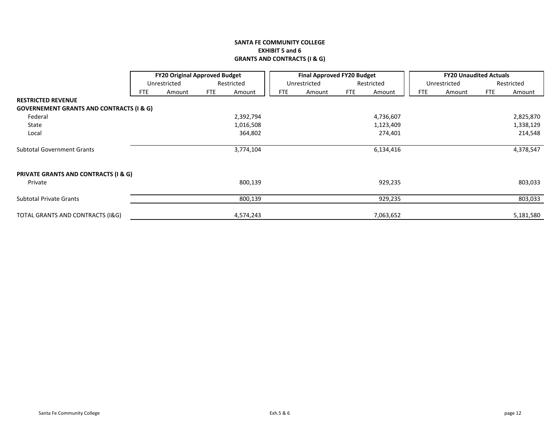# **SANTA FE COMMUNITY COLLEGE EXHIBIT 5 and 6 GRANTS AND CONTRACTS (I & G)**

|                                                     | <b>FY20 Original Approved Budget</b><br>Unrestricted<br>Restricted |        |            |           |            | <b>Final Approved FY20 Budget</b> |            |            | <b>FY20 Unaudited Actuals</b> |              |            |            |
|-----------------------------------------------------|--------------------------------------------------------------------|--------|------------|-----------|------------|-----------------------------------|------------|------------|-------------------------------|--------------|------------|------------|
|                                                     |                                                                    |        |            |           |            | Unrestricted                      |            | Restricted |                               | Unrestricted |            | Restricted |
|                                                     | FTE                                                                | Amount | <b>FTE</b> | Amount    | <b>FTE</b> | Amount                            | <b>FTE</b> | Amount     | <b>FTE</b>                    | Amount       | <b>FTE</b> | Amount     |
| <b>RESTRICTED REVENUE</b>                           |                                                                    |        |            |           |            |                                   |            |            |                               |              |            |            |
| <b>GOVERNEMENT GRANTS AND CONTRACTS (I &amp; G)</b> |                                                                    |        |            |           |            |                                   |            |            |                               |              |            |            |
| Federal                                             |                                                                    |        |            | 2,392,794 |            |                                   |            | 4,736,607  |                               |              |            | 2,825,870  |
| State                                               |                                                                    |        |            | 1,016,508 |            |                                   |            | 1,123,409  |                               |              |            | 1,338,129  |
| Local                                               |                                                                    |        |            | 364,802   |            |                                   |            | 274,401    |                               |              |            | 214,548    |
| <b>Subtotal Government Grants</b>                   |                                                                    |        |            | 3,774,104 |            |                                   |            | 6,134,416  |                               |              |            | 4,378,547  |
| PRIVATE GRANTS AND CONTRACTS (I & G)                |                                                                    |        |            |           |            |                                   |            |            |                               |              |            |            |
| Private                                             |                                                                    |        |            | 800,139   |            |                                   |            | 929,235    |                               |              |            | 803,033    |
| <b>Subtotal Private Grants</b>                      |                                                                    |        |            | 800,139   |            |                                   |            | 929,235    |                               |              |            | 803,033    |
| <b>TOTAL GRANTS AND CONTRACTS (I&amp;G)</b>         |                                                                    |        |            | 4,574,243 |            |                                   |            | 7,063,652  |                               |              |            | 5,181,580  |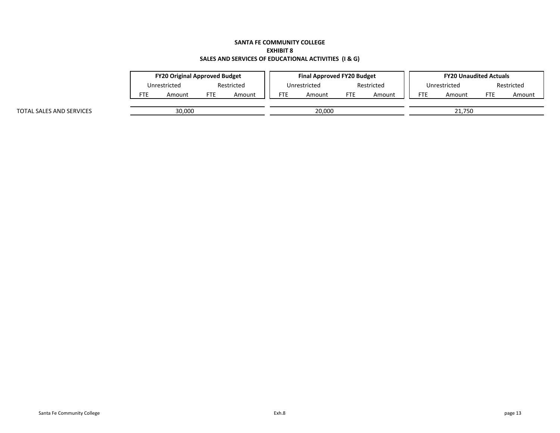### **SANTA FE COMMUNITY COLLEGE EXHIBIT 8 SALES AND SERVICES OF EDUCATIONAL ACTIVITIES (I & G)**

|                          | <b>FY20 Original Approved Budget</b> |  |            |        | <b>Final Approved FY20 Budget</b> |  |            |            |            | <b>FY20 Unaudited Actuals</b> |  |            |  |
|--------------------------|--------------------------------------|--|------------|--------|-----------------------------------|--|------------|------------|------------|-------------------------------|--|------------|--|
|                          | Unrestricted                         |  | Restricted |        | Unrestricted                      |  |            | Restricted |            | Unrestricted                  |  | Restricted |  |
|                          | FTE<br>FTE<br>Amount<br>Amount       |  | <b>FTE</b> | Amount | FTE<br>Amount                     |  | <b>FTE</b> | Amount     | <b>FTE</b> | Amount                        |  |            |  |
| TOTAL SALES AND SERVICES | 30,000                               |  |            | 20,000 |                                   |  |            | 21.750     |            |                               |  |            |  |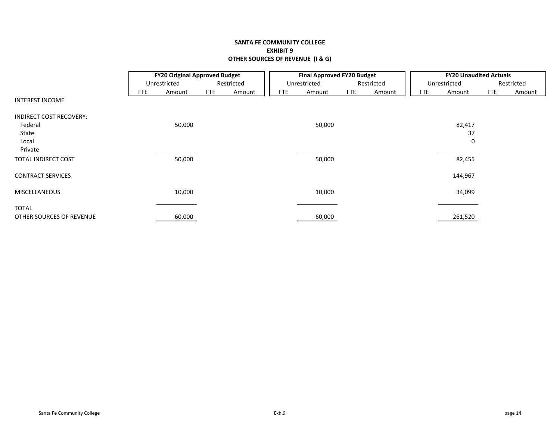# **SANTA FE COMMUNITY COLLEGE EXHIBIT 9 OTHER SOURCES OF REVENUE (I & G)**

|                          |            | <b>FY20 Original Approved Budget</b> |            |            |            | <b>Final Approved FY20 Budget</b> |            |            |            | <b>FY20 Unaudited Actuals</b> |            |            |
|--------------------------|------------|--------------------------------------|------------|------------|------------|-----------------------------------|------------|------------|------------|-------------------------------|------------|------------|
|                          |            | Unrestricted                         |            | Restricted |            | Unrestricted                      |            | Restricted |            | Unrestricted                  |            | Restricted |
|                          | <b>FTE</b> | Amount                               | <b>FTE</b> | Amount     | <b>FTE</b> | Amount                            | <b>FTE</b> | Amount     | <b>FTE</b> | Amount                        | <b>FTE</b> | Amount     |
| <b>INTEREST INCOME</b>   |            |                                      |            |            |            |                                   |            |            |            |                               |            |            |
| INDIRECT COST RECOVERY:  |            |                                      |            |            |            |                                   |            |            |            |                               |            |            |
| Federal                  |            | 50,000                               |            |            |            | 50,000                            |            |            |            | 82,417                        |            |            |
| State                    |            |                                      |            |            |            |                                   |            |            |            | 37                            |            |            |
| Local                    |            |                                      |            |            |            |                                   |            |            |            | 0                             |            |            |
| Private                  |            |                                      |            |            |            |                                   |            |            |            |                               |            |            |
| TOTAL INDIRECT COST      |            | 50,000                               |            |            |            | 50,000                            |            |            |            | 82,455                        |            |            |
| <b>CONTRACT SERVICES</b> |            |                                      |            |            |            |                                   |            |            |            | 144,967                       |            |            |
| <b>MISCELLANEOUS</b>     |            | 10,000                               |            |            |            | 10,000                            |            |            |            | 34,099                        |            |            |
| <b>TOTAL</b>             |            |                                      |            |            |            |                                   |            |            |            |                               |            |            |
| OTHER SOURCES OF REVENUE |            | 60,000                               |            |            |            | 60,000                            |            |            |            | 261,520                       |            |            |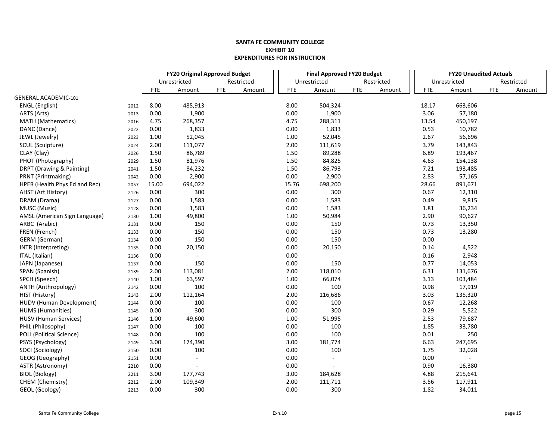|                                 |      | <b>FY20 Original Approved Budget</b> |                |            |            |  |            | <b>Final Approved FY20 Budget</b> |            |            |            | <b>FY20 Unaudited Actuals</b> |            |            |
|---------------------------------|------|--------------------------------------|----------------|------------|------------|--|------------|-----------------------------------|------------|------------|------------|-------------------------------|------------|------------|
|                                 |      |                                      | Unrestricted   |            | Restricted |  |            | Unrestricted                      |            | Restricted |            | Unrestricted                  |            | Restricted |
|                                 |      | <b>FTE</b>                           | Amount         | <b>FTE</b> | Amount     |  | <b>FTE</b> | Amount                            | <b>FTE</b> | Amount     | <b>FTE</b> | Amount                        | <b>FTE</b> | Amount     |
| <b>GENERAL ACADEMIC-101</b>     |      |                                      |                |            |            |  |            |                                   |            |            |            |                               |            |            |
| ENGL (English)                  | 2012 | 8.00                                 | 485,913        |            |            |  | 8.00       | 504,324                           |            |            | 18.17      | 663,606                       |            |            |
| ARTS (Arts)                     | 2013 | 0.00                                 | 1,900          |            |            |  | 0.00       | 1,900                             |            |            | 3.06       | 57,180                        |            |            |
| <b>MATH</b> (Mathematics)       | 2016 | 4.75                                 | 268,357        |            |            |  | 4.75       | 288,311                           |            |            | 13.54      | 450,197                       |            |            |
| DANC (Dance)                    | 2022 | 0.00                                 | 1,833          |            |            |  | 0.00       | 1,833                             |            |            | 0.53       | 10,782                        |            |            |
| JEWL (Jewelry)                  | 2023 | 1.00                                 | 52,045         |            |            |  | 1.00       | 52,045                            |            |            | 2.67       | 56,696                        |            |            |
| SCUL (Sculpture)                | 2024 | 2.00                                 | 111,077        |            |            |  | 2.00       | 111,619                           |            |            | 3.79       | 143,843                       |            |            |
| CLAY (Clay)                     | 2026 | 1.50                                 | 86,789         |            |            |  | 1.50       | 89,288                            |            |            | 6.89       | 193,467                       |            |            |
| PHOT (Photography)              | 2029 | 1.50                                 | 81,976         |            |            |  | 1.50       | 84,825                            |            |            | 4.63       | 154,138                       |            |            |
| DRPT (Drawing & Painting)       | 2041 | 1.50                                 | 84,232         |            |            |  | 1.50       | 86,793                            |            |            | 7.21       | 193,485                       |            |            |
| PRNT (Printmaking)              | 2042 | 0.00                                 | 2,900          |            |            |  | 0.00       | 2,900                             |            |            | 2.83       | 57,165                        |            |            |
| HPER (Health Phys Ed and Rec)   | 2057 | 15.00                                | 694,022        |            |            |  | 15.76      | 698,200                           |            |            | 28.66      | 891,671                       |            |            |
| AHST (Art History)              | 2126 | 0.00                                 | 300            |            |            |  | 0.00       | 300                               |            |            | 0.67       | 12,310                        |            |            |
| DRAM (Drama)                    | 2127 | 0.00                                 | 1,583          |            |            |  | 0.00       | 1,583                             |            |            | 0.49       | 9,815                         |            |            |
| MUSC (Music)                    | 2128 | 0.00                                 | 1,583          |            |            |  | 0.00       | 1,583                             |            |            | 1.81       | 36,234                        |            |            |
| AMSL (American Sign Language)   | 2130 | 1.00                                 | 49,800         |            |            |  | 1.00       | 50,984                            |            |            | 2.90       | 90,627                        |            |            |
| ARBC (Arabic)                   | 2131 | 0.00                                 | 150            |            |            |  | 0.00       | 150                               |            |            | 0.73       | 13,350                        |            |            |
| FREN (French)                   | 2133 | 0.00                                 | 150            |            |            |  | 0.00       | 150                               |            |            | 0.73       | 13,280                        |            |            |
| GERM (German)                   | 2134 | 0.00                                 | 150            |            |            |  | 0.00       | 150                               |            |            | 0.00       |                               |            |            |
| INTR (Interpreting)             | 2135 | 0.00                                 | 20,150         |            |            |  | 0.00       | 20,150                            |            |            | 0.14       | 4,522                         |            |            |
| ITAL (Italian)                  | 2136 | 0.00                                 |                |            |            |  | 0.00       |                                   |            |            | 0.16       | 2,948                         |            |            |
| JAPN (Japanese)                 | 2137 | 0.00                                 | 150            |            |            |  | 0.00       | 150                               |            |            | 0.77       | 14,053                        |            |            |
| SPAN (Spanish)                  | 2139 | 2.00                                 | 113,081        |            |            |  | 2.00       | 118,010                           |            |            | 6.31       | 131,676                       |            |            |
| SPCH (Speech)                   | 2140 | 1.00                                 | 63,597         |            |            |  | 1.00       | 66,074                            |            |            | 3.13       | 103,484                       |            |            |
| ANTH (Anthropology)             | 2142 | 0.00                                 | 100            |            |            |  | 0.00       | 100                               |            |            | 0.98       | 17,919                        |            |            |
| HIST (History)                  | 2143 | 2.00                                 | 112,164        |            |            |  | 2.00       | 116,686                           |            |            | 3.03       | 135,320                       |            |            |
| HUDV (Human Development)        | 2144 | 0.00                                 | 100            |            |            |  | 0.00       | 100                               |            |            | 0.67       | 12,268                        |            |            |
| <b>HUMS</b> (Humanities)        | 2145 | 0.00                                 | 300            |            |            |  | 0.00       | 300                               |            |            | 0.29       | 5,522                         |            |            |
| <b>HUSV</b> (Human Services)    | 2146 | 1.00                                 | 49,600         |            |            |  | 1.00       | 51,995                            |            |            | 2.53       | 79,687                        |            |            |
| PHIL (Philosophy)               | 2147 | 0.00                                 | 100            |            |            |  | 0.00       | 100                               |            |            | 1.85       | 33,780                        |            |            |
| <b>POLI</b> (Political Science) | 2148 | 0.00                                 | 100            |            |            |  | 0.00       | 100                               |            |            | 0.01       | 250                           |            |            |
| PSYS (Psychology)               | 2149 | 3.00                                 | 174,390        |            |            |  | 3.00       | 181,774                           |            |            | 6.63       | 247,695                       |            |            |
| SOCI (Sociology)                | 2150 | 0.00                                 | 100            |            |            |  | 0.00       | 100                               |            |            | 1.75       | 32,028                        |            |            |
| GEOG (Geography)                | 2151 | 0.00                                 | $\blacksquare$ |            |            |  | 0.00       | $\mathbf{r}$                      |            |            | 0.00       |                               |            |            |
| ASTR (Astronomy)                | 2210 | 0.00                                 |                |            |            |  | 0.00       |                                   |            |            | 0.90       | 16,380                        |            |            |
| <b>BIOL (Biology)</b>           | 2211 | 3.00                                 | 177,743        |            |            |  | 3.00       | 184,628                           |            |            | 4.88       | 215,641                       |            |            |
| CHEM (Chemistry)                | 2212 | 2.00                                 | 109,349        |            |            |  | 2.00       | 111,711                           |            |            | 3.56       | 117,911                       |            |            |
| GEOL (Geology)                  | 2213 | 0.00                                 | 300            |            |            |  | 0.00       | 300                               |            |            | 1.82       | 34,011                        |            |            |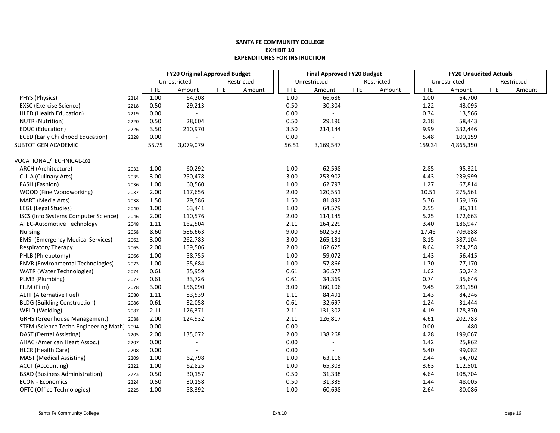|                                          |      | <b>FY20 Original Approved Budget</b> |                     |            |            | <b>Final Approved FY20 Budget</b> |                |            |            | <b>FY20 Unaudited Actuals</b> |              |            |            |
|------------------------------------------|------|--------------------------------------|---------------------|------------|------------|-----------------------------------|----------------|------------|------------|-------------------------------|--------------|------------|------------|
|                                          |      |                                      | Unrestricted        |            | Restricted |                                   | Unrestricted   |            | Restricted |                               | Unrestricted |            | Restricted |
|                                          |      | <b>FTE</b>                           | Amount              | <b>FTE</b> | Amount     | <b>FTE</b>                        | Amount         | <b>FTE</b> | Amount     | <b>FTE</b>                    | Amount       | <b>FTE</b> | Amount     |
| PHYS (Physics)                           | 2214 | 1.00                                 | 64,208              |            |            | 1.00                              | 66,686         |            |            | 1.00                          | 64,700       |            |            |
| <b>EXSC</b> (Exercise Science)           | 2218 | 0.50                                 | 29,213              |            |            | 0.50                              | 30,304         |            |            | 1.22                          | 43,095       |            |            |
| <b>HLED</b> (Health Education)           | 2219 | 0.00                                 |                     |            |            | 0.00                              |                |            |            | 0.74                          | 13,566       |            |            |
| <b>NUTR (Nutrition)</b>                  | 2220 | 0.50                                 | 28,604              |            |            | 0.50                              | 29,196         |            |            | 2.18                          | 58,443       |            |            |
| EDUC (Education)                         | 2226 | 3.50                                 | 210,970             |            |            | 3.50                              | 214,144        |            |            | 9.99                          | 332,446      |            |            |
| <b>ECED (Early Childhood Education)</b>  | 2228 | 0.00                                 |                     |            |            | 0.00                              |                |            |            | 5.48                          | 100,159      |            |            |
| SUBTOT GEN ACADEMIC                      |      | 55.75                                | 3,079,079           |            |            | 56.51                             | 3,169,547      |            |            | 159.34                        | 4,865,350    |            |            |
| VOCATIONAL/TECHNICAL-102                 |      |                                      |                     |            |            |                                   |                |            |            |                               |              |            |            |
| ARCH (Architecture)                      | 2032 | 1.00                                 | 60,292              |            |            | 1.00                              | 62,598         |            |            | 2.85                          | 95,321       |            |            |
| <b>CULA (Culinary Arts)</b>              | 2035 | 3.00                                 | 250,478             |            |            | 3.00                              | 253,902        |            |            | 4.43                          | 239,999      |            |            |
| FASH (Fashion)                           | 2036 | 1.00                                 | 60,560              |            |            | 1.00                              | 62,797         |            |            | 1.27                          | 67,814       |            |            |
| WOOD (Fine Woodworking)                  | 2037 | 2.00                                 | 117,656             |            |            | 2.00                              | 120,551        |            |            | 10.51                         | 275,561      |            |            |
| MART (Media Arts)                        | 2038 | 1.50                                 | 79,586              |            |            | 1.50                              | 81,892         |            |            | 5.76                          | 159,176      |            |            |
| LEGL (Legal Studies)                     | 2040 | 1.00                                 | 63,441              |            |            | 1.00                              | 64,579         |            |            | 2.55                          | 86,111       |            |            |
| ISCS (Info Systems Computer Science)     | 2046 | 2.00                                 | 110,576             |            |            | 2.00                              | 114,145        |            |            | 5.25                          | 172,663      |            |            |
| ATEC-Automotive Technology               | 2048 | 1.11                                 | 162,504             |            |            | 2.11                              | 164,229        |            |            | 3.40                          | 186,947      |            |            |
| <b>Nursing</b>                           | 2058 | 8.60                                 | 586,663             |            |            | 9.00                              | 602,592        |            |            | 17.46                         | 709,888      |            |            |
| <b>EMSI</b> (Emergency Medical Services) | 2062 | 3.00                                 | 262,783             |            |            | 3.00                              | 265,131        |            |            | 8.15                          | 387,104      |            |            |
| Respiratory Therapy                      | 2065 | 2.00                                 | 159,506             |            |            | 2.00                              | 162,625        |            |            | 8.64                          | 274,258      |            |            |
| PHLB (Phlebotomy)                        | 2066 | 1.00                                 | 58,755              |            |            | 1.00                              | 59,072         |            |            | 1.43                          | 56,415       |            |            |
| <b>ENVR (Environmental Technologies)</b> | 2073 | 1.00                                 | 55,684              |            |            | 1.00                              | 57,866         |            |            | 1.70                          | 77,170       |            |            |
| <b>WATR</b> (Water Technologies)         | 2074 | 0.61                                 | 35,959              |            |            | 0.61                              | 36,577         |            |            | 1.62                          | 50,242       |            |            |
| PLMB (Plumbing)                          | 2077 | 0.61                                 | 33,726              |            |            | 0.61                              | 34,369         |            |            | 0.74                          | 35,646       |            |            |
| FILM (Film)                              | 2078 | 3.00                                 | 156,090             |            |            | 3.00                              | 160,106        |            |            | 9.45                          | 281,150      |            |            |
| <b>ALTF (Alternative Fuel)</b>           | 2080 | 1.11                                 | 83,539              |            |            | 1.11                              | 84,491         |            |            | 1.43                          | 84,246       |            |            |
| <b>BLDG (Building Construction)</b>      | 2086 | 0.61                                 | 32,058              |            |            | 0.61                              | 32,697         |            |            | 1.24                          | 31,444       |            |            |
| WELD (Welding)                           | 2087 | 2.11                                 | 126,371             |            |            | 2.11                              | 131,302        |            |            | 4.19                          | 178,370      |            |            |
| <b>GRHS (Greenhouse Management)</b>      | 2088 | 2.00                                 | 124,932             |            |            | 2.11                              | 126,817        |            |            | 4.61                          | 202,783      |            |            |
| STEM (Science Techn Engineering Math)    | 2094 | 0.00                                 |                     |            |            | 0.00                              |                |            |            | 0.00                          | 480          |            |            |
| DAST (Dental Assisting)                  | 2205 | 2.00                                 | 135,072             |            |            | 2.00                              | 138,268        |            |            | 4.28                          | 199,067      |            |            |
| AHAC (American Heart Assoc.)             | 2207 | 0.00                                 |                     |            |            | 0.00                              |                |            |            | 1.42                          | 25,862       |            |            |
| HLCR (Health Care)                       | 2208 | 0.00                                 | $\bar{\phantom{a}}$ |            |            | 0.00                              | $\blacksquare$ |            |            | 5.40                          | 99,082       |            |            |
| <b>MAST</b> (Medical Assisting)          | 2209 | 1.00                                 | 62,798              |            |            | 1.00                              | 63,116         |            |            | 2.44                          | 64,702       |            |            |
| <b>ACCT</b> (Accounting)                 | 2222 | 1.00                                 | 62,825              |            |            | 1.00                              | 65,303         |            |            | 3.63                          | 112,501      |            |            |
| <b>BSAD (Business Administration)</b>    | 2223 | 0.50                                 | 30,157              |            |            | 0.50                              | 31,338         |            |            | 4.64                          | 108,704      |            |            |
| <b>ECON - Economics</b>                  | 2224 | 0.50                                 | 30,158              |            |            | 0.50                              | 31,339         |            |            | 1.44                          | 48,005       |            |            |
| OFTC (Office Technologies)               | 2225 | 1.00                                 | 58,392              |            |            | 1.00                              | 60,698         |            |            | 2.64                          | 80,086       |            |            |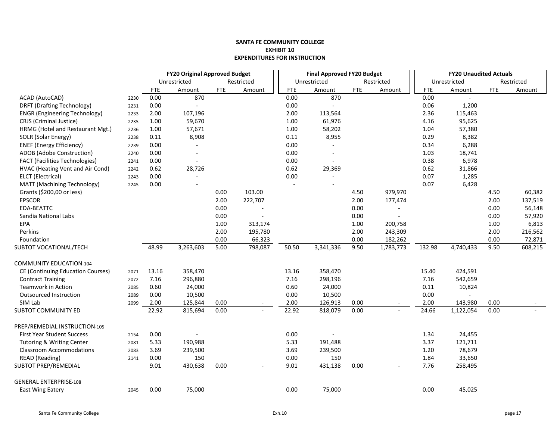|                                          |      | <b>FY20 Original Approved Budget</b> |              |            |            |            | <b>Final Approved FY20 Budget</b> |            |            |            | <b>FY20 Unaudited Actuals</b> |            |            |
|------------------------------------------|------|--------------------------------------|--------------|------------|------------|------------|-----------------------------------|------------|------------|------------|-------------------------------|------------|------------|
|                                          |      |                                      | Unrestricted |            | Restricted |            | Unrestricted                      |            | Restricted |            | Unrestricted                  |            | Restricted |
|                                          |      | <b>FTE</b>                           | Amount       | <b>FTE</b> | Amount     | <b>FTE</b> | Amount                            | <b>FTE</b> | Amount     | <b>FTE</b> | Amount                        | <b>FTE</b> | Amount     |
| ACAD (AutoCAD)                           | 2230 | 0.00                                 | 870          |            |            | 0.00       | 870                               |            |            | 0.00       |                               |            |            |
| <b>DRFT (Drafting Technology)</b>        | 2231 | 0.00                                 |              |            |            | 0.00       |                                   |            |            | 0.06       | 1,200                         |            |            |
| <b>ENGR (Engineering Technology)</b>     | 2233 | 2.00                                 | 107,196      |            |            | 2.00       | 113,564                           |            |            | 2.36       | 115,463                       |            |            |
| CRJS (Criminal Justice)                  | 2235 | 1.00                                 | 59,670       |            |            | 1.00       | 61,976                            |            |            | 4.16       | 95,625                        |            |            |
| HRMG (Hotel and Restaurant Mgt.)         | 2236 | 1.00                                 | 57,671       |            |            | $1.00\,$   | 58,202                            |            |            | 1.04       | 57,380                        |            |            |
| SOLR (Solar Energy)                      | 2238 | 0.11                                 | 8,908        |            |            | 0.11       | 8,955                             |            |            | 0.29       | 8,382                         |            |            |
| <b>ENEF (Energy Efficiency)</b>          | 2239 | 0.00                                 |              |            |            | 0.00       |                                   |            |            | 0.34       | 6,288                         |            |            |
| ADOB (Adobe Construction)                | 2240 | 0.00                                 |              |            |            | 0.00       | $\sim$                            |            |            | 1.03       | 18,741                        |            |            |
| <b>FACT (Facilities Technologies)</b>    | 2241 | 0.00                                 |              |            |            | 0.00       |                                   |            |            | 0.38       | 6,978                         |            |            |
| HVAC (Heating Vent and Air Cond)         | 2242 | 0.62                                 | 28,726       |            |            | 0.62       | 29,369                            |            |            | 0.62       | 31,866                        |            |            |
| ELCT (Electrical)                        | 2243 | 0.00                                 |              |            |            | 0.00       | $\blacksquare$                    |            |            | 0.07       | 1,285                         |            |            |
| MATT (Machining Technology)              | 2245 | 0.00                                 |              |            |            |            | $\overline{\phantom{a}}$          |            |            | 0.07       | 6,428                         |            |            |
| Grants (\$200,00 or less)                |      |                                      |              | 0.00       | 103.00     |            |                                   | 4.50       | 979,970    |            |                               | 4.50       | 60,382     |
| <b>EPSCOR</b>                            |      |                                      |              | 2.00       | 222,707    |            |                                   | 2.00       | 177,474    |            |                               | 2.00       | 137,519    |
| EDA-BEATTC                               |      |                                      |              | 0.00       |            |            |                                   | 0.00       |            |            |                               | 0.00       | 56,148     |
| Sandia National Labs                     |      |                                      |              | 0.00       | $\sim$     |            |                                   | 0.00       |            |            |                               | 0.00       | 57,920     |
| EPA                                      |      |                                      |              | 1.00       | 313,174    |            |                                   | 1.00       | 200,758    |            |                               | 1.00       | 6,813      |
| Perkins                                  |      |                                      |              | 2.00       | 195,780    |            |                                   | 2.00       | 243,309    |            |                               | 2.00       | 216,562    |
| Foundation                               |      |                                      |              | 0.00       | 66,323     |            |                                   | 0.00       | 182,262    |            |                               | 0.00       | 72,871     |
| SUBTOT VOCATIONAL/TECH                   |      | 48.99                                | 3,263,603    | 5.00       | 798,087    | 50.50      | 3,341,336                         | 9.50       | 1,783,773  | 132.98     | 4,740,433                     | 9.50       | 608,215    |
| <b>COMMUNITY EDUCATION-104</b>           |      |                                      |              |            |            |            |                                   |            |            |            |                               |            |            |
| <b>CE (Continuing Education Courses)</b> | 2071 | 13.16                                | 358,470      |            |            | 13.16      | 358,470                           |            |            | 15.40      | 424,591                       |            |            |
| <b>Contract Training</b>                 | 2072 | 7.16                                 | 296,880      |            |            | 7.16       | 298,196                           |            |            | 7.16       | 542,659                       |            |            |
| <b>Teamwork in Action</b>                | 2085 | 0.60                                 | 24,000       |            |            | 0.60       | 24,000                            |            |            | 0.11       | 10,824                        |            |            |
| Outsourced Instruction                   | 2089 | 0.00                                 | 10,500       |            |            | 0.00       | 10,500                            |            |            | 0.00       |                               |            |            |
| SIM Lab                                  | 2099 | 2.00                                 | 125,844      | 0.00       |            | 2.00       | 126,913                           | 0.00       |            | 2.00       | 143,980                       | 0.00       |            |
| <b>SUBTOT COMMUNITY ED</b>               |      | 22.92                                | 815,694      | 0.00       |            | 22.92      | 818,079                           | 0.00       |            | 24.66      | 1,122,054                     | 0.00       |            |
| PREP/REMEDIAL INSTRUCTION-105            |      |                                      |              |            |            |            |                                   |            |            |            |                               |            |            |
| First Year Student Success               | 2154 | 0.00                                 |              |            |            | 0.00       |                                   |            |            | 1.34       | 24,455                        |            |            |
| Tutoring & Writing Center                | 2081 | 5.33                                 | 190,988      |            |            | 5.33       | 191,488                           |            |            | 3.37       | 121,711                       |            |            |
| <b>Classroom Accommodations</b>          | 2083 | 3.69                                 | 239,500      |            |            | 3.69       | 239,500                           |            |            | 1.20       | 78,679                        |            |            |
| <b>READ</b> (Reading)                    | 2141 | 0.00                                 | 150          |            |            | 0.00       | 150                               |            |            | 1.84       | 33,650                        |            |            |
| SUBTOT PREP/REMEDIAL                     |      | 9.01                                 | 430,638      | 0.00       |            | 9.01       | 431,138                           | 0.00       |            | 7.76       | 258,495                       |            |            |
| <b>GENERAL ENTERPRISE-108</b>            |      |                                      |              |            |            |            |                                   |            |            |            |                               |            |            |
| <b>East Wing Eatery</b>                  | 2045 | 0.00                                 | 75,000       |            |            | 0.00       | 75,000                            |            |            | 0.00       | 45,025                        |            |            |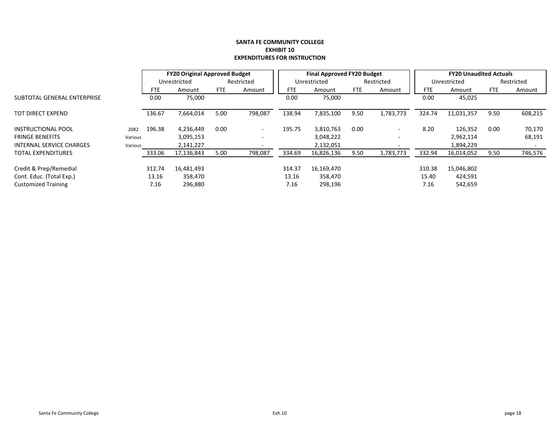|                             |         |            | <b>FY20 Original Approved Budget</b> |            |                          |            | Final Approved FY20 Budget |      |                          |            | <b>FY20 Unaudited Actuals</b> |            |            |
|-----------------------------|---------|------------|--------------------------------------|------------|--------------------------|------------|----------------------------|------|--------------------------|------------|-------------------------------|------------|------------|
|                             |         |            | Unrestricted                         |            | Restricted               |            | Unrestricted               |      | Restricted               |            | Unrestricted                  |            | Restricted |
|                             |         | <b>FTE</b> | Amount                               | <b>FTE</b> | Amount                   | <b>FTE</b> | Amount                     | FTE  | Amount                   | <b>FTE</b> | Amount                        | <b>FTE</b> | Amount     |
| SUBTOTAL GENERAL ENTERPRISE |         | 0.00       | 75,000                               |            |                          | 0.00       | 75,000                     |      |                          | 0.00       | 45,025                        |            |            |
| TOT DIRECT EXPEND           |         | 136.67     | 7,664,014                            | 5.00       | 798,087                  | 138.94     | 7,835,100                  | 9.50 | 1,783,773                | 324.74     | 11,031,357                    | 9.50       | 608,215    |
| <b>INSTRUCTIONAL POOL</b>   | 2082    | 196.38     | 4,236,449                            | 0.00       | $\overline{\phantom{a}}$ | 195.75     | 3,810,763                  | 0.00 | $\overline{\phantom{0}}$ | 8.20       | 126,352                       | 0.00       | 70,170     |
| <b>FRINGE BENEFITS</b>      | Various |            | 3,095,153                            |            | -                        |            | 3,048,222                  |      | $\overline{\phantom{0}}$ |            | 2,962,114                     |            | 68,191     |
| INTERNAL SERVICE CHARGES    | Various |            | 2,141,227                            |            |                          |            | 2,132,051                  |      |                          |            | 1,894,229                     |            |            |
| <b>TOTAL EXPENDITURES</b>   |         | 333.06     | 17,136,843                           | 5.00       | 798,087                  | 334.69     | 16,826,136                 | 9.50 | 1,783,773                | 332.94     | 16,014,052                    | 9.50       | 746,576    |
| Credit & Prep/Remedial      |         | 312.74     | 16,481,493                           |            |                          | 314.37     | 16,169,470                 |      |                          | 310.38     | 15,046,802                    |            |            |
| Cont. Educ. (Total Exp.)    |         | 13.16      | 358,470                              |            |                          | 13.16      | 358,470                    |      |                          | 15.40      | 424,591                       |            |            |
| <b>Customized Training</b>  |         | 7.16       | 296,880                              |            |                          | 7.16       | 298,196                    |      |                          | 7.16       | 542,659                       |            |            |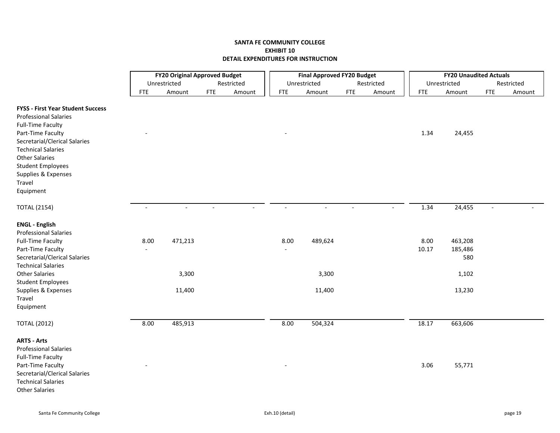|                                                                                                                                                               |            | <b>FY20 Original Approved Budget</b> |            |            |            | <b>Final Approved FY20 Budget</b> |             |            |               | <b>FY20 Unaudited Actuals</b> |                          |            |
|---------------------------------------------------------------------------------------------------------------------------------------------------------------|------------|--------------------------------------|------------|------------|------------|-----------------------------------|-------------|------------|---------------|-------------------------------|--------------------------|------------|
|                                                                                                                                                               |            | Unrestricted                         |            | Restricted |            | Unrestricted                      |             | Restricted |               | Unrestricted                  |                          | Restricted |
|                                                                                                                                                               | <b>FTE</b> | Amount                               | <b>FTE</b> | Amount     | <b>FTE</b> | Amount                            | ${\sf FTE}$ | Amount     | <b>FTE</b>    | Amount                        | <b>FTE</b>               | Amount     |
| <b>FYSS - First Year Student Success</b><br><b>Professional Salaries</b><br><b>Full-Time Faculty</b><br>Part-Time Faculty                                     |            |                                      |            |            |            |                                   |             |            | 1.34          | 24,455                        |                          |            |
| Secretarial/Clerical Salaries<br><b>Technical Salaries</b><br><b>Other Salaries</b><br><b>Student Employees</b><br>Supplies & Expenses<br>Travel<br>Equipment |            |                                      |            |            |            |                                   |             |            |               |                               |                          |            |
| <b>TOTAL (2154)</b>                                                                                                                                           |            | $\sim$                               |            |            |            |                                   |             |            | 1.34          | 24,455                        | $\overline{\phantom{a}}$ |            |
| <b>ENGL - English</b><br><b>Professional Salaries</b>                                                                                                         |            |                                      |            |            |            |                                   |             |            |               |                               |                          |            |
| <b>Full-Time Faculty</b><br>Part-Time Faculty<br>Secretarial/Clerical Salaries<br><b>Technical Salaries</b>                                                   | 8.00       | 471,213                              |            |            | 8.00       | 489,624                           |             |            | 8.00<br>10.17 | 463,208<br>185,486<br>580     |                          |            |
| <b>Other Salaries</b><br><b>Student Employees</b>                                                                                                             |            | 3,300                                |            |            |            | 3,300                             |             |            |               | 1,102                         |                          |            |
| Supplies & Expenses<br>Travel<br>Equipment                                                                                                                    |            | 11,400                               |            |            |            | 11,400                            |             |            |               | 13,230                        |                          |            |
| <b>TOTAL (2012)</b>                                                                                                                                           | 8.00       | 485,913                              |            |            | 8.00       | 504,324                           |             |            | 18.17         | 663,606                       |                          |            |
| <b>ARTS - Arts</b><br><b>Professional Salaries</b><br><b>Full-Time Faculty</b>                                                                                |            |                                      |            |            |            |                                   |             |            |               |                               |                          |            |
| Part-Time Faculty<br>Secretarial/Clerical Salaries<br><b>Technical Salaries</b><br><b>Other Salaries</b>                                                      |            |                                      |            |            |            |                                   |             |            | 3.06          | 55,771                        |                          |            |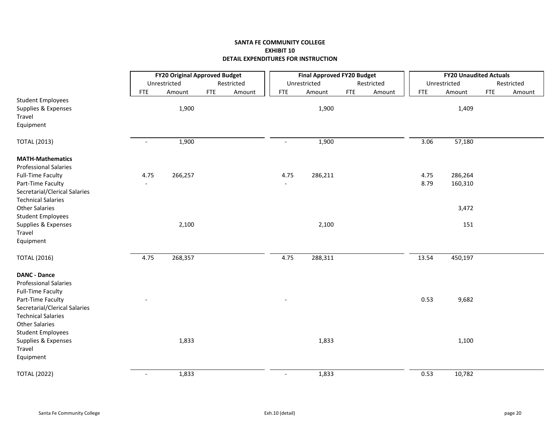|                                                                                 |                          | <b>FY20 Original Approved Budget</b> |            |            |                          | <b>Final Approved FY20 Budget</b> |            |            |            | <b>FY20 Unaudited Actuals</b> |            |            |
|---------------------------------------------------------------------------------|--------------------------|--------------------------------------|------------|------------|--------------------------|-----------------------------------|------------|------------|------------|-------------------------------|------------|------------|
|                                                                                 |                          | Unrestricted                         |            | Restricted |                          | Unrestricted                      |            | Restricted |            | Unrestricted                  |            | Restricted |
|                                                                                 | <b>FTE</b>               | Amount                               | <b>FTE</b> | Amount     | <b>FTE</b>               | Amount                            | <b>FTE</b> | Amount     | <b>FTE</b> | Amount                        | <b>FTE</b> | Amount     |
| <b>Student Employees</b><br>Supplies & Expenses<br>Travel                       |                          | 1,900                                |            |            |                          | 1,900                             |            |            |            | 1,409                         |            |            |
| Equipment                                                                       |                          |                                      |            |            |                          |                                   |            |            |            |                               |            |            |
| <b>TOTAL (2013)</b>                                                             | $\overline{\phantom{a}}$ | 1,900                                |            |            | $\overline{\phantom{a}}$ | 1,900                             |            |            | 3.06       | 57,180                        |            |            |
| <b>MATH-Mathematics</b><br><b>Professional Salaries</b>                         |                          |                                      |            |            |                          |                                   |            |            |            |                               |            |            |
| <b>Full-Time Faculty</b>                                                        | 4.75                     | 266,257                              |            |            | 4.75                     | 286,211                           |            |            | 4.75       | 286,264                       |            |            |
| Part-Time Faculty<br>Secretarial/Clerical Salaries<br><b>Technical Salaries</b> |                          |                                      |            |            |                          |                                   |            |            | 8.79       | 160,310                       |            |            |
| <b>Other Salaries</b><br><b>Student Employees</b>                               |                          |                                      |            |            |                          |                                   |            |            |            | 3,472                         |            |            |
| Supplies & Expenses<br>Travel                                                   |                          | 2,100                                |            |            |                          | 2,100                             |            |            |            | 151                           |            |            |
| Equipment                                                                       |                          |                                      |            |            |                          |                                   |            |            |            |                               |            |            |
| <b>TOTAL (2016)</b>                                                             | 4.75                     | 268,357                              |            |            | 4.75                     | 288,311                           |            |            | 13.54      | 450,197                       |            |            |
| <b>DANC - Dance</b><br><b>Professional Salaries</b>                             |                          |                                      |            |            |                          |                                   |            |            |            |                               |            |            |
| <b>Full-Time Faculty</b>                                                        |                          |                                      |            |            |                          |                                   |            |            |            |                               |            |            |
| Part-Time Faculty                                                               |                          |                                      |            |            |                          |                                   |            |            | 0.53       | 9,682                         |            |            |
| Secretarial/Clerical Salaries                                                   |                          |                                      |            |            |                          |                                   |            |            |            |                               |            |            |
| <b>Technical Salaries</b><br><b>Other Salaries</b>                              |                          |                                      |            |            |                          |                                   |            |            |            |                               |            |            |
| <b>Student Employees</b>                                                        |                          |                                      |            |            |                          |                                   |            |            |            |                               |            |            |
| Supplies & Expenses                                                             |                          | 1,833                                |            |            |                          | 1,833                             |            |            |            | 1,100                         |            |            |
| Travel                                                                          |                          |                                      |            |            |                          |                                   |            |            |            |                               |            |            |
| Equipment                                                                       |                          |                                      |            |            |                          |                                   |            |            |            |                               |            |            |
| <b>TOTAL (2022)</b>                                                             | $\blacksquare$           | 1,833                                |            |            | $\blacksquare$           | 1,833                             |            |            | 0.53       | 10,782                        |            |            |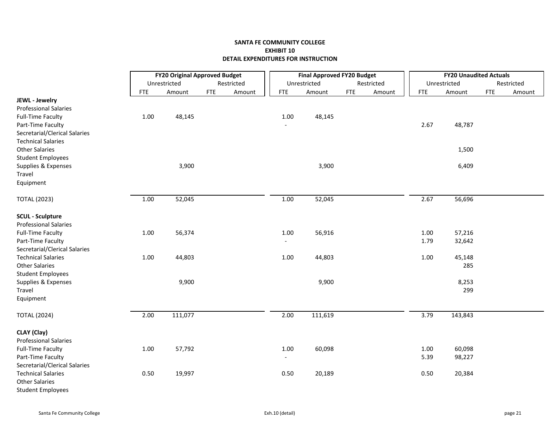|                               |            | <b>FY20 Original Approved Budget</b> |            |            |                          | <b>Final Approved FY20 Budget</b> |            |            |            | <b>FY20 Unaudited Actuals</b> |            |            |
|-------------------------------|------------|--------------------------------------|------------|------------|--------------------------|-----------------------------------|------------|------------|------------|-------------------------------|------------|------------|
|                               |            | Unrestricted                         |            | Restricted |                          | Unrestricted                      |            | Restricted |            | Unrestricted                  |            | Restricted |
|                               | <b>FTE</b> | Amount                               | <b>FTE</b> | Amount     | <b>FTE</b>               | Amount                            | <b>FTE</b> | Amount     | <b>FTE</b> | Amount                        | <b>FTE</b> | Amount     |
| JEWL - Jewelry                |            |                                      |            |            |                          |                                   |            |            |            |                               |            |            |
| <b>Professional Salaries</b>  |            |                                      |            |            |                          |                                   |            |            |            |                               |            |            |
| <b>Full-Time Faculty</b>      | $1.00\,$   | 48,145                               |            |            | $1.00\,$                 | 48,145                            |            |            |            |                               |            |            |
| Part-Time Faculty             |            |                                      |            |            |                          |                                   |            |            | 2.67       | 48,787                        |            |            |
| Secretarial/Clerical Salaries |            |                                      |            |            |                          |                                   |            |            |            |                               |            |            |
| <b>Technical Salaries</b>     |            |                                      |            |            |                          |                                   |            |            |            |                               |            |            |
| <b>Other Salaries</b>         |            |                                      |            |            |                          |                                   |            |            |            | 1,500                         |            |            |
| <b>Student Employees</b>      |            |                                      |            |            |                          |                                   |            |            |            |                               |            |            |
| Supplies & Expenses           |            | 3,900                                |            |            |                          | 3,900                             |            |            |            | 6,409                         |            |            |
| Travel                        |            |                                      |            |            |                          |                                   |            |            |            |                               |            |            |
| Equipment                     |            |                                      |            |            |                          |                                   |            |            |            |                               |            |            |
| <b>TOTAL (2023)</b>           | $1.00\,$   | 52,045                               |            |            | 1.00                     | 52,045                            |            |            | 2.67       | 56,696                        |            |            |
| <b>SCUL</b> - Sculpture       |            |                                      |            |            |                          |                                   |            |            |            |                               |            |            |
| <b>Professional Salaries</b>  |            |                                      |            |            |                          |                                   |            |            |            |                               |            |            |
| <b>Full-Time Faculty</b>      | $1.00\,$   | 56,374                               |            |            | 1.00                     | 56,916                            |            |            | 1.00       | 57,216                        |            |            |
| Part-Time Faculty             |            |                                      |            |            | $\overline{\phantom{a}}$ |                                   |            |            | 1.79       | 32,642                        |            |            |
| Secretarial/Clerical Salaries |            |                                      |            |            |                          |                                   |            |            |            |                               |            |            |
| <b>Technical Salaries</b>     | 1.00       | 44,803                               |            |            | 1.00                     | 44,803                            |            |            | 1.00       | 45,148                        |            |            |
| <b>Other Salaries</b>         |            |                                      |            |            |                          |                                   |            |            |            | 285                           |            |            |
| <b>Student Employees</b>      |            |                                      |            |            |                          |                                   |            |            |            |                               |            |            |
| Supplies & Expenses           |            | 9,900                                |            |            |                          | 9,900                             |            |            |            | 8,253                         |            |            |
| Travel                        |            |                                      |            |            |                          |                                   |            |            |            | 299                           |            |            |
| Equipment                     |            |                                      |            |            |                          |                                   |            |            |            |                               |            |            |
| <b>TOTAL (2024)</b>           | 2.00       | 111,077                              |            |            | 2.00                     | 111,619                           |            |            | 3.79       | 143,843                       |            |            |
|                               |            |                                      |            |            |                          |                                   |            |            |            |                               |            |            |
| CLAY (Clay)                   |            |                                      |            |            |                          |                                   |            |            |            |                               |            |            |
| <b>Professional Salaries</b>  |            |                                      |            |            |                          |                                   |            |            |            |                               |            |            |
| <b>Full-Time Faculty</b>      | $1.00\,$   | 57,792                               |            |            | $1.00\,$                 | 60,098                            |            |            | 1.00       | 60,098                        |            |            |
| Part-Time Faculty             |            |                                      |            |            | $\overline{\phantom{a}}$ |                                   |            |            | 5.39       | 98,227                        |            |            |
| Secretarial/Clerical Salaries |            |                                      |            |            |                          |                                   |            |            |            |                               |            |            |
| <b>Technical Salaries</b>     | 0.50       | 19,997                               |            |            | 0.50                     | 20,189                            |            |            | 0.50       | 20,384                        |            |            |
| <b>Other Salaries</b>         |            |                                      |            |            |                          |                                   |            |            |            |                               |            |            |
| <b>Student Employees</b>      |            |                                      |            |            |                          |                                   |            |            |            |                               |            |            |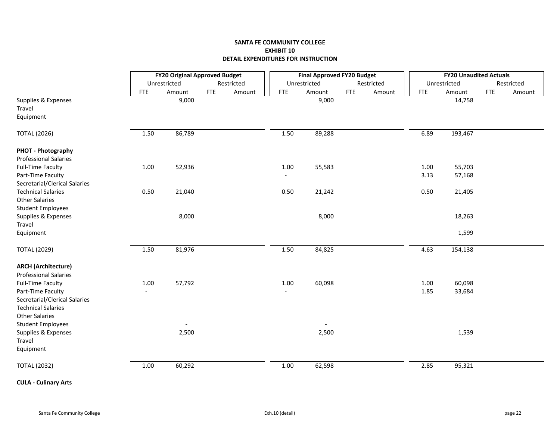|                               |            | <b>FY20 Original Approved Budget</b> |            |            |            | <b>Final Approved FY20 Budget</b> |            |            |            | <b>FY20 Unaudited Actuals</b> |            |            |
|-------------------------------|------------|--------------------------------------|------------|------------|------------|-----------------------------------|------------|------------|------------|-------------------------------|------------|------------|
|                               |            | Unrestricted                         |            | Restricted |            | Unrestricted                      |            | Restricted |            | Unrestricted                  |            | Restricted |
|                               | <b>FTE</b> | Amount                               | <b>FTE</b> | Amount     | <b>FTE</b> | Amount                            | <b>FTE</b> | Amount     | <b>FTE</b> | Amount                        | <b>FTE</b> | Amount     |
| Supplies & Expenses           |            | 9,000                                |            |            |            | 9,000                             |            |            |            | 14,758                        |            |            |
| Travel                        |            |                                      |            |            |            |                                   |            |            |            |                               |            |            |
| Equipment                     |            |                                      |            |            |            |                                   |            |            |            |                               |            |            |
| <b>TOTAL (2026)</b>           | 1.50       | 86,789                               |            |            | 1.50       | 89,288                            |            |            | 6.89       | 193,467                       |            |            |
| PHOT - Photography            |            |                                      |            |            |            |                                   |            |            |            |                               |            |            |
| <b>Professional Salaries</b>  |            |                                      |            |            |            |                                   |            |            |            |                               |            |            |
| <b>Full-Time Faculty</b>      | $1.00\,$   | 52,936                               |            |            | 1.00       | 55,583                            |            |            | 1.00       | 55,703                        |            |            |
| Part-Time Faculty             |            |                                      |            |            |            |                                   |            |            | 3.13       | 57,168                        |            |            |
| Secretarial/Clerical Salaries |            |                                      |            |            |            |                                   |            |            |            |                               |            |            |
| <b>Technical Salaries</b>     | 0.50       | 21,040                               |            |            | 0.50       | 21,242                            |            |            | 0.50       | 21,405                        |            |            |
| <b>Other Salaries</b>         |            |                                      |            |            |            |                                   |            |            |            |                               |            |            |
| <b>Student Employees</b>      |            | 8,000                                |            |            |            | 8,000                             |            |            |            |                               |            |            |
| Supplies & Expenses<br>Travel |            |                                      |            |            |            |                                   |            |            |            | 18,263                        |            |            |
| Equipment                     |            |                                      |            |            |            |                                   |            |            |            | 1,599                         |            |            |
|                               |            |                                      |            |            |            |                                   |            |            |            |                               |            |            |
| <b>TOTAL (2029)</b>           | 1.50       | 81,976                               |            |            | 1.50       | 84,825                            |            |            | 4.63       | 154,138                       |            |            |
| <b>ARCH (Architecture)</b>    |            |                                      |            |            |            |                                   |            |            |            |                               |            |            |
| <b>Professional Salaries</b>  |            |                                      |            |            |            |                                   |            |            |            |                               |            |            |
| <b>Full-Time Faculty</b>      | $1.00\,$   | 57,792                               |            |            | $1.00\,$   | 60,098                            |            |            | 1.00       | 60,098                        |            |            |
| Part-Time Faculty             |            |                                      |            |            |            |                                   |            |            | 1.85       | 33,684                        |            |            |
| Secretarial/Clerical Salaries |            |                                      |            |            |            |                                   |            |            |            |                               |            |            |
| <b>Technical Salaries</b>     |            |                                      |            |            |            |                                   |            |            |            |                               |            |            |
| <b>Other Salaries</b>         |            |                                      |            |            |            |                                   |            |            |            |                               |            |            |
| <b>Student Employees</b>      |            |                                      |            |            |            |                                   |            |            |            |                               |            |            |
| Supplies & Expenses           |            | 2,500                                |            |            |            | 2,500                             |            |            |            | 1,539                         |            |            |
| Travel                        |            |                                      |            |            |            |                                   |            |            |            |                               |            |            |
| Equipment                     |            |                                      |            |            |            |                                   |            |            |            |                               |            |            |
| <b>TOTAL (2032)</b>           | 1.00       | 60,292                               |            |            | $1.00\,$   | 62,598                            |            |            | 2.85       | 95,321                        |            |            |
|                               |            |                                      |            |            |            |                                   |            |            |            |                               |            |            |

**CULA ‐ Culinary Arts**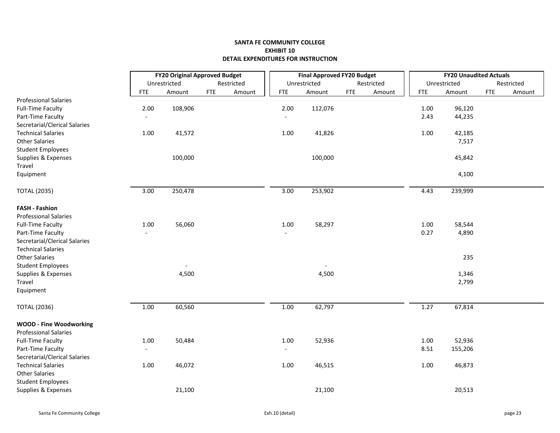|                                |                   | <b>FY20 Original Approved Budget</b> |            |            |                              | <b>Final Approved FY20 Budget</b> |            |            |            | <b>FY20 Unaudited Actuals</b> |            |            |
|--------------------------------|-------------------|--------------------------------------|------------|------------|------------------------------|-----------------------------------|------------|------------|------------|-------------------------------|------------|------------|
|                                |                   | Unrestricted                         |            | Restricted |                              | Unrestricted                      |            | Restricted |            | Unrestricted                  |            | Restricted |
|                                | <b>FTE</b>        | Amount                               | <b>FTE</b> | Amount     | <b>FTE</b>                   | Amount                            | <b>FTE</b> | Amount     | <b>FTE</b> | Amount                        | <b>FTE</b> | Amount     |
| <b>Professional Salaries</b>   |                   |                                      |            |            |                              |                                   |            |            |            |                               |            |            |
| <b>Full-Time Faculty</b>       | 2.00              | 108,906                              |            |            | 2.00                         | 112,076                           |            |            | 1.00       | 96,120                        |            |            |
| Part-Time Faculty              |                   |                                      |            |            | $\qquad \qquad \blacksquare$ |                                   |            |            | 2.43       | 44,235                        |            |            |
| Secretarial/Clerical Salaries  |                   |                                      |            |            |                              |                                   |            |            |            |                               |            |            |
| <b>Technical Salaries</b>      | 1.00              | 41,572                               |            |            | 1.00                         | 41,826                            |            |            | 1.00       | 42,185                        |            |            |
| <b>Other Salaries</b>          |                   |                                      |            |            |                              |                                   |            |            |            | 7,517                         |            |            |
| <b>Student Employees</b>       |                   |                                      |            |            |                              |                                   |            |            |            |                               |            |            |
| Supplies & Expenses            |                   | 100,000                              |            |            |                              | 100,000                           |            |            |            | 45,842                        |            |            |
| Travel                         |                   |                                      |            |            |                              |                                   |            |            |            |                               |            |            |
| Equipment                      |                   |                                      |            |            |                              |                                   |            |            |            | 4,100                         |            |            |
| <b>TOTAL (2035)</b>            | $\overline{3.00}$ | 250,478                              |            |            | $\overline{3.00}$            | 253,902                           |            |            | 4.43       | 239,999                       |            |            |
| <b>FASH - Fashion</b>          |                   |                                      |            |            |                              |                                   |            |            |            |                               |            |            |
| <b>Professional Salaries</b>   |                   |                                      |            |            |                              |                                   |            |            |            |                               |            |            |
| <b>Full-Time Faculty</b>       | 1.00              | 56,060                               |            |            | 1.00                         | 58,297                            |            |            | 1.00       | 58,544                        |            |            |
| Part-Time Faculty              |                   |                                      |            |            |                              |                                   |            |            | 0.27       | 4,890                         |            |            |
| Secretarial/Clerical Salaries  |                   |                                      |            |            |                              |                                   |            |            |            |                               |            |            |
| <b>Technical Salaries</b>      |                   |                                      |            |            |                              |                                   |            |            |            |                               |            |            |
| <b>Other Salaries</b>          |                   |                                      |            |            |                              |                                   |            |            |            | 235                           |            |            |
| <b>Student Employees</b>       |                   |                                      |            |            |                              |                                   |            |            |            |                               |            |            |
| Supplies & Expenses            |                   | 4,500                                |            |            |                              | 4,500                             |            |            |            | 1,346                         |            |            |
| Travel                         |                   |                                      |            |            |                              |                                   |            |            |            | 2,799                         |            |            |
| Equipment                      |                   |                                      |            |            |                              |                                   |            |            |            |                               |            |            |
| <b>TOTAL (2036)</b>            | 1.00              | 60,560                               |            |            | $1.00\,$                     | 62,797                            |            |            | 1.27       | 67,814                        |            |            |
| <b>WOOD - Fine Woodworking</b> |                   |                                      |            |            |                              |                                   |            |            |            |                               |            |            |
| <b>Professional Salaries</b>   |                   |                                      |            |            |                              |                                   |            |            |            |                               |            |            |
| <b>Full-Time Faculty</b>       | 1.00              | 50,484                               |            |            | 1.00                         | 52,936                            |            |            | 1.00       | 52,936                        |            |            |
| Part-Time Faculty              |                   |                                      |            |            | $\overline{\phantom{a}}$     |                                   |            |            | 8.51       | 155,206                       |            |            |
| Secretarial/Clerical Salaries  |                   |                                      |            |            |                              |                                   |            |            |            |                               |            |            |
| <b>Technical Salaries</b>      | $1.00\,$          | 46,072                               |            |            | 1.00                         | 46,515                            |            |            | 1.00       | 46,873                        |            |            |
| <b>Other Salaries</b>          |                   |                                      |            |            |                              |                                   |            |            |            |                               |            |            |
| <b>Student Employees</b>       |                   |                                      |            |            |                              |                                   |            |            |            |                               |            |            |
| Supplies & Expenses            |                   | 21,100                               |            |            |                              | 21,100                            |            |            |            | 20,513                        |            |            |
|                                |                   |                                      |            |            |                              |                                   |            |            |            |                               |            |            |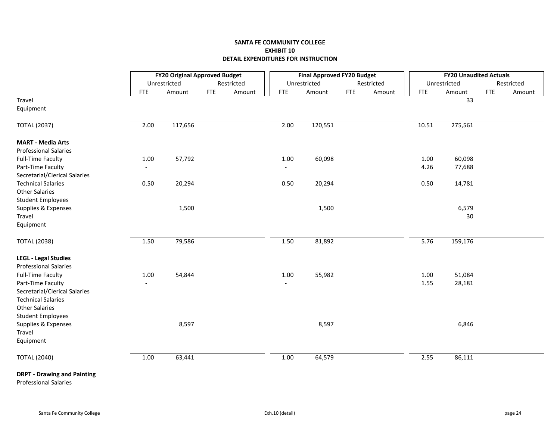|                                    |                          | <b>FY20 Original Approved Budget</b> |            |            |            | <b>Final Approved FY20 Budget</b> |            |            |            | <b>FY20 Unaudited Actuals</b> |             |            |
|------------------------------------|--------------------------|--------------------------------------|------------|------------|------------|-----------------------------------|------------|------------|------------|-------------------------------|-------------|------------|
|                                    |                          | Unrestricted                         |            | Restricted |            | Unrestricted                      |            | Restricted |            | Unrestricted                  |             | Restricted |
|                                    | <b>FTE</b>               | Amount                               | <b>FTE</b> | Amount     | <b>FTE</b> | Amount                            | <b>FTE</b> | Amount     | <b>FTE</b> | Amount                        | ${\sf FTE}$ | Amount     |
| Travel                             |                          |                                      |            |            |            |                                   |            |            |            | 33                            |             |            |
| Equipment                          |                          |                                      |            |            |            |                                   |            |            |            |                               |             |            |
| <b>TOTAL (2037)</b>                | 2.00                     | 117,656                              |            |            | 2.00       | 120,551                           |            |            | 10.51      | 275,561                       |             |            |
| <b>MART - Media Arts</b>           |                          |                                      |            |            |            |                                   |            |            |            |                               |             |            |
| <b>Professional Salaries</b>       |                          |                                      |            |            |            |                                   |            |            |            |                               |             |            |
| <b>Full-Time Faculty</b>           | 1.00                     | 57,792                               |            |            | 1.00       | 60,098                            |            |            | 1.00       | 60,098                        |             |            |
| Part-Time Faculty                  | $\overline{\phantom{a}}$ |                                      |            |            |            |                                   |            |            | 4.26       | 77,688                        |             |            |
| Secretarial/Clerical Salaries      |                          |                                      |            |            |            |                                   |            |            |            |                               |             |            |
| <b>Technical Salaries</b>          | 0.50                     | 20,294                               |            |            | 0.50       | 20,294                            |            |            | 0.50       | 14,781                        |             |            |
| <b>Other Salaries</b>              |                          |                                      |            |            |            |                                   |            |            |            |                               |             |            |
| <b>Student Employees</b>           |                          | 1,500                                |            |            |            | 1,500                             |            |            |            | 6,579                         |             |            |
| Supplies & Expenses<br>Travel      |                          |                                      |            |            |            |                                   |            |            |            | 30                            |             |            |
| Equipment                          |                          |                                      |            |            |            |                                   |            |            |            |                               |             |            |
|                                    |                          |                                      |            |            |            |                                   |            |            |            |                               |             |            |
| <b>TOTAL (2038)</b>                | 1.50                     | 79,586                               |            |            | 1.50       | 81,892                            |            |            | 5.76       | 159,176                       |             |            |
| <b>LEGL - Legal Studies</b>        |                          |                                      |            |            |            |                                   |            |            |            |                               |             |            |
| <b>Professional Salaries</b>       |                          |                                      |            |            |            |                                   |            |            |            |                               |             |            |
| <b>Full-Time Faculty</b>           | 1.00                     | 54,844                               |            |            | 1.00       | 55,982                            |            |            | 1.00       | 51,084                        |             |            |
| Part-Time Faculty                  |                          |                                      |            |            |            |                                   |            |            | 1.55       | 28,181                        |             |            |
| Secretarial/Clerical Salaries      |                          |                                      |            |            |            |                                   |            |            |            |                               |             |            |
| <b>Technical Salaries</b>          |                          |                                      |            |            |            |                                   |            |            |            |                               |             |            |
| <b>Other Salaries</b>              |                          |                                      |            |            |            |                                   |            |            |            |                               |             |            |
| <b>Student Employees</b>           |                          |                                      |            |            |            |                                   |            |            |            |                               |             |            |
| Supplies & Expenses                |                          | 8,597                                |            |            |            | 8,597                             |            |            |            | 6,846                         |             |            |
| Travel                             |                          |                                      |            |            |            |                                   |            |            |            |                               |             |            |
| Equipment                          |                          |                                      |            |            |            |                                   |            |            |            |                               |             |            |
| <b>TOTAL (2040)</b>                | 1.00                     | 63,441                               |            |            | $1.00\,$   | 64,579                            |            |            | 2.55       | 86,111                        |             |            |
| <b>DRPT - Drawing and Painting</b> |                          |                                      |            |            |            |                                   |            |            |            |                               |             |            |

Professional Salaries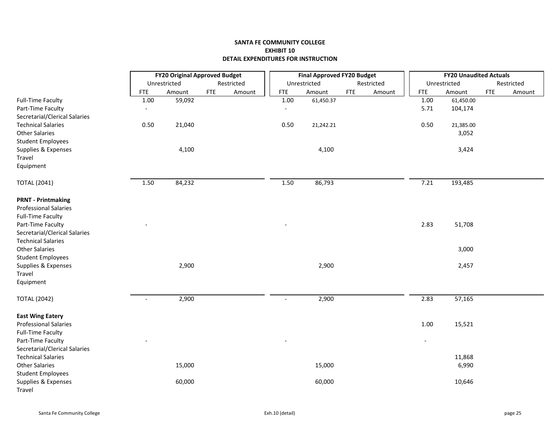|                               |                          | <b>FY20 Original Approved Budget</b> |            |            |                | <b>Final Approved FY20 Budget</b> |            |            |                          | <b>FY20 Unaudited Actuals</b> |            |            |
|-------------------------------|--------------------------|--------------------------------------|------------|------------|----------------|-----------------------------------|------------|------------|--------------------------|-------------------------------|------------|------------|
|                               |                          | Unrestricted                         |            | Restricted |                | Unrestricted                      |            | Restricted |                          | Unrestricted                  |            | Restricted |
|                               | <b>FTE</b>               | Amount                               | <b>FTE</b> | Amount     | <b>FTE</b>     | Amount                            | <b>FTE</b> | Amount     | <b>FTE</b>               | Amount                        | <b>FTE</b> | Amount     |
| <b>Full-Time Faculty</b>      | 1.00                     | 59,092                               |            |            | 1.00           | 61,450.37                         |            |            | 1.00                     | 61,450.00                     |            |            |
| Part-Time Faculty             |                          |                                      |            |            | $\overline{a}$ |                                   |            |            | 5.71                     | 104,174                       |            |            |
| Secretarial/Clerical Salaries |                          |                                      |            |            |                |                                   |            |            |                          |                               |            |            |
| <b>Technical Salaries</b>     | 0.50                     | 21,040                               |            |            | 0.50           | 21,242.21                         |            |            | 0.50                     | 21,385.00                     |            |            |
| <b>Other Salaries</b>         |                          |                                      |            |            |                |                                   |            |            |                          | 3,052                         |            |            |
| <b>Student Employees</b>      |                          |                                      |            |            |                |                                   |            |            |                          |                               |            |            |
| Supplies & Expenses           |                          | 4,100                                |            |            |                | 4,100                             |            |            |                          | 3,424                         |            |            |
| Travel                        |                          |                                      |            |            |                |                                   |            |            |                          |                               |            |            |
| Equipment                     |                          |                                      |            |            |                |                                   |            |            |                          |                               |            |            |
| <b>TOTAL (2041)</b>           | 1.50                     | 84,232                               |            |            | 1.50           | 86,793                            |            |            | 7.21                     | 193,485                       |            |            |
| <b>PRNT - Printmaking</b>     |                          |                                      |            |            |                |                                   |            |            |                          |                               |            |            |
| <b>Professional Salaries</b>  |                          |                                      |            |            |                |                                   |            |            |                          |                               |            |            |
| <b>Full-Time Faculty</b>      |                          |                                      |            |            |                |                                   |            |            |                          |                               |            |            |
| Part-Time Faculty             |                          |                                      |            |            |                |                                   |            |            | 2.83                     | 51,708                        |            |            |
| Secretarial/Clerical Salaries |                          |                                      |            |            |                |                                   |            |            |                          |                               |            |            |
| <b>Technical Salaries</b>     |                          |                                      |            |            |                |                                   |            |            |                          |                               |            |            |
| <b>Other Salaries</b>         |                          |                                      |            |            |                |                                   |            |            |                          | 3,000                         |            |            |
| <b>Student Employees</b>      |                          |                                      |            |            |                |                                   |            |            |                          |                               |            |            |
| Supplies & Expenses           |                          | 2,900                                |            |            |                | 2,900                             |            |            |                          | 2,457                         |            |            |
| Travel                        |                          |                                      |            |            |                |                                   |            |            |                          |                               |            |            |
| Equipment                     |                          |                                      |            |            |                |                                   |            |            |                          |                               |            |            |
| <b>TOTAL (2042)</b>           | $\overline{\phantom{a}}$ | 2,900                                |            |            | $\overline{a}$ | 2,900                             |            |            | 2.83                     | 57,165                        |            |            |
| <b>East Wing Eatery</b>       |                          |                                      |            |            |                |                                   |            |            |                          |                               |            |            |
| <b>Professional Salaries</b>  |                          |                                      |            |            |                |                                   |            |            | 1.00                     | 15,521                        |            |            |
| <b>Full-Time Faculty</b>      |                          |                                      |            |            |                |                                   |            |            |                          |                               |            |            |
| Part-Time Faculty             |                          |                                      |            |            |                |                                   |            |            | $\overline{\phantom{a}}$ |                               |            |            |
| Secretarial/Clerical Salaries |                          |                                      |            |            |                |                                   |            |            |                          |                               |            |            |
| <b>Technical Salaries</b>     |                          |                                      |            |            |                |                                   |            |            |                          | 11,868                        |            |            |
| <b>Other Salaries</b>         |                          | 15,000                               |            |            |                | 15,000                            |            |            |                          | 6,990                         |            |            |
| <b>Student Employees</b>      |                          |                                      |            |            |                |                                   |            |            |                          |                               |            |            |
| Supplies & Expenses           |                          | 60,000                               |            |            |                | 60,000                            |            |            |                          | 10,646                        |            |            |
| Travel                        |                          |                                      |            |            |                |                                   |            |            |                          |                               |            |            |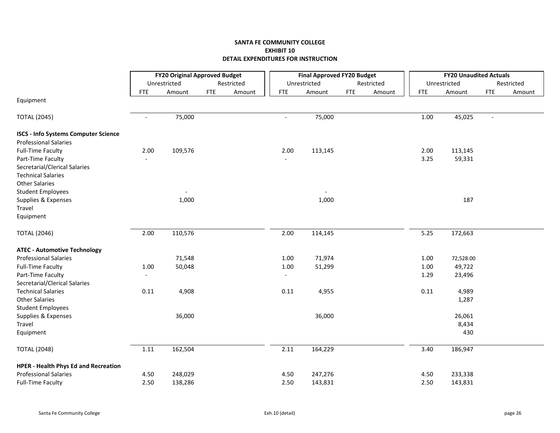|                                                                             |                          | <b>FY20 Original Approved Budget</b> |            |            |                          | <b>Final Approved FY20 Budget</b> |            |            |            | <b>FY20 Unaudited Actuals</b> |            |            |  |
|-----------------------------------------------------------------------------|--------------------------|--------------------------------------|------------|------------|--------------------------|-----------------------------------|------------|------------|------------|-------------------------------|------------|------------|--|
|                                                                             |                          | Unrestricted                         |            | Restricted |                          | Unrestricted                      |            | Restricted |            | Unrestricted                  |            | Restricted |  |
|                                                                             | <b>FTE</b>               | Amount                               | <b>FTE</b> | Amount     | <b>FTE</b>               | Amount                            | <b>FTE</b> | Amount     | <b>FTE</b> | Amount                        | <b>FTE</b> | Amount     |  |
| Equipment                                                                   |                          |                                      |            |            |                          |                                   |            |            |            |                               |            |            |  |
| <b>TOTAL (2045)</b>                                                         | $\overline{a}$           | 75,000                               |            |            |                          | 75,000                            |            |            | 1.00       | 45,025                        |            |            |  |
| <b>ISCS - Info Systems Computer Science</b><br><b>Professional Salaries</b> |                          |                                      |            |            |                          |                                   |            |            |            |                               |            |            |  |
| <b>Full-Time Faculty</b>                                                    | 2.00                     | 109,576                              |            |            | 2.00                     | 113,145                           |            |            | 2.00       | 113,145                       |            |            |  |
| Part-Time Faculty                                                           |                          |                                      |            |            |                          |                                   |            |            | 3.25       | 59,331                        |            |            |  |
| Secretarial/Clerical Salaries<br><b>Technical Salaries</b>                  |                          |                                      |            |            |                          |                                   |            |            |            |                               |            |            |  |
| <b>Other Salaries</b>                                                       |                          |                                      |            |            |                          |                                   |            |            |            |                               |            |            |  |
| <b>Student Employees</b>                                                    |                          |                                      |            |            |                          |                                   |            |            |            |                               |            |            |  |
| Supplies & Expenses                                                         |                          | 1,000                                |            |            |                          | 1,000                             |            |            |            | 187                           |            |            |  |
| Travel                                                                      |                          |                                      |            |            |                          |                                   |            |            |            |                               |            |            |  |
| Equipment                                                                   |                          |                                      |            |            |                          |                                   |            |            |            |                               |            |            |  |
| <b>TOTAL (2046)</b>                                                         | 2.00                     | 110,576                              |            |            | 2.00                     | 114,145                           |            |            | 5.25       | 172,663                       |            |            |  |
| <b>ATEC - Automotive Technology</b>                                         |                          |                                      |            |            |                          |                                   |            |            |            |                               |            |            |  |
| <b>Professional Salaries</b>                                                |                          | 71,548                               |            |            | 1.00                     | 71,974                            |            |            | 1.00       | 72,528.00                     |            |            |  |
| <b>Full-Time Faculty</b>                                                    | 1.00                     | 50,048                               |            |            | 1.00                     | 51,299                            |            |            | 1.00       | 49,722                        |            |            |  |
| Part-Time Faculty                                                           | $\overline{\phantom{a}}$ |                                      |            |            | $\overline{\phantom{a}}$ |                                   |            |            | 1.29       | 23,496                        |            |            |  |
| Secretarial/Clerical Salaries                                               |                          |                                      |            |            |                          |                                   |            |            |            |                               |            |            |  |
| <b>Technical Salaries</b>                                                   | 0.11                     | 4,908                                |            |            | 0.11                     | 4,955                             |            |            | 0.11       | 4,989                         |            |            |  |
| <b>Other Salaries</b>                                                       |                          |                                      |            |            |                          |                                   |            |            |            | 1,287                         |            |            |  |
| <b>Student Employees</b>                                                    |                          |                                      |            |            |                          |                                   |            |            |            |                               |            |            |  |
| Supplies & Expenses                                                         |                          | 36,000                               |            |            |                          | 36,000                            |            |            |            | 26,061                        |            |            |  |
| Travel                                                                      |                          |                                      |            |            |                          |                                   |            |            |            | 8,434                         |            |            |  |
| Equipment                                                                   |                          |                                      |            |            |                          |                                   |            |            |            | 430                           |            |            |  |
| <b>TOTAL (2048)</b>                                                         | 1.11                     | 162,504                              |            |            | 2.11                     | 164,229                           |            |            | 3.40       | 186,947                       |            |            |  |
| <b>HPER - Health Phys Ed and Recreation</b>                                 |                          |                                      |            |            |                          |                                   |            |            |            |                               |            |            |  |
| <b>Professional Salaries</b>                                                | 4.50                     | 248,029                              |            |            | 4.50                     | 247,276                           |            |            | 4.50       | 233,338                       |            |            |  |
| <b>Full-Time Faculty</b>                                                    | 2.50                     | 138,286                              |            |            | 2.50                     | 143,831                           |            |            | 2.50       | 143,831                       |            |            |  |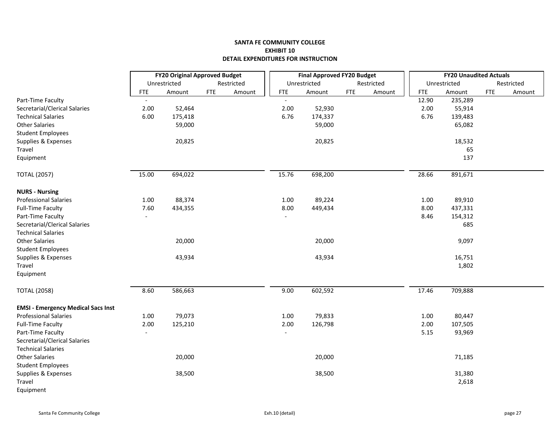|                                           |                | <b>FY20 Original Approved Budget</b> |            |            | <b>Final Approved FY20 Budget</b> |              |            |            | <b>FY20 Unaudited Actuals</b> |            |              |            |            |
|-------------------------------------------|----------------|--------------------------------------|------------|------------|-----------------------------------|--------------|------------|------------|-------------------------------|------------|--------------|------------|------------|
|                                           |                | Unrestricted                         |            | Restricted |                                   | Unrestricted |            | Restricted |                               |            | Unrestricted |            | Restricted |
|                                           | <b>FTE</b>     | Amount                               | <b>FTE</b> | Amount     | <b>FTE</b>                        | Amount       | <b>FTE</b> | Amount     |                               | <b>FTE</b> | Amount       | <b>FTE</b> | Amount     |
| Part-Time Faculty                         | $\blacksquare$ |                                      |            |            |                                   |              |            |            |                               | 12.90      | 235,289      |            |            |
| Secretarial/Clerical Salaries             | 2.00           | 52,464                               |            |            | 2.00                              | 52,930       |            |            |                               | 2.00       | 55,914       |            |            |
| <b>Technical Salaries</b>                 | 6.00           | 175,418                              |            |            | 6.76                              | 174,337      |            |            |                               | 6.76       | 139,483      |            |            |
| <b>Other Salaries</b>                     |                | 59,000                               |            |            |                                   | 59,000       |            |            |                               |            | 65,082       |            |            |
| <b>Student Employees</b>                  |                |                                      |            |            |                                   |              |            |            |                               |            |              |            |            |
| Supplies & Expenses                       |                | 20,825                               |            |            |                                   | 20,825       |            |            |                               |            | 18,532       |            |            |
| Travel                                    |                |                                      |            |            |                                   |              |            |            |                               |            | 65           |            |            |
| Equipment                                 |                |                                      |            |            |                                   |              |            |            |                               |            | 137          |            |            |
| <b>TOTAL (2057)</b>                       | 15.00          | 694,022                              |            |            | 15.76                             | 698,200      |            |            |                               | 28.66      | 891,671      |            |            |
| <b>NURS - Nursing</b>                     |                |                                      |            |            |                                   |              |            |            |                               |            |              |            |            |
| <b>Professional Salaries</b>              | 1.00           | 88,374                               |            |            | 1.00                              | 89,224       |            |            |                               | 1.00       | 89,910       |            |            |
| <b>Full-Time Faculty</b>                  | 7.60           | 434,355                              |            |            | 8.00                              | 449,434      |            |            |                               | 8.00       | 437,331      |            |            |
| Part-Time Faculty                         | $\blacksquare$ |                                      |            |            | $\overline{\phantom{a}}$          |              |            |            |                               | 8.46       | 154,312      |            |            |
| Secretarial/Clerical Salaries             |                |                                      |            |            |                                   |              |            |            |                               |            | 685          |            |            |
| <b>Technical Salaries</b>                 |                |                                      |            |            |                                   |              |            |            |                               |            |              |            |            |
| <b>Other Salaries</b>                     |                | 20,000                               |            |            |                                   | 20,000       |            |            |                               |            | 9,097        |            |            |
| <b>Student Employees</b>                  |                |                                      |            |            |                                   |              |            |            |                               |            |              |            |            |
| Supplies & Expenses                       |                | 43,934                               |            |            |                                   | 43,934       |            |            |                               |            | 16,751       |            |            |
| Travel                                    |                |                                      |            |            |                                   |              |            |            |                               |            | 1,802        |            |            |
| Equipment                                 |                |                                      |            |            |                                   |              |            |            |                               |            |              |            |            |
| <b>TOTAL (2058)</b>                       | 8.60           | 586,663                              |            |            | 9.00                              | 602,592      |            |            |                               | 17.46      | 709,888      |            |            |
| <b>EMSI - Emergency Medical Sacs Inst</b> |                |                                      |            |            |                                   |              |            |            |                               |            |              |            |            |
| <b>Professional Salaries</b>              | 1.00           | 79,073                               |            |            | $1.00\,$                          | 79,833       |            |            |                               | 1.00       | 80,447       |            |            |
| <b>Full-Time Faculty</b>                  | 2.00           | 125,210                              |            |            | 2.00                              | 126,798      |            |            |                               | 2.00       | 107,505      |            |            |
| Part-Time Faculty                         | $\blacksquare$ |                                      |            |            | $\sim$                            |              |            |            |                               | 5.15       | 93,969       |            |            |
| Secretarial/Clerical Salaries             |                |                                      |            |            |                                   |              |            |            |                               |            |              |            |            |
| <b>Technical Salaries</b>                 |                |                                      |            |            |                                   |              |            |            |                               |            |              |            |            |
| <b>Other Salaries</b>                     |                | 20,000                               |            |            |                                   | 20,000       |            |            |                               |            | 71,185       |            |            |
| <b>Student Employees</b>                  |                |                                      |            |            |                                   |              |            |            |                               |            |              |            |            |
| Supplies & Expenses                       |                | 38,500                               |            |            |                                   | 38,500       |            |            |                               |            | 31,380       |            |            |
| Travel                                    |                |                                      |            |            |                                   |              |            |            |                               |            | 2,618        |            |            |
| Equipment                                 |                |                                      |            |            |                                   |              |            |            |                               |            |              |            |            |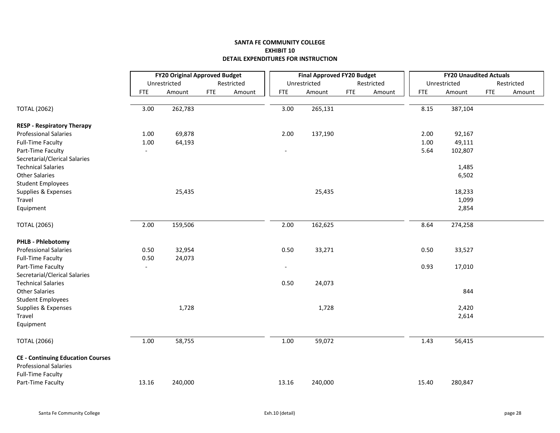|                                          |                          | <b>FY20 Original Approved Budget</b> |            |            | <b>Final Approved FY20 Budget</b> |              |            |            | <b>FY20 Unaudited Actuals</b> |              |            |            |
|------------------------------------------|--------------------------|--------------------------------------|------------|------------|-----------------------------------|--------------|------------|------------|-------------------------------|--------------|------------|------------|
|                                          |                          | Unrestricted                         |            | Restricted |                                   | Unrestricted |            | Restricted |                               | Unrestricted |            | Restricted |
|                                          | <b>FTE</b>               | Amount                               | <b>FTE</b> | Amount     | <b>FTE</b>                        | Amount       | <b>FTE</b> | Amount     | <b>FTE</b>                    | Amount       | <b>FTE</b> | Amount     |
| <b>TOTAL (2062)</b>                      | 3.00                     | 262,783                              |            |            | 3.00                              | 265,131      |            |            | 8.15                          | 387,104      |            |            |
| <b>RESP - Respiratory Therapy</b>        |                          |                                      |            |            |                                   |              |            |            |                               |              |            |            |
| <b>Professional Salaries</b>             | 1.00                     | 69,878                               |            |            | 2.00                              | 137,190      |            |            | 2.00                          | 92,167       |            |            |
| <b>Full-Time Faculty</b>                 | 1.00                     | 64,193                               |            |            |                                   |              |            |            | 1.00                          | 49,111       |            |            |
| Part-Time Faculty                        | $\overline{\phantom{a}}$ |                                      |            |            | $\overline{\phantom{a}}$          |              |            |            | 5.64                          | 102,807      |            |            |
| Secretarial/Clerical Salaries            |                          |                                      |            |            |                                   |              |            |            |                               |              |            |            |
| <b>Technical Salaries</b>                |                          |                                      |            |            |                                   |              |            |            |                               | 1,485        |            |            |
| <b>Other Salaries</b>                    |                          |                                      |            |            |                                   |              |            |            |                               | 6,502        |            |            |
| <b>Student Employees</b>                 |                          |                                      |            |            |                                   |              |            |            |                               |              |            |            |
| Supplies & Expenses                      |                          | 25,435                               |            |            |                                   | 25,435       |            |            |                               | 18,233       |            |            |
| Travel                                   |                          |                                      |            |            |                                   |              |            |            |                               | 1,099        |            |            |
| Equipment                                |                          |                                      |            |            |                                   |              |            |            |                               | 2,854        |            |            |
| <b>TOTAL (2065)</b>                      | 2.00                     | 159,506                              |            |            | 2.00                              | 162,625      |            |            | 8.64                          | 274,258      |            |            |
| <b>PHLB - Phlebotomy</b>                 |                          |                                      |            |            |                                   |              |            |            |                               |              |            |            |
| <b>Professional Salaries</b>             | 0.50                     | 32,954                               |            |            | 0.50                              | 33,271       |            |            | 0.50                          | 33,527       |            |            |
| <b>Full-Time Faculty</b>                 | 0.50                     | 24,073                               |            |            |                                   |              |            |            |                               |              |            |            |
| Part-Time Faculty                        | $\blacksquare$           |                                      |            |            | $\overline{\phantom{0}}$          |              |            |            | 0.93                          | 17,010       |            |            |
| Secretarial/Clerical Salaries            |                          |                                      |            |            |                                   |              |            |            |                               |              |            |            |
| <b>Technical Salaries</b>                |                          |                                      |            |            | 0.50                              | 24,073       |            |            |                               |              |            |            |
| <b>Other Salaries</b>                    |                          |                                      |            |            |                                   |              |            |            |                               | 844          |            |            |
| <b>Student Employees</b>                 |                          |                                      |            |            |                                   |              |            |            |                               |              |            |            |
| Supplies & Expenses                      |                          | 1,728                                |            |            |                                   | 1,728        |            |            |                               | 2,420        |            |            |
| Travel                                   |                          |                                      |            |            |                                   |              |            |            |                               | 2,614        |            |            |
| Equipment                                |                          |                                      |            |            |                                   |              |            |            |                               |              |            |            |
| <b>TOTAL (2066)</b>                      | 1.00                     | 58,755                               |            |            | 1.00                              | 59,072       |            |            | 1.43                          | 56,415       |            |            |
| <b>CE - Continuing Education Courses</b> |                          |                                      |            |            |                                   |              |            |            |                               |              |            |            |
| <b>Professional Salaries</b>             |                          |                                      |            |            |                                   |              |            |            |                               |              |            |            |
| <b>Full-Time Faculty</b>                 |                          |                                      |            |            |                                   |              |            |            |                               |              |            |            |
| Part-Time Faculty                        | 13.16                    | 240,000                              |            |            | 13.16                             | 240,000      |            |            | 15.40                         | 280,847      |            |            |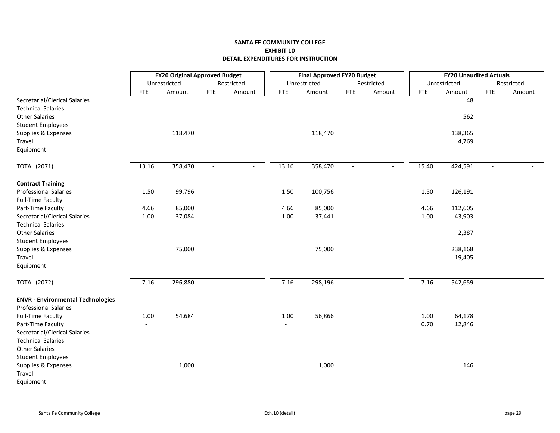|                                                                                     | <b>FY20 Original Approved Budget</b> |              |                |                          | <b>Final Approved FY20 Budget</b> |              |                          |                          | <b>FY20 Unaudited Actuals</b> |              |                |            |  |
|-------------------------------------------------------------------------------------|--------------------------------------|--------------|----------------|--------------------------|-----------------------------------|--------------|--------------------------|--------------------------|-------------------------------|--------------|----------------|------------|--|
|                                                                                     |                                      | Unrestricted |                | Restricted               |                                   | Unrestricted |                          | Restricted               |                               | Unrestricted |                | Restricted |  |
|                                                                                     | <b>FTE</b>                           | Amount       | <b>FTE</b>     | Amount                   | <b>FTE</b>                        | Amount       | <b>FTE</b>               | Amount                   | <b>FTE</b>                    | Amount       | <b>FTE</b>     | Amount     |  |
| Secretarial/Clerical Salaries<br><b>Technical Salaries</b><br><b>Other Salaries</b> |                                      |              |                |                          |                                   |              |                          |                          |                               | 48<br>562    |                |            |  |
| <b>Student Employees</b>                                                            |                                      |              |                |                          |                                   |              |                          |                          |                               |              |                |            |  |
| Supplies & Expenses                                                                 |                                      | 118,470      |                |                          |                                   | 118,470      |                          |                          |                               | 138,365      |                |            |  |
| Travel                                                                              |                                      |              |                |                          |                                   |              |                          |                          |                               | 4,769        |                |            |  |
| Equipment                                                                           |                                      |              |                |                          |                                   |              |                          |                          |                               |              |                |            |  |
| <b>TOTAL (2071)</b>                                                                 | 13.16                                | 358,470      | $\sim$         | $\overline{\phantom{a}}$ | 13.16                             | 358,470      | $\overline{\phantom{a}}$ | $\blacksquare$           | 15.40                         | 424,591      |                |            |  |
| <b>Contract Training</b>                                                            |                                      |              |                |                          |                                   |              |                          |                          |                               |              |                |            |  |
| <b>Professional Salaries</b>                                                        | 1.50                                 | 99,796       |                |                          | 1.50                              | 100,756      |                          |                          | 1.50                          | 126,191      |                |            |  |
| <b>Full-Time Faculty</b>                                                            |                                      |              |                |                          |                                   |              |                          |                          |                               |              |                |            |  |
| Part-Time Faculty                                                                   | 4.66                                 | 85,000       |                |                          | 4.66                              | 85,000       |                          |                          | 4.66                          | 112,605      |                |            |  |
| Secretarial/Clerical Salaries                                                       | 1.00                                 | 37,084       |                |                          | 1.00                              | 37,441       |                          |                          | 1.00                          | 43,903       |                |            |  |
| <b>Technical Salaries</b>                                                           |                                      |              |                |                          |                                   |              |                          |                          |                               |              |                |            |  |
| <b>Other Salaries</b>                                                               |                                      |              |                |                          |                                   |              |                          |                          |                               | 2,387        |                |            |  |
| <b>Student Employees</b>                                                            |                                      |              |                |                          |                                   |              |                          |                          |                               |              |                |            |  |
| Supplies & Expenses                                                                 |                                      | 75,000       |                |                          |                                   | 75,000       |                          |                          |                               | 238,168      |                |            |  |
| Travel                                                                              |                                      |              |                |                          |                                   |              |                          |                          |                               | 19,405       |                |            |  |
| Equipment                                                                           |                                      |              |                |                          |                                   |              |                          |                          |                               |              |                |            |  |
| <b>TOTAL (2072)</b>                                                                 | 7.16                                 | 296,880      | $\blacksquare$ | $\overline{\phantom{a}}$ | 7.16                              | 298,196      | $\sim$                   | $\overline{\phantom{a}}$ | 7.16                          | 542,659      | $\blacksquare$ |            |  |
| <b>ENVR - Environmental Technologies</b>                                            |                                      |              |                |                          |                                   |              |                          |                          |                               |              |                |            |  |
| <b>Professional Salaries</b>                                                        |                                      |              |                |                          |                                   |              |                          |                          |                               |              |                |            |  |
| <b>Full-Time Faculty</b>                                                            | 1.00                                 | 54,684       |                |                          | 1.00                              | 56,866       |                          |                          | 1.00                          | 64,178       |                |            |  |
| Part-Time Faculty                                                                   |                                      |              |                |                          |                                   |              |                          |                          | 0.70                          | 12,846       |                |            |  |
| Secretarial/Clerical Salaries                                                       |                                      |              |                |                          |                                   |              |                          |                          |                               |              |                |            |  |
| <b>Technical Salaries</b>                                                           |                                      |              |                |                          |                                   |              |                          |                          |                               |              |                |            |  |
| <b>Other Salaries</b>                                                               |                                      |              |                |                          |                                   |              |                          |                          |                               |              |                |            |  |
| <b>Student Employees</b>                                                            |                                      |              |                |                          |                                   |              |                          |                          |                               |              |                |            |  |
| Supplies & Expenses                                                                 |                                      | 1,000        |                |                          |                                   | 1,000        |                          |                          |                               | 146          |                |            |  |
| Travel                                                                              |                                      |              |                |                          |                                   |              |                          |                          |                               |              |                |            |  |
| Equipment                                                                           |                                      |              |                |                          |                                   |              |                          |                          |                               |              |                |            |  |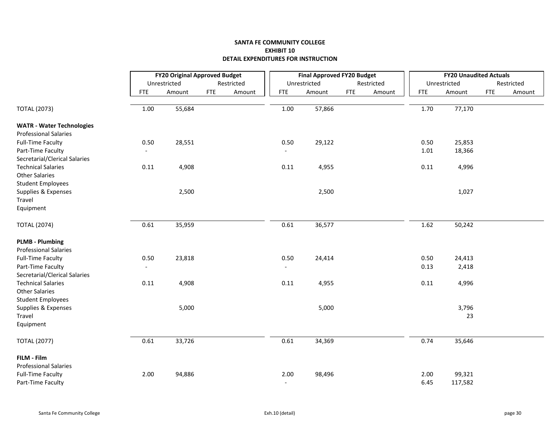|                                                        |            | <b>FY20 Original Approved Budget</b> |            |            |                          | <b>Final Approved FY20 Budget</b> |            |            |            | <b>FY20 Unaudited Actuals</b> |            |            |  |
|--------------------------------------------------------|------------|--------------------------------------|------------|------------|--------------------------|-----------------------------------|------------|------------|------------|-------------------------------|------------|------------|--|
|                                                        |            | Unrestricted                         |            | Restricted |                          | Unrestricted                      |            | Restricted |            | Unrestricted                  |            | Restricted |  |
|                                                        | <b>FTE</b> | Amount                               | <b>FTE</b> | Amount     | <b>FTE</b>               | Amount                            | <b>FTE</b> | Amount     | <b>FTE</b> | Amount                        | <b>FTE</b> | Amount     |  |
| <b>TOTAL (2073)</b>                                    | 1.00       | 55,684                               |            |            | 1.00                     | 57,866                            |            |            | 1.70       | 77,170                        |            |            |  |
|                                                        |            |                                      |            |            |                          |                                   |            |            |            |                               |            |            |  |
| <b>WATR - Water Technologies</b>                       |            |                                      |            |            |                          |                                   |            |            |            |                               |            |            |  |
| <b>Professional Salaries</b>                           |            |                                      |            |            |                          |                                   |            |            |            |                               |            |            |  |
| <b>Full-Time Faculty</b>                               | 0.50       | 28,551                               |            |            | 0.50                     | 29,122                            |            |            | 0.50       | 25,853                        |            |            |  |
| Part-Time Faculty                                      |            |                                      |            |            |                          |                                   |            |            | 1.01       | 18,366                        |            |            |  |
| Secretarial/Clerical Salaries                          |            |                                      |            |            |                          |                                   |            |            |            |                               |            |            |  |
| <b>Technical Salaries</b>                              | 0.11       | 4,908                                |            |            | 0.11                     | 4,955                             |            |            | 0.11       | 4,996                         |            |            |  |
| <b>Other Salaries</b>                                  |            |                                      |            |            |                          |                                   |            |            |            |                               |            |            |  |
| <b>Student Employees</b>                               |            |                                      |            |            |                          |                                   |            |            |            |                               |            |            |  |
| Supplies & Expenses                                    |            | 2,500                                |            |            |                          | 2,500                             |            |            |            | 1,027                         |            |            |  |
| Travel                                                 |            |                                      |            |            |                          |                                   |            |            |            |                               |            |            |  |
| Equipment                                              |            |                                      |            |            |                          |                                   |            |            |            |                               |            |            |  |
| <b>TOTAL (2074)</b>                                    | 0.61       | 35,959                               |            |            | 0.61                     | 36,577                            |            |            | 1.62       | 50,242                        |            |            |  |
| <b>PLMB - Plumbing</b><br><b>Professional Salaries</b> |            |                                      |            |            |                          |                                   |            |            |            |                               |            |            |  |
| <b>Full-Time Faculty</b>                               | 0.50       | 23,818                               |            |            | 0.50                     | 24,414                            |            |            | 0.50       | 24,413                        |            |            |  |
| Part-Time Faculty                                      | $\sim$     |                                      |            |            | $\blacksquare$           |                                   |            |            | 0.13       | 2,418                         |            |            |  |
| Secretarial/Clerical Salaries                          |            |                                      |            |            |                          |                                   |            |            |            |                               |            |            |  |
| <b>Technical Salaries</b>                              | 0.11       | 4,908                                |            |            | 0.11                     | 4,955                             |            |            | 0.11       | 4,996                         |            |            |  |
| <b>Other Salaries</b>                                  |            |                                      |            |            |                          |                                   |            |            |            |                               |            |            |  |
| <b>Student Employees</b>                               |            |                                      |            |            |                          |                                   |            |            |            |                               |            |            |  |
| Supplies & Expenses                                    |            | 5,000                                |            |            |                          | 5,000                             |            |            |            | 3,796                         |            |            |  |
| Travel                                                 |            |                                      |            |            |                          |                                   |            |            |            | 23                            |            |            |  |
| Equipment                                              |            |                                      |            |            |                          |                                   |            |            |            |                               |            |            |  |
| <b>TOTAL (2077)</b>                                    | 0.61       | 33,726                               |            |            | 0.61                     | 34,369                            |            |            | 0.74       | 35,646                        |            |            |  |
| FILM - Film                                            |            |                                      |            |            |                          |                                   |            |            |            |                               |            |            |  |
| <b>Professional Salaries</b>                           |            |                                      |            |            |                          |                                   |            |            |            |                               |            |            |  |
| <b>Full-Time Faculty</b>                               | 2.00       | 94,886                               |            |            | 2.00                     | 98,496                            |            |            | 2.00       | 99,321                        |            |            |  |
| Part-Time Faculty                                      |            |                                      |            |            | $\overline{\phantom{a}}$ |                                   |            |            | 6.45       | 117,582                       |            |            |  |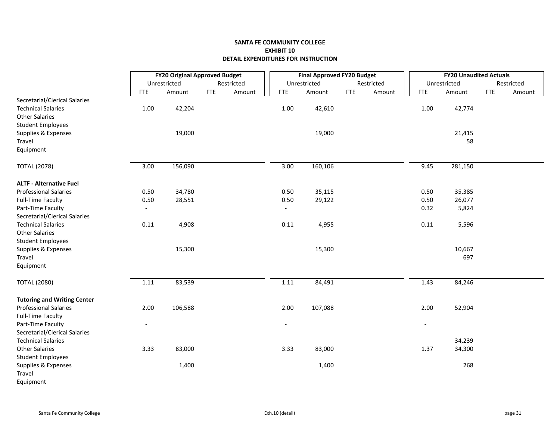|                                    |                          | <b>FY20 Original Approved Budget</b> |            |            |                              | <b>Final Approved FY20 Budget</b> |            |            |                          | <b>FY20 Unaudited Actuals</b> |            |            |  |  |
|------------------------------------|--------------------------|--------------------------------------|------------|------------|------------------------------|-----------------------------------|------------|------------|--------------------------|-------------------------------|------------|------------|--|--|
|                                    |                          | Unrestricted                         |            | Restricted |                              | Unrestricted                      |            | Restricted |                          | Unrestricted                  |            | Restricted |  |  |
|                                    | <b>FTE</b>               | Amount                               | <b>FTE</b> | Amount     | <b>FTE</b>                   | Amount                            | <b>FTE</b> | Amount     | <b>FTE</b>               | Amount                        | <b>FTE</b> | Amount     |  |  |
| Secretarial/Clerical Salaries      |                          |                                      |            |            |                              |                                   |            |            |                          |                               |            |            |  |  |
| <b>Technical Salaries</b>          | 1.00                     | 42,204                               |            |            | 1.00                         | 42,610                            |            |            | 1.00                     | 42,774                        |            |            |  |  |
| <b>Other Salaries</b>              |                          |                                      |            |            |                              |                                   |            |            |                          |                               |            |            |  |  |
| <b>Student Employees</b>           |                          |                                      |            |            |                              |                                   |            |            |                          |                               |            |            |  |  |
| Supplies & Expenses                |                          | 19,000                               |            |            |                              | 19,000                            |            |            |                          | 21,415                        |            |            |  |  |
| Travel                             |                          |                                      |            |            |                              |                                   |            |            |                          | 58                            |            |            |  |  |
| Equipment                          |                          |                                      |            |            |                              |                                   |            |            |                          |                               |            |            |  |  |
| <b>TOTAL (2078)</b>                | 3.00                     | 156,090                              |            |            | 3.00                         | 160,106                           |            |            | 9.45                     | 281,150                       |            |            |  |  |
| <b>ALTF - Alternative Fuel</b>     |                          |                                      |            |            |                              |                                   |            |            |                          |                               |            |            |  |  |
| <b>Professional Salaries</b>       | 0.50                     | 34,780                               |            |            | 0.50                         | 35,115                            |            |            | 0.50                     | 35,385                        |            |            |  |  |
| <b>Full-Time Faculty</b>           | 0.50                     | 28,551                               |            |            | 0.50                         | 29,122                            |            |            | 0.50                     | 26,077                        |            |            |  |  |
| Part-Time Faculty                  | $\sim$                   |                                      |            |            | $\overline{\phantom{a}}$     |                                   |            |            | 0.32                     | 5,824                         |            |            |  |  |
| Secretarial/Clerical Salaries      |                          |                                      |            |            |                              |                                   |            |            |                          |                               |            |            |  |  |
| <b>Technical Salaries</b>          | 0.11                     | 4,908                                |            |            | 0.11                         | 4,955                             |            |            | 0.11                     | 5,596                         |            |            |  |  |
| <b>Other Salaries</b>              |                          |                                      |            |            |                              |                                   |            |            |                          |                               |            |            |  |  |
| <b>Student Employees</b>           |                          |                                      |            |            |                              |                                   |            |            |                          |                               |            |            |  |  |
| Supplies & Expenses                |                          | 15,300                               |            |            |                              | 15,300                            |            |            |                          | 10,667                        |            |            |  |  |
| Travel                             |                          |                                      |            |            |                              |                                   |            |            |                          | 697                           |            |            |  |  |
| Equipment                          |                          |                                      |            |            |                              |                                   |            |            |                          |                               |            |            |  |  |
| <b>TOTAL (2080)</b>                | 1.11                     | 83,539                               |            |            | 1.11                         | 84,491                            |            |            | 1.43                     | 84,246                        |            |            |  |  |
| <b>Tutoring and Writing Center</b> |                          |                                      |            |            |                              |                                   |            |            |                          |                               |            |            |  |  |
| <b>Professional Salaries</b>       | 2.00                     | 106,588                              |            |            | 2.00                         | 107,088                           |            |            | 2.00                     | 52,904                        |            |            |  |  |
| <b>Full-Time Faculty</b>           |                          |                                      |            |            |                              |                                   |            |            |                          |                               |            |            |  |  |
| Part-Time Faculty                  | $\overline{\phantom{a}}$ |                                      |            |            | $\qquad \qquad \blacksquare$ |                                   |            |            | $\overline{\phantom{a}}$ |                               |            |            |  |  |
| Secretarial/Clerical Salaries      |                          |                                      |            |            |                              |                                   |            |            |                          |                               |            |            |  |  |
| <b>Technical Salaries</b>          |                          |                                      |            |            |                              |                                   |            |            |                          | 34,239                        |            |            |  |  |
| <b>Other Salaries</b>              | 3.33                     | 83,000                               |            |            | 3.33                         | 83,000                            |            |            | 1.37                     | 34,300                        |            |            |  |  |
| <b>Student Employees</b>           |                          |                                      |            |            |                              |                                   |            |            |                          |                               |            |            |  |  |
| Supplies & Expenses                |                          | 1,400                                |            |            |                              | 1,400                             |            |            |                          | 268                           |            |            |  |  |
| Travel                             |                          |                                      |            |            |                              |                                   |            |            |                          |                               |            |            |  |  |
| Equipment                          |                          |                                      |            |            |                              |                                   |            |            |                          |                               |            |            |  |  |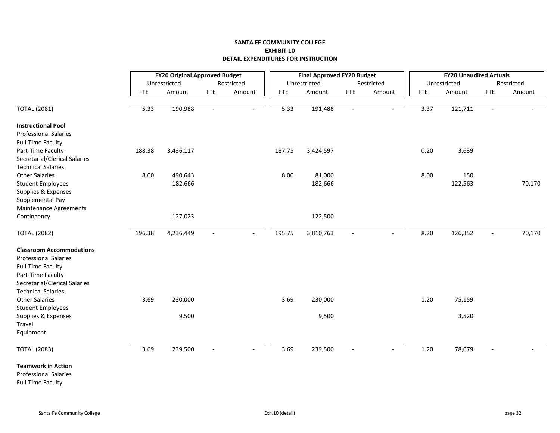|                                 |            | <b>FY20 Original Approved Budget</b> |                          |            |            | <b>Final Approved FY20 Budget</b> |                          |                |            | <b>FY20 Unaudited Actuals</b> |                          |            |  |
|---------------------------------|------------|--------------------------------------|--------------------------|------------|------------|-----------------------------------|--------------------------|----------------|------------|-------------------------------|--------------------------|------------|--|
|                                 |            | Unrestricted                         |                          | Restricted |            | Unrestricted                      |                          | Restricted     |            | Unrestricted                  |                          | Restricted |  |
|                                 | <b>FTE</b> | Amount                               | <b>FTE</b>               | Amount     | <b>FTE</b> | Amount                            | <b>FTE</b>               | Amount         | <b>FTE</b> | Amount                        | <b>FTE</b>               | Amount     |  |
|                                 |            |                                      |                          |            |            |                                   |                          |                |            |                               |                          |            |  |
| <b>TOTAL (2081)</b>             | 5.33       | 190,988                              | $\blacksquare$           |            | 5.33       | 191,488                           | $\overline{\phantom{a}}$ |                | 3.37       | 121,711                       | $\overline{\phantom{a}}$ |            |  |
| <b>Instructional Pool</b>       |            |                                      |                          |            |            |                                   |                          |                |            |                               |                          |            |  |
| <b>Professional Salaries</b>    |            |                                      |                          |            |            |                                   |                          |                |            |                               |                          |            |  |
| <b>Full-Time Faculty</b>        |            |                                      |                          |            |            |                                   |                          |                |            |                               |                          |            |  |
| Part-Time Faculty               | 188.38     | 3,436,117                            |                          |            | 187.75     | 3,424,597                         |                          |                | 0.20       | 3,639                         |                          |            |  |
| Secretarial/Clerical Salaries   |            |                                      |                          |            |            |                                   |                          |                |            |                               |                          |            |  |
| <b>Technical Salaries</b>       |            |                                      |                          |            |            |                                   |                          |                |            |                               |                          |            |  |
| <b>Other Salaries</b>           | 8.00       | 490,643                              |                          |            | 8.00       | 81,000                            |                          |                | 8.00       | 150                           |                          |            |  |
| <b>Student Employees</b>        |            | 182,666                              |                          |            |            | 182,666                           |                          |                |            | 122,563                       |                          | 70,170     |  |
| Supplies & Expenses             |            |                                      |                          |            |            |                                   |                          |                |            |                               |                          |            |  |
| Supplemental Pay                |            |                                      |                          |            |            |                                   |                          |                |            |                               |                          |            |  |
| Maintenance Agreements          |            |                                      |                          |            |            |                                   |                          |                |            |                               |                          |            |  |
| Contingency                     |            | 127,023                              |                          |            |            | 122,500                           |                          |                |            |                               |                          |            |  |
| <b>TOTAL (2082)</b>             | 196.38     | 4,236,449                            | $\sim$                   |            | 195.75     | 3,810,763                         | $\overline{\phantom{a}}$ | $\blacksquare$ | 8.20       | 126,352                       | $\overline{\phantom{a}}$ | 70,170     |  |
| <b>Classroom Accommodations</b> |            |                                      |                          |            |            |                                   |                          |                |            |                               |                          |            |  |
| <b>Professional Salaries</b>    |            |                                      |                          |            |            |                                   |                          |                |            |                               |                          |            |  |
| <b>Full-Time Faculty</b>        |            |                                      |                          |            |            |                                   |                          |                |            |                               |                          |            |  |
| Part-Time Faculty               |            |                                      |                          |            |            |                                   |                          |                |            |                               |                          |            |  |
| Secretarial/Clerical Salaries   |            |                                      |                          |            |            |                                   |                          |                |            |                               |                          |            |  |
| <b>Technical Salaries</b>       |            |                                      |                          |            |            |                                   |                          |                |            |                               |                          |            |  |
| <b>Other Salaries</b>           | 3.69       | 230,000                              |                          |            | 3.69       | 230,000                           |                          |                | 1.20       | 75,159                        |                          |            |  |
| <b>Student Employees</b>        |            |                                      |                          |            |            |                                   |                          |                |            |                               |                          |            |  |
| Supplies & Expenses             |            | 9,500                                |                          |            |            | 9,500                             |                          |                |            | 3,520                         |                          |            |  |
| Travel                          |            |                                      |                          |            |            |                                   |                          |                |            |                               |                          |            |  |
| Equipment                       |            |                                      |                          |            |            |                                   |                          |                |            |                               |                          |            |  |
| <b>TOTAL (2083)</b>             | 3.69       | 239,500                              | $\overline{\phantom{a}}$ |            | 3.69       | 239,500                           | $\sim$                   |                | $1.20\,$   | 78,679                        |                          |            |  |
| <b>Teamwork in Action</b>       |            |                                      |                          |            |            |                                   |                          |                |            |                               |                          |            |  |
| <b>Professional Salaries</b>    |            |                                      |                          |            |            |                                   |                          |                |            |                               |                          |            |  |

Full‐Time Faculty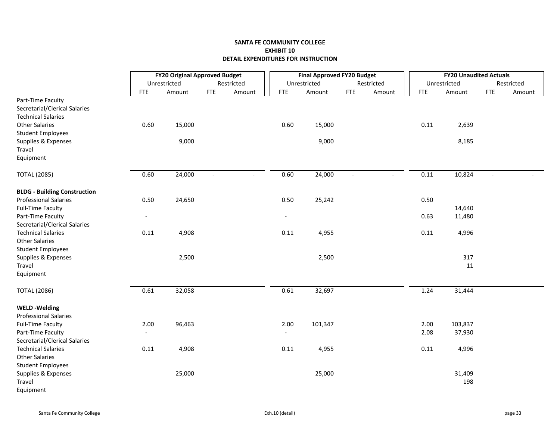|                                     |                          | <b>FY20 Original Approved Budget</b> |            |            |                          | <b>Final Approved FY20 Budget</b> |            |            |            | <b>FY20 Unaudited Actuals</b> |     |            |  |  |
|-------------------------------------|--------------------------|--------------------------------------|------------|------------|--------------------------|-----------------------------------|------------|------------|------------|-------------------------------|-----|------------|--|--|
|                                     |                          | Unrestricted                         |            | Restricted |                          | Unrestricted                      |            | Restricted |            | Unrestricted                  |     | Restricted |  |  |
|                                     | <b>FTE</b>               | Amount                               | <b>FTE</b> | Amount     | <b>FTE</b>               | Amount                            | <b>FTE</b> | Amount     | <b>FTE</b> | Amount                        | FTE | Amount     |  |  |
| Part-Time Faculty                   |                          |                                      |            |            |                          |                                   |            |            |            |                               |     |            |  |  |
| Secretarial/Clerical Salaries       |                          |                                      |            |            |                          |                                   |            |            |            |                               |     |            |  |  |
| <b>Technical Salaries</b>           |                          |                                      |            |            |                          |                                   |            |            |            |                               |     |            |  |  |
| <b>Other Salaries</b>               | 0.60                     | 15,000                               |            |            | 0.60                     | 15,000                            |            |            | 0.11       | 2,639                         |     |            |  |  |
| <b>Student Employees</b>            |                          |                                      |            |            |                          |                                   |            |            |            |                               |     |            |  |  |
| Supplies & Expenses                 |                          | 9,000                                |            |            |                          | 9,000                             |            |            |            | 8,185                         |     |            |  |  |
| Travel                              |                          |                                      |            |            |                          |                                   |            |            |            |                               |     |            |  |  |
| Equipment                           |                          |                                      |            |            |                          |                                   |            |            |            |                               |     |            |  |  |
| <b>TOTAL (2085)</b>                 | 0.60                     | 24,000                               |            |            | 0.60                     | 24,000                            |            |            | 0.11       | 10,824                        |     |            |  |  |
| <b>BLDG - Building Construction</b> |                          |                                      |            |            |                          |                                   |            |            |            |                               |     |            |  |  |
| <b>Professional Salaries</b>        | 0.50                     | 24,650                               |            |            | 0.50                     | 25,242                            |            |            | 0.50       |                               |     |            |  |  |
| <b>Full-Time Faculty</b>            |                          |                                      |            |            |                          |                                   |            |            |            | 14,640                        |     |            |  |  |
| Part-Time Faculty                   | $\overline{\phantom{a}}$ |                                      |            |            | $\overline{\phantom{a}}$ |                                   |            |            | 0.63       | 11,480                        |     |            |  |  |
| Secretarial/Clerical Salaries       |                          |                                      |            |            |                          |                                   |            |            |            |                               |     |            |  |  |
| <b>Technical Salaries</b>           | 0.11                     | 4,908                                |            |            | 0.11                     | 4,955                             |            |            | 0.11       | 4,996                         |     |            |  |  |
| <b>Other Salaries</b>               |                          |                                      |            |            |                          |                                   |            |            |            |                               |     |            |  |  |
| <b>Student Employees</b>            |                          |                                      |            |            |                          |                                   |            |            |            |                               |     |            |  |  |
| Supplies & Expenses                 |                          | 2,500                                |            |            |                          | 2,500                             |            |            |            | 317                           |     |            |  |  |
| Travel                              |                          |                                      |            |            |                          |                                   |            |            |            | 11                            |     |            |  |  |
| Equipment                           |                          |                                      |            |            |                          |                                   |            |            |            |                               |     |            |  |  |
| <b>TOTAL (2086)</b>                 | 0.61                     | 32,058                               |            |            | 0.61                     | 32,697                            |            |            | 1.24       | 31,444                        |     |            |  |  |
|                                     |                          |                                      |            |            |                          |                                   |            |            |            |                               |     |            |  |  |
| <b>WELD-Welding</b>                 |                          |                                      |            |            |                          |                                   |            |            |            |                               |     |            |  |  |
| <b>Professional Salaries</b>        |                          |                                      |            |            |                          |                                   |            |            |            |                               |     |            |  |  |
| <b>Full-Time Faculty</b>            | 2.00                     | 96,463                               |            |            | 2.00                     | 101,347                           |            |            | 2.00       | 103,837                       |     |            |  |  |
| Part-Time Faculty                   | $\overline{\phantom{a}}$ |                                      |            |            |                          |                                   |            |            | 2.08       | 37,930                        |     |            |  |  |
| Secretarial/Clerical Salaries       |                          |                                      |            |            |                          |                                   |            |            |            |                               |     |            |  |  |
| <b>Technical Salaries</b>           | 0.11                     | 4,908                                |            |            | 0.11                     | 4,955                             |            |            | 0.11       | 4,996                         |     |            |  |  |
| <b>Other Salaries</b>               |                          |                                      |            |            |                          |                                   |            |            |            |                               |     |            |  |  |
| <b>Student Employees</b>            |                          |                                      |            |            |                          |                                   |            |            |            |                               |     |            |  |  |
| Supplies & Expenses                 |                          | 25,000                               |            |            |                          | 25,000                            |            |            |            | 31,409                        |     |            |  |  |
| Travel                              |                          |                                      |            |            |                          |                                   |            |            |            | 198                           |     |            |  |  |
| Equipment                           |                          |                                      |            |            |                          |                                   |            |            |            |                               |     |            |  |  |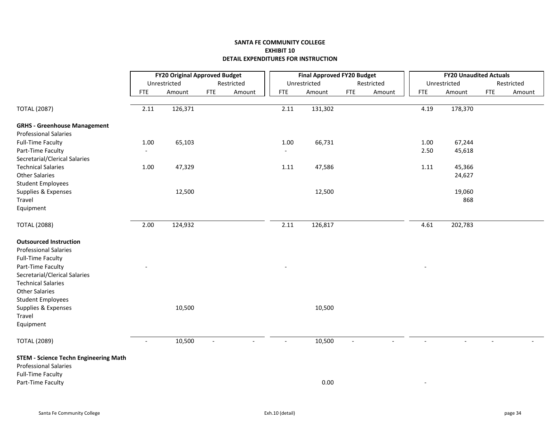|                                              | <b>FY20 Original Approved Budget</b> |              |                |            | <b>Final Approved FY20 Budget</b> |              |                |            | <b>FY20 Unaudited Actuals</b> |              |            |            |
|----------------------------------------------|--------------------------------------|--------------|----------------|------------|-----------------------------------|--------------|----------------|------------|-------------------------------|--------------|------------|------------|
|                                              |                                      | Unrestricted |                | Restricted |                                   | Unrestricted |                | Restricted |                               | Unrestricted |            | Restricted |
|                                              | <b>FTE</b>                           | Amount       | <b>FTE</b>     | Amount     | <b>FTE</b>                        | Amount       | <b>FTE</b>     | Amount     | <b>FTE</b>                    | Amount       | <b>FTE</b> | Amount     |
| <b>TOTAL (2087)</b>                          | 2.11                                 | 126,371      |                |            | 2.11                              | 131,302      |                |            | 4.19                          | 178,370      |            |            |
| <b>GRHS - Greenhouse Management</b>          |                                      |              |                |            |                                   |              |                |            |                               |              |            |            |
| <b>Professional Salaries</b>                 |                                      |              |                |            |                                   |              |                |            |                               |              |            |            |
| <b>Full-Time Faculty</b>                     | 1.00                                 | 65,103       |                |            | 1.00                              | 66,731       |                |            | 1.00                          | 67,244       |            |            |
| Part-Time Faculty                            | $\overline{\phantom{a}}$             |              |                |            | $\overline{\phantom{a}}$          |              |                |            | 2.50                          | 45,618       |            |            |
| Secretarial/Clerical Salaries                |                                      |              |                |            |                                   |              |                |            |                               |              |            |            |
| <b>Technical Salaries</b>                    | 1.00                                 | 47,329       |                |            | 1.11                              | 47,586       |                |            | $1.11\,$                      | 45,366       |            |            |
| <b>Other Salaries</b>                        |                                      |              |                |            |                                   |              |                |            |                               | 24,627       |            |            |
| <b>Student Employees</b>                     |                                      |              |                |            |                                   |              |                |            |                               |              |            |            |
| Supplies & Expenses                          |                                      | 12,500       |                |            |                                   | 12,500       |                |            |                               | 19,060       |            |            |
| Travel                                       |                                      |              |                |            |                                   |              |                |            |                               | 868          |            |            |
| Equipment                                    |                                      |              |                |            |                                   |              |                |            |                               |              |            |            |
| <b>TOTAL (2088)</b>                          | 2.00                                 | 124,932      |                |            | 2.11                              | 126,817      |                |            | 4.61                          | 202,783      |            |            |
| <b>Outsourced Instruction</b>                |                                      |              |                |            |                                   |              |                |            |                               |              |            |            |
| <b>Professional Salaries</b>                 |                                      |              |                |            |                                   |              |                |            |                               |              |            |            |
| <b>Full-Time Faculty</b>                     |                                      |              |                |            |                                   |              |                |            |                               |              |            |            |
| Part-Time Faculty                            |                                      |              |                |            |                                   |              |                |            |                               |              |            |            |
| Secretarial/Clerical Salaries                |                                      |              |                |            |                                   |              |                |            |                               |              |            |            |
| <b>Technical Salaries</b>                    |                                      |              |                |            |                                   |              |                |            |                               |              |            |            |
| <b>Other Salaries</b>                        |                                      |              |                |            |                                   |              |                |            |                               |              |            |            |
| <b>Student Employees</b>                     |                                      |              |                |            |                                   |              |                |            |                               |              |            |            |
| Supplies & Expenses                          |                                      | 10,500       |                |            |                                   | 10,500       |                |            |                               |              |            |            |
| Travel                                       |                                      |              |                |            |                                   |              |                |            |                               |              |            |            |
| Equipment                                    |                                      |              |                |            |                                   |              |                |            |                               |              |            |            |
| <b>TOTAL (2089)</b>                          | $\overline{\phantom{a}}$             | 10,500       | $\blacksquare$ |            | $\blacksquare$                    | 10,500       | $\blacksquare$ |            |                               |              |            |            |
| <b>STEM - Science Techn Engineering Math</b> |                                      |              |                |            |                                   |              |                |            |                               |              |            |            |
| <b>Professional Salaries</b>                 |                                      |              |                |            |                                   |              |                |            |                               |              |            |            |
| <b>Full-Time Faculty</b>                     |                                      |              |                |            |                                   |              |                |            |                               |              |            |            |
| Part-Time Faculty                            |                                      |              |                |            |                                   | 0.00         |                |            |                               |              |            |            |
|                                              |                                      |              |                |            |                                   |              |                |            |                               |              |            |            |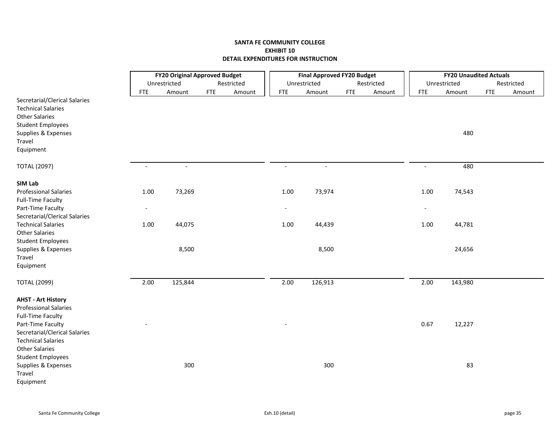|                                                                                     |                          | <b>FY20 Original Approved Budget</b> |            |            | <b>Final Approved FY20 Budget</b> |                |            |            | <b>FY20 Unaudited Actuals</b> |              |            |            |
|-------------------------------------------------------------------------------------|--------------------------|--------------------------------------|------------|------------|-----------------------------------|----------------|------------|------------|-------------------------------|--------------|------------|------------|
|                                                                                     |                          | Unrestricted                         |            | Restricted |                                   | Unrestricted   |            | Restricted |                               | Unrestricted |            | Restricted |
|                                                                                     | <b>FTE</b>               | Amount                               | <b>FTE</b> | Amount     | <b>FTE</b>                        | Amount         | <b>FTE</b> | Amount     | <b>FTE</b>                    | Amount       | <b>FTE</b> | Amount     |
| Secretarial/Clerical Salaries<br><b>Technical Salaries</b><br><b>Other Salaries</b> |                          |                                      |            |            |                                   |                |            |            |                               |              |            |            |
| <b>Student Employees</b>                                                            |                          |                                      |            |            |                                   |                |            |            |                               |              |            |            |
| Supplies & Expenses                                                                 |                          |                                      |            |            |                                   |                |            |            |                               | 480          |            |            |
| Travel                                                                              |                          |                                      |            |            |                                   |                |            |            |                               |              |            |            |
| Equipment                                                                           |                          |                                      |            |            |                                   |                |            |            |                               |              |            |            |
| <b>TOTAL (2097)</b>                                                                 | $\overline{\phantom{a}}$ | $\blacksquare$                       |            |            | $\blacksquare$                    | $\blacksquare$ |            |            | $\sim$                        | 480          |            |            |
| SIM Lab                                                                             |                          |                                      |            |            |                                   |                |            |            |                               |              |            |            |
| <b>Professional Salaries</b>                                                        | 1.00                     | 73,269                               |            |            | 1.00                              | 73,974         |            |            | 1.00                          | 74,543       |            |            |
| Full-Time Faculty                                                                   |                          |                                      |            |            |                                   |                |            |            |                               |              |            |            |
| Part-Time Faculty                                                                   | $\overline{\phantom{a}}$ |                                      |            |            | $\overline{\phantom{a}}$          |                |            |            |                               |              |            |            |
| Secretarial/Clerical Salaries                                                       |                          |                                      |            |            |                                   |                |            |            |                               |              |            |            |
| <b>Technical Salaries</b>                                                           | 1.00                     | 44,075                               |            |            | 1.00                              | 44,439         |            |            | 1.00                          | 44,781       |            |            |
| <b>Other Salaries</b>                                                               |                          |                                      |            |            |                                   |                |            |            |                               |              |            |            |
| <b>Student Employees</b>                                                            |                          |                                      |            |            |                                   | 8,500          |            |            |                               |              |            |            |
| Supplies & Expenses<br>Travel                                                       |                          | 8,500                                |            |            |                                   |                |            |            |                               | 24,656       |            |            |
| Equipment                                                                           |                          |                                      |            |            |                                   |                |            |            |                               |              |            |            |
|                                                                                     |                          |                                      |            |            |                                   |                |            |            |                               |              |            |            |
| <b>TOTAL (2099)</b>                                                                 | 2.00                     | 125,844                              |            |            | 2.00                              | 126,913        |            |            | 2.00                          | 143,980      |            |            |
| <b>AHST - Art History</b>                                                           |                          |                                      |            |            |                                   |                |            |            |                               |              |            |            |
| <b>Professional Salaries</b>                                                        |                          |                                      |            |            |                                   |                |            |            |                               |              |            |            |
| <b>Full-Time Faculty</b>                                                            |                          |                                      |            |            |                                   |                |            |            |                               |              |            |            |
| Part-Time Faculty                                                                   |                          |                                      |            |            |                                   |                |            |            | 0.67                          | 12,227       |            |            |
| Secretarial/Clerical Salaries                                                       |                          |                                      |            |            |                                   |                |            |            |                               |              |            |            |
| <b>Technical Salaries</b>                                                           |                          |                                      |            |            |                                   |                |            |            |                               |              |            |            |
| <b>Other Salaries</b>                                                               |                          |                                      |            |            |                                   |                |            |            |                               |              |            |            |
| <b>Student Employees</b>                                                            |                          |                                      |            |            |                                   |                |            |            |                               |              |            |            |
| Supplies & Expenses<br>Travel                                                       |                          | 300                                  |            |            |                                   | 300            |            |            |                               | 83           |            |            |
| Equipment                                                                           |                          |                                      |            |            |                                   |                |            |            |                               |              |            |            |
|                                                                                     |                          |                                      |            |            |                                   |                |            |            |                               |              |            |            |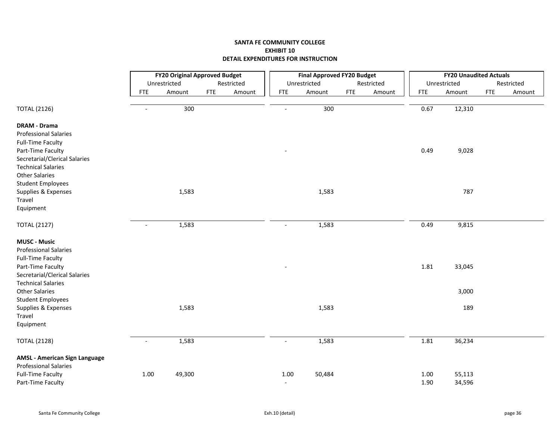|                                                     | <b>FY20 Original Approved Budget</b> |              |            |            | <b>Final Approved FY20 Budget</b> |              |            |            | <b>FY20 Unaudited Actuals</b> |              |            |            |
|-----------------------------------------------------|--------------------------------------|--------------|------------|------------|-----------------------------------|--------------|------------|------------|-------------------------------|--------------|------------|------------|
|                                                     |                                      | Unrestricted |            | Restricted |                                   | Unrestricted |            | Restricted |                               | Unrestricted |            | Restricted |
|                                                     | <b>FTE</b>                           | Amount       | <b>FTE</b> | Amount     | <b>FTE</b>                        | Amount       | <b>FTE</b> | Amount     | <b>FTE</b>                    | Amount       | <b>FTE</b> | Amount     |
| <b>TOTAL (2126)</b>                                 | $\overline{a}$                       | 300          |            |            |                                   | 300          |            |            | 0.67                          | 12,310       |            |            |
| <b>DRAM - Drama</b>                                 |                                      |              |            |            |                                   |              |            |            |                               |              |            |            |
| <b>Professional Salaries</b>                        |                                      |              |            |            |                                   |              |            |            |                               |              |            |            |
| <b>Full-Time Faculty</b>                            |                                      |              |            |            |                                   |              |            |            |                               |              |            |            |
| Part-Time Faculty                                   |                                      |              |            |            |                                   |              |            |            | 0.49                          | 9,028        |            |            |
| Secretarial/Clerical Salaries                       |                                      |              |            |            |                                   |              |            |            |                               |              |            |            |
| <b>Technical Salaries</b>                           |                                      |              |            |            |                                   |              |            |            |                               |              |            |            |
| <b>Other Salaries</b>                               |                                      |              |            |            |                                   |              |            |            |                               |              |            |            |
| <b>Student Employees</b>                            |                                      |              |            |            |                                   |              |            |            |                               |              |            |            |
| Supplies & Expenses                                 |                                      | 1,583        |            |            |                                   | 1,583        |            |            |                               | 787          |            |            |
| Travel                                              |                                      |              |            |            |                                   |              |            |            |                               |              |            |            |
| Equipment                                           |                                      |              |            |            |                                   |              |            |            |                               |              |            |            |
| <b>TOTAL (2127)</b>                                 | $\blacksquare$                       | 1,583        |            |            | $\blacksquare$                    | 1,583        |            |            | 0.49                          | 9,815        |            |            |
| <b>MUSC - Music</b><br><b>Professional Salaries</b> |                                      |              |            |            |                                   |              |            |            |                               |              |            |            |
| <b>Full-Time Faculty</b>                            |                                      |              |            |            |                                   |              |            |            |                               |              |            |            |
| Part-Time Faculty                                   |                                      |              |            |            |                                   |              |            |            | 1.81                          | 33,045       |            |            |
| Secretarial/Clerical Salaries                       |                                      |              |            |            |                                   |              |            |            |                               |              |            |            |
| <b>Technical Salaries</b>                           |                                      |              |            |            |                                   |              |            |            |                               |              |            |            |
| <b>Other Salaries</b>                               |                                      |              |            |            |                                   |              |            |            |                               | 3,000        |            |            |
| <b>Student Employees</b>                            |                                      |              |            |            |                                   |              |            |            |                               |              |            |            |
| Supplies & Expenses                                 |                                      | 1,583        |            |            |                                   | 1,583        |            |            |                               | 189          |            |            |
| Travel                                              |                                      |              |            |            |                                   |              |            |            |                               |              |            |            |
| Equipment                                           |                                      |              |            |            |                                   |              |            |            |                               |              |            |            |
| <b>TOTAL (2128)</b>                                 | $\overline{a}$                       | 1,583        |            |            | $\overline{a}$                    | 1,583        |            |            | 1.81                          | 36,234       |            |            |
| <b>AMSL - American Sign Language</b>                |                                      |              |            |            |                                   |              |            |            |                               |              |            |            |
| <b>Professional Salaries</b>                        |                                      |              |            |            |                                   |              |            |            |                               |              |            |            |
| <b>Full-Time Faculty</b>                            | $1.00\,$                             | 49,300       |            |            | 1.00                              | 50,484       |            |            | 1.00                          | 55,113       |            |            |
| Part-Time Faculty                                   |                                      |              |            |            | $\blacksquare$                    |              |            |            | 1.90                          | 34,596       |            |            |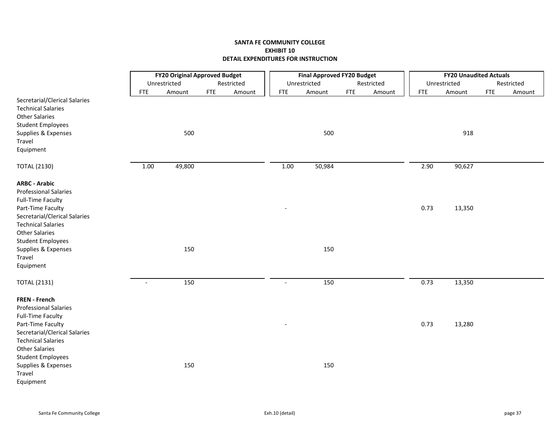|                                                                                                                                      | <b>FY20 Original Approved Budget</b> |              |            |            |                | <b>Final Approved FY20 Budget</b> |            |            |            | <b>FY20 Unaudited Actuals</b> |            |            |
|--------------------------------------------------------------------------------------------------------------------------------------|--------------------------------------|--------------|------------|------------|----------------|-----------------------------------|------------|------------|------------|-------------------------------|------------|------------|
|                                                                                                                                      |                                      | Unrestricted |            | Restricted |                | Unrestricted                      |            | Restricted |            | Unrestricted                  |            | Restricted |
|                                                                                                                                      | <b>FTE</b>                           | Amount       | <b>FTE</b> | Amount     | <b>FTE</b>     | Amount                            | <b>FTE</b> | Amount     | <b>FTE</b> | Amount                        | <b>FTE</b> | Amount     |
| Secretarial/Clerical Salaries<br><b>Technical Salaries</b><br><b>Other Salaries</b><br><b>Student Employees</b>                      |                                      |              |            |            |                |                                   |            |            |            |                               |            |            |
| Supplies & Expenses                                                                                                                  |                                      | 500          |            |            |                | 500                               |            |            |            | 918                           |            |            |
| Travel                                                                                                                               |                                      |              |            |            |                |                                   |            |            |            |                               |            |            |
| Equipment                                                                                                                            |                                      |              |            |            |                |                                   |            |            |            |                               |            |            |
| <b>TOTAL (2130)</b>                                                                                                                  | 1.00                                 | 49,800       |            |            | 1.00           | 50,984                            |            |            | 2.90       | 90,627                        |            |            |
| <b>ARBC - Arabic</b><br><b>Professional Salaries</b><br><b>Full-Time Faculty</b>                                                     |                                      |              |            |            |                |                                   |            |            |            |                               |            |            |
| Part-Time Faculty<br>Secretarial/Clerical Salaries<br><b>Technical Salaries</b><br><b>Other Salaries</b><br><b>Student Employees</b> |                                      |              |            |            |                |                                   |            |            | 0.73       | 13,350                        |            |            |
| Supplies & Expenses                                                                                                                  |                                      | 150          |            |            |                | 150                               |            |            |            |                               |            |            |
| Travel                                                                                                                               |                                      |              |            |            |                |                                   |            |            |            |                               |            |            |
| Equipment                                                                                                                            |                                      |              |            |            |                |                                   |            |            |            |                               |            |            |
| <b>TOTAL (2131)</b>                                                                                                                  | $\overline{\phantom{a}}$             | 150          |            |            | $\overline{a}$ | 150                               |            |            | 0.73       | 13,350                        |            |            |
| FREN - French<br><b>Professional Salaries</b><br><b>Full-Time Faculty</b>                                                            |                                      |              |            |            |                |                                   |            |            |            |                               |            |            |
| Part-Time Faculty<br>Secretarial/Clerical Salaries<br><b>Technical Salaries</b><br><b>Other Salaries</b>                             |                                      |              |            |            |                |                                   |            |            | 0.73       | 13,280                        |            |            |
| <b>Student Employees</b><br>Supplies & Expenses<br>Travel<br>Equipment                                                               |                                      | 150          |            |            |                | 150                               |            |            |            |                               |            |            |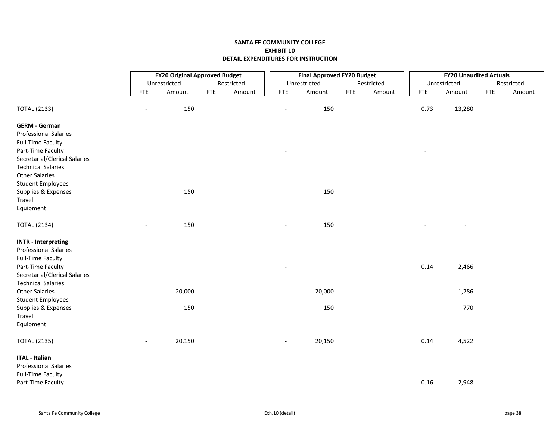|                               |                                    | <b>FY20 Original Approved Budget</b> |                | <b>Final Approved FY20 Budget</b> |            |            |            | <b>FY20 Unaudited Actuals</b> |            |            |
|-------------------------------|------------------------------------|--------------------------------------|----------------|-----------------------------------|------------|------------|------------|-------------------------------|------------|------------|
|                               | Unrestricted                       | Restricted                           |                | Unrestricted                      |            | Restricted |            | Unrestricted                  |            | Restricted |
|                               | Amount<br><b>FTE</b>               | <b>FTE</b><br>Amount                 | <b>FTE</b>     | Amount                            | <b>FTE</b> | Amount     | <b>FTE</b> | Amount                        | <b>FTE</b> | Amount     |
| <b>TOTAL (2133)</b>           | 150<br>$\blacksquare$              |                                      | $\overline{a}$ | 150                               |            |            | 0.73       | 13,280                        |            |            |
| <b>GERM - German</b>          |                                    |                                      |                |                                   |            |            |            |                               |            |            |
| <b>Professional Salaries</b>  |                                    |                                      |                |                                   |            |            |            |                               |            |            |
| <b>Full-Time Faculty</b>      |                                    |                                      |                |                                   |            |            |            |                               |            |            |
| Part-Time Faculty             |                                    |                                      |                |                                   |            |            |            |                               |            |            |
| Secretarial/Clerical Salaries |                                    |                                      |                |                                   |            |            |            |                               |            |            |
| <b>Technical Salaries</b>     |                                    |                                      |                |                                   |            |            |            |                               |            |            |
| <b>Other Salaries</b>         |                                    |                                      |                |                                   |            |            |            |                               |            |            |
| <b>Student Employees</b>      |                                    |                                      |                |                                   |            |            |            |                               |            |            |
| Supplies & Expenses           | 150                                |                                      |                | 150                               |            |            |            |                               |            |            |
| Travel                        |                                    |                                      |                |                                   |            |            |            |                               |            |            |
| Equipment                     |                                    |                                      |                |                                   |            |            |            |                               |            |            |
| <b>TOTAL (2134)</b>           | 150<br>$\blacksquare$              |                                      | $\overline{a}$ | 150                               |            |            |            | $\overline{\phantom{a}}$      |            |            |
| <b>INTR - Interpreting</b>    |                                    |                                      |                |                                   |            |            |            |                               |            |            |
| <b>Professional Salaries</b>  |                                    |                                      |                |                                   |            |            |            |                               |            |            |
| <b>Full-Time Faculty</b>      |                                    |                                      |                |                                   |            |            |            |                               |            |            |
| Part-Time Faculty             |                                    |                                      |                |                                   |            |            | 0.14       | 2,466                         |            |            |
| Secretarial/Clerical Salaries |                                    |                                      |                |                                   |            |            |            |                               |            |            |
| <b>Technical Salaries</b>     |                                    |                                      |                |                                   |            |            |            |                               |            |            |
| <b>Other Salaries</b>         | 20,000                             |                                      |                | 20,000                            |            |            |            | 1,286                         |            |            |
| <b>Student Employees</b>      |                                    |                                      |                |                                   |            |            |            |                               |            |            |
| Supplies & Expenses           | 150                                |                                      |                | 150                               |            |            |            | 770                           |            |            |
| Travel                        |                                    |                                      |                |                                   |            |            |            |                               |            |            |
| Equipment                     |                                    |                                      |                |                                   |            |            |            |                               |            |            |
| <b>TOTAL (2135)</b>           | 20,150<br>$\overline{\phantom{a}}$ |                                      | $\overline{a}$ | 20,150                            |            |            | 0.14       | 4,522                         |            |            |
| <b>ITAL - Italian</b>         |                                    |                                      |                |                                   |            |            |            |                               |            |            |
| <b>Professional Salaries</b>  |                                    |                                      |                |                                   |            |            |            |                               |            |            |
| <b>Full-Time Faculty</b>      |                                    |                                      |                |                                   |            |            |            |                               |            |            |
| Part-Time Faculty             |                                    |                                      |                |                                   |            |            | 0.16       | 2,948                         |            |            |
|                               |                                    |                                      |                |                                   |            |            |            |                               |            |            |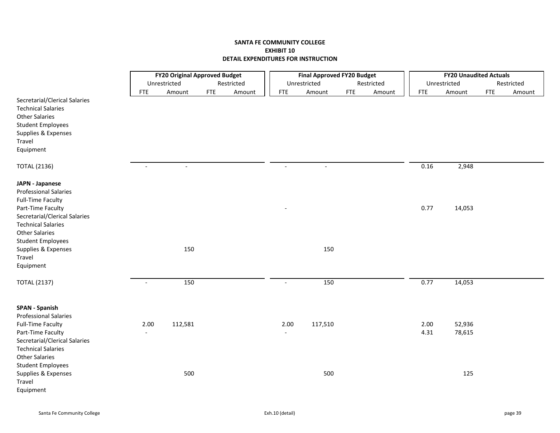|                                                                                                                                                                      |                | <b>FY20 Original Approved Budget</b> |            |            |            | <b>Final Approved FY20 Budget</b> |            |            |              | <b>FY20 Unaudited Actuals</b> |            |            |
|----------------------------------------------------------------------------------------------------------------------------------------------------------------------|----------------|--------------------------------------|------------|------------|------------|-----------------------------------|------------|------------|--------------|-------------------------------|------------|------------|
|                                                                                                                                                                      |                | Unrestricted                         |            | Restricted |            | Unrestricted                      |            | Restricted |              | Unrestricted                  |            | Restricted |
|                                                                                                                                                                      | <b>FTE</b>     | Amount                               | <b>FTE</b> | Amount     | <b>FTE</b> | Amount                            | <b>FTE</b> | Amount     | <b>FTE</b>   | Amount                        | <b>FTE</b> | Amount     |
| Secretarial/Clerical Salaries<br><b>Technical Salaries</b><br><b>Other Salaries</b><br><b>Student Employees</b><br>Supplies & Expenses<br>Travel<br>Equipment        |                |                                      |            |            |            |                                   |            |            |              |                               |            |            |
| <b>TOTAL (2136)</b>                                                                                                                                                  |                |                                      |            |            |            |                                   |            |            | 0.16         | 2,948                         |            |            |
| <b>JAPN - Japanese</b><br><b>Professional Salaries</b><br><b>Full-Time Faculty</b><br>Part-Time Faculty                                                              |                |                                      |            |            |            |                                   |            |            | 0.77         | 14,053                        |            |            |
| Secretarial/Clerical Salaries<br><b>Technical Salaries</b><br><b>Other Salaries</b><br><b>Student Employees</b><br>Supplies & Expenses<br>Travel<br>Equipment        |                | 150                                  |            |            |            | 150                               |            |            |              |                               |            |            |
| <b>TOTAL (2137)</b>                                                                                                                                                  | $\blacksquare$ | 150                                  |            |            | $\sim$     | 150                               |            |            | 0.77         | 14,053                        |            |            |
| <b>SPAN - Spanish</b><br><b>Professional Salaries</b><br><b>Full-Time Faculty</b><br>Part-Time Faculty<br>Secretarial/Clerical Salaries<br><b>Technical Salaries</b> | 2.00           | 112,581                              |            |            | 2.00       | 117,510                           |            |            | 2.00<br>4.31 | 52,936<br>78,615              |            |            |
| <b>Other Salaries</b><br><b>Student Employees</b><br>Supplies & Expenses<br>Travel<br>Equipment                                                                      |                | 500                                  |            |            |            | 500                               |            |            |              | 125                           |            |            |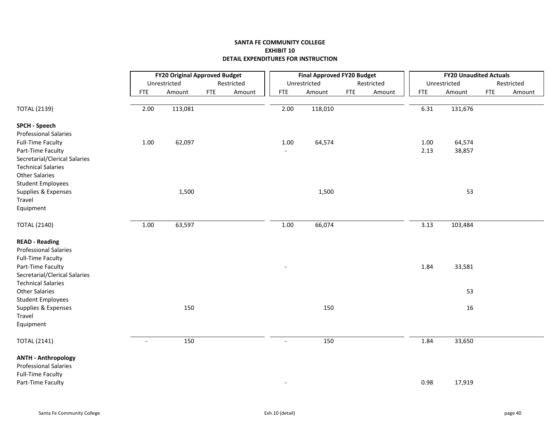|                               |                | <b>FY20 Original Approved Budget</b> |            |            |                | <b>Final Approved FY20 Budget</b> |            |            |            | <b>FY20 Unaudited Actuals</b> |            |            |
|-------------------------------|----------------|--------------------------------------|------------|------------|----------------|-----------------------------------|------------|------------|------------|-------------------------------|------------|------------|
|                               |                | Unrestricted                         |            | Restricted |                | Unrestricted                      |            | Restricted |            | Unrestricted                  |            | Restricted |
|                               | <b>FTE</b>     | Amount                               | <b>FTE</b> | Amount     | <b>FTE</b>     | Amount                            | <b>FTE</b> | Amount     | <b>FTE</b> | Amount                        | <b>FTE</b> | Amount     |
| <b>TOTAL (2139)</b>           | 2.00           | 113,081                              |            |            | 2.00           | 118,010                           |            |            | 6.31       | 131,676                       |            |            |
| <b>SPCH - Speech</b>          |                |                                      |            |            |                |                                   |            |            |            |                               |            |            |
| <b>Professional Salaries</b>  |                |                                      |            |            |                |                                   |            |            |            |                               |            |            |
| <b>Full-Time Faculty</b>      | 1.00           | 62,097                               |            |            | 1.00           | 64,574                            |            |            | 1.00       | 64,574                        |            |            |
| Part-Time Faculty             |                |                                      |            |            | $\sim$         |                                   |            |            | 2.13       | 38,857                        |            |            |
| Secretarial/Clerical Salaries |                |                                      |            |            |                |                                   |            |            |            |                               |            |            |
| <b>Technical Salaries</b>     |                |                                      |            |            |                |                                   |            |            |            |                               |            |            |
| <b>Other Salaries</b>         |                |                                      |            |            |                |                                   |            |            |            |                               |            |            |
| <b>Student Employees</b>      |                |                                      |            |            |                |                                   |            |            |            |                               |            |            |
| Supplies & Expenses<br>Travel |                | 1,500                                |            |            |                | 1,500                             |            |            |            | 53                            |            |            |
| Equipment                     |                |                                      |            |            |                |                                   |            |            |            |                               |            |            |
|                               |                |                                      |            |            |                |                                   |            |            |            |                               |            |            |
| <b>TOTAL (2140)</b>           | $1.00\,$       | 63,597                               |            |            | 1.00           | 66,074                            |            |            | 3.13       | 103,484                       |            |            |
| <b>READ - Reading</b>         |                |                                      |            |            |                |                                   |            |            |            |                               |            |            |
| <b>Professional Salaries</b>  |                |                                      |            |            |                |                                   |            |            |            |                               |            |            |
| <b>Full-Time Faculty</b>      |                |                                      |            |            |                |                                   |            |            |            |                               |            |            |
| Part-Time Faculty             |                |                                      |            |            |                |                                   |            |            | 1.84       | 33,581                        |            |            |
| Secretarial/Clerical Salaries |                |                                      |            |            |                |                                   |            |            |            |                               |            |            |
| <b>Technical Salaries</b>     |                |                                      |            |            |                |                                   |            |            |            |                               |            |            |
| <b>Other Salaries</b>         |                |                                      |            |            |                |                                   |            |            |            | 53                            |            |            |
| <b>Student Employees</b>      |                |                                      |            |            |                |                                   |            |            |            |                               |            |            |
| Supplies & Expenses<br>Travel |                | 150                                  |            |            |                | 150                               |            |            |            | 16                            |            |            |
| Equipment                     |                |                                      |            |            |                |                                   |            |            |            |                               |            |            |
|                               |                |                                      |            |            |                |                                   |            |            |            |                               |            |            |
| <b>TOTAL (2141)</b>           | $\overline{a}$ | 150                                  |            |            | $\overline{a}$ | 150                               |            |            | 1.84       | 33,650                        |            |            |
| <b>ANTH - Anthropology</b>    |                |                                      |            |            |                |                                   |            |            |            |                               |            |            |
| <b>Professional Salaries</b>  |                |                                      |            |            |                |                                   |            |            |            |                               |            |            |
| <b>Full-Time Faculty</b>      |                |                                      |            |            |                |                                   |            |            |            |                               |            |            |
| Part-Time Faculty             |                |                                      |            |            |                |                                   |            |            | 0.98       | 17,919                        |            |            |
|                               |                |                                      |            |            |                |                                   |            |            |            |                               |            |            |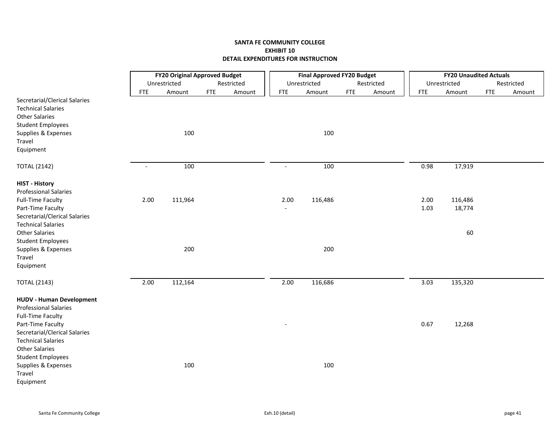|                                                                                             |                          | <b>FY20 Original Approved Budget</b> |            |            |                          | <b>Final Approved FY20 Budget</b> |            |            |            | <b>FY20 Unaudited Actuals</b> |            |            |
|---------------------------------------------------------------------------------------------|--------------------------|--------------------------------------|------------|------------|--------------------------|-----------------------------------|------------|------------|------------|-------------------------------|------------|------------|
|                                                                                             |                          | Unrestricted                         |            | Restricted |                          | Unrestricted                      |            | Restricted |            | Unrestricted                  |            | Restricted |
| Secretarial/Clerical Salaries                                                               | <b>FTE</b>               | Amount                               | <b>FTE</b> | Amount     | <b>FTE</b>               | Amount                            | <b>FTE</b> | Amount     | <b>FTE</b> | Amount                        | <b>FTE</b> | Amount     |
| <b>Technical Salaries</b>                                                                   |                          |                                      |            |            |                          |                                   |            |            |            |                               |            |            |
| <b>Other Salaries</b>                                                                       |                          |                                      |            |            |                          |                                   |            |            |            |                               |            |            |
| <b>Student Employees</b>                                                                    |                          |                                      |            |            |                          |                                   |            |            |            |                               |            |            |
| Supplies & Expenses<br>Travel                                                               |                          | 100                                  |            |            |                          | 100                               |            |            |            |                               |            |            |
| Equipment                                                                                   |                          |                                      |            |            |                          |                                   |            |            |            |                               |            |            |
| <b>TOTAL (2142)</b>                                                                         | $\overline{\phantom{a}}$ | 100                                  |            |            | $\overline{\phantom{a}}$ | 100                               |            |            | 0.98       | 17,919                        |            |            |
| <b>HIST - History</b><br><b>Professional Salaries</b>                                       |                          |                                      |            |            |                          |                                   |            |            |            |                               |            |            |
| <b>Full-Time Faculty</b>                                                                    | 2.00                     | 111,964                              |            |            | 2.00                     | 116,486                           |            |            | 2.00       | 116,486                       |            |            |
| Part-Time Faculty                                                                           |                          |                                      |            |            |                          |                                   |            |            | 1.03       | 18,774                        |            |            |
| Secretarial/Clerical Salaries<br><b>Technical Salaries</b>                                  |                          |                                      |            |            |                          |                                   |            |            |            |                               |            |            |
| <b>Other Salaries</b>                                                                       |                          |                                      |            |            |                          |                                   |            |            |            | 60                            |            |            |
| <b>Student Employees</b>                                                                    |                          |                                      |            |            |                          |                                   |            |            |            |                               |            |            |
| Supplies & Expenses                                                                         |                          | 200                                  |            |            |                          | 200                               |            |            |            |                               |            |            |
| Travel                                                                                      |                          |                                      |            |            |                          |                                   |            |            |            |                               |            |            |
| Equipment                                                                                   |                          |                                      |            |            |                          |                                   |            |            |            |                               |            |            |
| <b>TOTAL (2143)</b>                                                                         | 2.00                     | 112,164                              |            |            | 2.00                     | 116,686                           |            |            | 3.03       | 135,320                       |            |            |
| <b>HUDV - Human Development</b><br><b>Professional Salaries</b><br><b>Full-Time Faculty</b> |                          |                                      |            |            |                          |                                   |            |            |            |                               |            |            |
| Part-Time Faculty                                                                           |                          |                                      |            |            |                          |                                   |            |            | 0.67       | 12,268                        |            |            |
| Secretarial/Clerical Salaries                                                               |                          |                                      |            |            |                          |                                   |            |            |            |                               |            |            |
| <b>Technical Salaries</b><br><b>Other Salaries</b>                                          |                          |                                      |            |            |                          |                                   |            |            |            |                               |            |            |
| <b>Student Employees</b>                                                                    |                          |                                      |            |            |                          |                                   |            |            |            |                               |            |            |
| Supplies & Expenses                                                                         |                          | 100                                  |            |            |                          | 100                               |            |            |            |                               |            |            |
| Travel                                                                                      |                          |                                      |            |            |                          |                                   |            |            |            |                               |            |            |
| Equipment                                                                                   |                          |                                      |            |            |                          |                                   |            |            |            |                               |            |            |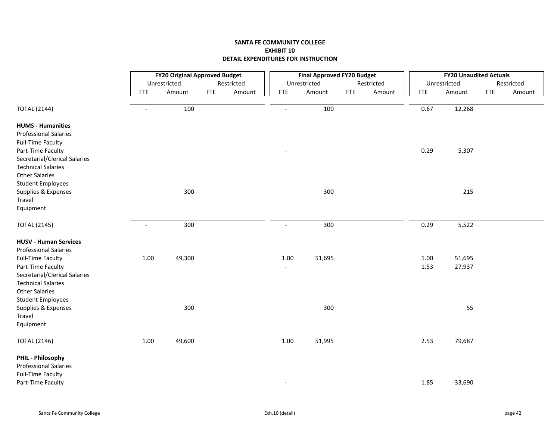|                                                    |                | <b>FY20 Original Approved Budget</b> |            |            |                | <b>Final Approved FY20 Budget</b> |            |            |            | <b>FY20 Unaudited Actuals</b> |            |            |
|----------------------------------------------------|----------------|--------------------------------------|------------|------------|----------------|-----------------------------------|------------|------------|------------|-------------------------------|------------|------------|
|                                                    |                | Unrestricted                         |            | Restricted |                | Unrestricted                      |            | Restricted |            | Unrestricted                  |            | Restricted |
|                                                    | <b>FTE</b>     | Amount                               | <b>FTE</b> | Amount     | <b>FTE</b>     | Amount                            | <b>FTE</b> | Amount     | <b>FTE</b> | Amount                        | <b>FTE</b> | Amount     |
| <b>TOTAL (2144)</b>                                | $\overline{a}$ | 100                                  |            |            |                | 100                               |            |            | 0.67       | 12,268                        |            |            |
| <b>HUMS - Humanities</b>                           |                |                                      |            |            |                |                                   |            |            |            |                               |            |            |
| <b>Professional Salaries</b>                       |                |                                      |            |            |                |                                   |            |            |            |                               |            |            |
| <b>Full-Time Faculty</b>                           |                |                                      |            |            |                |                                   |            |            |            |                               |            |            |
| Part-Time Faculty                                  |                |                                      |            |            |                |                                   |            |            | 0.29       | 5,307                         |            |            |
| Secretarial/Clerical Salaries                      |                |                                      |            |            |                |                                   |            |            |            |                               |            |            |
| <b>Technical Salaries</b><br><b>Other Salaries</b> |                |                                      |            |            |                |                                   |            |            |            |                               |            |            |
| <b>Student Employees</b>                           |                |                                      |            |            |                |                                   |            |            |            |                               |            |            |
| Supplies & Expenses                                |                | 300                                  |            |            |                | 300                               |            |            |            | 215                           |            |            |
| Travel                                             |                |                                      |            |            |                |                                   |            |            |            |                               |            |            |
| Equipment                                          |                |                                      |            |            |                |                                   |            |            |            |                               |            |            |
| <b>TOTAL (2145)</b>                                | $\overline{a}$ | 300                                  |            |            |                | 300                               |            |            | 0.29       | 5,522                         |            |            |
| <b>HUSV - Human Services</b>                       |                |                                      |            |            |                |                                   |            |            |            |                               |            |            |
| <b>Professional Salaries</b>                       |                |                                      |            |            |                |                                   |            |            |            |                               |            |            |
| <b>Full-Time Faculty</b>                           | 1.00           | 49,300                               |            |            | 1.00           | 51,695                            |            |            | 1.00       | 51,695                        |            |            |
| Part-Time Faculty                                  |                |                                      |            |            | $\blacksquare$ |                                   |            |            | 1.53       | 27,937                        |            |            |
| Secretarial/Clerical Salaries                      |                |                                      |            |            |                |                                   |            |            |            |                               |            |            |
| <b>Technical Salaries</b>                          |                |                                      |            |            |                |                                   |            |            |            |                               |            |            |
| <b>Other Salaries</b>                              |                |                                      |            |            |                |                                   |            |            |            |                               |            |            |
| <b>Student Employees</b>                           |                | 300                                  |            |            |                | 300                               |            |            |            | 55                            |            |            |
| Supplies & Expenses<br>Travel                      |                |                                      |            |            |                |                                   |            |            |            |                               |            |            |
| Equipment                                          |                |                                      |            |            |                |                                   |            |            |            |                               |            |            |
|                                                    |                |                                      |            |            |                |                                   |            |            |            |                               |            |            |
| <b>TOTAL (2146)</b>                                | 1.00           | 49,600                               |            |            | 1.00           | 51,995                            |            |            | 2.53       | 79,687                        |            |            |
| PHIL - Philosophy                                  |                |                                      |            |            |                |                                   |            |            |            |                               |            |            |
| <b>Professional Salaries</b>                       |                |                                      |            |            |                |                                   |            |            |            |                               |            |            |
| <b>Full-Time Faculty</b>                           |                |                                      |            |            |                |                                   |            |            |            |                               |            |            |
| Part-Time Faculty                                  |                |                                      |            |            |                |                                   |            |            | 1.85       | 33,690                        |            |            |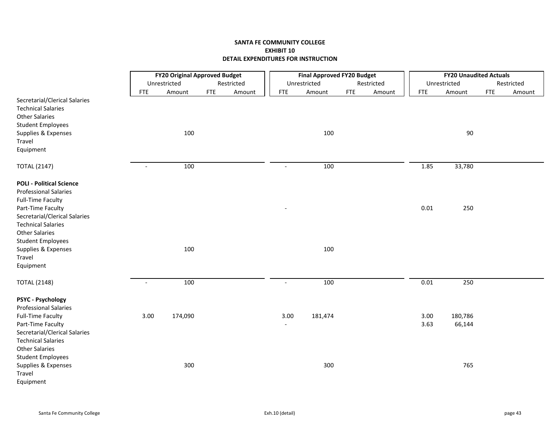|                                                                                                                                     |                          | <b>FY20 Original Approved Budget</b> |            |            |            | <b>Final Approved FY20 Budget</b> |            |            |              | <b>FY20 Unaudited Actuals</b> |            |            |
|-------------------------------------------------------------------------------------------------------------------------------------|--------------------------|--------------------------------------|------------|------------|------------|-----------------------------------|------------|------------|--------------|-------------------------------|------------|------------|
|                                                                                                                                     |                          | Unrestricted                         |            | Restricted |            | Unrestricted                      |            | Restricted |              | Unrestricted                  |            | Restricted |
|                                                                                                                                     | <b>FTE</b>               | Amount                               | <b>FTE</b> | Amount     | <b>FTE</b> | Amount                            | <b>FTE</b> | Amount     | <b>FTE</b>   | Amount                        | <b>FTE</b> | Amount     |
| Secretarial/Clerical Salaries<br><b>Technical Salaries</b><br><b>Other Salaries</b><br><b>Student Employees</b>                     |                          |                                      |            |            |            |                                   |            |            |              |                               |            |            |
| Supplies & Expenses                                                                                                                 |                          | 100                                  |            |            |            | 100                               |            |            |              | 90                            |            |            |
| Travel<br>Equipment                                                                                                                 |                          |                                      |            |            |            |                                   |            |            |              |                               |            |            |
| <b>TOTAL (2147)</b>                                                                                                                 | $\overline{\phantom{a}}$ | 100                                  |            |            | $\sim$     | 100                               |            |            | 1.85         | 33,780                        |            |            |
| <b>POLI - Political Science</b><br><b>Professional Salaries</b><br><b>Full-Time Faculty</b>                                         |                          |                                      |            |            |            |                                   |            |            |              |                               |            |            |
| Part-Time Faculty<br>Secretarial/Clerical Salaries<br><b>Technical Salaries</b><br><b>Other Salaries</b>                            |                          |                                      |            |            |            |                                   |            |            | 0.01         | 250                           |            |            |
| <b>Student Employees</b><br>Supplies & Expenses<br>Travel<br>Equipment                                                              |                          | 100                                  |            |            |            | 100                               |            |            |              |                               |            |            |
| <b>TOTAL (2148)</b>                                                                                                                 | $\sim$                   | 100                                  |            |            | $\sim$     | 100                               |            |            | 0.01         | 250                           |            |            |
| PSYC - Psychology<br><b>Professional Salaries</b><br><b>Full-Time Faculty</b><br>Part-Time Faculty<br>Secretarial/Clerical Salaries | 3.00                     | 174,090                              |            |            | 3.00       | 181,474                           |            |            | 3.00<br>3.63 | 180,786<br>66,144             |            |            |
| <b>Technical Salaries</b><br><b>Other Salaries</b><br><b>Student Employees</b><br>Supplies & Expenses<br>Travel<br>Equipment        |                          | 300                                  |            |            |            | 300                               |            |            |              | 765                           |            |            |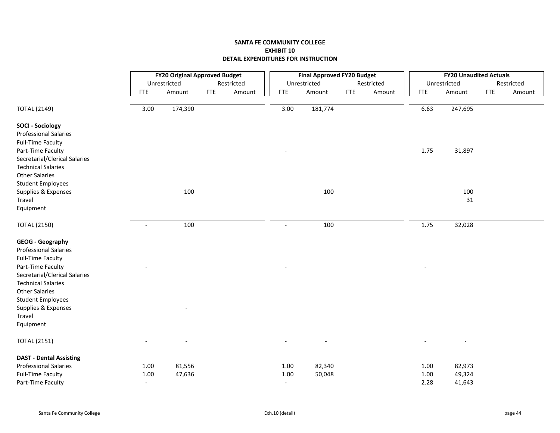|                                                         |                          | <b>FY20 Original Approved Budget</b> |            |            |                          | <b>Final Approved FY20 Budget</b> |            |            |            | <b>FY20 Unaudited Actuals</b> |            |            |
|---------------------------------------------------------|--------------------------|--------------------------------------|------------|------------|--------------------------|-----------------------------------|------------|------------|------------|-------------------------------|------------|------------|
|                                                         |                          | Unrestricted                         |            | Restricted |                          | Unrestricted                      |            | Restricted |            | Unrestricted                  |            | Restricted |
|                                                         | <b>FTE</b>               | Amount                               | <b>FTE</b> | Amount     | <b>FTE</b>               | Amount                            | <b>FTE</b> | Amount     | <b>FTE</b> | Amount                        | <b>FTE</b> | Amount     |
| <b>TOTAL (2149)</b>                                     | 3.00                     | 174,390                              |            |            | 3.00                     | 181,774                           |            |            | 6.63       | 247,695                       |            |            |
| <b>SOCI - Sociology</b>                                 |                          |                                      |            |            |                          |                                   |            |            |            |                               |            |            |
| <b>Professional Salaries</b>                            |                          |                                      |            |            |                          |                                   |            |            |            |                               |            |            |
| <b>Full-Time Faculty</b>                                |                          |                                      |            |            |                          |                                   |            |            |            |                               |            |            |
| Part-Time Faculty                                       |                          |                                      |            |            |                          |                                   |            |            | 1.75       | 31,897                        |            |            |
| Secretarial/Clerical Salaries                           |                          |                                      |            |            |                          |                                   |            |            |            |                               |            |            |
| <b>Technical Salaries</b>                               |                          |                                      |            |            |                          |                                   |            |            |            |                               |            |            |
| <b>Other Salaries</b>                                   |                          |                                      |            |            |                          |                                   |            |            |            |                               |            |            |
| <b>Student Employees</b>                                |                          |                                      |            |            |                          |                                   |            |            |            |                               |            |            |
| Supplies & Expenses                                     |                          | 100                                  |            |            |                          | 100                               |            |            |            | 100                           |            |            |
| Travel                                                  |                          |                                      |            |            |                          |                                   |            |            |            | 31                            |            |            |
| Equipment                                               |                          |                                      |            |            |                          |                                   |            |            |            |                               |            |            |
| <b>TOTAL (2150)</b>                                     | $\overline{\phantom{a}}$ | 100                                  |            |            | $\blacksquare$           | 100                               |            |            | 1.75       | 32,028                        |            |            |
| <b>GEOG</b> - Geography<br><b>Professional Salaries</b> |                          |                                      |            |            |                          |                                   |            |            |            |                               |            |            |
| <b>Full-Time Faculty</b>                                |                          |                                      |            |            |                          |                                   |            |            |            |                               |            |            |
| Part-Time Faculty                                       |                          |                                      |            |            |                          |                                   |            |            |            |                               |            |            |
| Secretarial/Clerical Salaries                           |                          |                                      |            |            |                          |                                   |            |            |            |                               |            |            |
| <b>Technical Salaries</b>                               |                          |                                      |            |            |                          |                                   |            |            |            |                               |            |            |
| <b>Other Salaries</b>                                   |                          |                                      |            |            |                          |                                   |            |            |            |                               |            |            |
| <b>Student Employees</b>                                |                          |                                      |            |            |                          |                                   |            |            |            |                               |            |            |
| Supplies & Expenses                                     |                          |                                      |            |            |                          |                                   |            |            |            |                               |            |            |
| Travel                                                  |                          |                                      |            |            |                          |                                   |            |            |            |                               |            |            |
| Equipment                                               |                          |                                      |            |            |                          |                                   |            |            |            |                               |            |            |
| <b>TOTAL (2151)</b>                                     | $\overline{a}$           |                                      |            |            |                          | $\overline{\phantom{a}}$          |            |            |            | $\overline{a}$                |            |            |
| <b>DAST - Dental Assisting</b>                          |                          |                                      |            |            |                          |                                   |            |            |            |                               |            |            |
| <b>Professional Salaries</b>                            | 1.00                     | 81,556                               |            |            | 1.00                     | 82,340                            |            |            | 1.00       | 82,973                        |            |            |
| <b>Full-Time Faculty</b>                                | 1.00                     | 47,636                               |            |            | 1.00                     | 50,048                            |            |            | 1.00       | 49,324                        |            |            |
| Part-Time Faculty                                       | $\overline{\phantom{a}}$ |                                      |            |            | $\overline{\phantom{a}}$ |                                   |            |            | 2.28       | 41,643                        |            |            |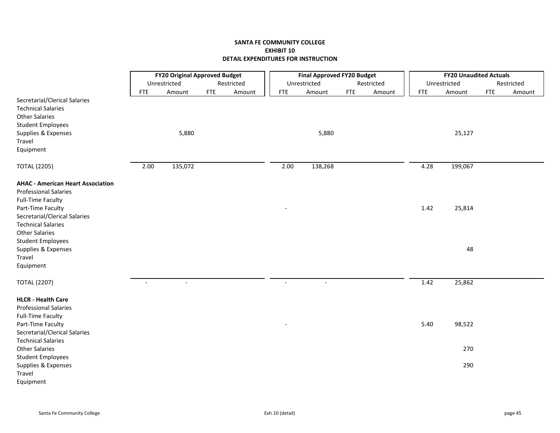|                                                                                                                                        | <b>FY20 Original Approved Budget</b> |                |            |            |                | <b>Final Approved FY20 Budget</b> |            |            |            | <b>FY20 Unaudited Actuals</b> |            |            |
|----------------------------------------------------------------------------------------------------------------------------------------|--------------------------------------|----------------|------------|------------|----------------|-----------------------------------|------------|------------|------------|-------------------------------|------------|------------|
|                                                                                                                                        |                                      | Unrestricted   |            | Restricted |                | Unrestricted                      |            | Restricted |            | Unrestricted                  |            | Restricted |
|                                                                                                                                        | <b>FTE</b>                           | Amount         | <b>FTE</b> | Amount     | <b>FTE</b>     | Amount                            | <b>FTE</b> | Amount     | <b>FTE</b> | Amount                        | <b>FTE</b> | Amount     |
| Secretarial/Clerical Salaries<br><b>Technical Salaries</b><br><b>Other Salaries</b><br><b>Student Employees</b><br>Supplies & Expenses |                                      | 5,880          |            |            |                | 5,880                             |            |            |            | 25,127                        |            |            |
| Travel                                                                                                                                 |                                      |                |            |            |                |                                   |            |            |            |                               |            |            |
|                                                                                                                                        |                                      |                |            |            |                |                                   |            |            |            |                               |            |            |
| Equipment                                                                                                                              |                                      |                |            |            |                |                                   |            |            |            |                               |            |            |
| <b>TOTAL (2205)</b>                                                                                                                    | 2.00                                 | 135,072        |            |            | 2.00           | 138,268                           |            |            | 4.28       | 199,067                       |            |            |
| <b>AHAC - American Heart Association</b><br><b>Professional Salaries</b><br><b>Full-Time Faculty</b>                                   |                                      |                |            |            |                |                                   |            |            |            |                               |            |            |
| Part-Time Faculty                                                                                                                      |                                      |                |            |            |                |                                   |            |            | 1.42       | 25,814                        |            |            |
| Secretarial/Clerical Salaries                                                                                                          |                                      |                |            |            |                |                                   |            |            |            |                               |            |            |
| <b>Technical Salaries</b>                                                                                                              |                                      |                |            |            |                |                                   |            |            |            |                               |            |            |
| <b>Other Salaries</b>                                                                                                                  |                                      |                |            |            |                |                                   |            |            |            |                               |            |            |
| <b>Student Employees</b>                                                                                                               |                                      |                |            |            |                |                                   |            |            |            |                               |            |            |
| Supplies & Expenses                                                                                                                    |                                      |                |            |            |                |                                   |            |            |            | 48                            |            |            |
| Travel                                                                                                                                 |                                      |                |            |            |                |                                   |            |            |            |                               |            |            |
| Equipment                                                                                                                              |                                      |                |            |            |                |                                   |            |            |            |                               |            |            |
|                                                                                                                                        |                                      |                |            |            |                |                                   |            |            |            |                               |            |            |
| <b>TOTAL (2207)</b>                                                                                                                    | $\sim$                               | $\blacksquare$ |            |            | $\overline{a}$ | $\sim$                            |            |            | 1.42       | 25,862                        |            |            |
| <b>HLCR - Health Care</b>                                                                                                              |                                      |                |            |            |                |                                   |            |            |            |                               |            |            |
| <b>Professional Salaries</b>                                                                                                           |                                      |                |            |            |                |                                   |            |            |            |                               |            |            |
| <b>Full-Time Faculty</b>                                                                                                               |                                      |                |            |            |                |                                   |            |            |            |                               |            |            |
| Part-Time Faculty                                                                                                                      |                                      |                |            |            |                |                                   |            |            | 5.40       | 98,522                        |            |            |
| Secretarial/Clerical Salaries                                                                                                          |                                      |                |            |            |                |                                   |            |            |            |                               |            |            |
| <b>Technical Salaries</b>                                                                                                              |                                      |                |            |            |                |                                   |            |            |            |                               |            |            |
| <b>Other Salaries</b>                                                                                                                  |                                      |                |            |            |                |                                   |            |            |            | 270                           |            |            |
| <b>Student Employees</b>                                                                                                               |                                      |                |            |            |                |                                   |            |            |            |                               |            |            |
| Supplies & Expenses                                                                                                                    |                                      |                |            |            |                |                                   |            |            |            | 290                           |            |            |
| Travel                                                                                                                                 |                                      |                |            |            |                |                                   |            |            |            |                               |            |            |
| Equipment                                                                                                                              |                                      |                |            |            |                |                                   |            |            |            |                               |            |            |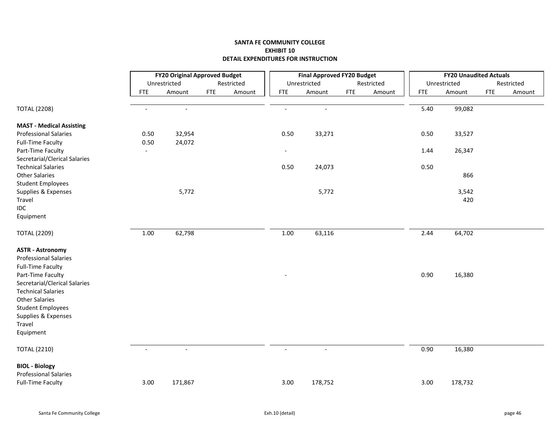|                                                                                     |                | <b>FY20 Original Approved Budget</b> |            |            |                | <b>Final Approved FY20 Budget</b> |            |            |            | <b>FY20 Unaudited Actuals</b> |            |            |
|-------------------------------------------------------------------------------------|----------------|--------------------------------------|------------|------------|----------------|-----------------------------------|------------|------------|------------|-------------------------------|------------|------------|
|                                                                                     |                | Unrestricted                         |            | Restricted |                | Unrestricted                      |            | Restricted |            | Unrestricted                  |            | Restricted |
|                                                                                     | <b>FTE</b>     | Amount                               | <b>FTE</b> | Amount     | <b>FTE</b>     | Amount                            | <b>FTE</b> | Amount     | <b>FTE</b> | Amount                        | <b>FTE</b> | Amount     |
| <b>TOTAL (2208)</b>                                                                 | $\overline{a}$ | $\blacksquare$                       |            |            | $\overline{a}$ | $\blacksquare$                    |            |            | 5.40       | 99,082                        |            |            |
| <b>MAST - Medical Assisting</b>                                                     |                |                                      |            |            |                |                                   |            |            |            |                               |            |            |
| <b>Professional Salaries</b>                                                        | 0.50           | 32,954                               |            |            | 0.50           | 33,271                            |            |            | 0.50       | 33,527                        |            |            |
| <b>Full-Time Faculty</b>                                                            | 0.50           | 24,072                               |            |            |                |                                   |            |            |            |                               |            |            |
| Part-Time Faculty                                                                   | $\blacksquare$ |                                      |            |            | $\blacksquare$ |                                   |            |            | 1.44       | 26,347                        |            |            |
| Secretarial/Clerical Salaries                                                       |                |                                      |            |            |                |                                   |            |            |            |                               |            |            |
| <b>Technical Salaries</b>                                                           |                |                                      |            |            | 0.50           | 24,073                            |            |            | 0.50       |                               |            |            |
| <b>Other Salaries</b>                                                               |                |                                      |            |            |                |                                   |            |            |            | 866                           |            |            |
| <b>Student Employees</b>                                                            |                |                                      |            |            |                |                                   |            |            |            |                               |            |            |
| Supplies & Expenses                                                                 |                | 5,772                                |            |            |                | 5,772                             |            |            |            | 3,542                         |            |            |
| Travel                                                                              |                |                                      |            |            |                |                                   |            |            |            | 420                           |            |            |
| IDC                                                                                 |                |                                      |            |            |                |                                   |            |            |            |                               |            |            |
| Equipment                                                                           |                |                                      |            |            |                |                                   |            |            |            |                               |            |            |
| <b>TOTAL (2209)</b>                                                                 | 1.00           | 62,798                               |            |            | 1.00           | 63,116                            |            |            | 2.44       | 64,702                        |            |            |
| <b>ASTR - Astronomy</b><br><b>Professional Salaries</b><br><b>Full-Time Faculty</b> |                |                                      |            |            |                |                                   |            |            |            |                               |            |            |
| Part-Time Faculty<br>Secretarial/Clerical Salaries                                  |                |                                      |            |            |                |                                   |            |            | 0.90       | 16,380                        |            |            |
| <b>Technical Salaries</b>                                                           |                |                                      |            |            |                |                                   |            |            |            |                               |            |            |
| <b>Other Salaries</b>                                                               |                |                                      |            |            |                |                                   |            |            |            |                               |            |            |
| <b>Student Employees</b>                                                            |                |                                      |            |            |                |                                   |            |            |            |                               |            |            |
| Supplies & Expenses                                                                 |                |                                      |            |            |                |                                   |            |            |            |                               |            |            |
| Travel                                                                              |                |                                      |            |            |                |                                   |            |            |            |                               |            |            |
| Equipment                                                                           |                |                                      |            |            |                |                                   |            |            |            |                               |            |            |
| <b>TOTAL (2210)</b>                                                                 | $\blacksquare$ | $\blacksquare$                       |            |            | $\sim$         | $\blacksquare$                    |            |            | 0.90       | 16,380                        |            |            |
| <b>BIOL - Biology</b>                                                               |                |                                      |            |            |                |                                   |            |            |            |                               |            |            |
| <b>Professional Salaries</b>                                                        |                |                                      |            |            |                |                                   |            |            |            |                               |            |            |
| <b>Full-Time Faculty</b>                                                            | 3.00           | 171,867                              |            |            | 3.00           | 178,752                           |            |            | 3.00       | 178,732                       |            |            |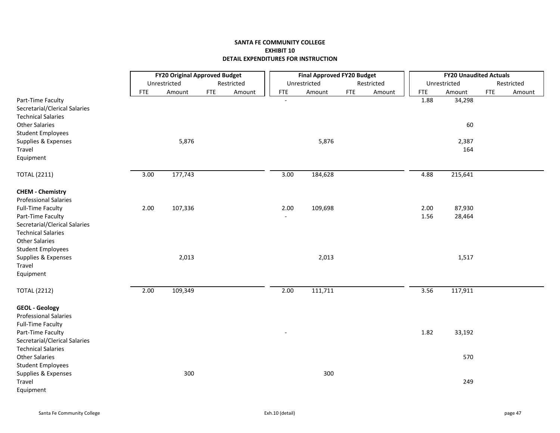|                                                            |            | <b>FY20 Original Approved Budget</b> |            |            |            | <b>Final Approved FY20 Budget</b> |     |            |            | <b>FY20 Unaudited Actuals</b> |            |            |
|------------------------------------------------------------|------------|--------------------------------------|------------|------------|------------|-----------------------------------|-----|------------|------------|-------------------------------|------------|------------|
|                                                            |            | Unrestricted                         |            | Restricted |            | Unrestricted                      |     | Restricted |            | Unrestricted                  |            | Restricted |
|                                                            | <b>FTE</b> | Amount                               | <b>FTE</b> | Amount     | <b>FTE</b> | Amount                            | FTE | Amount     | <b>FTE</b> | Amount                        | <b>FTE</b> | Amount     |
| Part-Time Faculty                                          |            |                                      |            |            |            |                                   |     |            | 1.88       | 34,298                        |            |            |
| Secretarial/Clerical Salaries<br><b>Technical Salaries</b> |            |                                      |            |            |            |                                   |     |            |            |                               |            |            |
| <b>Other Salaries</b>                                      |            |                                      |            |            |            |                                   |     |            |            | 60                            |            |            |
| <b>Student Employees</b>                                   |            |                                      |            |            |            |                                   |     |            |            |                               |            |            |
| Supplies & Expenses                                        |            | 5,876                                |            |            |            | 5,876                             |     |            |            | 2,387                         |            |            |
| Travel                                                     |            |                                      |            |            |            |                                   |     |            |            | 164                           |            |            |
| Equipment                                                  |            |                                      |            |            |            |                                   |     |            |            |                               |            |            |
| <b>TOTAL (2211)</b>                                        | 3.00       | 177,743                              |            |            | 3.00       | 184,628                           |     |            | 4.88       | 215,641                       |            |            |
| <b>CHEM - Chemistry</b>                                    |            |                                      |            |            |            |                                   |     |            |            |                               |            |            |
| <b>Professional Salaries</b>                               |            |                                      |            |            |            |                                   |     |            |            |                               |            |            |
| <b>Full-Time Faculty</b>                                   | 2.00       | 107,336                              |            |            | 2.00       | 109,698                           |     |            | 2.00       | 87,930                        |            |            |
| Part-Time Faculty                                          |            |                                      |            |            |            |                                   |     |            | 1.56       | 28,464                        |            |            |
| Secretarial/Clerical Salaries                              |            |                                      |            |            |            |                                   |     |            |            |                               |            |            |
| <b>Technical Salaries</b><br><b>Other Salaries</b>         |            |                                      |            |            |            |                                   |     |            |            |                               |            |            |
| <b>Student Employees</b>                                   |            |                                      |            |            |            |                                   |     |            |            |                               |            |            |
| Supplies & Expenses                                        |            | 2,013                                |            |            |            | 2,013                             |     |            |            | 1,517                         |            |            |
| Travel                                                     |            |                                      |            |            |            |                                   |     |            |            |                               |            |            |
| Equipment                                                  |            |                                      |            |            |            |                                   |     |            |            |                               |            |            |
| <b>TOTAL (2212)</b>                                        | 2.00       | 109,349                              |            |            | 2.00       | 111,711                           |     |            | 3.56       | 117,911                       |            |            |
| <b>GEOL</b> - Geology                                      |            |                                      |            |            |            |                                   |     |            |            |                               |            |            |
| <b>Professional Salaries</b>                               |            |                                      |            |            |            |                                   |     |            |            |                               |            |            |
| <b>Full-Time Faculty</b>                                   |            |                                      |            |            |            |                                   |     |            |            |                               |            |            |
| Part-Time Faculty                                          |            |                                      |            |            |            |                                   |     |            | 1.82       | 33,192                        |            |            |
| Secretarial/Clerical Salaries<br><b>Technical Salaries</b> |            |                                      |            |            |            |                                   |     |            |            |                               |            |            |
| <b>Other Salaries</b>                                      |            |                                      |            |            |            |                                   |     |            |            | 570                           |            |            |
| <b>Student Employees</b>                                   |            |                                      |            |            |            |                                   |     |            |            |                               |            |            |
| Supplies & Expenses                                        |            | 300                                  |            |            |            | 300                               |     |            |            |                               |            |            |
| Travel                                                     |            |                                      |            |            |            |                                   |     |            |            | 249                           |            |            |
| Equipment                                                  |            |                                      |            |            |            |                                   |     |            |            |                               |            |            |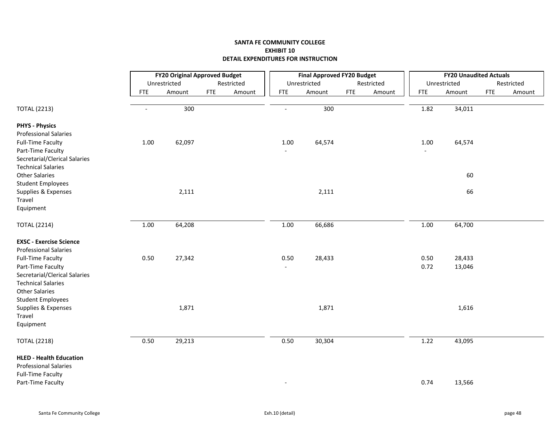|                                                                                            |                | <b>FY20 Original Approved Budget</b> |             |            |                        | <b>Final Approved FY20 Budget</b> |            |            |              | <b>FY20 Unaudited Actuals</b> |            |            |
|--------------------------------------------------------------------------------------------|----------------|--------------------------------------|-------------|------------|------------------------|-----------------------------------|------------|------------|--------------|-------------------------------|------------|------------|
|                                                                                            |                | Unrestricted                         |             | Restricted |                        | Unrestricted                      |            | Restricted |              | Unrestricted                  |            | Restricted |
|                                                                                            | <b>FTE</b>     | Amount                               | ${\sf FTE}$ | Amount     | <b>FTE</b>             | Amount                            | <b>FTE</b> | Amount     | <b>FTE</b>   | Amount                        | <b>FTE</b> | Amount     |
| <b>TOTAL (2213)</b>                                                                        | $\blacksquare$ | 300                                  |             |            | $\overline{a}$         | 300                               |            |            | 1.82         | 34,011                        |            |            |
| <b>PHYS - Physics</b>                                                                      |                |                                      |             |            |                        |                                   |            |            |              |                               |            |            |
| <b>Professional Salaries</b><br><b>Full-Time Faculty</b><br>Part-Time Faculty              | $1.00\,$       | 62,097                               |             |            | 1.00                   | 64,574                            |            |            | 1.00         | 64,574                        |            |            |
| Secretarial/Clerical Salaries<br><b>Technical Salaries</b><br><b>Other Salaries</b>        |                |                                      |             |            |                        |                                   |            |            |              | 60                            |            |            |
| <b>Student Employees</b><br>Supplies & Expenses<br>Travel                                  |                | 2,111                                |             |            |                        | 2,111                             |            |            |              | 66                            |            |            |
| Equipment                                                                                  |                |                                      |             |            |                        |                                   |            |            |              |                               |            |            |
| <b>TOTAL (2214)</b>                                                                        | $1.00\,$       | 64,208                               |             |            | 1.00                   | 66,686                            |            |            | 1.00         | 64,700                        |            |            |
| <b>EXSC - Exercise Science</b><br><b>Professional Salaries</b>                             |                |                                      |             |            |                        |                                   |            |            |              |                               |            |            |
| <b>Full-Time Faculty</b><br>Part-Time Faculty                                              | 0.50           | 27,342                               |             |            | 0.50<br>$\blacksquare$ | 28,433                            |            |            | 0.50<br>0.72 | 28,433<br>13,046              |            |            |
| Secretarial/Clerical Salaries<br><b>Technical Salaries</b>                                 |                |                                      |             |            |                        |                                   |            |            |              |                               |            |            |
| <b>Other Salaries</b><br><b>Student Employees</b>                                          |                |                                      |             |            |                        |                                   |            |            |              |                               |            |            |
| Supplies & Expenses<br>Travel                                                              |                | 1,871                                |             |            |                        | 1,871                             |            |            |              | 1,616                         |            |            |
| Equipment                                                                                  |                |                                      |             |            |                        |                                   |            |            |              |                               |            |            |
| <b>TOTAL (2218)</b>                                                                        | 0.50           | 29,213                               |             |            | 0.50                   | 30,304                            |            |            | 1.22         | 43,095                        |            |            |
| <b>HLED - Health Education</b><br><b>Professional Salaries</b><br><b>Full-Time Faculty</b> |                |                                      |             |            |                        |                                   |            |            |              |                               |            |            |
| Part-Time Faculty                                                                          |                |                                      |             |            |                        |                                   |            |            | 0.74         | 13,566                        |            |            |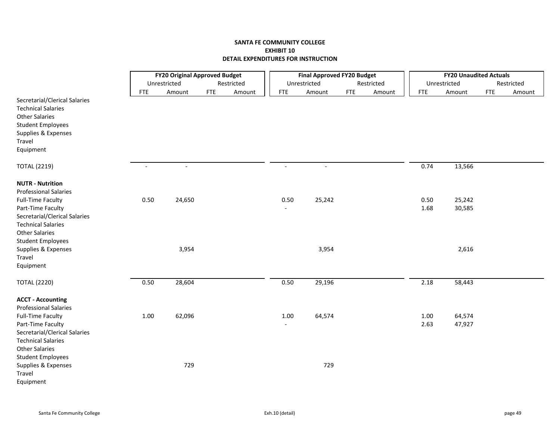|                                                                                     |                          | <b>FY20 Original Approved Budget</b> |            |            |                | <b>Final Approved FY20 Budget</b> |            |            |            | <b>FY20 Unaudited Actuals</b> |            |            |
|-------------------------------------------------------------------------------------|--------------------------|--------------------------------------|------------|------------|----------------|-----------------------------------|------------|------------|------------|-------------------------------|------------|------------|
|                                                                                     |                          | Unrestricted                         |            | Restricted |                | Unrestricted                      |            | Restricted |            | Unrestricted                  |            | Restricted |
|                                                                                     | <b>FTE</b>               | Amount                               | <b>FTE</b> | Amount     | <b>FTE</b>     | Amount                            | <b>FTE</b> | Amount     | <b>FTE</b> | Amount                        | <b>FTE</b> | Amount     |
| Secretarial/Clerical Salaries<br><b>Technical Salaries</b><br><b>Other Salaries</b> |                          |                                      |            |            |                |                                   |            |            |            |                               |            |            |
| <b>Student Employees</b>                                                            |                          |                                      |            |            |                |                                   |            |            |            |                               |            |            |
| Supplies & Expenses                                                                 |                          |                                      |            |            |                |                                   |            |            |            |                               |            |            |
| Travel                                                                              |                          |                                      |            |            |                |                                   |            |            |            |                               |            |            |
| Equipment                                                                           |                          |                                      |            |            |                |                                   |            |            |            |                               |            |            |
| <b>TOTAL (2219)</b>                                                                 | $\overline{\phantom{a}}$ | $\sim$                               |            |            | $\blacksquare$ | $\sim$                            |            |            | 0.74       | 13,566                        |            |            |
| <b>NUTR - Nutrition</b><br><b>Professional Salaries</b>                             |                          |                                      |            |            |                |                                   |            |            |            |                               |            |            |
| <b>Full-Time Faculty</b>                                                            | 0.50                     | 24,650                               |            |            | 0.50           | 25,242                            |            |            | 0.50       | 25,242                        |            |            |
| Part-Time Faculty                                                                   |                          |                                      |            |            |                |                                   |            |            | 1.68       | 30,585                        |            |            |
| Secretarial/Clerical Salaries                                                       |                          |                                      |            |            |                |                                   |            |            |            |                               |            |            |
| <b>Technical Salaries</b>                                                           |                          |                                      |            |            |                |                                   |            |            |            |                               |            |            |
| <b>Other Salaries</b>                                                               |                          |                                      |            |            |                |                                   |            |            |            |                               |            |            |
| <b>Student Employees</b>                                                            |                          |                                      |            |            |                |                                   |            |            |            |                               |            |            |
| Supplies & Expenses                                                                 |                          | 3,954                                |            |            |                | 3,954                             |            |            |            | 2,616                         |            |            |
| Travel                                                                              |                          |                                      |            |            |                |                                   |            |            |            |                               |            |            |
| Equipment                                                                           |                          |                                      |            |            |                |                                   |            |            |            |                               |            |            |
| <b>TOTAL (2220)</b>                                                                 | 0.50                     | 28,604                               |            |            | 0.50           | 29,196                            |            |            | 2.18       | 58,443                        |            |            |
| <b>ACCT - Accounting</b><br><b>Professional Salaries</b>                            |                          |                                      |            |            |                |                                   |            |            |            |                               |            |            |
| <b>Full-Time Faculty</b>                                                            | 1.00                     | 62,096                               |            |            | 1.00           | 64,574                            |            |            | $1.00\,$   | 64,574                        |            |            |
| Part-Time Faculty                                                                   |                          |                                      |            |            |                |                                   |            |            | 2.63       | 47,927                        |            |            |
| Secretarial/Clerical Salaries                                                       |                          |                                      |            |            |                |                                   |            |            |            |                               |            |            |
| <b>Technical Salaries</b>                                                           |                          |                                      |            |            |                |                                   |            |            |            |                               |            |            |
| <b>Other Salaries</b>                                                               |                          |                                      |            |            |                |                                   |            |            |            |                               |            |            |
| <b>Student Employees</b>                                                            |                          |                                      |            |            |                |                                   |            |            |            |                               |            |            |
| Supplies & Expenses                                                                 |                          | 729                                  |            |            |                | 729                               |            |            |            |                               |            |            |
| Travel                                                                              |                          |                                      |            |            |                |                                   |            |            |            |                               |            |            |
| Equipment                                                                           |                          |                                      |            |            |                |                                   |            |            |            |                               |            |            |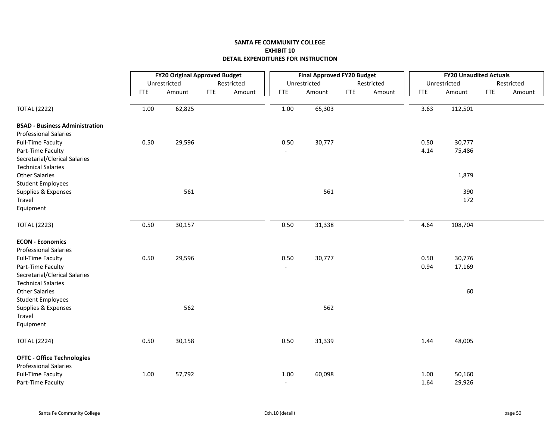|                                                         |            | <b>FY20 Original Approved Budget</b> |            |            |                          | <b>Final Approved FY20 Budget</b> |            |            |            | <b>FY20 Unaudited Actuals</b> |            |            |
|---------------------------------------------------------|------------|--------------------------------------|------------|------------|--------------------------|-----------------------------------|------------|------------|------------|-------------------------------|------------|------------|
|                                                         |            | Unrestricted                         |            | Restricted |                          | Unrestricted                      |            | Restricted |            | Unrestricted                  |            | Restricted |
|                                                         | <b>FTE</b> | Amount                               | <b>FTE</b> | Amount     | <b>FTE</b>               | Amount                            | <b>FTE</b> | Amount     | <b>FTE</b> | Amount                        | <b>FTE</b> | Amount     |
| <b>TOTAL (2222)</b>                                     | 1.00       | 62,825                               |            |            | $1.00\,$                 | 65,303                            |            |            | 3.63       | 112,501                       |            |            |
| <b>BSAD - Business Administration</b>                   |            |                                      |            |            |                          |                                   |            |            |            |                               |            |            |
| <b>Professional Salaries</b>                            |            |                                      |            |            |                          |                                   |            |            |            |                               |            |            |
| <b>Full-Time Faculty</b>                                | 0.50       | 29,596                               |            |            | 0.50                     | 30,777                            |            |            | 0.50       | 30,777                        |            |            |
| Part-Time Faculty                                       |            |                                      |            |            |                          |                                   |            |            | 4.14       | 75,486                        |            |            |
| Secretarial/Clerical Salaries                           |            |                                      |            |            |                          |                                   |            |            |            |                               |            |            |
| <b>Technical Salaries</b>                               |            |                                      |            |            |                          |                                   |            |            |            |                               |            |            |
| <b>Other Salaries</b>                                   |            |                                      |            |            |                          |                                   |            |            |            | 1,879                         |            |            |
| <b>Student Employees</b>                                |            |                                      |            |            |                          |                                   |            |            |            |                               |            |            |
| Supplies & Expenses                                     |            | 561                                  |            |            |                          | 561                               |            |            |            | 390                           |            |            |
| Travel                                                  |            |                                      |            |            |                          |                                   |            |            |            | 172                           |            |            |
| Equipment                                               |            |                                      |            |            |                          |                                   |            |            |            |                               |            |            |
| <b>TOTAL (2223)</b>                                     | 0.50       | 30,157                               |            |            | 0.50                     | 31,338                            |            |            | 4.64       | 108,704                       |            |            |
| <b>ECON - Economics</b><br><b>Professional Salaries</b> |            |                                      |            |            |                          |                                   |            |            |            |                               |            |            |
| <b>Full-Time Faculty</b>                                | 0.50       | 29,596                               |            |            | 0.50                     | 30,777                            |            |            | 0.50       | 30,776                        |            |            |
| Part-Time Faculty                                       |            |                                      |            |            | $\overline{\phantom{a}}$ |                                   |            |            | 0.94       | 17,169                        |            |            |
| Secretarial/Clerical Salaries                           |            |                                      |            |            |                          |                                   |            |            |            |                               |            |            |
| <b>Technical Salaries</b>                               |            |                                      |            |            |                          |                                   |            |            |            |                               |            |            |
| <b>Other Salaries</b>                                   |            |                                      |            |            |                          |                                   |            |            |            | 60                            |            |            |
| <b>Student Employees</b>                                |            |                                      |            |            |                          |                                   |            |            |            |                               |            |            |
| Supplies & Expenses                                     |            | 562                                  |            |            |                          | 562                               |            |            |            |                               |            |            |
| Travel                                                  |            |                                      |            |            |                          |                                   |            |            |            |                               |            |            |
| Equipment                                               |            |                                      |            |            |                          |                                   |            |            |            |                               |            |            |
| <b>TOTAL (2224)</b>                                     | 0.50       | 30,158                               |            |            | 0.50                     | 31,339                            |            |            | 1.44       | 48,005                        |            |            |
| <b>OFTC - Office Technologies</b>                       |            |                                      |            |            |                          |                                   |            |            |            |                               |            |            |
| <b>Professional Salaries</b>                            |            |                                      |            |            |                          |                                   |            |            |            |                               |            |            |
| <b>Full-Time Faculty</b>                                | 1.00       | 57,792                               |            |            | $1.00\,$                 | 60,098                            |            |            | 1.00       | 50,160                        |            |            |
| Part-Time Faculty                                       |            |                                      |            |            | $\overline{\phantom{a}}$ |                                   |            |            | 1.64       | 29,926                        |            |            |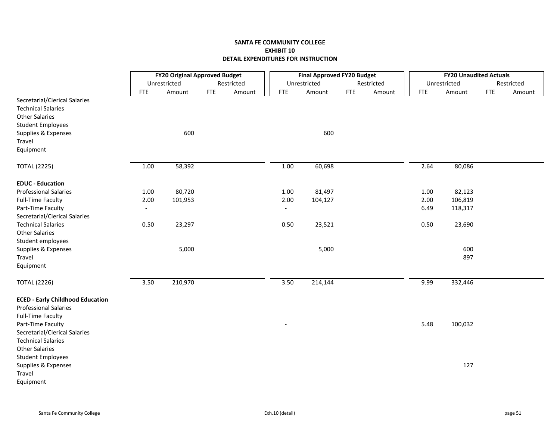|                                                            |                          | <b>FY20 Original Approved Budget</b> |            |            |                          | <b>Final Approved FY20 Budget</b> |            |            |            |      | <b>FY20 Unaudited Actuals</b> |            |            |
|------------------------------------------------------------|--------------------------|--------------------------------------|------------|------------|--------------------------|-----------------------------------|------------|------------|------------|------|-------------------------------|------------|------------|
|                                                            |                          | Unrestricted                         |            | Restricted |                          | Unrestricted                      |            | Restricted |            |      | Unrestricted                  |            | Restricted |
|                                                            | <b>FTE</b>               | Amount                               | <b>FTE</b> | Amount     | <b>FTE</b>               | Amount                            | <b>FTE</b> | Amount     | <b>FTE</b> |      | Amount                        | <b>FTE</b> | Amount     |
| Secretarial/Clerical Salaries<br><b>Technical Salaries</b> |                          |                                      |            |            |                          |                                   |            |            |            |      |                               |            |            |
| <b>Other Salaries</b>                                      |                          |                                      |            |            |                          |                                   |            |            |            |      |                               |            |            |
| <b>Student Employees</b>                                   |                          |                                      |            |            |                          |                                   |            |            |            |      |                               |            |            |
| Supplies & Expenses                                        |                          | 600                                  |            |            |                          | 600                               |            |            |            |      |                               |            |            |
| Travel                                                     |                          |                                      |            |            |                          |                                   |            |            |            |      |                               |            |            |
| Equipment                                                  |                          |                                      |            |            |                          |                                   |            |            |            |      |                               |            |            |
| <b>TOTAL (2225)</b>                                        | 1.00                     | 58,392                               |            |            | 1.00                     | 60,698                            |            |            |            | 2.64 | 80,086                        |            |            |
| <b>EDUC - Education</b>                                    |                          |                                      |            |            |                          |                                   |            |            |            |      |                               |            |            |
| <b>Professional Salaries</b>                               | 1.00                     | 80,720                               |            |            | 1.00                     | 81,497                            |            |            |            | 1.00 | 82,123                        |            |            |
| Full-Time Faculty                                          | 2.00                     | 101,953                              |            |            | 2.00                     | 104,127                           |            |            |            | 2.00 | 106,819                       |            |            |
| Part-Time Faculty                                          | $\overline{\phantom{a}}$ |                                      |            |            | $\overline{\phantom{a}}$ |                                   |            |            |            | 6.49 | 118,317                       |            |            |
| Secretarial/Clerical Salaries                              |                          |                                      |            |            |                          |                                   |            |            |            |      |                               |            |            |
| <b>Technical Salaries</b>                                  | 0.50                     | 23,297                               |            |            | 0.50                     | 23,521                            |            |            |            | 0.50 | 23,690                        |            |            |
| <b>Other Salaries</b>                                      |                          |                                      |            |            |                          |                                   |            |            |            |      |                               |            |            |
| Student employees                                          |                          |                                      |            |            |                          |                                   |            |            |            |      |                               |            |            |
| Supplies & Expenses                                        |                          | 5,000                                |            |            |                          | 5,000                             |            |            |            |      | 600                           |            |            |
| Travel                                                     |                          |                                      |            |            |                          |                                   |            |            |            |      | 897                           |            |            |
| Equipment                                                  |                          |                                      |            |            |                          |                                   |            |            |            |      |                               |            |            |
| <b>TOTAL (2226)</b>                                        | 3.50                     | 210,970                              |            |            | 3.50                     | 214,144                           |            |            |            | 9.99 | 332,446                       |            |            |
| <b>ECED - Early Childhood Education</b>                    |                          |                                      |            |            |                          |                                   |            |            |            |      |                               |            |            |
| <b>Professional Salaries</b>                               |                          |                                      |            |            |                          |                                   |            |            |            |      |                               |            |            |
| <b>Full-Time Faculty</b>                                   |                          |                                      |            |            |                          |                                   |            |            |            |      |                               |            |            |
| Part-Time Faculty                                          |                          |                                      |            |            |                          |                                   |            |            |            | 5.48 | 100,032                       |            |            |
| Secretarial/Clerical Salaries                              |                          |                                      |            |            |                          |                                   |            |            |            |      |                               |            |            |
| <b>Technical Salaries</b>                                  |                          |                                      |            |            |                          |                                   |            |            |            |      |                               |            |            |
| <b>Other Salaries</b>                                      |                          |                                      |            |            |                          |                                   |            |            |            |      |                               |            |            |
| <b>Student Employees</b><br>Supplies & Expenses            |                          |                                      |            |            |                          |                                   |            |            |            |      | 127                           |            |            |
| Travel                                                     |                          |                                      |            |            |                          |                                   |            |            |            |      |                               |            |            |
| Equipment                                                  |                          |                                      |            |            |                          |                                   |            |            |            |      |                               |            |            |
|                                                            |                          |                                      |            |            |                          |                                   |            |            |            |      |                               |            |            |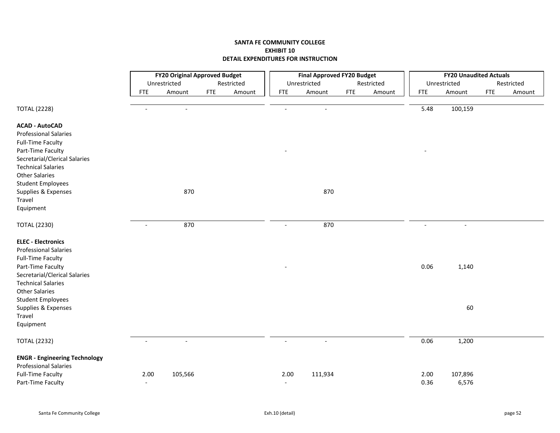|                                      |                          | <b>FY20 Original Approved Budget</b> |            |            |                | <b>Final Approved FY20 Budget</b> |            |            |                | <b>FY20 Unaudited Actuals</b> |     |            |
|--------------------------------------|--------------------------|--------------------------------------|------------|------------|----------------|-----------------------------------|------------|------------|----------------|-------------------------------|-----|------------|
|                                      |                          | Unrestricted                         |            | Restricted |                | Unrestricted                      |            | Restricted |                | Unrestricted                  |     | Restricted |
|                                      | <b>FTE</b>               | Amount                               | <b>FTE</b> | Amount     | <b>FTE</b>     | Amount                            | <b>FTE</b> | Amount     | <b>FTE</b>     | Amount                        | FTE | Amount     |
|                                      | $\overline{\phantom{a}}$ | $\blacksquare$                       |            |            | $\blacksquare$ |                                   |            |            | 5.48           |                               |     |            |
| <b>TOTAL (2228)</b>                  |                          |                                      |            |            |                | $\overline{\phantom{a}}$          |            |            |                | 100,159                       |     |            |
| <b>ACAD - AutoCAD</b>                |                          |                                      |            |            |                |                                   |            |            |                |                               |     |            |
| <b>Professional Salaries</b>         |                          |                                      |            |            |                |                                   |            |            |                |                               |     |            |
| <b>Full-Time Faculty</b>             |                          |                                      |            |            |                |                                   |            |            |                |                               |     |            |
| Part-Time Faculty                    |                          |                                      |            |            |                |                                   |            |            |                |                               |     |            |
| Secretarial/Clerical Salaries        |                          |                                      |            |            |                |                                   |            |            |                |                               |     |            |
| <b>Technical Salaries</b>            |                          |                                      |            |            |                |                                   |            |            |                |                               |     |            |
| <b>Other Salaries</b>                |                          |                                      |            |            |                |                                   |            |            |                |                               |     |            |
| <b>Student Employees</b>             |                          |                                      |            |            |                |                                   |            |            |                |                               |     |            |
| Supplies & Expenses                  |                          | 870                                  |            |            |                | 870                               |            |            |                |                               |     |            |
| Travel                               |                          |                                      |            |            |                |                                   |            |            |                |                               |     |            |
| Equipment                            |                          |                                      |            |            |                |                                   |            |            |                |                               |     |            |
| <b>TOTAL (2230)</b>                  | $\blacksquare$           | 870                                  |            |            | $\blacksquare$ | 870                               |            |            | $\overline{a}$ | $\overline{a}$                |     |            |
| <b>ELEC - Electronics</b>            |                          |                                      |            |            |                |                                   |            |            |                |                               |     |            |
| <b>Professional Salaries</b>         |                          |                                      |            |            |                |                                   |            |            |                |                               |     |            |
| <b>Full-Time Faculty</b>             |                          |                                      |            |            |                |                                   |            |            |                |                               |     |            |
| Part-Time Faculty                    |                          |                                      |            |            |                |                                   |            |            | 0.06           | 1,140                         |     |            |
| Secretarial/Clerical Salaries        |                          |                                      |            |            |                |                                   |            |            |                |                               |     |            |
| <b>Technical Salaries</b>            |                          |                                      |            |            |                |                                   |            |            |                |                               |     |            |
| <b>Other Salaries</b>                |                          |                                      |            |            |                |                                   |            |            |                |                               |     |            |
| <b>Student Employees</b>             |                          |                                      |            |            |                |                                   |            |            |                |                               |     |            |
| Supplies & Expenses                  |                          |                                      |            |            |                |                                   |            |            |                | 60                            |     |            |
| Travel                               |                          |                                      |            |            |                |                                   |            |            |                |                               |     |            |
| Equipment                            |                          |                                      |            |            |                |                                   |            |            |                |                               |     |            |
| <b>TOTAL (2232)</b>                  | $\overline{\phantom{a}}$ | $\blacksquare$                       |            |            | $\overline{a}$ | $\blacksquare$                    |            |            | 0.06           | 1,200                         |     |            |
| <b>ENGR - Engineering Technology</b> |                          |                                      |            |            |                |                                   |            |            |                |                               |     |            |
| <b>Professional Salaries</b>         |                          |                                      |            |            |                |                                   |            |            |                |                               |     |            |
| <b>Full-Time Faculty</b>             | 2.00                     | 105,566                              |            |            | 2.00           | 111,934                           |            |            | 2.00           | 107,896                       |     |            |
| Part-Time Faculty                    | $\overline{\phantom{a}}$ |                                      |            |            | $\sim$         |                                   |            |            | 0.36           | 6,576                         |     |            |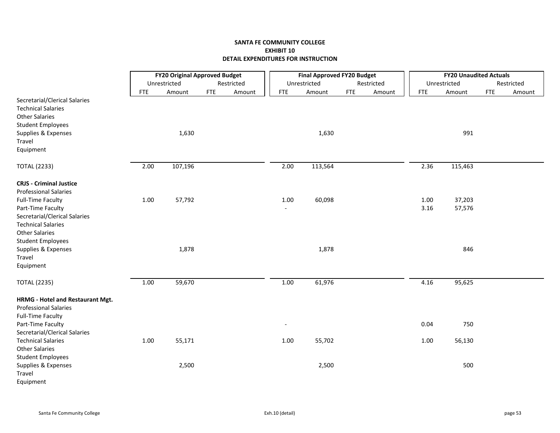|                                                                                                                                        |            | <b>FY20 Original Approved Budget</b> |            |            |            | <b>Final Approved FY20 Budget</b> |            |            |            | <b>FY20 Unaudited Actuals</b> |            |            |
|----------------------------------------------------------------------------------------------------------------------------------------|------------|--------------------------------------|------------|------------|------------|-----------------------------------|------------|------------|------------|-------------------------------|------------|------------|
|                                                                                                                                        |            | Unrestricted                         |            | Restricted |            | Unrestricted                      |            | Restricted |            | Unrestricted                  |            | Restricted |
|                                                                                                                                        | <b>FTE</b> | Amount                               | <b>FTE</b> | Amount     | <b>FTE</b> | Amount                            | <b>FTE</b> | Amount     | <b>FTE</b> | Amount                        | <b>FTE</b> | Amount     |
| Secretarial/Clerical Salaries<br><b>Technical Salaries</b><br><b>Other Salaries</b><br><b>Student Employees</b><br>Supplies & Expenses |            | 1,630                                |            |            |            | 1,630                             |            |            |            | 991                           |            |            |
| Travel                                                                                                                                 |            |                                      |            |            |            |                                   |            |            |            |                               |            |            |
| Equipment                                                                                                                              |            |                                      |            |            |            |                                   |            |            |            |                               |            |            |
| <b>TOTAL (2233)</b>                                                                                                                    | 2.00       | 107,196                              |            |            | 2.00       | 113,564                           |            |            | 2.36       | 115,463                       |            |            |
| <b>CRJS - Criminal Justice</b><br><b>Professional Salaries</b>                                                                         |            |                                      |            |            |            |                                   |            |            |            |                               |            |            |
| <b>Full-Time Faculty</b>                                                                                                               | $1.00\,$   | 57,792                               |            |            | 1.00       | 60,098                            |            |            | 1.00       | 37,203                        |            |            |
| Part-Time Faculty                                                                                                                      |            |                                      |            |            |            |                                   |            |            | 3.16       | 57,576                        |            |            |
| Secretarial/Clerical Salaries<br><b>Technical Salaries</b><br><b>Other Salaries</b>                                                    |            |                                      |            |            |            |                                   |            |            |            |                               |            |            |
| <b>Student Employees</b>                                                                                                               |            |                                      |            |            |            |                                   |            |            |            |                               |            |            |
| Supplies & Expenses                                                                                                                    |            | 1,878                                |            |            |            | 1,878                             |            |            |            | 846                           |            |            |
| Travel                                                                                                                                 |            |                                      |            |            |            |                                   |            |            |            |                               |            |            |
| Equipment                                                                                                                              |            |                                      |            |            |            |                                   |            |            |            |                               |            |            |
| <b>TOTAL (2235)</b>                                                                                                                    | 1.00       | 59,670                               |            |            | 1.00       | 61,976                            |            |            | 4.16       | 95,625                        |            |            |
| HRMG - Hotel and Restaurant Mgt.<br><b>Professional Salaries</b><br><b>Full-Time Faculty</b>                                           |            |                                      |            |            |            |                                   |            |            |            |                               |            |            |
| Part-Time Faculty                                                                                                                      |            |                                      |            |            |            |                                   |            |            | 0.04       | 750                           |            |            |
| Secretarial/Clerical Salaries                                                                                                          |            |                                      |            |            |            |                                   |            |            |            |                               |            |            |
| <b>Technical Salaries</b>                                                                                                              | 1.00       | 55,171                               |            |            | 1.00       | 55,702                            |            |            | 1.00       | 56,130                        |            |            |
| <b>Other Salaries</b>                                                                                                                  |            |                                      |            |            |            |                                   |            |            |            |                               |            |            |
| <b>Student Employees</b>                                                                                                               |            |                                      |            |            |            |                                   |            |            |            |                               |            |            |
| Supplies & Expenses                                                                                                                    |            | 2,500                                |            |            |            | 2,500                             |            |            |            | 500                           |            |            |
| Travel                                                                                                                                 |            |                                      |            |            |            |                                   |            |            |            |                               |            |            |
| Equipment                                                                                                                              |            |                                      |            |            |            |                                   |            |            |            |                               |            |            |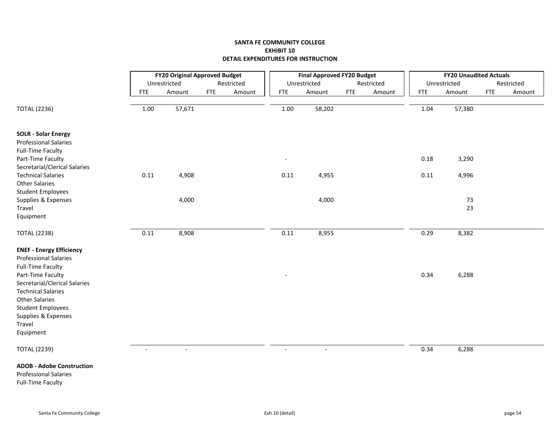|                                                    |                          | <b>FY20 Original Approved Budget</b> |            |            |                          | <b>Final Approved FY20 Budget</b> |            |            |            | <b>FY20 Unaudited Actuals</b> |            |            |
|----------------------------------------------------|--------------------------|--------------------------------------|------------|------------|--------------------------|-----------------------------------|------------|------------|------------|-------------------------------|------------|------------|
|                                                    |                          | Unrestricted                         |            | Restricted |                          | Unrestricted                      |            | Restricted |            | Unrestricted                  |            | Restricted |
|                                                    | <b>FTE</b>               | Amount                               | <b>FTE</b> | Amount     | <b>FTE</b>               | Amount                            | <b>FTE</b> | Amount     | <b>FTE</b> | Amount                        | <b>FTE</b> | Amount     |
| <b>TOTAL (2236)</b>                                | 1.00                     | 57,671                               |            |            | 1.00                     | 58,202                            |            |            | 1.04       | 57,380                        |            |            |
| <b>SOLR - Solar Energy</b>                         |                          |                                      |            |            |                          |                                   |            |            |            |                               |            |            |
| <b>Professional Salaries</b>                       |                          |                                      |            |            |                          |                                   |            |            |            |                               |            |            |
| <b>Full-Time Faculty</b>                           |                          |                                      |            |            |                          |                                   |            |            |            |                               |            |            |
| Part-Time Faculty<br>Secretarial/Clerical Salaries |                          |                                      |            |            | $\overline{\phantom{0}}$ |                                   |            |            | 0.18       | 3,290                         |            |            |
| <b>Technical Salaries</b>                          | 0.11                     | 4,908                                |            |            | 0.11                     | 4,955                             |            |            | 0.11       | 4,996                         |            |            |
| <b>Other Salaries</b>                              |                          |                                      |            |            |                          |                                   |            |            |            |                               |            |            |
| <b>Student Employees</b>                           |                          |                                      |            |            |                          |                                   |            |            |            |                               |            |            |
| Supplies & Expenses                                |                          | 4,000                                |            |            |                          | 4,000                             |            |            |            | 73                            |            |            |
| Travel                                             |                          |                                      |            |            |                          |                                   |            |            |            | 23                            |            |            |
| Equipment                                          |                          |                                      |            |            |                          |                                   |            |            |            |                               |            |            |
| <b>TOTAL (2238)</b>                                | 0.11                     | 8,908                                |            |            | 0.11                     | 8,955                             |            |            | 0.29       | 8,382                         |            |            |
| <b>ENEF - Energy Efficiency</b>                    |                          |                                      |            |            |                          |                                   |            |            |            |                               |            |            |
| <b>Professional Salaries</b>                       |                          |                                      |            |            |                          |                                   |            |            |            |                               |            |            |
| <b>Full-Time Faculty</b>                           |                          |                                      |            |            |                          |                                   |            |            |            |                               |            |            |
| Part-Time Faculty                                  |                          |                                      |            |            |                          |                                   |            |            | 0.34       | 6,288                         |            |            |
| Secretarial/Clerical Salaries                      |                          |                                      |            |            |                          |                                   |            |            |            |                               |            |            |
| <b>Technical Salaries</b><br><b>Other Salaries</b> |                          |                                      |            |            |                          |                                   |            |            |            |                               |            |            |
| <b>Student Employees</b>                           |                          |                                      |            |            |                          |                                   |            |            |            |                               |            |            |
| Supplies & Expenses                                |                          |                                      |            |            |                          |                                   |            |            |            |                               |            |            |
| Travel                                             |                          |                                      |            |            |                          |                                   |            |            |            |                               |            |            |
| Equipment                                          |                          |                                      |            |            |                          |                                   |            |            |            |                               |            |            |
| <b>TOTAL (2239)</b>                                | $\overline{\phantom{a}}$ | $\blacksquare$                       |            |            | $\sim$                   | $\blacksquare$                    |            |            | 0.34       | 6,288                         |            |            |
| <b>ADOB - Adobe Construction</b>                   |                          |                                      |            |            |                          |                                   |            |            |            |                               |            |            |
| <b>Professional Salaries</b>                       |                          |                                      |            |            |                          |                                   |            |            |            |                               |            |            |
| <b>Full-Time Faculty</b>                           |                          |                                      |            |            |                          |                                   |            |            |            |                               |            |            |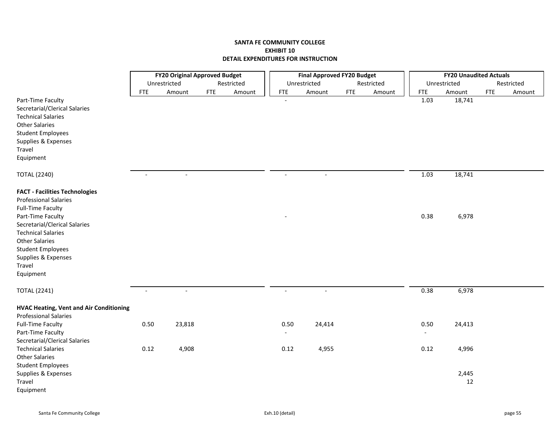|                                                |                | <b>FY20 Original Approved Budget</b> |            |            |                | <b>Final Approved FY20 Budget</b> |            |            |            | <b>FY20 Unaudited Actuals</b> |            |            |
|------------------------------------------------|----------------|--------------------------------------|------------|------------|----------------|-----------------------------------|------------|------------|------------|-------------------------------|------------|------------|
|                                                |                | Unrestricted                         |            | Restricted |                | Unrestricted                      |            | Restricted |            | Unrestricted                  |            | Restricted |
|                                                | <b>FTE</b>     | Amount                               | <b>FTE</b> | Amount     | <b>FTE</b>     | Amount                            | <b>FTE</b> | Amount     | <b>FTE</b> | Amount                        | <b>FTE</b> | Amount     |
| Part-Time Faculty                              |                |                                      |            |            |                |                                   |            |            | 1.03       | 18,741                        |            |            |
| Secretarial/Clerical Salaries                  |                |                                      |            |            |                |                                   |            |            |            |                               |            |            |
| <b>Technical Salaries</b>                      |                |                                      |            |            |                |                                   |            |            |            |                               |            |            |
| <b>Other Salaries</b>                          |                |                                      |            |            |                |                                   |            |            |            |                               |            |            |
| <b>Student Employees</b>                       |                |                                      |            |            |                |                                   |            |            |            |                               |            |            |
| Supplies & Expenses                            |                |                                      |            |            |                |                                   |            |            |            |                               |            |            |
| Travel                                         |                |                                      |            |            |                |                                   |            |            |            |                               |            |            |
| Equipment                                      |                |                                      |            |            |                |                                   |            |            |            |                               |            |            |
| <b>TOTAL (2240)</b>                            | $\blacksquare$ | $\overline{\phantom{a}}$             |            |            | $\overline{a}$ | $\sim$                            |            |            | 1.03       | 18,741                        |            |            |
| <b>FACT - Facilities Technologies</b>          |                |                                      |            |            |                |                                   |            |            |            |                               |            |            |
| <b>Professional Salaries</b>                   |                |                                      |            |            |                |                                   |            |            |            |                               |            |            |
| <b>Full-Time Faculty</b>                       |                |                                      |            |            |                |                                   |            |            |            |                               |            |            |
| Part-Time Faculty                              |                |                                      |            |            |                |                                   |            |            | 0.38       | 6,978                         |            |            |
| Secretarial/Clerical Salaries                  |                |                                      |            |            |                |                                   |            |            |            |                               |            |            |
| <b>Technical Salaries</b>                      |                |                                      |            |            |                |                                   |            |            |            |                               |            |            |
| <b>Other Salaries</b>                          |                |                                      |            |            |                |                                   |            |            |            |                               |            |            |
| <b>Student Employees</b>                       |                |                                      |            |            |                |                                   |            |            |            |                               |            |            |
| Supplies & Expenses                            |                |                                      |            |            |                |                                   |            |            |            |                               |            |            |
| Travel                                         |                |                                      |            |            |                |                                   |            |            |            |                               |            |            |
| Equipment                                      |                |                                      |            |            |                |                                   |            |            |            |                               |            |            |
| <b>TOTAL (2241)</b>                            | $\overline{a}$ | $\overline{\phantom{a}}$             |            |            |                |                                   |            |            | 0.38       | 6,978                         |            |            |
|                                                |                |                                      |            |            |                |                                   |            |            |            |                               |            |            |
| <b>HVAC Heating, Vent and Air Conditioning</b> |                |                                      |            |            |                |                                   |            |            |            |                               |            |            |
| <b>Professional Salaries</b>                   |                |                                      |            |            |                |                                   |            |            |            |                               |            |            |
| <b>Full-Time Faculty</b>                       | 0.50           | 23,818                               |            |            | 0.50           | 24,414                            |            |            | 0.50       | 24,413                        |            |            |
| Part-Time Faculty                              |                |                                      |            |            |                |                                   |            |            |            |                               |            |            |
| Secretarial/Clerical Salaries                  |                |                                      |            |            |                |                                   |            |            |            |                               |            |            |
| <b>Technical Salaries</b>                      | 0.12           | 4,908                                |            |            | 0.12           | 4,955                             |            |            | 0.12       | 4,996                         |            |            |
| <b>Other Salaries</b>                          |                |                                      |            |            |                |                                   |            |            |            |                               |            |            |
| <b>Student Employees</b>                       |                |                                      |            |            |                |                                   |            |            |            |                               |            |            |
| Supplies & Expenses                            |                |                                      |            |            |                |                                   |            |            |            | 2,445                         |            |            |
| Travel                                         |                |                                      |            |            |                |                                   |            |            |            | 12                            |            |            |
| Equipment                                      |                |                                      |            |            |                |                                   |            |            |            |                               |            |            |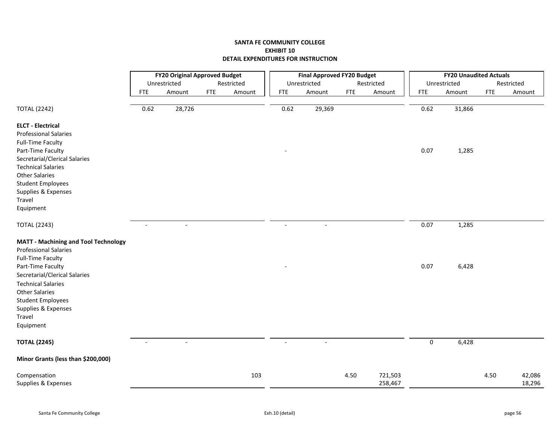|                                             |                          | <b>FY20 Original Approved Budget</b> |            |            |            | <b>Final Approved FY20 Budget</b> |            |            |            | <b>FY20 Unaudited Actuals</b> |            |            |
|---------------------------------------------|--------------------------|--------------------------------------|------------|------------|------------|-----------------------------------|------------|------------|------------|-------------------------------|------------|------------|
|                                             |                          | Unrestricted                         |            | Restricted |            | Unrestricted                      |            | Restricted |            | Unrestricted                  |            | Restricted |
|                                             | <b>FTE</b>               | Amount                               | <b>FTE</b> | Amount     | <b>FTE</b> | Amount                            | <b>FTE</b> | Amount     | <b>FTE</b> | Amount                        | <b>FTE</b> | Amount     |
| <b>TOTAL (2242)</b>                         | 0.62                     | $\overline{28,726}$                  |            |            | 0.62       | 29,369                            |            |            | 0.62       | 31,866                        |            |            |
| <b>ELCT - Electrical</b>                    |                          |                                      |            |            |            |                                   |            |            |            |                               |            |            |
| <b>Professional Salaries</b>                |                          |                                      |            |            |            |                                   |            |            |            |                               |            |            |
| <b>Full-Time Faculty</b>                    |                          |                                      |            |            |            |                                   |            |            |            |                               |            |            |
| Part-Time Faculty                           |                          |                                      |            |            |            |                                   |            |            | 0.07       | 1,285                         |            |            |
| Secretarial/Clerical Salaries               |                          |                                      |            |            |            |                                   |            |            |            |                               |            |            |
| <b>Technical Salaries</b>                   |                          |                                      |            |            |            |                                   |            |            |            |                               |            |            |
| <b>Other Salaries</b>                       |                          |                                      |            |            |            |                                   |            |            |            |                               |            |            |
| <b>Student Employees</b>                    |                          |                                      |            |            |            |                                   |            |            |            |                               |            |            |
| Supplies & Expenses                         |                          |                                      |            |            |            |                                   |            |            |            |                               |            |            |
| Travel                                      |                          |                                      |            |            |            |                                   |            |            |            |                               |            |            |
| Equipment                                   |                          |                                      |            |            |            |                                   |            |            |            |                               |            |            |
| <b>TOTAL (2243)</b>                         | $\overline{\phantom{a}}$ | $\overline{\phantom{a}}$             |            |            | $\sim$     | $\overline{\phantom{a}}$          |            |            | 0.07       | 1,285                         |            |            |
| <b>MATT - Machining and Tool Technology</b> |                          |                                      |            |            |            |                                   |            |            |            |                               |            |            |
| <b>Professional Salaries</b>                |                          |                                      |            |            |            |                                   |            |            |            |                               |            |            |
| <b>Full-Time Faculty</b>                    |                          |                                      |            |            |            |                                   |            |            |            |                               |            |            |
| Part-Time Faculty                           |                          |                                      |            |            |            |                                   |            |            | 0.07       | 6,428                         |            |            |
| Secretarial/Clerical Salaries               |                          |                                      |            |            |            |                                   |            |            |            |                               |            |            |
| <b>Technical Salaries</b>                   |                          |                                      |            |            |            |                                   |            |            |            |                               |            |            |
| <b>Other Salaries</b>                       |                          |                                      |            |            |            |                                   |            |            |            |                               |            |            |
| <b>Student Employees</b>                    |                          |                                      |            |            |            |                                   |            |            |            |                               |            |            |
| Supplies & Expenses                         |                          |                                      |            |            |            |                                   |            |            |            |                               |            |            |
| Travel                                      |                          |                                      |            |            |            |                                   |            |            |            |                               |            |            |
| Equipment                                   |                          |                                      |            |            |            |                                   |            |            |            |                               |            |            |
| <b>TOTAL (2245)</b>                         | $\overline{a}$           | $\overline{a}$                       |            |            |            | $\overline{a}$                    |            |            | 0          | 6,428                         |            |            |
| Minor Grants (less than \$200,000)          |                          |                                      |            |            |            |                                   |            |            |            |                               |            |            |
| Compensation                                |                          |                                      |            | 103        |            |                                   | 4.50       | 721,503    |            |                               | 4.50       | 42,086     |
| Supplies & Expenses                         |                          |                                      |            |            |            |                                   |            | 258,467    |            |                               |            | 18,296     |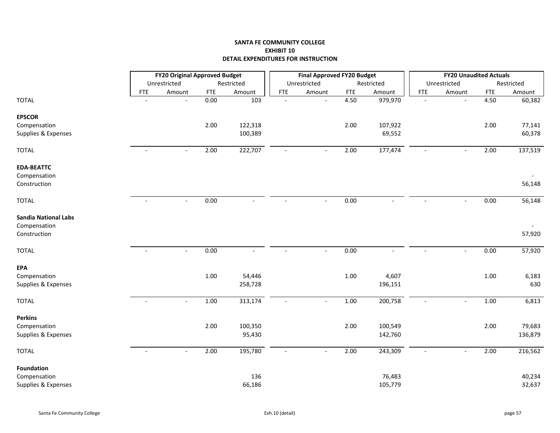|                                             |            | <b>FY20 Original Approved Budget</b> |            |                 |                          | <b>Final Approved FY20 Budget</b> |            |                          |                | <b>FY20 Unaudited Actuals</b> |             |            |
|---------------------------------------------|------------|--------------------------------------|------------|-----------------|--------------------------|-----------------------------------|------------|--------------------------|----------------|-------------------------------|-------------|------------|
|                                             |            | Unrestricted                         |            | Restricted      |                          | Unrestricted                      |            | Restricted               |                | Unrestricted                  |             | Restricted |
|                                             | <b>FTE</b> | Amount                               | <b>FTE</b> | Amount          | <b>FTE</b>               | Amount                            | <b>FTE</b> | Amount                   | <b>FTE</b>     | Amount                        | ${\sf FTE}$ | Amount     |
| <b>TOTAL</b>                                |            |                                      | 0.00       | $\frac{103}{2}$ | $\overline{\phantom{a}}$ |                                   | 4.50       | 979,970                  |                |                               | 4.50        | 60,382     |
| <b>EPSCOR</b>                               |            |                                      |            |                 |                          |                                   |            |                          |                |                               |             |            |
| Compensation                                |            |                                      | 2.00       | 122,318         |                          |                                   | 2.00       | 107,922                  |                |                               | 2.00        | 77,141     |
| Supplies & Expenses                         |            |                                      |            | 100,389         |                          |                                   |            | 69,552                   |                |                               |             | 60,378     |
| <b>TOTAL</b>                                |            | $\blacksquare$                       | 2.00       | 222,707         | $\blacksquare$           | $\sim$                            | 2.00       | 177,474                  |                | $\overline{\phantom{a}}$      | 2.00        | 137,519    |
| <b>EDA-BEATTC</b>                           |            |                                      |            |                 |                          |                                   |            |                          |                |                               |             |            |
| Compensation                                |            |                                      |            |                 |                          |                                   |            |                          |                |                               |             |            |
| Construction                                |            |                                      |            |                 |                          |                                   |            |                          |                |                               |             | 56,148     |
| <b>TOTAL</b>                                |            | $\blacksquare$                       | 0.00       |                 | $\sim$                   | $\sim$                            | 0.00       |                          | $\blacksquare$ | $\overline{\phantom{a}}$      | 0.00        | 56,148     |
| <b>Sandia National Labs</b><br>Compensation |            |                                      |            |                 |                          |                                   |            |                          |                |                               |             |            |
| Construction                                |            |                                      |            |                 |                          |                                   |            |                          |                |                               |             | 57,920     |
|                                             |            |                                      |            |                 |                          |                                   |            |                          |                |                               |             |            |
| <b>TOTAL</b>                                |            | $\blacksquare$                       | 0.00       |                 | $\overline{\phantom{a}}$ | $\blacksquare$                    | 0.00       | $\overline{\phantom{a}}$ | $\blacksquare$ | $\overline{\phantom{a}}$      | 0.00        | 57,920     |
| <b>EPA</b>                                  |            |                                      |            |                 |                          |                                   |            |                          |                |                               |             |            |
| Compensation                                |            |                                      | 1.00       | 54,446          |                          |                                   | $1.00\,$   | 4,607                    |                |                               | 1.00        | 6,183      |
| Supplies & Expenses                         |            |                                      |            | 258,728         |                          |                                   |            | 196,151                  |                |                               |             | 630        |
| <b>TOTAL</b>                                |            |                                      | $1.00\,$   | 313,174         | $\overline{\phantom{a}}$ |                                   | 1.00       | 200,758                  |                |                               | 1.00        | 6,813      |
| <b>Perkins</b>                              |            |                                      |            |                 |                          |                                   |            |                          |                |                               |             |            |
| Compensation                                |            |                                      | 2.00       | 100,350         |                          |                                   | 2.00       | 100,549                  |                |                               | 2.00        | 79,683     |
| Supplies & Expenses                         |            |                                      |            | 95,430          |                          |                                   |            | 142,760                  |                |                               |             | 136,879    |
| <b>TOTAL</b>                                |            |                                      | 2.00       | 195,780         |                          |                                   | 2.00       | 243,309                  |                |                               | 2.00        | 216,562    |
| <b>Foundation</b>                           |            |                                      |            |                 |                          |                                   |            |                          |                |                               |             |            |
| Compensation                                |            |                                      |            | 136             |                          |                                   |            | 76,483                   |                |                               |             | 40,234     |
| Supplies & Expenses                         |            |                                      |            | 66,186          |                          |                                   |            | 105,779                  |                |                               |             | 32,637     |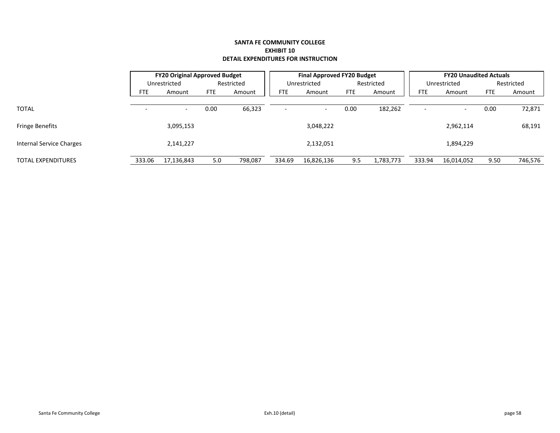|        |                          |                                                      |         |                                                              |                          |                                        |           |                                                            |                          |                                        | Restricted                    |
|--------|--------------------------|------------------------------------------------------|---------|--------------------------------------------------------------|--------------------------|----------------------------------------|-----------|------------------------------------------------------------|--------------------------|----------------------------------------|-------------------------------|
| FTE.   | Amount                   | <b>FTE</b>                                           | Amount  | <b>FTE</b>                                                   | Amount                   | FTE                                    | Amount    | FTE                                                        | Amount                   | <b>FTE</b>                             | Amount                        |
|        |                          |                                                      |         |                                                              |                          |                                        |           |                                                            |                          |                                        |                               |
|        | $\overline{\phantom{a}}$ | 0.00                                                 |         |                                                              | $\overline{\phantom{0}}$ | 0.00                                   |           |                                                            | $\overline{\phantom{0}}$ | 0.00                                   | 72,871                        |
|        |                          |                                                      |         |                                                              |                          |                                        |           |                                                            |                          |                                        |                               |
|        |                          |                                                      |         |                                                              |                          |                                        |           |                                                            |                          |                                        | 68,191                        |
|        |                          |                                                      |         |                                                              |                          |                                        |           |                                                            |                          |                                        |                               |
|        |                          |                                                      |         |                                                              |                          |                                        |           |                                                            |                          |                                        |                               |
| 333.06 |                          | 5.0                                                  | 798,087 | 334.69                                                       | 16,826,136               | 9.5                                    | 1,783,773 | 333.94                                                     | 16,014,052               | 9.50                                   | 746,576                       |
|        |                          | Unrestricted<br>3,095,153<br>2,141,227<br>17,136,843 |         | <b>FY20 Original Approved Budget</b><br>Restricted<br>66,323 |                          | Unrestricted<br>3,048,222<br>2,132,051 |           | <b>Final Approved FY20 Budget</b><br>Restricted<br>182,262 |                          | Unrestricted<br>2,962,114<br>1,894,229 | <b>FY20 Unaudited Actuals</b> |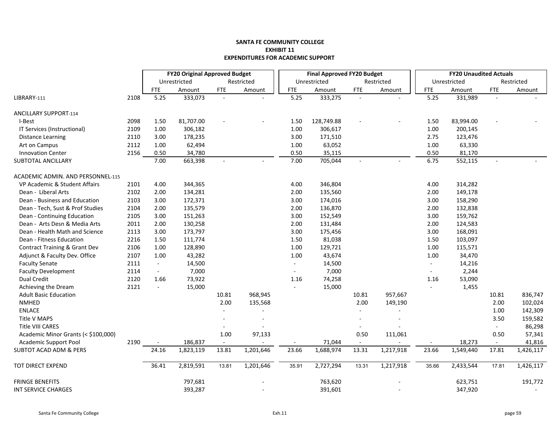|                                     |      |                  | <b>FY20 Original Approved Budget</b> |            |                          |            | <b>Final Approved FY20 Budget</b> |            |            |                             | <b>FY20 Unaudited Actuals</b> |                |            |
|-------------------------------------|------|------------------|--------------------------------------|------------|--------------------------|------------|-----------------------------------|------------|------------|-----------------------------|-------------------------------|----------------|------------|
|                                     |      |                  | Unrestricted                         |            | Restricted               |            | Unrestricted                      |            | Restricted |                             | Unrestricted                  |                | Restricted |
|                                     |      | <b>FTE</b>       | Amount                               | <b>FTE</b> | Amount                   | <b>FTE</b> | Amount                            | <b>FTE</b> | Amount     | <b>FTE</b>                  | Amount                        | <b>FTE</b>     | Amount     |
| LIBRARY-111                         | 2108 | 5.25             | 333,073                              | $\sim$     |                          | 5.25       | 333,275                           | $\sim$     |            | 5.25                        | 331,989                       |                |            |
| <b>ANCILLARY SUPPORT-114</b>        |      |                  |                                      |            |                          |            |                                   |            |            |                             |                               |                |            |
| I-Best                              | 2098 | 1.50             | 81,707.00                            |            |                          | 1.50       | 128,749.88                        |            |            | 1.50                        | 83,994.00                     |                |            |
| IT Services (Instructional)         | 2109 | 1.00             | 306,182                              |            |                          | 1.00       | 306,617                           |            |            | 1.00                        | 200,145                       |                |            |
| <b>Distance Learning</b>            | 2110 | 3.00             | 178,235                              |            |                          | 3.00       | 171,510                           |            |            | 2.75                        | 123,476                       |                |            |
| Art on Campus                       | 2112 | 1.00             | 62,494                               |            |                          | 1.00       | 63,052                            |            |            | 1.00                        | 63,330                        |                |            |
| <b>Innovation Center</b>            | 2156 | 0.50             | 34,780                               |            |                          | 0.50       | 35,115                            |            |            | 0.50                        | 81,170                        |                |            |
| <b>SUBTOTAL ANCILLARY</b>           |      | 7.00             | 663,398                              | $\sim$     |                          | 7.00       | 705,044                           | ÷          |            | 6.75                        | 552,115                       | $\sim$         |            |
| ACADEMIC ADMIN. AND PERSONNEL-115   |      |                  |                                      |            |                          |            |                                   |            |            |                             |                               |                |            |
| VP Academic & Student Affairs       | 2101 | 4.00             | 344,365                              |            |                          | 4.00       | 346,804                           |            |            | 4.00                        | 314,282                       |                |            |
| Dean - Liberal Arts                 | 2102 | 2.00             | 134,281                              |            |                          | 2.00       | 135,560                           |            |            | 2.00                        | 149,178                       |                |            |
| Dean - Business and Education       | 2103 | 3.00             | 172,371                              |            |                          | 3.00       | 174,016                           |            |            | 3.00                        | 158,290                       |                |            |
| Dean - Tech, Sust & Prof Studies    | 2104 | 2.00             | 135,579                              |            |                          | 2.00       | 136,870                           |            |            | 2.00                        | 132,838                       |                |            |
| Dean - Continuing Education         | 2105 | 3.00             | 151,263                              |            |                          | 3.00       | 152,549                           |            |            | 3.00                        | 159,762                       |                |            |
| Dean - Arts Desn & Media Arts       | 2011 | 2.00             | 130,258                              |            |                          | 2.00       | 131,484                           |            |            | 2.00                        | 124,583                       |                |            |
| Dean - Health Math and Science      | 2113 | 3.00             | 173,797                              |            |                          | 3.00       | 175,456                           |            |            | 3.00                        | 168,091                       |                |            |
| Dean - Fitness Education            | 2216 | 1.50             | 111,774                              |            |                          | 1.50       | 81,038                            |            |            | 1.50                        | 103,097                       |                |            |
| Contract Training & Grant Dev       | 2106 | 1.00             | 128,890                              |            |                          | 1.00       | 129,721                           |            |            | 1.00                        | 115,571                       |                |            |
| Adjunct & Faculty Dev. Office       | 2107 | 1.00             | 43,282                               |            |                          | 1.00       | 43,674                            |            |            | 1.00                        | 34,470                        |                |            |
| <b>Faculty Senate</b>               | 2111 | $\omega_{\rm c}$ | 14,500                               |            |                          | $\sim$     | 14,500                            |            |            | $\mathcal{L}_{\mathcal{A}}$ | 14,216                        |                |            |
| <b>Faculty Development</b>          | 2114 | $\blacksquare$   | 7,000                                |            |                          | $\sim$     | 7,000                             |            |            | $\sim$                      | 2,244                         |                |            |
| <b>Dual Credit</b>                  | 2120 | 1.66             | 73,922                               |            |                          | 1.16       | 74,258                            |            |            | 1.16                        | 53,090                        |                |            |
| Achieving the Dream                 | 2121 | $\blacksquare$   | 15,000                               |            |                          |            | 15,000                            |            |            |                             | 1,455                         |                |            |
| <b>Adult Basic Education</b>        |      |                  |                                      | 10.81      | 968,945                  |            |                                   | 10.81      | 957,667    |                             |                               | 10.81          | 836,747    |
| <b>NMHED</b>                        |      |                  |                                      | 2.00       | 135,568                  |            |                                   | 2.00       | 149,190    |                             |                               | 2.00           | 102,024    |
| <b>ENLACE</b>                       |      |                  |                                      |            |                          |            |                                   |            |            |                             |                               | 1.00           | 142,309    |
| Title V MAPS                        |      |                  |                                      |            | $\overline{\phantom{a}}$ |            |                                   |            |            |                             |                               | 3.50           | 159,582    |
| Title VIII CARES                    |      |                  |                                      |            |                          |            |                                   |            |            |                             |                               | $\omega$       | 86,298     |
| Academic Minor Grants (< \$100,000) |      |                  |                                      | 1.00       | 97,133                   |            |                                   | 0.50       | 111,061    |                             |                               | 0.50           | 57,341     |
| <b>Academic Support Pool</b>        | 2190 |                  | 186,837                              | $\sim$     |                          |            | 71,044                            | $\sim$     |            |                             | 18,273                        | $\blacksquare$ | 41,816     |
| <b>SUBTOT ACAD ADM &amp; PERS</b>   |      | 24.16            | 1,823,119                            | 13.81      | 1,201,646                | 23.66      | 1,688,974                         | 13.31      | 1,217,918  | 23.66                       | 1,549,440                     | 17.81          | 1,426,117  |
| TOT DIRECT EXPEND                   |      | 36.41            | 2,819,591                            | 13.81      | 1,201,646                | 35.91      | 2,727,294                         | 13.31      | 1,217,918  | 35.66                       | 2,433,544                     | 17.81          | 1,426,117  |
| <b>FRINGE BENEFITS</b>              |      |                  | 797,681                              |            |                          |            | 763,620                           |            |            |                             | 623,751                       |                | 191,772    |
| INT SERVICE CHARGES                 |      |                  | 393,287                              |            |                          |            | 391,601                           |            |            |                             | 347,920                       |                |            |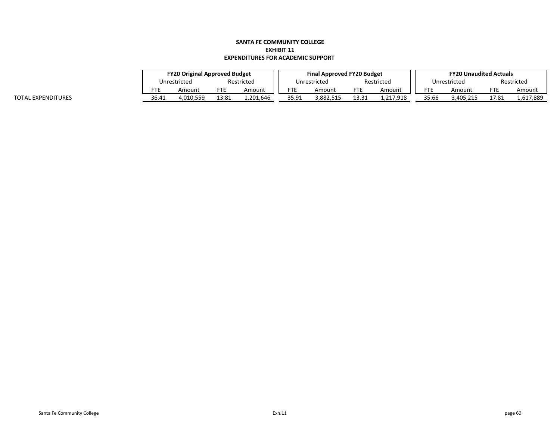|       | <b>FY20 Original Approved Budget</b> |       |           |       | <b>Final Approved FY20 Budget</b> |       |            |       | <b>FY20 Unaudited Actuals</b> |       |            |
|-------|--------------------------------------|-------|-----------|-------|-----------------------------------|-------|------------|-------|-------------------------------|-------|------------|
|       | Restricted<br>Unrestricted           |       |           |       | Unrestricted                      |       | Restricted |       | Unrestricted                  |       | Restricted |
|       | Amount                               |       | Amount    | FTE   | Amount                            | FTE   | Amount     |       | Amount                        | ᄗ     | Amount     |
| 36.41 | 4.010.559                            | 13.81 | 1.201.646 | 35.91 | 882.515.                          | 13.31 | 1.217.918  | 35.66 | 3.405.215                     | 17.81 | 1,617,889  |

TOTAL EXPENDITURES 36.41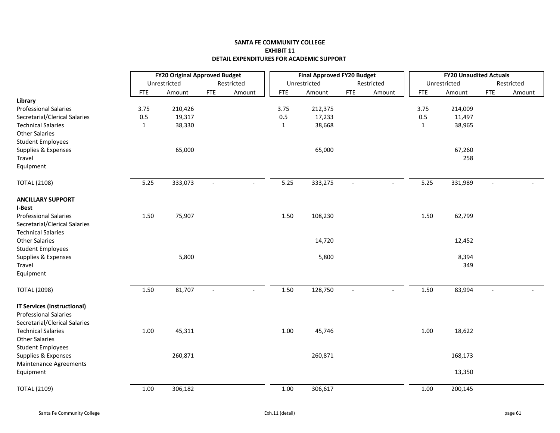|                                                                                                     | <b>FY20 Original Approved Budget</b> |              |                          |                          | <b>Final Approved FY20 Budget</b> |              |                          |            | <b>FY20 Unaudited Actuals</b> |              |                          |            |
|-----------------------------------------------------------------------------------------------------|--------------------------------------|--------------|--------------------------|--------------------------|-----------------------------------|--------------|--------------------------|------------|-------------------------------|--------------|--------------------------|------------|
|                                                                                                     |                                      | Unrestricted |                          | Restricted               |                                   | Unrestricted |                          | Restricted |                               | Unrestricted |                          | Restricted |
|                                                                                                     | <b>FTE</b>                           | Amount       | <b>FTE</b>               | Amount                   | <b>FTE</b>                        | Amount       | <b>FTE</b>               | Amount     | <b>FTE</b>                    | Amount       | <b>FTE</b>               | Amount     |
| Library                                                                                             |                                      |              |                          |                          |                                   |              |                          |            |                               |              |                          |            |
| <b>Professional Salaries</b>                                                                        | 3.75                                 | 210,426      |                          |                          | 3.75                              | 212,375      |                          |            | 3.75                          | 214,009      |                          |            |
| Secretarial/Clerical Salaries                                                                       | $0.5\,$                              | 19,317       |                          |                          | 0.5                               | 17,233       |                          |            | $0.5\,$                       | 11,497       |                          |            |
| <b>Technical Salaries</b>                                                                           | $\mathbf{1}$                         | 38,330       |                          |                          | $\mathbf{1}$                      | 38,668       |                          |            | 1                             | 38,965       |                          |            |
| <b>Other Salaries</b>                                                                               |                                      |              |                          |                          |                                   |              |                          |            |                               |              |                          |            |
| <b>Student Employees</b>                                                                            |                                      |              |                          |                          |                                   |              |                          |            |                               |              |                          |            |
| Supplies & Expenses                                                                                 |                                      | 65,000       |                          |                          |                                   | 65,000       |                          |            |                               | 67,260       |                          |            |
| Travel                                                                                              |                                      |              |                          |                          |                                   |              |                          |            |                               | 258          |                          |            |
| Equipment                                                                                           |                                      |              |                          |                          |                                   |              |                          |            |                               |              |                          |            |
| <b>TOTAL (2108)</b>                                                                                 | 5.25                                 | 333,073      | $\blacksquare$           | $\sim$                   | 5.25                              | 333,275      | $\overline{\phantom{a}}$ |            | 5.25                          | 331,989      | $\overline{\phantom{a}}$ |            |
| <b>ANCILLARY SUPPORT</b>                                                                            |                                      |              |                          |                          |                                   |              |                          |            |                               |              |                          |            |
| I-Best                                                                                              |                                      |              |                          |                          |                                   |              |                          |            |                               |              |                          |            |
| <b>Professional Salaries</b>                                                                        | 1.50                                 | 75,907       |                          |                          | 1.50                              | 108,230      |                          |            | 1.50                          | 62,799       |                          |            |
| Secretarial/Clerical Salaries                                                                       |                                      |              |                          |                          |                                   |              |                          |            |                               |              |                          |            |
| <b>Technical Salaries</b>                                                                           |                                      |              |                          |                          |                                   |              |                          |            |                               |              |                          |            |
| <b>Other Salaries</b>                                                                               |                                      |              |                          |                          |                                   | 14,720       |                          |            |                               | 12,452       |                          |            |
| <b>Student Employees</b>                                                                            |                                      |              |                          |                          |                                   |              |                          |            |                               |              |                          |            |
| Supplies & Expenses                                                                                 |                                      | 5,800        |                          |                          |                                   | 5,800        |                          |            |                               | 8,394        |                          |            |
| Travel                                                                                              |                                      |              |                          |                          |                                   |              |                          |            |                               | 349          |                          |            |
| Equipment                                                                                           |                                      |              |                          |                          |                                   |              |                          |            |                               |              |                          |            |
| <b>TOTAL (2098)</b>                                                                                 | 1.50                                 | 81,707       | $\overline{\phantom{a}}$ | $\overline{\phantom{a}}$ | 1.50                              | 128,750      | $\overline{\phantom{a}}$ | $\sim$     | 1.50                          | 83,994       | $\overline{\phantom{a}}$ |            |
| <b>IT Services (Instructional)</b><br><b>Professional Salaries</b><br>Secretarial/Clerical Salaries |                                      |              |                          |                          |                                   |              |                          |            |                               |              |                          |            |
| <b>Technical Salaries</b><br><b>Other Salaries</b><br><b>Student Employees</b>                      | 1.00                                 | 45,311       |                          |                          | 1.00                              | 45,746       |                          |            | $1.00\,$                      | 18,622       |                          |            |
| Supplies & Expenses                                                                                 |                                      | 260,871      |                          |                          |                                   | 260,871      |                          |            |                               | 168,173      |                          |            |
| Maintenance Agreements<br>Equipment                                                                 |                                      |              |                          |                          |                                   |              |                          |            |                               | 13,350       |                          |            |
| <b>TOTAL (2109)</b>                                                                                 | 1.00                                 | 306,182      |                          |                          | $1.00\,$                          | 306,617      |                          |            | 1.00                          | 200,145      |                          |            |
|                                                                                                     |                                      |              |                          |                          |                                   |              |                          |            |                               |              |                          |            |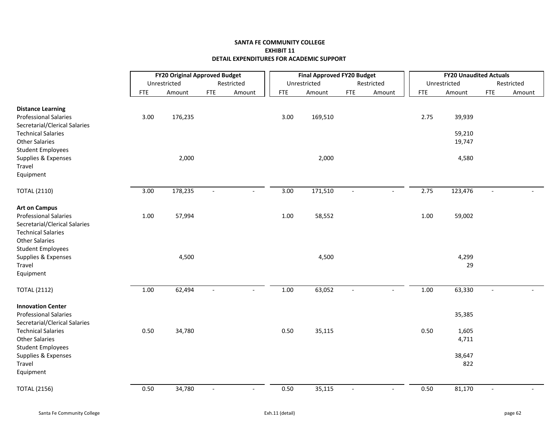|                               | <b>FY20 Original Approved Budget</b> |              |                          |                          |            | <b>Final Approved FY20 Budget</b> |                |            |            | <b>FY20 Unaudited Actuals</b> |                          |            |
|-------------------------------|--------------------------------------|--------------|--------------------------|--------------------------|------------|-----------------------------------|----------------|------------|------------|-------------------------------|--------------------------|------------|
|                               |                                      | Unrestricted |                          | Restricted               |            | Unrestricted                      |                | Restricted |            | Unrestricted                  |                          | Restricted |
|                               | <b>FTE</b>                           | Amount       | <b>FTE</b>               | Amount                   | <b>FTE</b> | Amount                            | <b>FTE</b>     | Amount     | <b>FTE</b> | Amount                        | <b>FTE</b>               | Amount     |
| <b>Distance Learning</b>      |                                      |              |                          |                          |            |                                   |                |            |            |                               |                          |            |
| <b>Professional Salaries</b>  | 3.00                                 | 176,235      |                          |                          | 3.00       | 169,510                           |                |            | 2.75       | 39,939                        |                          |            |
| Secretarial/Clerical Salaries |                                      |              |                          |                          |            |                                   |                |            |            |                               |                          |            |
| <b>Technical Salaries</b>     |                                      |              |                          |                          |            |                                   |                |            |            | 59,210                        |                          |            |
| <b>Other Salaries</b>         |                                      |              |                          |                          |            |                                   |                |            |            | 19,747                        |                          |            |
| <b>Student Employees</b>      |                                      |              |                          |                          |            |                                   |                |            |            |                               |                          |            |
| Supplies & Expenses           |                                      | 2,000        |                          |                          |            | 2,000                             |                |            |            | 4,580                         |                          |            |
| Travel                        |                                      |              |                          |                          |            |                                   |                |            |            |                               |                          |            |
| Equipment                     |                                      |              |                          |                          |            |                                   |                |            |            |                               |                          |            |
| <b>TOTAL (2110)</b>           | 3.00                                 | 178,235      | $\sim$                   | $\overline{\phantom{a}}$ | 3.00       | 171,510                           | $\blacksquare$ | $\sim$     | 2.75       | 123,476                       | $\blacksquare$           |            |
| <b>Art on Campus</b>          |                                      |              |                          |                          |            |                                   |                |            |            |                               |                          |            |
| <b>Professional Salaries</b>  | $1.00\,$                             | 57,994       |                          |                          | 1.00       | 58,552                            |                |            | 1.00       | 59,002                        |                          |            |
| Secretarial/Clerical Salaries |                                      |              |                          |                          |            |                                   |                |            |            |                               |                          |            |
| <b>Technical Salaries</b>     |                                      |              |                          |                          |            |                                   |                |            |            |                               |                          |            |
| <b>Other Salaries</b>         |                                      |              |                          |                          |            |                                   |                |            |            |                               |                          |            |
| <b>Student Employees</b>      |                                      |              |                          |                          |            |                                   |                |            |            |                               |                          |            |
| Supplies & Expenses           |                                      | 4,500        |                          |                          |            | 4,500                             |                |            |            | 4,299                         |                          |            |
| Travel                        |                                      |              |                          |                          |            |                                   |                |            |            | 29                            |                          |            |
| Equipment                     |                                      |              |                          |                          |            |                                   |                |            |            |                               |                          |            |
| <b>TOTAL (2112)</b>           | 1.00                                 | 62,494       | $\overline{\phantom{a}}$ | $\overline{\phantom{a}}$ | 1.00       | 63,052                            | $\blacksquare$ | $\sim$     | $1.00\,$   | 63,330                        | $\overline{\phantom{a}}$ |            |
| <b>Innovation Center</b>      |                                      |              |                          |                          |            |                                   |                |            |            |                               |                          |            |
| <b>Professional Salaries</b>  |                                      |              |                          |                          |            |                                   |                |            |            | 35,385                        |                          |            |
| Secretarial/Clerical Salaries |                                      |              |                          |                          |            |                                   |                |            |            |                               |                          |            |
| <b>Technical Salaries</b>     | 0.50                                 | 34,780       |                          |                          | 0.50       | 35,115                            |                |            | 0.50       | 1,605                         |                          |            |
| <b>Other Salaries</b>         |                                      |              |                          |                          |            |                                   |                |            |            | 4,711                         |                          |            |
| <b>Student Employees</b>      |                                      |              |                          |                          |            |                                   |                |            |            |                               |                          |            |
| Supplies & Expenses           |                                      |              |                          |                          |            |                                   |                |            |            | 38,647                        |                          |            |
| Travel<br>Equipment           |                                      |              |                          |                          |            |                                   |                |            |            | 822                           |                          |            |
| <b>TOTAL (2156)</b>           | 0.50                                 | 34,780       |                          |                          | 0.50       | 35,115                            |                |            | 0.50       | 81,170                        |                          |            |
|                               |                                      |              |                          |                          |            |                                   |                |            |            |                               |                          |            |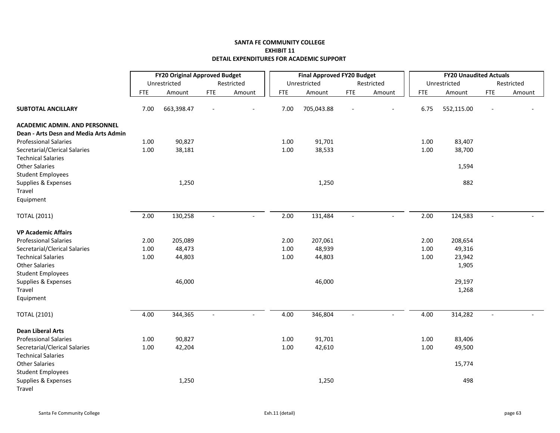|                                       |            | <b>FY20 Original Approved Budget</b> |             |            |            | <b>Final Approved FY20 Budget</b> |            |            |            | <b>FY20 Unaudited Actuals</b> |            |            |
|---------------------------------------|------------|--------------------------------------|-------------|------------|------------|-----------------------------------|------------|------------|------------|-------------------------------|------------|------------|
|                                       |            | Unrestricted                         |             | Restricted |            | Unrestricted                      |            | Restricted |            | Unrestricted                  |            | Restricted |
|                                       | <b>FTE</b> | Amount                               | ${\sf FTE}$ | Amount     | <b>FTE</b> | Amount                            | <b>FTE</b> | Amount     | <b>FTE</b> | Amount                        | <b>FTE</b> | Amount     |
| <b>SUBTOTAL ANCILLARY</b>             | 7.00       | 663,398.47                           |             |            | 7.00       | 705,043.88                        |            |            | 6.75       | 552,115.00                    |            |            |
| <b>ACADEMIC ADMIN. AND PERSONNEL</b>  |            |                                      |             |            |            |                                   |            |            |            |                               |            |            |
| Dean - Arts Desn and Media Arts Admin |            |                                      |             |            |            |                                   |            |            |            |                               |            |            |
| <b>Professional Salaries</b>          | 1.00       | 90,827                               |             |            | 1.00       | 91,701                            |            |            | 1.00       | 83,407                        |            |            |
| Secretarial/Clerical Salaries         | 1.00       | 38,181                               |             |            | 1.00       | 38,533                            |            |            | 1.00       | 38,700                        |            |            |
| <b>Technical Salaries</b>             |            |                                      |             |            |            |                                   |            |            |            |                               |            |            |
| <b>Other Salaries</b>                 |            |                                      |             |            |            |                                   |            |            |            | 1,594                         |            |            |
| <b>Student Employees</b>              |            |                                      |             |            |            |                                   |            |            |            |                               |            |            |
| Supplies & Expenses                   |            | 1,250                                |             |            |            | 1,250                             |            |            |            | 882                           |            |            |
| Travel                                |            |                                      |             |            |            |                                   |            |            |            |                               |            |            |
| Equipment                             |            |                                      |             |            |            |                                   |            |            |            |                               |            |            |
| <b>TOTAL (2011)</b>                   | 2.00       | 130,258                              |             |            | 2.00       | 131,484                           |            |            | 2.00       | 124,583                       |            |            |
| <b>VP Academic Affairs</b>            |            |                                      |             |            |            |                                   |            |            |            |                               |            |            |
| <b>Professional Salaries</b>          | 2.00       | 205,089                              |             |            | 2.00       | 207,061                           |            |            | 2.00       | 208,654                       |            |            |
| Secretarial/Clerical Salaries         | 1.00       | 48,473                               |             |            | 1.00       | 48,939                            |            |            | 1.00       | 49,316                        |            |            |
| <b>Technical Salaries</b>             | 1.00       | 44,803                               |             |            | 1.00       | 44,803                            |            |            | 1.00       | 23,942                        |            |            |
| <b>Other Salaries</b>                 |            |                                      |             |            |            |                                   |            |            |            | 1,905                         |            |            |
| <b>Student Employees</b>              |            |                                      |             |            |            |                                   |            |            |            |                               |            |            |
| Supplies & Expenses                   |            | 46,000                               |             |            |            | 46,000                            |            |            |            | 29,197                        |            |            |
| Travel                                |            |                                      |             |            |            |                                   |            |            |            | 1,268                         |            |            |
| Equipment                             |            |                                      |             |            |            |                                   |            |            |            |                               |            |            |
| <b>TOTAL (2101)</b>                   | 4.00       | 344,365                              |             |            | 4.00       | 346,804                           |            |            | 4.00       | 314,282                       |            |            |
| <b>Dean Liberal Arts</b>              |            |                                      |             |            |            |                                   |            |            |            |                               |            |            |
| <b>Professional Salaries</b>          | 1.00       | 90,827                               |             |            | 1.00       | 91,701                            |            |            | 1.00       | 83,406                        |            |            |
| Secretarial/Clerical Salaries         | 1.00       | 42,204                               |             |            | 1.00       | 42,610                            |            |            | 1.00       | 49,500                        |            |            |
| <b>Technical Salaries</b>             |            |                                      |             |            |            |                                   |            |            |            |                               |            |            |
| <b>Other Salaries</b>                 |            |                                      |             |            |            |                                   |            |            |            | 15,774                        |            |            |
| <b>Student Employees</b>              |            |                                      |             |            |            |                                   |            |            |            |                               |            |            |
| Supplies & Expenses                   |            | 1,250                                |             |            |            | 1,250                             |            |            |            | 498                           |            |            |
| Travel                                |            |                                      |             |            |            |                                   |            |            |            |                               |            |            |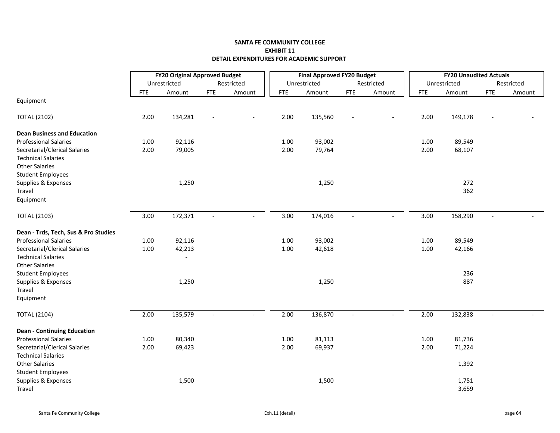|                                      | <b>FY20 Original Approved Budget</b> |              |                |                          |            | <b>Final Approved FY20 Budget</b> |                          |                          |            | <b>FY20 Unaudited Actuals</b> |                |            |
|--------------------------------------|--------------------------------------|--------------|----------------|--------------------------|------------|-----------------------------------|--------------------------|--------------------------|------------|-------------------------------|----------------|------------|
|                                      |                                      | Unrestricted |                | Restricted               |            | Unrestricted                      |                          | Restricted               |            | Unrestricted                  |                | Restricted |
|                                      | <b>FTE</b>                           | Amount       | <b>FTE</b>     | Amount                   | <b>FTE</b> | Amount                            | <b>FTE</b>               | Amount                   | <b>FTE</b> | Amount                        | <b>FTE</b>     | Amount     |
| Equipment                            |                                      |              |                |                          |            |                                   |                          |                          |            |                               |                |            |
| <b>TOTAL (2102)</b>                  | 2.00                                 | 134,281      | $\sim$         | $\overline{\phantom{a}}$ | 2.00       | 135,560                           | $\blacksquare$           | $\equiv$                 | 2.00       | 149,178                       | $\blacksquare$ |            |
| <b>Dean Business and Education</b>   |                                      |              |                |                          |            |                                   |                          |                          |            |                               |                |            |
| <b>Professional Salaries</b>         | 1.00                                 | 92,116       |                |                          | 1.00       | 93,002                            |                          |                          | 1.00       | 89,549                        |                |            |
| Secretarial/Clerical Salaries        | 2.00                                 | 79,005       |                |                          | 2.00       | 79,764                            |                          |                          | 2.00       | 68,107                        |                |            |
| <b>Technical Salaries</b>            |                                      |              |                |                          |            |                                   |                          |                          |            |                               |                |            |
| <b>Other Salaries</b>                |                                      |              |                |                          |            |                                   |                          |                          |            |                               |                |            |
| <b>Student Employees</b>             |                                      |              |                |                          |            |                                   |                          |                          |            |                               |                |            |
| Supplies & Expenses                  |                                      | 1,250        |                |                          |            | 1,250                             |                          |                          |            | 272                           |                |            |
| Travel                               |                                      |              |                |                          |            |                                   |                          |                          |            | 362                           |                |            |
| Equipment                            |                                      |              |                |                          |            |                                   |                          |                          |            |                               |                |            |
| <b>TOTAL (2103)</b>                  | 3.00                                 | 172,371      | $\sim$         | $\overline{\phantom{a}}$ | 3.00       | 174,016                           | $\blacksquare$           | $\overline{\phantom{a}}$ | 3.00       | 158,290                       | $\sim$         |            |
| Dean - Trds, Tech, Sus & Pro Studies |                                      |              |                |                          |            |                                   |                          |                          |            |                               |                |            |
| <b>Professional Salaries</b>         | 1.00                                 | 92,116       |                |                          | 1.00       | 93,002                            |                          |                          | 1.00       | 89,549                        |                |            |
| Secretarial/Clerical Salaries        | $1.00\,$                             | 42,213       |                |                          | $1.00\,$   | 42,618                            |                          |                          | 1.00       | 42,166                        |                |            |
| <b>Technical Salaries</b>            |                                      | $\sim$       |                |                          |            |                                   |                          |                          |            |                               |                |            |
| <b>Other Salaries</b>                |                                      |              |                |                          |            |                                   |                          |                          |            |                               |                |            |
| <b>Student Employees</b>             |                                      |              |                |                          |            |                                   |                          |                          |            | 236                           |                |            |
| Supplies & Expenses                  |                                      | 1,250        |                |                          |            | 1,250                             |                          |                          |            | 887                           |                |            |
| Travel                               |                                      |              |                |                          |            |                                   |                          |                          |            |                               |                |            |
| Equipment                            |                                      |              |                |                          |            |                                   |                          |                          |            |                               |                |            |
| <b>TOTAL (2104)</b>                  | 2.00                                 | 135,579      | $\blacksquare$ | $\overline{\phantom{a}}$ | 2.00       | 136,870                           | $\overline{\phantom{a}}$ | $\overline{a}$           | 2.00       | 132,838                       | $\blacksquare$ |            |
| <b>Dean - Continuing Education</b>   |                                      |              |                |                          |            |                                   |                          |                          |            |                               |                |            |
| <b>Professional Salaries</b>         | 1.00                                 | 80,340       |                |                          | 1.00       | 81,113                            |                          |                          | 1.00       | 81,736                        |                |            |
| Secretarial/Clerical Salaries        | 2.00                                 | 69,423       |                |                          | 2.00       | 69,937                            |                          |                          | 2.00       | 71,224                        |                |            |
| <b>Technical Salaries</b>            |                                      |              |                |                          |            |                                   |                          |                          |            |                               |                |            |
| <b>Other Salaries</b>                |                                      |              |                |                          |            |                                   |                          |                          |            | 1,392                         |                |            |
| <b>Student Employees</b>             |                                      |              |                |                          |            |                                   |                          |                          |            |                               |                |            |
| Supplies & Expenses                  |                                      | 1,500        |                |                          |            | 1,500                             |                          |                          |            | 1,751                         |                |            |
| Travel                               |                                      |              |                |                          |            |                                   |                          |                          |            | 3,659                         |                |            |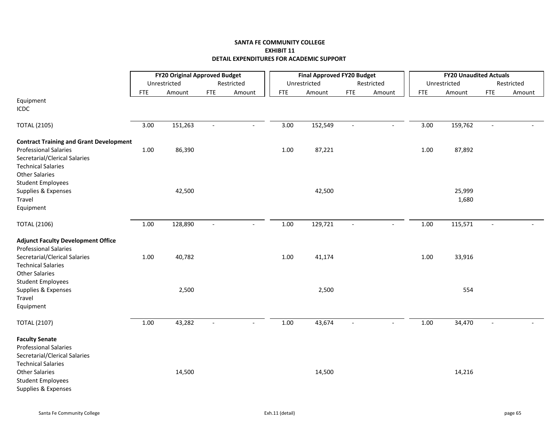|                                                                                                                                                                                                 | <b>FY20 Original Approved Budget</b> |              |                          |                          |            | <b>Final Approved FY20 Budget</b> |                          |            |            | <b>FY20 Unaudited Actuals</b> |                |            |
|-------------------------------------------------------------------------------------------------------------------------------------------------------------------------------------------------|--------------------------------------|--------------|--------------------------|--------------------------|------------|-----------------------------------|--------------------------|------------|------------|-------------------------------|----------------|------------|
|                                                                                                                                                                                                 |                                      | Unrestricted |                          | Restricted               |            | Unrestricted                      |                          | Restricted |            | Unrestricted                  |                | Restricted |
|                                                                                                                                                                                                 | <b>FTE</b>                           | Amount       | <b>FTE</b>               | Amount                   | <b>FTE</b> | Amount                            | <b>FTE</b>               | Amount     | <b>FTE</b> | Amount                        | <b>FTE</b>     | Amount     |
| Equipment<br><b>ICDC</b>                                                                                                                                                                        |                                      |              |                          |                          |            |                                   |                          |            |            |                               |                |            |
| <b>TOTAL (2105)</b>                                                                                                                                                                             | 3.00                                 | 151,263      | $\overline{\phantom{a}}$ | $\blacksquare$           | 3.00       | 152,549                           | $\overline{\phantom{a}}$ | $\sim$     | 3.00       | 159,762                       | $\blacksquare$ |            |
| <b>Contract Training and Grant Development</b><br><b>Professional Salaries</b><br>Secretarial/Clerical Salaries<br><b>Technical Salaries</b><br><b>Other Salaries</b>                           | $1.00\,$                             | 86,390       |                          |                          | $1.00\,$   | 87,221                            |                          |            | 1.00       | 87,892                        |                |            |
| <b>Student Employees</b><br>Supplies & Expenses<br>Travel<br>Equipment                                                                                                                          |                                      | 42,500       |                          |                          |            | 42,500                            |                          |            |            | 25,999<br>1,680               |                |            |
| <b>TOTAL (2106)</b>                                                                                                                                                                             | 1.00                                 | 128,890      | $\overline{\phantom{a}}$ | $\overline{\phantom{a}}$ | 1.00       | 129,721                           | $\blacksquare$           |            | 1.00       | 115,571                       |                |            |
| <b>Adjunct Faculty Development Office</b><br><b>Professional Salaries</b><br>Secretarial/Clerical Salaries<br><b>Technical Salaries</b><br><b>Other Salaries</b>                                | $1.00\,$                             | 40,782       |                          |                          | 1.00       | 41,174                            |                          |            | 1.00       | 33,916                        |                |            |
| <b>Student Employees</b><br>Supplies & Expenses<br>Travel<br>Equipment                                                                                                                          |                                      | 2,500        |                          |                          |            | 2,500                             |                          |            |            | 554                           |                |            |
| <b>TOTAL (2107)</b>                                                                                                                                                                             | 1.00                                 | 43,282       |                          |                          | 1.00       | 43,674                            | $\overline{\phantom{a}}$ |            | $1.00\,$   | 34,470                        |                |            |
| <b>Faculty Senate</b><br><b>Professional Salaries</b><br>Secretarial/Clerical Salaries<br><b>Technical Salaries</b><br><b>Other Salaries</b><br><b>Student Employees</b><br>Supplies & Expenses |                                      | 14,500       |                          |                          |            | 14,500                            |                          |            |            | 14,216                        |                |            |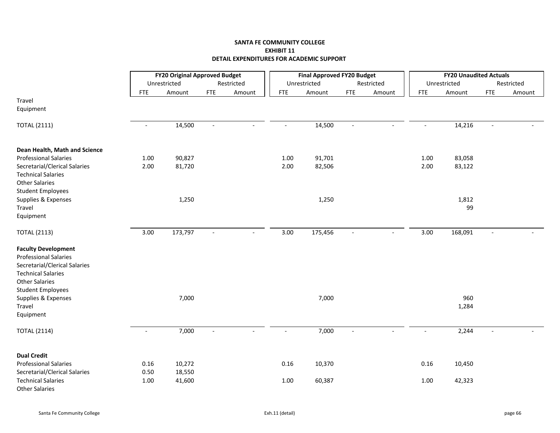|                                                                                                                                                                               |                | <b>FY20 Original Approved Budget</b> |                          |                          |                          | <b>Final Approved FY20 Budget</b> |                          |                |                | <b>FY20 Unaudited Actuals</b> |                          |            |
|-------------------------------------------------------------------------------------------------------------------------------------------------------------------------------|----------------|--------------------------------------|--------------------------|--------------------------|--------------------------|-----------------------------------|--------------------------|----------------|----------------|-------------------------------|--------------------------|------------|
|                                                                                                                                                                               |                | Unrestricted                         |                          | Restricted               |                          | Unrestricted                      |                          | Restricted     |                | Unrestricted                  |                          | Restricted |
|                                                                                                                                                                               | <b>FTE</b>     | Amount                               | <b>FTE</b>               | Amount                   | <b>FTE</b>               | Amount                            | <b>FTE</b>               | Amount         | <b>FTE</b>     | Amount                        | FTE                      | Amount     |
| Travel<br>Equipment                                                                                                                                                           |                |                                      |                          |                          |                          |                                   |                          |                |                |                               |                          |            |
| <b>TOTAL (2111)</b>                                                                                                                                                           | $\sim$         | 14,500                               | $\blacksquare$           | $\sim$                   | $\blacksquare$           | 14,500                            | $\blacksquare$           | $\overline{a}$ | $\blacksquare$ | 14,216                        | $\blacksquare$           |            |
| Dean Health, Math and Science                                                                                                                                                 |                |                                      |                          |                          |                          |                                   |                          |                |                |                               |                          |            |
| <b>Professional Salaries</b>                                                                                                                                                  | 1.00           | 90,827                               |                          |                          | 1.00                     | 91,701                            |                          |                | 1.00           | 83,058                        |                          |            |
| Secretarial/Clerical Salaries<br><b>Technical Salaries</b><br><b>Other Salaries</b><br><b>Student Employees</b>                                                               | 2.00           | 81,720                               |                          |                          | 2.00                     | 82,506                            |                          |                | 2.00           | 83,122                        |                          |            |
| Supplies & Expenses<br>Travel<br>Equipment                                                                                                                                    |                | 1,250                                |                          |                          |                          | 1,250                             |                          |                |                | 1,812<br>99                   |                          |            |
| <b>TOTAL (2113)</b>                                                                                                                                                           | 3.00           | 173,797                              | $\blacksquare$           | $\blacksquare$           | 3.00                     | 175,456                           | $\blacksquare$           |                | 3.00           | 168,091                       | $\overline{\phantom{a}}$ |            |
| <b>Faculty Development</b><br><b>Professional Salaries</b><br>Secretarial/Clerical Salaries<br><b>Technical Salaries</b><br><b>Other Salaries</b><br><b>Student Employees</b> |                |                                      |                          |                          |                          |                                   |                          |                |                |                               |                          |            |
| Supplies & Expenses<br>Travel<br>Equipment                                                                                                                                    |                | 7,000                                |                          |                          |                          | 7,000                             |                          |                |                | 960<br>1,284                  |                          |            |
| <b>TOTAL (2114)</b>                                                                                                                                                           | $\blacksquare$ | 7,000                                | $\overline{\phantom{a}}$ | $\overline{\phantom{a}}$ | $\overline{\phantom{a}}$ | 7,000                             | $\overline{\phantom{a}}$ |                |                | 2,244                         | $\blacksquare$           |            |
| <b>Dual Credit</b>                                                                                                                                                            |                |                                      |                          |                          |                          |                                   |                          |                |                |                               |                          |            |
| <b>Professional Salaries</b>                                                                                                                                                  | 0.16           | 10,272                               |                          |                          | 0.16                     | 10,370                            |                          |                | 0.16           | 10,450                        |                          |            |
| Secretarial/Clerical Salaries                                                                                                                                                 | 0.50           | 18,550                               |                          |                          |                          |                                   |                          |                |                |                               |                          |            |
| <b>Technical Salaries</b><br><b>Other Salaries</b>                                                                                                                            | 1.00           | 41,600                               |                          |                          | 1.00                     | 60,387                            |                          |                | 1.00           | 42,323                        |                          |            |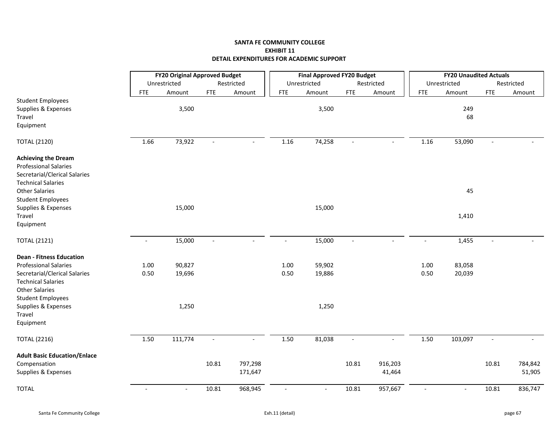|                                     |                          | <b>FY20 Original Approved Budget</b> |                          |                          |                          | <b>Final Approved FY20 Budget</b> |                          |            |                          | <b>FY20 Unaudited Actuals</b> |                |            |
|-------------------------------------|--------------------------|--------------------------------------|--------------------------|--------------------------|--------------------------|-----------------------------------|--------------------------|------------|--------------------------|-------------------------------|----------------|------------|
|                                     |                          | Unrestricted                         |                          | Restricted               |                          | Unrestricted                      |                          | Restricted |                          | Unrestricted                  |                | Restricted |
|                                     | <b>FTE</b>               | Amount                               | ${\sf FTE}$              | Amount                   | <b>FTE</b>               | Amount                            | <b>FTE</b>               | Amount     | <b>FTE</b>               | Amount                        | <b>FTE</b>     | Amount     |
| <b>Student Employees</b>            |                          |                                      |                          |                          |                          |                                   |                          |            |                          |                               |                |            |
| Supplies & Expenses                 |                          | 3,500                                |                          |                          |                          | 3,500                             |                          |            |                          | 249                           |                |            |
| Travel                              |                          |                                      |                          |                          |                          |                                   |                          |            |                          | 68                            |                |            |
| Equipment                           |                          |                                      |                          |                          |                          |                                   |                          |            |                          |                               |                |            |
| <b>TOTAL (2120)</b>                 | 1.66                     | 73,922                               | $\blacksquare$           | $\overline{\phantom{a}}$ | 1.16                     | 74,258                            | $\mathbb{L}$             | $\sim$     | 1.16                     | 53,090                        | $\overline{a}$ |            |
| <b>Achieving the Dream</b>          |                          |                                      |                          |                          |                          |                                   |                          |            |                          |                               |                |            |
| <b>Professional Salaries</b>        |                          |                                      |                          |                          |                          |                                   |                          |            |                          |                               |                |            |
| Secretarial/Clerical Salaries       |                          |                                      |                          |                          |                          |                                   |                          |            |                          |                               |                |            |
| <b>Technical Salaries</b>           |                          |                                      |                          |                          |                          |                                   |                          |            |                          |                               |                |            |
| <b>Other Salaries</b>               |                          |                                      |                          |                          |                          |                                   |                          |            |                          | 45                            |                |            |
| <b>Student Employees</b>            |                          |                                      |                          |                          |                          |                                   |                          |            |                          |                               |                |            |
| Supplies & Expenses                 |                          | 15,000                               |                          |                          |                          | 15,000                            |                          |            |                          |                               |                |            |
| Travel                              |                          |                                      |                          |                          |                          |                                   |                          |            |                          | 1,410                         |                |            |
| Equipment                           |                          |                                      |                          |                          |                          |                                   |                          |            |                          |                               |                |            |
| <b>TOTAL (2121)</b>                 | $\overline{\phantom{a}}$ | 15,000                               | $\overline{\phantom{a}}$ |                          | $\overline{\phantom{a}}$ | 15,000                            | $\blacksquare$           |            | $\overline{a}$           | 1,455                         | $\overline{a}$ |            |
| <b>Dean - Fitness Education</b>     |                          |                                      |                          |                          |                          |                                   |                          |            |                          |                               |                |            |
| <b>Professional Salaries</b>        | 1.00                     | 90,827                               |                          |                          | 1.00                     | 59,902                            |                          |            | 1.00                     | 83,058                        |                |            |
| Secretarial/Clerical Salaries       | 0.50                     | 19,696                               |                          |                          | 0.50                     | 19,886                            |                          |            | 0.50                     | 20,039                        |                |            |
| <b>Technical Salaries</b>           |                          |                                      |                          |                          |                          |                                   |                          |            |                          |                               |                |            |
| <b>Other Salaries</b>               |                          |                                      |                          |                          |                          |                                   |                          |            |                          |                               |                |            |
| <b>Student Employees</b>            |                          |                                      |                          |                          |                          |                                   |                          |            |                          |                               |                |            |
| Supplies & Expenses                 |                          | 1,250                                |                          |                          |                          | 1,250                             |                          |            |                          |                               |                |            |
| Travel                              |                          |                                      |                          |                          |                          |                                   |                          |            |                          |                               |                |            |
| Equipment                           |                          |                                      |                          |                          |                          |                                   |                          |            |                          |                               |                |            |
| <b>TOTAL (2216)</b>                 | 1.50                     | 111,774                              | $\overline{\phantom{a}}$ |                          | 1.50                     | 81,038                            | $\overline{\phantom{a}}$ |            | 1.50                     | 103,097                       | $\overline{a}$ |            |
| <b>Adult Basic Education/Enlace</b> |                          |                                      |                          |                          |                          |                                   |                          |            |                          |                               |                |            |
| Compensation                        |                          |                                      | 10.81                    | 797,298                  |                          |                                   | 10.81                    | 916,203    |                          |                               | 10.81          | 784,842    |
| Supplies & Expenses                 |                          |                                      |                          | 171,647                  |                          |                                   |                          | 41,464     |                          |                               |                | 51,905     |
| <b>TOTAL</b>                        | $\overline{\phantom{a}}$ | $\blacksquare$                       | 10.81                    | 968,945                  | $\blacksquare$           | $\overline{\phantom{a}}$          | 10.81                    | 957,667    | $\overline{\phantom{a}}$ | $\sim$                        | 10.81          | 836,747    |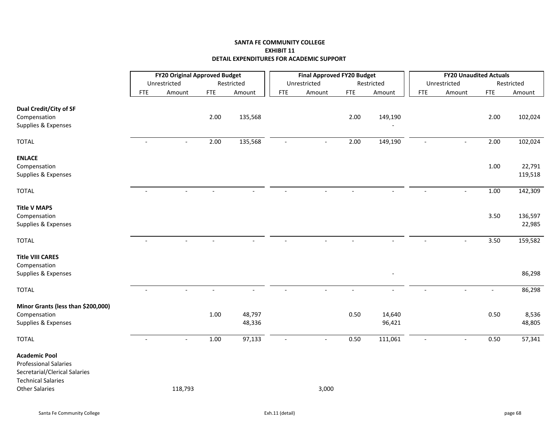|                                    |            | <b>FY20 Original Approved Budget</b> |            |            |                          | <b>Final Approved FY20 Budget</b> |            |            |                | <b>FY20 Unaudited Actuals</b> |            |                     |
|------------------------------------|------------|--------------------------------------|------------|------------|--------------------------|-----------------------------------|------------|------------|----------------|-------------------------------|------------|---------------------|
|                                    |            | Unrestricted                         |            | Restricted |                          | Unrestricted                      |            | Restricted |                | Unrestricted                  |            | Restricted          |
|                                    | <b>FTE</b> | Amount                               | <b>FTE</b> | Amount     | <b>FTE</b>               | Amount                            | <b>FTE</b> | Amount     | <b>FTE</b>     | Amount                        | <b>FTE</b> | Amount              |
| Dual Credit/City of SF             |            |                                      |            |            |                          |                                   |            |            |                |                               |            |                     |
| Compensation                       |            |                                      | 2.00       | 135,568    |                          |                                   | 2.00       | 149,190    |                |                               | 2.00       | 102,024             |
| Supplies & Expenses                |            |                                      |            |            |                          |                                   |            |            |                |                               |            |                     |
|                                    |            |                                      |            |            |                          |                                   |            |            |                |                               |            |                     |
| <b>TOTAL</b>                       | $\sim$     | $\blacksquare$                       | 2.00       | 135,568    | $\blacksquare$           | $\blacksquare$                    | 2.00       | 149,190    | $\blacksquare$ | $\blacksquare$                | 2.00       | 102,024             |
| <b>ENLACE</b>                      |            |                                      |            |            |                          |                                   |            |            |                |                               |            |                     |
| Compensation                       |            |                                      |            |            |                          |                                   |            |            |                |                               | 1.00       | 22,791              |
| Supplies & Expenses                |            |                                      |            |            |                          |                                   |            |            |                |                               |            | 119,518             |
|                                    |            |                                      |            |            |                          |                                   |            |            |                |                               |            |                     |
| <b>TOTAL</b>                       |            |                                      |            |            |                          |                                   |            |            |                |                               | 1.00       | 142,309             |
| <b>Title V MAPS</b>                |            |                                      |            |            |                          |                                   |            |            |                |                               |            |                     |
| Compensation                       |            |                                      |            |            |                          |                                   |            |            |                |                               | 3.50       | 136,597             |
| Supplies & Expenses                |            |                                      |            |            |                          |                                   |            |            |                |                               |            | 22,985              |
|                                    |            |                                      |            |            |                          |                                   |            |            |                |                               |            |                     |
| <b>TOTAL</b>                       |            |                                      |            |            |                          |                                   |            |            |                |                               | 3.50       | 159,582             |
| <b>Title VIII CARES</b>            |            |                                      |            |            |                          |                                   |            |            |                |                               |            |                     |
| Compensation                       |            |                                      |            |            |                          |                                   |            |            |                |                               |            |                     |
| Supplies & Expenses                |            |                                      |            |            |                          |                                   |            |            |                |                               |            | 86,298              |
|                                    |            |                                      |            |            |                          |                                   |            |            |                |                               |            |                     |
| <b>TOTAL</b>                       |            |                                      |            |            |                          |                                   |            |            |                |                               |            | 86,298              |
| Minor Grants (less than \$200,000) |            |                                      |            |            |                          |                                   |            |            |                |                               |            |                     |
| Compensation                       |            |                                      | 1.00       | 48,797     |                          |                                   | 0.50       | 14,640     |                |                               | 0.50       | 8,536               |
| Supplies & Expenses                |            |                                      |            | 48,336     |                          |                                   |            | 96,421     |                |                               |            | 48,805              |
| <b>TOTAL</b>                       | $\sim$     | $\blacksquare$                       | 1.00       | 97,133     | $\overline{\phantom{a}}$ | $\sim$                            | 0.50       | 111,061    | $\sim$         | $\sim$                        | 0.50       | $\overline{57,341}$ |
| <b>Academic Pool</b>               |            |                                      |            |            |                          |                                   |            |            |                |                               |            |                     |
| <b>Professional Salaries</b>       |            |                                      |            |            |                          |                                   |            |            |                |                               |            |                     |
| Secretarial/Clerical Salaries      |            |                                      |            |            |                          |                                   |            |            |                |                               |            |                     |
| <b>Technical Salaries</b>          |            |                                      |            |            |                          |                                   |            |            |                |                               |            |                     |
| <b>Other Salaries</b>              |            | 118,793                              |            |            |                          | 3,000                             |            |            |                |                               |            |                     |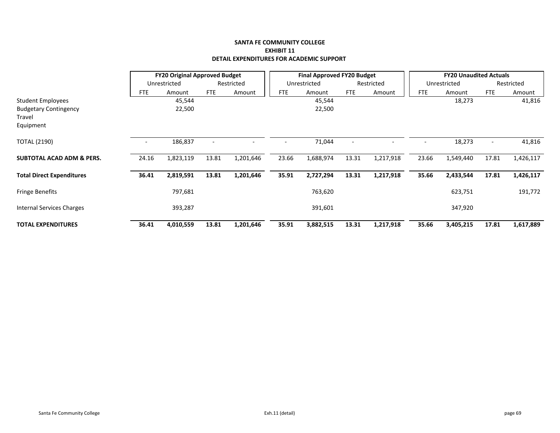|                                      |                          | <b>FY20 Original Approved Budget</b> |            |            |            | <b>Final Approved FY20 Budget</b> |            |            |            | <b>FY20 Unaudited Actuals</b> |            |            |
|--------------------------------------|--------------------------|--------------------------------------|------------|------------|------------|-----------------------------------|------------|------------|------------|-------------------------------|------------|------------|
|                                      |                          | Unrestricted                         |            | Restricted |            | Unrestricted                      |            | Restricted |            | Unrestricted                  |            | Restricted |
|                                      | FTE                      | Amount                               | <b>FTE</b> | Amount     | <b>FTE</b> | Amount                            | <b>FTE</b> | Amount     | <b>FTE</b> | Amount                        | <b>FTE</b> | Amount     |
| <b>Student Employees</b>             |                          | 45,544                               |            |            |            | 45,544                            |            |            |            | 18,273                        |            | 41,816     |
| <b>Budgetary Contingency</b>         |                          | 22,500                               |            |            |            | 22,500                            |            |            |            |                               |            |            |
| Travel                               |                          |                                      |            |            |            |                                   |            |            |            |                               |            |            |
| Equipment                            |                          |                                      |            |            |            |                                   |            |            |            |                               |            |            |
| <b>TOTAL (2190)</b>                  | $\overline{\phantom{a}}$ | 186,837                              |            |            |            | 71,044                            |            |            |            | 18,273                        |            | 41,816     |
| <b>SUBTOTAL ACAD ADM &amp; PERS.</b> | 24.16                    | 1,823,119                            | 13.81      | 1,201,646  | 23.66      | 1,688,974                         | 13.31      | 1,217,918  | 23.66      | 1,549,440                     | 17.81      | 1,426,117  |
| <b>Total Direct Expenditures</b>     | 36.41                    | 2,819,591                            | 13.81      | 1,201,646  | 35.91      | 2,727,294                         | 13.31      | 1,217,918  | 35.66      | 2,433,544                     | 17.81      | 1,426,117  |
| <b>Fringe Benefits</b>               |                          | 797,681                              |            |            |            | 763,620                           |            |            |            | 623,751                       |            | 191,772    |
| Internal Services Charges            |                          | 393,287                              |            |            |            | 391,601                           |            |            |            | 347,920                       |            |            |
| <b>TOTAL EXPENDITURES</b>            | 36.41                    | 4,010,559                            | 13.81      | 1,201,646  | 35.91      | 3,882,515                         | 13.31      | 1,217,918  | 35.66      | 3,405,215                     | 17.81      | 1,617,889  |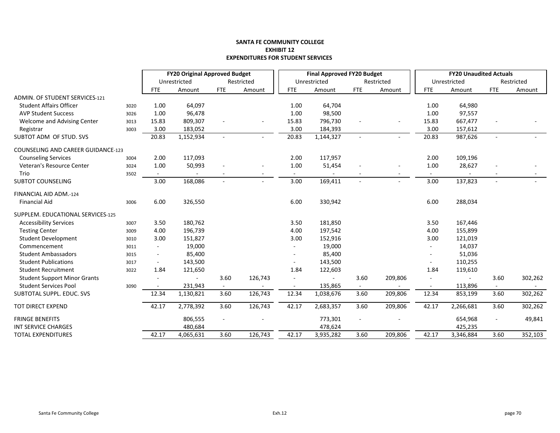#### **SANTA FE COMMUNITY COLLEGE EXHIBIT 12EXPENDITURES FOR STUDENT SERVICES**

|                                           |      | <b>FY20 Original Approved Budget</b> |              |        |            |            | <b>Final Approved FY20 Budget</b> |                          |                          |            | <b>FY20 Unaudited Actuals</b> |                |            |
|-------------------------------------------|------|--------------------------------------|--------------|--------|------------|------------|-----------------------------------|--------------------------|--------------------------|------------|-------------------------------|----------------|------------|
|                                           |      |                                      | Unrestricted |        | Restricted |            | Unrestricted                      |                          | Restricted               |            | Unrestricted                  |                | Restricted |
|                                           |      | <b>FTE</b>                           | Amount       | FTE    | Amount     | <b>FTE</b> | Amount                            | <b>FTE</b>               | Amount                   | <b>FTE</b> | Amount                        | <b>FTE</b>     | Amount     |
| <b>ADMIN. OF STUDENT SERVICES-121</b>     |      |                                      |              |        |            |            |                                   |                          |                          |            |                               |                |            |
| <b>Student Affairs Officer</b>            | 3020 | 1.00                                 | 64,097       |        |            | 1.00       | 64,704                            |                          |                          | 1.00       | 64,980                        |                |            |
| <b>AVP Student Success</b>                | 3026 | 1.00                                 | 96,478       |        |            | 1.00       | 98,500                            |                          |                          | 1.00       | 97,557                        |                |            |
| Welcome and Advising Center               | 3013 | 15.83                                | 809,307      |        |            | 15.83      | 796,730                           |                          |                          | 15.83      | 667,477                       |                |            |
| Registrar                                 | 3003 | 3.00                                 | 183,052      |        |            | 3.00       | 184,393                           |                          |                          | 3.00       | 157,612                       |                |            |
| SUBTOT ADM OF STUD. SVS                   |      | 20.83                                | 1,152,934    |        |            | 20.83      | 1,144,327                         | $\sim$                   | $\sim$                   | 20.83      | 987,626                       |                |            |
| <b>COUNSELING AND CAREER GUIDANCE-123</b> |      |                                      |              |        |            |            |                                   |                          |                          |            |                               |                |            |
| <b>Counseling Services</b>                | 3004 | 2.00                                 | 117,093      |        |            | 2.00       | 117,957                           |                          |                          | 2.00       | 109,196                       |                |            |
| Veteran's Resource Center                 | 3024 | 1.00                                 | 50,993       |        |            | 1.00       | 51,454                            |                          | $\blacksquare$           | 1.00       | 28,627                        |                |            |
| Trio                                      | 3502 | $\overline{\phantom{a}}$             |              |        |            |            |                                   |                          | $\overline{\phantom{a}}$ |            |                               |                |            |
| <b>SUBTOT COUNSELING</b>                  |      | 3.00                                 | 168,086      |        |            | 3.00       | 169,411                           |                          | ä,                       | 3.00       | 137,823                       |                |            |
| FINANCIAL AID ADM.-124                    |      |                                      |              |        |            |            |                                   |                          |                          |            |                               |                |            |
| <b>Financial Aid</b>                      | 3006 | 6.00                                 | 326,550      |        |            | 6.00       | 330,942                           |                          |                          | 6.00       | 288,034                       |                |            |
| SUPPLEM. EDUCATIONAL SERVICES-125         |      |                                      |              |        |            |            |                                   |                          |                          |            |                               |                |            |
| <b>Accessibility Services</b>             | 3007 | 3.50                                 | 180,762      |        |            | 3.50       | 181,850                           |                          |                          | 3.50       | 167,446                       |                |            |
| <b>Testing Center</b>                     | 3009 | 4.00                                 | 196,739      |        |            | 4.00       | 197,542                           |                          |                          | 4.00       | 155,899                       |                |            |
| <b>Student Development</b>                | 3010 | 3.00                                 | 151,827      |        |            | 3.00       | 152,916                           |                          |                          | 3.00       | 121,019                       |                |            |
| Commencement                              | 3011 | $\overline{\phantom{a}}$             | 19,000       |        |            |            | 19,000                            |                          |                          |            | 14,037                        |                |            |
| <b>Student Ambassadors</b>                | 3015 | $\overline{\phantom{a}}$             | 85,400       |        |            |            | 85,400                            |                          |                          |            | 51,036                        |                |            |
| <b>Student Publications</b>               | 3017 | $\overline{\phantom{a}}$             | 143,500      |        |            |            | 143,500                           |                          |                          |            | 110,255                       |                |            |
| <b>Student Recruitment</b>                | 3022 | 1.84                                 | 121,650      |        |            | 1.84       | 122,603                           |                          |                          | 1.84       | 119,610                       |                |            |
| <b>Student Support Minor Grants</b>       |      | ÷.                                   | $\sim$       | 3.60   | 126,743    |            | $\mathbf{r}$                      | 3.60                     | 209,806                  | $\sim$     | $\sim$                        | 3.60           | 302,262    |
| <b>Student Services Pool</b>              | 3090 |                                      | 231,943      | $\sim$ |            |            | 135,865                           | $\overline{\phantom{0}}$ |                          |            | 113,896                       | $\sim$         |            |
| SUBTOTAL SUPPL. EDUC. SVS                 |      | 12.34                                | 1,130,821    | 3.60   | 126,743    | 12.34      | 1,038,676                         | 3.60                     | 209,806                  | 12.34      | 853,199                       | 3.60           | 302,262    |
| TOT DIRECT EXPEND                         |      | 42.17                                | 2,778,392    | 3.60   | 126,743    | 42.17      | 2,683,357                         | 3.60                     | 209,806                  | 42.17      | 2,266,681                     | 3.60           | 302,262    |
| <b>FRINGE BENEFITS</b>                    |      |                                      | 806,555      |        |            |            | 773,301                           | $\blacksquare$           |                          |            | 654,968                       | $\blacksquare$ | 49,841     |
| <b>INT SERVICE CHARGES</b>                |      |                                      | 480,684      |        |            |            | 478,624                           |                          |                          |            | 425,235                       |                |            |
| <b>TOTAL EXPENDITURES</b>                 |      | 42.17                                | 4,065,631    | 3.60   | 126,743    | 42.17      | 3,935,282                         | 3.60                     | 209,806                  | 42.17      | 3,346,884                     | 3.60           | 352,103    |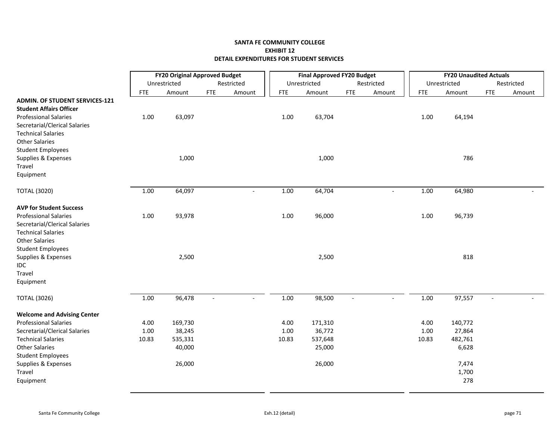# **SANTA FE COMMUNITY COLLEGE EXHIBIT 12 DETAIL EXPENDITURES FOR STUDENT SERVICES**

|                                       |            | <b>FY20 Original Approved Budget</b> |                |            |            | <b>Final Approved FY20 Budget</b> |                |            |            | <b>FY20 Unaudited Actuals</b> |            |            |
|---------------------------------------|------------|--------------------------------------|----------------|------------|------------|-----------------------------------|----------------|------------|------------|-------------------------------|------------|------------|
|                                       |            | Unrestricted                         |                | Restricted |            | Unrestricted                      |                | Restricted |            | Unrestricted                  |            | Restricted |
|                                       | <b>FTE</b> | Amount                               | <b>FTE</b>     | Amount     | <b>FTE</b> | Amount                            | <b>FTE</b>     | Amount     | <b>FTE</b> | Amount                        | <b>FTE</b> | Amount     |
| <b>ADMIN. OF STUDENT SERVICES-121</b> |            |                                      |                |            |            |                                   |                |            |            |                               |            |            |
| <b>Student Affairs Officer</b>        |            |                                      |                |            |            |                                   |                |            |            |                               |            |            |
| <b>Professional Salaries</b>          | $1.00\,$   | 63,097                               |                |            | 1.00       | 63,704                            |                |            | 1.00       | 64,194                        |            |            |
| Secretarial/Clerical Salaries         |            |                                      |                |            |            |                                   |                |            |            |                               |            |            |
| <b>Technical Salaries</b>             |            |                                      |                |            |            |                                   |                |            |            |                               |            |            |
| <b>Other Salaries</b>                 |            |                                      |                |            |            |                                   |                |            |            |                               |            |            |
| <b>Student Employees</b>              |            |                                      |                |            |            |                                   |                |            |            |                               |            |            |
| Supplies & Expenses                   |            | 1,000                                |                |            |            | 1,000                             |                |            |            | 786                           |            |            |
| Travel                                |            |                                      |                |            |            |                                   |                |            |            |                               |            |            |
| Equipment                             |            |                                      |                |            |            |                                   |                |            |            |                               |            |            |
| <b>TOTAL (3020)</b>                   | $1.00\,$   | 64,097                               |                | $\sim$     | 1.00       | 64,704                            |                | $\sim$     | 1.00       | 64,980                        |            |            |
| <b>AVP for Student Success</b>        |            |                                      |                |            |            |                                   |                |            |            |                               |            |            |
| <b>Professional Salaries</b>          | $1.00\,$   | 93,978                               |                |            | $1.00\,$   | 96,000                            |                |            | 1.00       | 96,739                        |            |            |
| Secretarial/Clerical Salaries         |            |                                      |                |            |            |                                   |                |            |            |                               |            |            |
| <b>Technical Salaries</b>             |            |                                      |                |            |            |                                   |                |            |            |                               |            |            |
| <b>Other Salaries</b>                 |            |                                      |                |            |            |                                   |                |            |            |                               |            |            |
| <b>Student Employees</b>              |            |                                      |                |            |            |                                   |                |            |            |                               |            |            |
| Supplies & Expenses                   |            | 2,500                                |                |            |            | 2,500                             |                |            |            | 818                           |            |            |
| IDC                                   |            |                                      |                |            |            |                                   |                |            |            |                               |            |            |
| Travel                                |            |                                      |                |            |            |                                   |                |            |            |                               |            |            |
| Equipment                             |            |                                      |                |            |            |                                   |                |            |            |                               |            |            |
| <b>TOTAL (3026)</b>                   | $1.00\,$   | 96,478                               | $\overline{a}$ |            | 1.00       | 98,500                            | $\overline{a}$ |            | 1.00       | 97,557                        |            |            |
| <b>Welcome and Advising Center</b>    |            |                                      |                |            |            |                                   |                |            |            |                               |            |            |
| <b>Professional Salaries</b>          | 4.00       | 169,730                              |                |            | 4.00       | 171,310                           |                |            | 4.00       | 140,772                       |            |            |
| Secretarial/Clerical Salaries         | 1.00       | 38,245                               |                |            | 1.00       | 36,772                            |                |            | 1.00       | 27,864                        |            |            |
| <b>Technical Salaries</b>             | 10.83      | 535,331                              |                |            | 10.83      | 537,648                           |                |            | 10.83      | 482,761                       |            |            |
| <b>Other Salaries</b>                 |            | 40,000                               |                |            |            | 25,000                            |                |            |            | 6,628                         |            |            |
| <b>Student Employees</b>              |            |                                      |                |            |            |                                   |                |            |            |                               |            |            |
| Supplies & Expenses                   |            | 26,000                               |                |            |            | 26,000                            |                |            |            | 7,474                         |            |            |
| Travel                                |            |                                      |                |            |            |                                   |                |            |            | 1,700                         |            |            |
| Equipment                             |            |                                      |                |            |            |                                   |                |            |            | 278                           |            |            |
|                                       |            |                                      |                |            |            |                                   |                |            |            |                               |            |            |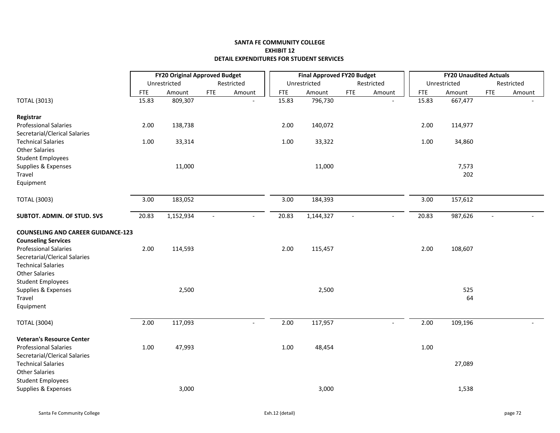## **SANTA FE COMMUNITY COLLEGE EXHIBIT 12 DETAIL EXPENDITURES FOR STUDENT SERVICES**

|                                           | <b>FY20 Original Approved Budget</b> |              |                          |            |            | <b>Final Approved FY20 Budget</b> |                |              |            | <b>FY20 Unaudited Actuals</b> |                          |            |
|-------------------------------------------|--------------------------------------|--------------|--------------------------|------------|------------|-----------------------------------|----------------|--------------|------------|-------------------------------|--------------------------|------------|
|                                           |                                      | Unrestricted |                          | Restricted |            | Unrestricted                      |                | Restricted   |            | Unrestricted                  |                          | Restricted |
|                                           | <b>FTE</b>                           | Amount       | <b>FTE</b>               | Amount     | <b>FTE</b> | Amount                            | <b>FTE</b>     | Amount       | <b>FTE</b> | Amount                        | <b>FTE</b>               | Amount     |
| <b>TOTAL (3013)</b>                       | 15.83                                | 809,307      |                          |            | 15.83      | 796,730                           |                |              | 15.83      | 667,477                       |                          |            |
| Registrar                                 |                                      |              |                          |            |            |                                   |                |              |            |                               |                          |            |
| <b>Professional Salaries</b>              | 2.00                                 | 138,738      |                          |            | 2.00       | 140,072                           |                |              | 2.00       | 114,977                       |                          |            |
| Secretarial/Clerical Salaries             |                                      |              |                          |            |            |                                   |                |              |            |                               |                          |            |
| <b>Technical Salaries</b>                 | 1.00                                 | 33,314       |                          |            | 1.00       | 33,322                            |                |              | 1.00       | 34,860                        |                          |            |
| <b>Other Salaries</b>                     |                                      |              |                          |            |            |                                   |                |              |            |                               |                          |            |
| <b>Student Employees</b>                  |                                      |              |                          |            |            |                                   |                |              |            |                               |                          |            |
| Supplies & Expenses                       |                                      | 11,000       |                          |            |            | 11,000                            |                |              |            | 7,573                         |                          |            |
| Travel                                    |                                      |              |                          |            |            |                                   |                |              |            | 202                           |                          |            |
| Equipment                                 |                                      |              |                          |            |            |                                   |                |              |            |                               |                          |            |
| <b>TOTAL (3003)</b>                       | 3.00                                 | 183,052      |                          |            | 3.00       | 184,393                           |                |              | 3.00       | 157,612                       |                          |            |
| SUBTOT. ADMIN. OF STUD. SVS               | 20.83                                | 1,152,934    | $\overline{\phantom{a}}$ |            | 20.83      | 1,144,327                         | $\blacksquare$ |              | 20.83      | 987,626                       | $\overline{\phantom{a}}$ |            |
| <b>COUNSELING AND CAREER GUIDANCE-123</b> |                                      |              |                          |            |            |                                   |                |              |            |                               |                          |            |
| <b>Counseling Services</b>                |                                      |              |                          |            |            |                                   |                |              |            |                               |                          |            |
| <b>Professional Salaries</b>              | 2.00                                 | 114,593      |                          |            | 2.00       | 115,457                           |                |              | 2.00       | 108,607                       |                          |            |
| Secretarial/Clerical Salaries             |                                      |              |                          |            |            |                                   |                |              |            |                               |                          |            |
| <b>Technical Salaries</b>                 |                                      |              |                          |            |            |                                   |                |              |            |                               |                          |            |
| <b>Other Salaries</b>                     |                                      |              |                          |            |            |                                   |                |              |            |                               |                          |            |
| <b>Student Employees</b>                  |                                      |              |                          |            |            |                                   |                |              |            |                               |                          |            |
| Supplies & Expenses                       |                                      | 2,500        |                          |            |            | 2,500                             |                |              |            | 525                           |                          |            |
| Travel                                    |                                      |              |                          |            |            |                                   |                |              |            | 64                            |                          |            |
| Equipment                                 |                                      |              |                          |            |            |                                   |                |              |            |                               |                          |            |
| <b>TOTAL (3004)</b>                       | 2.00                                 | 117,093      |                          | $\sim$     | 2.00       | 117,957                           |                | $\mathbf{r}$ | 2.00       | 109,196                       |                          |            |
| <b>Veteran's Resource Center</b>          |                                      |              |                          |            |            |                                   |                |              |            |                               |                          |            |
| <b>Professional Salaries</b>              | 1.00                                 | 47,993       |                          |            | 1.00       | 48,454                            |                |              | 1.00       |                               |                          |            |
| Secretarial/Clerical Salaries             |                                      |              |                          |            |            |                                   |                |              |            |                               |                          |            |
| <b>Technical Salaries</b>                 |                                      |              |                          |            |            |                                   |                |              |            | 27,089                        |                          |            |
| <b>Other Salaries</b>                     |                                      |              |                          |            |            |                                   |                |              |            |                               |                          |            |
| <b>Student Employees</b>                  |                                      |              |                          |            |            |                                   |                |              |            |                               |                          |            |
| Supplies & Expenses                       |                                      | 3,000        |                          |            |            | 3,000                             |                |              |            | 1,538                         |                          |            |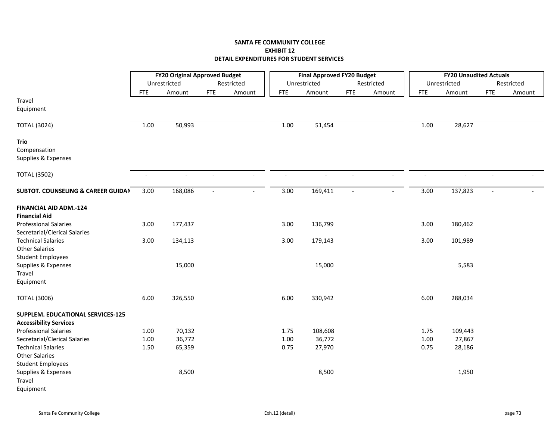|                                                                                |                          | <b>FY20 Original Approved Budget</b> |                          |                |                          | <b>Final Approved FY20 Budget</b> |                |                          |                | <b>FY20 Unaudited Actuals</b> |                          |            |
|--------------------------------------------------------------------------------|--------------------------|--------------------------------------|--------------------------|----------------|--------------------------|-----------------------------------|----------------|--------------------------|----------------|-------------------------------|--------------------------|------------|
|                                                                                |                          | Unrestricted                         |                          | Restricted     |                          | Unrestricted                      |                | Restricted               |                | Unrestricted                  |                          | Restricted |
|                                                                                | <b>FTE</b>               | Amount                               | <b>FTE</b>               | Amount         | <b>FTE</b>               | Amount                            | <b>FTE</b>     | Amount                   | <b>FTE</b>     | Amount                        | <b>FTE</b>               | Amount     |
| Travel<br>Equipment                                                            |                          |                                      |                          |                |                          |                                   |                |                          |                |                               |                          |            |
| <b>TOTAL (3024)</b>                                                            | 1.00                     | 50,993                               |                          |                | $1.00\,$                 | 51,454                            |                |                          | $1.00\,$       | 28,627                        |                          |            |
| <b>Trio</b><br>Compensation<br>Supplies & Expenses                             |                          |                                      |                          |                |                          |                                   |                |                          |                |                               |                          |            |
| <b>TOTAL (3502)</b>                                                            | $\overline{\phantom{a}}$ | $\sim$                               | $\overline{\phantom{a}}$ | $\blacksquare$ | $\overline{\phantom{a}}$ | $\overline{\phantom{a}}$          | $\blacksquare$ | $\blacksquare$           | $\blacksquare$ | $\overline{\phantom{a}}$      | $\overline{\phantom{a}}$ |            |
| <b>SUBTOT. COUNSELING &amp; CAREER GUIDAN</b>                                  | 3.00                     | 168,086                              | $\blacksquare$           | $\sim$         | 3.00                     | 169,411                           | $\blacksquare$ | $\overline{\phantom{a}}$ | 3.00           | 137,823                       | $\blacksquare$           |            |
| <b>FINANCIAL AID ADM.-124</b><br><b>Financial Aid</b>                          |                          |                                      |                          |                |                          |                                   |                |                          |                |                               |                          |            |
| <b>Professional Salaries</b><br>Secretarial/Clerical Salaries                  | 3.00                     | 177,437                              |                          |                | 3.00                     | 136,799                           |                |                          | 3.00           | 180,462                       |                          |            |
| <b>Technical Salaries</b><br><b>Other Salaries</b><br><b>Student Employees</b> | 3.00                     | 134,113                              |                          |                | 3.00                     | 179,143                           |                |                          | 3.00           | 101,989                       |                          |            |
| Supplies & Expenses<br>Travel<br>Equipment                                     |                          | 15,000                               |                          |                |                          | 15,000                            |                |                          |                | 5,583                         |                          |            |
| <b>TOTAL (3006)</b>                                                            | 6.00                     | 326,550                              |                          |                | 6.00                     | 330,942                           |                |                          | 6.00           | 288,034                       |                          |            |
| SUPPLEM. EDUCATIONAL SERVICES-125<br><b>Accessibility Services</b>             |                          |                                      |                          |                |                          |                                   |                |                          |                |                               |                          |            |
| <b>Professional Salaries</b>                                                   | 1.00                     | 70,132                               |                          |                | 1.75                     | 108,608                           |                |                          | 1.75           | 109,443                       |                          |            |
| Secretarial/Clerical Salaries                                                  | 1.00                     | 36,772                               |                          |                | 1.00                     | 36,772                            |                |                          | 1.00           | 27,867                        |                          |            |
| <b>Technical Salaries</b>                                                      | 1.50                     | 65,359                               |                          |                | 0.75                     | 27,970                            |                |                          | 0.75           | 28,186                        |                          |            |
| <b>Other Salaries</b><br><b>Student Employees</b>                              |                          |                                      |                          |                |                          |                                   |                |                          |                |                               |                          |            |
| Supplies & Expenses<br>Travel<br>Equipment                                     |                          | 8,500                                |                          |                |                          | 8,500                             |                |                          |                | 1,950                         |                          |            |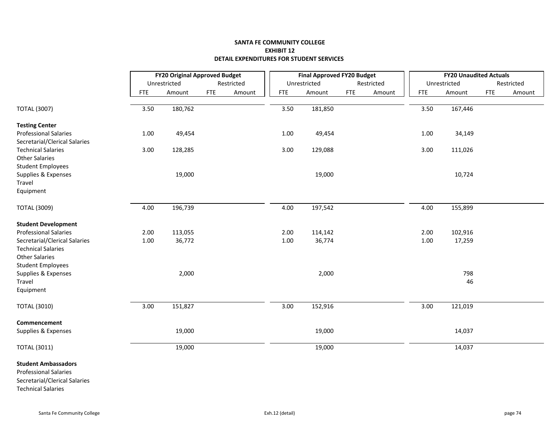|                               |            | <b>FY20 Original Approved Budget</b> |            |            |            | <b>Final Approved FY20 Budget</b> |            |            |            |          | <b>FY20 Unaudited Actuals</b> |            |            |
|-------------------------------|------------|--------------------------------------|------------|------------|------------|-----------------------------------|------------|------------|------------|----------|-------------------------------|------------|------------|
|                               |            | Unrestricted                         |            | Restricted |            | Unrestricted                      |            | Restricted |            |          | Unrestricted                  |            | Restricted |
|                               | <b>FTE</b> | Amount                               | <b>FTE</b> | Amount     | <b>FTE</b> | Amount                            | <b>FTE</b> | Amount     | <b>FTE</b> |          | Amount                        | <b>FTE</b> | Amount     |
|                               |            |                                      |            |            |            |                                   |            |            |            |          |                               |            |            |
| <b>TOTAL (3007)</b>           | 3.50       | 180,762                              |            |            | 3.50       | 181,850                           |            |            |            | 3.50     | 167,446                       |            |            |
| <b>Testing Center</b>         |            |                                      |            |            |            |                                   |            |            |            |          |                               |            |            |
| <b>Professional Salaries</b>  | 1.00       | 49,454                               |            |            | 1.00       | 49,454                            |            |            |            | $1.00\,$ | 34,149                        |            |            |
| Secretarial/Clerical Salaries |            |                                      |            |            |            |                                   |            |            |            |          |                               |            |            |
| <b>Technical Salaries</b>     | 3.00       | 128,285                              |            |            | 3.00       | 129,088                           |            |            |            | 3.00     | 111,026                       |            |            |
| <b>Other Salaries</b>         |            |                                      |            |            |            |                                   |            |            |            |          |                               |            |            |
| <b>Student Employees</b>      |            |                                      |            |            |            |                                   |            |            |            |          |                               |            |            |
| Supplies & Expenses           |            | 19,000                               |            |            |            | 19,000                            |            |            |            |          | 10,724                        |            |            |
| Travel                        |            |                                      |            |            |            |                                   |            |            |            |          |                               |            |            |
| Equipment                     |            |                                      |            |            |            |                                   |            |            |            |          |                               |            |            |
| <b>TOTAL (3009)</b>           | 4.00       | 196,739                              |            |            | 4.00       | 197,542                           |            |            |            | 4.00     | 155,899                       |            |            |
| <b>Student Development</b>    |            |                                      |            |            |            |                                   |            |            |            |          |                               |            |            |
| <b>Professional Salaries</b>  | 2.00       | 113,055                              |            |            | 2.00       | 114,142                           |            |            |            | 2.00     | 102,916                       |            |            |
| Secretarial/Clerical Salaries | 1.00       | 36,772                               |            |            | 1.00       | 36,774                            |            |            |            | 1.00     | 17,259                        |            |            |
| <b>Technical Salaries</b>     |            |                                      |            |            |            |                                   |            |            |            |          |                               |            |            |
| <b>Other Salaries</b>         |            |                                      |            |            |            |                                   |            |            |            |          |                               |            |            |
| <b>Student Employees</b>      |            |                                      |            |            |            |                                   |            |            |            |          |                               |            |            |
| Supplies & Expenses           |            | 2,000                                |            |            |            | 2,000                             |            |            |            |          | 798                           |            |            |
| Travel                        |            |                                      |            |            |            |                                   |            |            |            |          | 46                            |            |            |
| Equipment                     |            |                                      |            |            |            |                                   |            |            |            |          |                               |            |            |
| <b>TOTAL (3010)</b>           | 3.00       | 151,827                              |            |            | 3.00       | 152,916                           |            |            |            | 3.00     | 121,019                       |            |            |
| Commencement                  |            |                                      |            |            |            |                                   |            |            |            |          |                               |            |            |
| Supplies & Expenses           |            | 19,000                               |            |            |            | 19,000                            |            |            |            |          | 14,037                        |            |            |
| <b>TOTAL (3011)</b>           |            | 19,000                               |            |            |            | 19,000                            |            |            |            |          | 14,037                        |            |            |
| <b>Student Ambassadors</b>    |            |                                      |            |            |            |                                   |            |            |            |          |                               |            |            |
| <b>Professional Salaries</b>  |            |                                      |            |            |            |                                   |            |            |            |          |                               |            |            |
| Secretarial/Clerical Salaries |            |                                      |            |            |            |                                   |            |            |            |          |                               |            |            |

Technical Salaries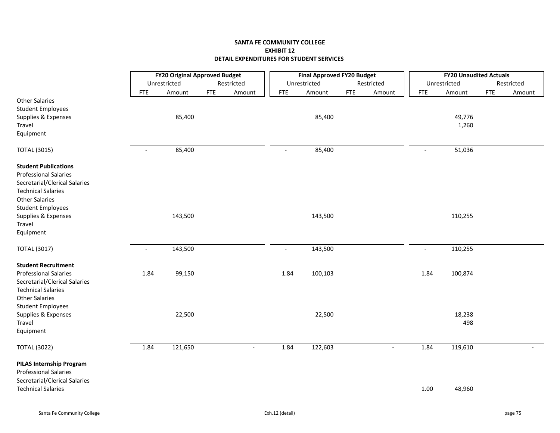|                                                                                                                                                                                | <b>FY20 Original Approved Budget</b> |              |            | <b>Final Approved FY20 Budget</b> |            |              |            | <b>FY20 Unaudited Actuals</b> |                |                 |            |            |
|--------------------------------------------------------------------------------------------------------------------------------------------------------------------------------|--------------------------------------|--------------|------------|-----------------------------------|------------|--------------|------------|-------------------------------|----------------|-----------------|------------|------------|
|                                                                                                                                                                                |                                      | Unrestricted |            | Restricted                        |            | Unrestricted |            | Restricted                    |                | Unrestricted    |            | Restricted |
|                                                                                                                                                                                | <b>FTE</b>                           | Amount       | <b>FTE</b> | Amount                            | <b>FTE</b> | Amount       | <b>FTE</b> | Amount                        | <b>FTE</b>     | Amount          | <b>FTE</b> | Amount     |
| <b>Other Salaries</b><br><b>Student Employees</b><br>Supplies & Expenses<br>Travel                                                                                             |                                      | 85,400       |            |                                   |            | 85,400       |            |                               |                | 49,776<br>1,260 |            |            |
| Equipment                                                                                                                                                                      |                                      |              |            |                                   |            |              |            |                               |                |                 |            |            |
| <b>TOTAL (3015)</b>                                                                                                                                                            | $\blacksquare$                       | 85,400       |            |                                   | $\sim$     | 85,400       |            |                               | $\sim$         | 51,036          |            |            |
| <b>Student Publications</b><br><b>Professional Salaries</b><br>Secretarial/Clerical Salaries<br><b>Technical Salaries</b><br><b>Other Salaries</b><br><b>Student Employees</b> |                                      |              |            |                                   |            |              |            |                               |                |                 |            |            |
| Supplies & Expenses<br>Travel<br>Equipment                                                                                                                                     |                                      | 143,500      |            |                                   |            | 143,500      |            |                               |                | 110,255         |            |            |
| <b>TOTAL (3017)</b>                                                                                                                                                            | $\overline{\phantom{a}}$             | 143,500      |            |                                   | $\sim$     | 143,500      |            |                               | $\blacksquare$ | 110,255         |            |            |
| <b>Student Recruitment</b>                                                                                                                                                     |                                      |              |            |                                   |            |              |            |                               |                |                 |            |            |
| <b>Professional Salaries</b><br>Secretarial/Clerical Salaries<br><b>Technical Salaries</b><br><b>Other Salaries</b><br><b>Student Employees</b>                                | 1.84                                 | 99,150       |            |                                   | 1.84       | 100,103      |            |                               | 1.84           | 100,874         |            |            |
| Supplies & Expenses<br>Travel<br>Equipment                                                                                                                                     |                                      | 22,500       |            |                                   |            | 22,500       |            |                               |                | 18,238<br>498   |            |            |
| <b>TOTAL (3022)</b>                                                                                                                                                            | 1.84                                 | 121,650      |            | $\overline{a}$                    | 1.84       | 122,603      |            |                               | 1.84           | 119,610         |            |            |
| <b>PILAS Internship Program</b><br><b>Professional Salaries</b><br>Secretarial/Clerical Salaries                                                                               |                                      |              |            |                                   |            |              |            |                               |                |                 |            |            |
| <b>Technical Salaries</b>                                                                                                                                                      |                                      |              |            |                                   |            |              |            |                               | 1.00           | 48,960          |            |            |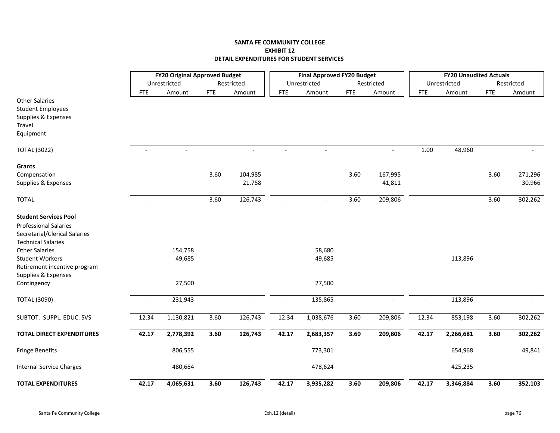|                                                                                    |                          | <b>FY20 Original Approved Budget</b> |            |                          |                          | <b>Final Approved FY20 Budget</b> |            |                |                | <b>FY20 Unaudited Actuals</b> |            |            |
|------------------------------------------------------------------------------------|--------------------------|--------------------------------------|------------|--------------------------|--------------------------|-----------------------------------|------------|----------------|----------------|-------------------------------|------------|------------|
|                                                                                    |                          | Unrestricted                         |            | Restricted               |                          | Unrestricted                      |            | Restricted     |                | Unrestricted                  |            | Restricted |
|                                                                                    | <b>FTE</b>               | Amount                               | <b>FTE</b> | Amount                   | <b>FTE</b>               | Amount                            | <b>FTE</b> | Amount         | <b>FTE</b>     | Amount                        | <b>FTE</b> | Amount     |
| <b>Other Salaries</b><br><b>Student Employees</b><br>Supplies & Expenses<br>Travel |                          |                                      |            |                          |                          |                                   |            |                |                |                               |            |            |
| Equipment                                                                          |                          |                                      |            |                          |                          |                                   |            |                |                |                               |            |            |
| <b>TOTAL (3022)</b>                                                                | $\overline{\phantom{a}}$ | $\blacksquare$                       |            | $\overline{\phantom{a}}$ | $\sim$                   | $\sim$                            |            | $\blacksquare$ | 1.00           | 48,960                        |            |            |
| Grants                                                                             |                          |                                      |            |                          |                          |                                   |            |                |                |                               |            |            |
| Compensation                                                                       |                          |                                      | 3.60       | 104,985                  |                          |                                   | 3.60       | 167,995        |                |                               | 3.60       | 271,296    |
| Supplies & Expenses                                                                |                          |                                      |            | 21,758                   |                          |                                   |            | 41,811         |                |                               |            | 30,966     |
| <b>TOTAL</b>                                                                       |                          |                                      | 3.60       | 126,743                  |                          |                                   | 3.60       | 209,806        |                |                               | 3.60       | 302,262    |
| <b>Student Services Pool</b>                                                       |                          |                                      |            |                          |                          |                                   |            |                |                |                               |            |            |
| <b>Professional Salaries</b>                                                       |                          |                                      |            |                          |                          |                                   |            |                |                |                               |            |            |
| Secretarial/Clerical Salaries                                                      |                          |                                      |            |                          |                          |                                   |            |                |                |                               |            |            |
| <b>Technical Salaries</b>                                                          |                          |                                      |            |                          |                          |                                   |            |                |                |                               |            |            |
| <b>Other Salaries</b>                                                              |                          | 154,758                              |            |                          |                          | 58,680                            |            |                |                |                               |            |            |
| <b>Student Workers</b>                                                             |                          | 49,685                               |            |                          |                          | 49,685                            |            |                |                | 113,896                       |            |            |
| Retirement incentive program                                                       |                          |                                      |            |                          |                          |                                   |            |                |                |                               |            |            |
| Supplies & Expenses                                                                |                          |                                      |            |                          |                          |                                   |            |                |                |                               |            |            |
| Contingency                                                                        |                          | 27,500                               |            |                          |                          | 27,500                            |            |                |                |                               |            |            |
| <b>TOTAL (3090)</b>                                                                | $\overline{\phantom{a}}$ | 231,943                              |            |                          | $\overline{\phantom{a}}$ | 135,865                           |            | $\overline{a}$ | $\blacksquare$ | 113,896                       |            |            |
| SUBTOT. SUPPL. EDUC. SVS                                                           | 12.34                    | 1,130,821                            | 3.60       | 126,743                  | 12.34                    | 1,038,676                         | 3.60       | 209,806        | 12.34          | 853,198                       | 3.60       | 302,262    |
| <b>TOTAL DIRECT EXPENDITURES</b>                                                   | 42.17                    | 2,778,392                            | 3.60       | 126,743                  | 42.17                    | 2,683,357                         | 3.60       | 209,806        | 42.17          | 2,266,681                     | 3.60       | 302,262    |
| Fringe Benefits                                                                    |                          | 806,555                              |            |                          |                          | 773,301                           |            |                |                | 654,968                       |            | 49,841     |
| <b>Internal Service Charges</b>                                                    |                          | 480,684                              |            |                          |                          | 478,624                           |            |                |                | 425,235                       |            |            |
| <b>TOTAL EXPENDITURES</b>                                                          | 42.17                    | 4,065,631                            | 3.60       | 126,743                  | 42.17                    | 3,935,282                         | 3.60       | 209,806        | 42.17          | 3,346,884                     | 3.60       | 352,103    |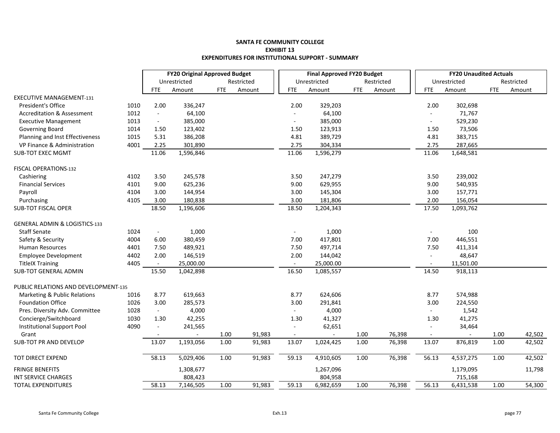#### **SANTA FE COMMUNITY COLLEGE EXHIBIT 13EXPENDITURES FOR INSTITUTIONAL SUPPORT ‐ SUMMAR Y**

|                                          |      |                | <b>FY20 Original Approved Budget</b> |            |            |                | <b>Final Approved FY20 Budget</b> |            |            |            | <b>FY20 Unaudited Actuals</b> |            |            |
|------------------------------------------|------|----------------|--------------------------------------|------------|------------|----------------|-----------------------------------|------------|------------|------------|-------------------------------|------------|------------|
|                                          |      |                | Unrestricted                         |            | Restricted |                | Unrestricted                      |            | Restricted |            | Unrestricted                  |            | Restricted |
|                                          |      | <b>FTE</b>     | Amount                               | <b>FTE</b> | Amount     | <b>FTE</b>     | Amount                            | <b>FTE</b> | Amount     | <b>FTE</b> | Amount                        | <b>FTE</b> | Amount     |
| <b>EXECUTIVE MANAGEMENT-131</b>          |      |                |                                      |            |            |                |                                   |            |            |            |                               |            |            |
| President's Office                       | 1010 | 2.00           | 336,247                              |            |            | 2.00           | 329,203                           |            |            | 2.00       | 302,698                       |            |            |
| <b>Accreditation &amp; Assessment</b>    | 1012 | $\blacksquare$ | 64,100                               |            |            | $\omega$       | 64,100                            |            |            | $\sim$     | 71,767                        |            |            |
| <b>Executive Management</b>              | 1013 | $\blacksquare$ | 385,000                              |            |            |                | 385,000                           |            |            | $\sim$     | 529,230                       |            |            |
| Governing Board                          | 1014 | 1.50           | 123,402                              |            |            | 1.50           | 123,913                           |            |            | 1.50       | 73,506                        |            |            |
| Planning and Inst Effectiveness          | 1015 | 5.31           | 386,208                              |            |            | 4.81           | 389,729                           |            |            | 4.81       | 383,715                       |            |            |
| VP Finance & Administration              | 4001 | 2.25           | 301,890                              |            |            | 2.75           | 304,334                           |            |            | 2.75       | 287,665                       |            |            |
| <b>SUB-TOT EXEC MGMT</b>                 |      | 11.06          | 1,596,846                            |            |            | 11.06          | 1,596,279                         |            |            | 11.06      | 1,648,581                     |            |            |
| FISCAL OPERATIONS-132                    |      |                |                                      |            |            |                |                                   |            |            |            |                               |            |            |
| Cashiering                               | 4102 | 3.50           | 245,578                              |            |            | 3.50           | 247,279                           |            |            | 3.50       | 239,002                       |            |            |
| <b>Financial Services</b>                | 4101 | 9.00           | 625,236                              |            |            | 9.00           | 629,955                           |            |            | 9.00       | 540,935                       |            |            |
| Payroll                                  | 4104 | 3.00           | 144,954                              |            |            | 3.00           | 145,304                           |            |            | 3.00       | 157,771                       |            |            |
| Purchasing                               | 4105 | 3.00           | 180,838                              |            |            | 3.00           | 181,806                           |            |            | 2.00       | 156,054                       |            |            |
| <b>SUB-TOT FISCAL OPER</b>               |      | 18.50          | 1,196,606                            |            |            | 18.50          | 1,204,343                         |            |            | 17.50      | 1,093,762                     |            |            |
| <b>GENERAL ADMIN &amp; LOGISTICS-133</b> |      |                |                                      |            |            |                |                                   |            |            |            |                               |            |            |
| <b>Staff Senate</b>                      | 1024 | $\blacksquare$ | 1,000                                |            |            |                | 1,000                             |            |            |            | 100                           |            |            |
| Safety & Security                        | 4004 | 6.00           | 380,459                              |            |            | 7.00           | 417,801                           |            |            | 7.00       | 446,551                       |            |            |
| <b>Human Resources</b>                   | 4401 | 7.50           | 489,921                              |            |            | 7.50           | 497,714                           |            |            | 7.50       | 411,314                       |            |            |
| <b>Employee Development</b>              | 4402 | 2.00           | 146,519                              |            |            | 2.00           | 144,042                           |            |            | $\sim$     | 48,647                        |            |            |
| <b>TitleIX Training</b>                  | 4405 |                | 25,000.00                            |            |            |                | 25,000.00                         |            |            |            | 11,501.00                     |            |            |
| <b>SUB-TOT GENERAL ADMIN</b>             |      | 15.50          | 1,042,898                            |            |            | 16.50          | 1,085,557                         |            |            | 14.50      | 918,113                       |            |            |
| PUBLIC RELATIONS AND DEVELOPMENT-135     |      |                |                                      |            |            |                |                                   |            |            |            |                               |            |            |
| Marketing & Public Relations             | 1016 | 8.77           | 619,663                              |            |            | 8.77           | 624,606                           |            |            | 8.77       | 574,988                       |            |            |
| <b>Foundation Office</b>                 | 1026 | 3.00           | 285,573                              |            |            | 3.00           | 291,841                           |            |            | 3.00       | 224,550                       |            |            |
| Pres. Diversity Adv. Committee           | 1028 | $\blacksquare$ | 4,000                                |            |            |                | 4,000                             |            |            | $\sim$     | 1,542                         |            |            |
| Concierge/Switchboard                    | 1030 | 1.30           | 42,255                               |            |            | 1.30           | 41,327                            |            |            | 1.30       | 41,275                        |            |            |
| Institutional Support Pool               | 4090 | $\overline{a}$ | 241,565                              |            |            | $\sim$         | 62,651                            |            |            |            | 34,464                        |            |            |
| Grant                                    |      |                |                                      | 1.00       | 91,983     | $\blacksquare$ |                                   | 1.00       | 76,398     | $\sim$     |                               | 1.00       | 42,502     |
| <b>SUB-TOT PR AND DEVELOP</b>            |      | 13.07          | 1,193,056                            | 1.00       | 91,983     | 13.07          | 1,024,425                         | 1.00       | 76,398     | 13.07      | 876,819                       | 1.00       | 42,502     |
| TOT DIRECT EXPEND                        |      | 58.13          | 5,029,406                            | 1.00       | 91,983     | 59.13          | 4,910,605                         | 1.00       | 76,398     | 56.13      | 4,537,275                     | 1.00       | 42,502     |
| <b>FRINGE BENEFITS</b>                   |      |                | 1,308,677                            |            |            |                | 1,267,096                         |            |            |            | 1,179,095                     |            | 11,798     |
| <b>INT SERVICE CHARGES</b>               |      |                | 808,423                              |            |            |                | 804,958                           |            |            |            | 715,168                       |            |            |
| <b>TOTAL EXPENDITURES</b>                |      | 58.13          | 7,146,505                            | 1.00       | 91,983     | 59.13          | 6,982,659                         | 1.00       | 76,398     | 56.13      | 6,431,538                     | 1.00       | 54,300     |
|                                          |      |                |                                      |            |            |                |                                   |            |            |            |                               |            |            |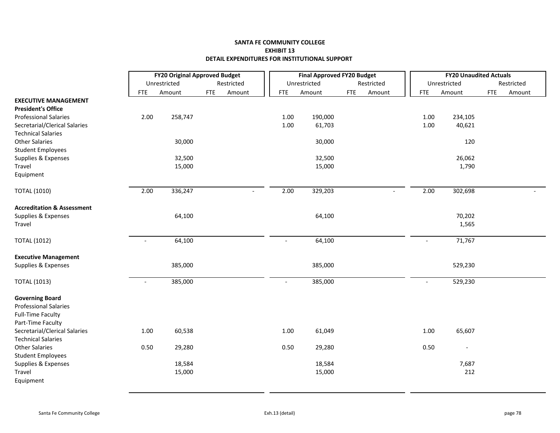|                                                                                                         |                          | <b>FY20 Original Approved Budget</b> |            |                |                          | <b>Final Approved FY20 Budget</b> |            |                |                          | <b>FY20 Unaudited Actuals</b> |            |            |
|---------------------------------------------------------------------------------------------------------|--------------------------|--------------------------------------|------------|----------------|--------------------------|-----------------------------------|------------|----------------|--------------------------|-------------------------------|------------|------------|
|                                                                                                         |                          | Unrestricted                         |            | Restricted     |                          | Unrestricted                      |            | Restricted     |                          | Unrestricted                  |            | Restricted |
|                                                                                                         | <b>FTE</b>               | Amount                               | <b>FTE</b> | Amount         | <b>FTE</b>               | Amount                            | <b>FTE</b> | Amount         | <b>FTE</b>               | Amount                        | <b>FTE</b> | Amount     |
| <b>EXECUTIVE MANAGEMENT</b>                                                                             |                          |                                      |            |                |                          |                                   |            |                |                          |                               |            |            |
| <b>President's Office</b>                                                                               |                          |                                      |            |                |                          |                                   |            |                |                          |                               |            |            |
| <b>Professional Salaries</b>                                                                            | 2.00                     | 258,747                              |            |                | 1.00                     | 190,000                           |            |                | 1.00                     | 234,105                       |            |            |
| Secretarial/Clerical Salaries                                                                           |                          |                                      |            |                | 1.00                     | 61,703                            |            |                | 1.00                     | 40,621                        |            |            |
| <b>Technical Salaries</b>                                                                               |                          |                                      |            |                |                          |                                   |            |                |                          |                               |            |            |
| <b>Other Salaries</b>                                                                                   |                          | 30,000                               |            |                |                          | 30,000                            |            |                |                          | 120                           |            |            |
| <b>Student Employees</b>                                                                                |                          |                                      |            |                |                          |                                   |            |                |                          |                               |            |            |
| Supplies & Expenses                                                                                     |                          | 32,500                               |            |                |                          | 32,500                            |            |                |                          | 26,062                        |            |            |
| Travel                                                                                                  |                          | 15,000                               |            |                |                          | 15,000                            |            |                |                          | 1,790                         |            |            |
| Equipment                                                                                               |                          |                                      |            |                |                          |                                   |            |                |                          |                               |            |            |
| <b>TOTAL (1010)</b>                                                                                     | 2.00                     | 336,247                              |            | $\blacksquare$ | 2.00                     | 329,203                           |            | $\blacksquare$ | 2.00                     | 302,698                       |            |            |
| <b>Accreditation &amp; Assessment</b>                                                                   |                          |                                      |            |                |                          |                                   |            |                |                          |                               |            |            |
| Supplies & Expenses                                                                                     |                          | 64,100                               |            |                |                          | 64,100                            |            |                |                          | 70,202                        |            |            |
| Travel                                                                                                  |                          |                                      |            |                |                          |                                   |            |                |                          | 1,565                         |            |            |
|                                                                                                         |                          |                                      |            |                |                          |                                   |            |                |                          |                               |            |            |
| <b>TOTAL (1012)</b>                                                                                     | $\sim$                   | 64,100                               |            |                | $\overline{\phantom{a}}$ | 64,100                            |            |                | $\mathbf{r}$             | 71,767                        |            |            |
| <b>Executive Management</b>                                                                             |                          |                                      |            |                |                          |                                   |            |                |                          |                               |            |            |
| Supplies & Expenses                                                                                     |                          | 385,000                              |            |                |                          | 385,000                           |            |                |                          | 529,230                       |            |            |
| <b>TOTAL (1013)</b>                                                                                     | $\overline{\phantom{a}}$ | 385,000                              |            |                | $\overline{\phantom{a}}$ | 385,000                           |            |                | $\overline{\phantom{a}}$ | 529,230                       |            |            |
| <b>Governing Board</b><br><b>Professional Salaries</b><br><b>Full-Time Faculty</b><br>Part-Time Faculty |                          |                                      |            |                |                          |                                   |            |                |                          |                               |            |            |
| Secretarial/Clerical Salaries<br><b>Technical Salaries</b>                                              | 1.00                     | 60,538                               |            |                | 1.00                     | 61,049                            |            |                | 1.00                     | 65,607                        |            |            |
| <b>Other Salaries</b>                                                                                   | 0.50                     | 29,280                               |            |                | 0.50                     | 29,280                            |            |                | 0.50                     | $\overline{\phantom{a}}$      |            |            |
| <b>Student Employees</b>                                                                                |                          |                                      |            |                |                          |                                   |            |                |                          |                               |            |            |
| Supplies & Expenses                                                                                     |                          | 18,584                               |            |                |                          | 18,584                            |            |                |                          | 7,687                         |            |            |
| Travel                                                                                                  |                          | 15,000                               |            |                |                          | 15,000                            |            |                |                          | 212                           |            |            |
| Equipment                                                                                               |                          |                                      |            |                |                          |                                   |            |                |                          |                               |            |            |
|                                                                                                         |                          |                                      |            |                |                          |                                   |            |                |                          |                               |            |            |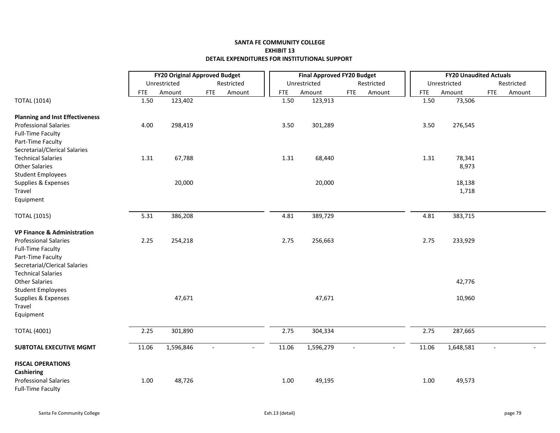|                                        |            | <b>FY20 Original Approved Budget</b> |                          |                |            | <b>Final Approved FY20 Budget</b> |            |                |            | <b>FY20 Unaudited Actuals</b> |            |            |
|----------------------------------------|------------|--------------------------------------|--------------------------|----------------|------------|-----------------------------------|------------|----------------|------------|-------------------------------|------------|------------|
|                                        |            | Unrestricted                         |                          | Restricted     |            | Unrestricted                      |            | Restricted     |            | Unrestricted                  |            | Restricted |
|                                        | <b>FTE</b> | Amount                               | <b>FTE</b>               | Amount         | <b>FTE</b> | Amount                            | <b>FTE</b> | Amount         | <b>FTE</b> | Amount                        | <b>FTE</b> | Amount     |
| <b>TOTAL (1014)</b>                    | 1.50       | 123,402                              |                          |                | 1.50       | 123,913                           |            |                | 1.50       | 73,506                        |            |            |
| <b>Planning and Inst Effectiveness</b> |            |                                      |                          |                |            |                                   |            |                |            |                               |            |            |
| <b>Professional Salaries</b>           | 4.00       | 298,419                              |                          |                | 3.50       | 301,289                           |            |                | 3.50       | 276,545                       |            |            |
| <b>Full-Time Faculty</b>               |            |                                      |                          |                |            |                                   |            |                |            |                               |            |            |
| Part-Time Faculty                      |            |                                      |                          |                |            |                                   |            |                |            |                               |            |            |
| Secretarial/Clerical Salaries          |            |                                      |                          |                |            |                                   |            |                |            |                               |            |            |
| <b>Technical Salaries</b>              | 1.31       | 67,788                               |                          |                | 1.31       | 68,440                            |            |                | 1.31       | 78,341                        |            |            |
| <b>Other Salaries</b>                  |            |                                      |                          |                |            |                                   |            |                |            | 8,973                         |            |            |
| <b>Student Employees</b>               |            |                                      |                          |                |            |                                   |            |                |            |                               |            |            |
| Supplies & Expenses                    |            | 20,000                               |                          |                |            | 20,000                            |            |                |            | 18,138                        |            |            |
| Travel                                 |            |                                      |                          |                |            |                                   |            |                |            | 1,718                         |            |            |
| Equipment                              |            |                                      |                          |                |            |                                   |            |                |            |                               |            |            |
| <b>TOTAL (1015)</b>                    | 5.31       | 386,208                              |                          |                | 4.81       | 389,729                           |            |                | 4.81       | 383,715                       |            |            |
| <b>VP Finance &amp; Administration</b> |            |                                      |                          |                |            |                                   |            |                |            |                               |            |            |
| <b>Professional Salaries</b>           | 2.25       | 254,218                              |                          |                | 2.75       | 256,663                           |            |                | 2.75       | 233,929                       |            |            |
| <b>Full-Time Faculty</b>               |            |                                      |                          |                |            |                                   |            |                |            |                               |            |            |
| Part-Time Faculty                      |            |                                      |                          |                |            |                                   |            |                |            |                               |            |            |
| Secretarial/Clerical Salaries          |            |                                      |                          |                |            |                                   |            |                |            |                               |            |            |
| <b>Technical Salaries</b>              |            |                                      |                          |                |            |                                   |            |                |            |                               |            |            |
| <b>Other Salaries</b>                  |            |                                      |                          |                |            |                                   |            |                |            | 42,776                        |            |            |
| <b>Student Employees</b>               |            |                                      |                          |                |            |                                   |            |                |            |                               |            |            |
| Supplies & Expenses                    |            | 47,671                               |                          |                |            | 47,671                            |            |                |            | 10,960                        |            |            |
| Travel                                 |            |                                      |                          |                |            |                                   |            |                |            |                               |            |            |
| Equipment                              |            |                                      |                          |                |            |                                   |            |                |            |                               |            |            |
| <b>TOTAL (4001)</b>                    | 2.25       | 301,890                              |                          |                | 2.75       | 304,334                           |            |                | 2.75       | 287,665                       |            |            |
| SUBTOTAL EXECUTIVE MGMT                | 11.06      | 1,596,846                            | $\overline{\phantom{a}}$ | $\overline{a}$ | 11.06      | 1,596,279                         | $\sim$     | $\overline{a}$ | 11.06      | 1,648,581                     | $\sim$     |            |
| <b>FISCAL OPERATIONS</b>               |            |                                      |                          |                |            |                                   |            |                |            |                               |            |            |
| Cashiering                             |            |                                      |                          |                |            |                                   |            |                |            |                               |            |            |
| <b>Professional Salaries</b>           | 1.00       | 48,726                               |                          |                | 1.00       | 49,195                            |            |                | 1.00       | 49,573                        |            |            |
| <b>Full-Time Faculty</b>               |            |                                      |                          |                |            |                                   |            |                |            |                               |            |            |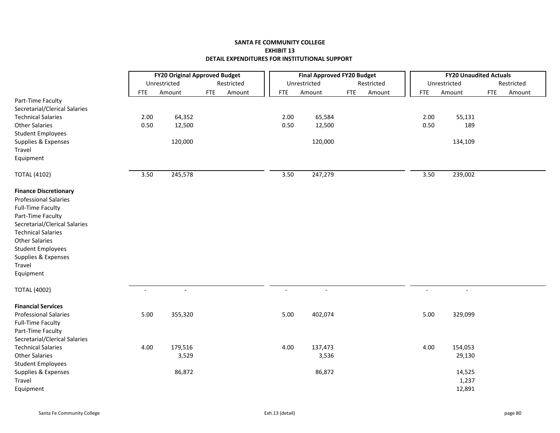|                                                    | <b>FY20 Original Approved Budget</b> |                          |            |            |            | <b>Final Approved FY20 Budget</b> |            |            |                          | <b>FY20 Unaudited Actuals</b> |            |            |
|----------------------------------------------------|--------------------------------------|--------------------------|------------|------------|------------|-----------------------------------|------------|------------|--------------------------|-------------------------------|------------|------------|
|                                                    |                                      | Unrestricted             |            | Restricted |            | Unrestricted                      |            | Restricted |                          | Unrestricted                  |            | Restricted |
|                                                    | <b>FTE</b>                           | Amount                   | <b>FTE</b> | Amount     | <b>FTE</b> | Amount                            | <b>FTE</b> | Amount     | <b>FTE</b>               | Amount                        | <b>FTE</b> | Amount     |
| Part-Time Faculty<br>Secretarial/Clerical Salaries |                                      |                          |            |            |            |                                   |            |            |                          |                               |            |            |
| <b>Technical Salaries</b>                          | 2.00                                 | 64,352                   |            |            | 2.00       | 65,584                            |            |            | 2.00                     | 55,131                        |            |            |
| <b>Other Salaries</b>                              | 0.50                                 | 12,500                   |            |            | 0.50       | 12,500                            |            |            | 0.50                     | 189                           |            |            |
| <b>Student Employees</b>                           |                                      |                          |            |            |            |                                   |            |            |                          |                               |            |            |
| Supplies & Expenses                                |                                      | 120,000                  |            |            |            | 120,000                           |            |            |                          | 134,109                       |            |            |
| Travel                                             |                                      |                          |            |            |            |                                   |            |            |                          |                               |            |            |
| Equipment                                          |                                      |                          |            |            |            |                                   |            |            |                          |                               |            |            |
| <b>TOTAL (4102)</b>                                | 3.50                                 | 245,578                  |            |            | 3.50       | 247,279                           |            |            | 3.50                     | 239,002                       |            |            |
| <b>Finance Discretionary</b>                       |                                      |                          |            |            |            |                                   |            |            |                          |                               |            |            |
| <b>Professional Salaries</b>                       |                                      |                          |            |            |            |                                   |            |            |                          |                               |            |            |
| <b>Full-Time Faculty</b>                           |                                      |                          |            |            |            |                                   |            |            |                          |                               |            |            |
| Part-Time Faculty                                  |                                      |                          |            |            |            |                                   |            |            |                          |                               |            |            |
| Secretarial/Clerical Salaries                      |                                      |                          |            |            |            |                                   |            |            |                          |                               |            |            |
| <b>Technical Salaries</b>                          |                                      |                          |            |            |            |                                   |            |            |                          |                               |            |            |
| <b>Other Salaries</b>                              |                                      |                          |            |            |            |                                   |            |            |                          |                               |            |            |
| <b>Student Employees</b>                           |                                      |                          |            |            |            |                                   |            |            |                          |                               |            |            |
| Supplies & Expenses<br>Travel                      |                                      |                          |            |            |            |                                   |            |            |                          |                               |            |            |
| Equipment                                          |                                      |                          |            |            |            |                                   |            |            |                          |                               |            |            |
|                                                    |                                      |                          |            |            |            |                                   |            |            |                          |                               |            |            |
| <b>TOTAL (4002)</b>                                | $\blacksquare$                       | $\overline{\phantom{a}}$ |            |            | $\sim$     | $\overline{\phantom{a}}$          |            |            | $\overline{\phantom{a}}$ | $\blacksquare$                |            |            |
| <b>Financial Services</b>                          |                                      |                          |            |            |            |                                   |            |            |                          |                               |            |            |
| <b>Professional Salaries</b>                       | 5.00                                 | 355,320                  |            |            | 5.00       | 402,074                           |            |            | 5.00                     | 329,099                       |            |            |
| <b>Full-Time Faculty</b>                           |                                      |                          |            |            |            |                                   |            |            |                          |                               |            |            |
| Part-Time Faculty                                  |                                      |                          |            |            |            |                                   |            |            |                          |                               |            |            |
| Secretarial/Clerical Salaries                      |                                      |                          |            |            |            |                                   |            |            |                          |                               |            |            |
| <b>Technical Salaries</b>                          | 4.00                                 | 179,516                  |            |            | 4.00       | 137,473                           |            |            | 4.00                     | 154,053                       |            |            |
| <b>Other Salaries</b>                              |                                      | 3,529                    |            |            |            | 3,536                             |            |            |                          | 29,130                        |            |            |
| <b>Student Employees</b>                           |                                      |                          |            |            |            |                                   |            |            |                          |                               |            |            |
| Supplies & Expenses                                |                                      | 86,872                   |            |            |            | 86,872                            |            |            |                          | 14,525                        |            |            |
| Travel                                             |                                      |                          |            |            |            |                                   |            |            |                          | 1,237                         |            |            |
| Equipment                                          |                                      |                          |            |            |            |                                   |            |            |                          | 12,891                        |            |            |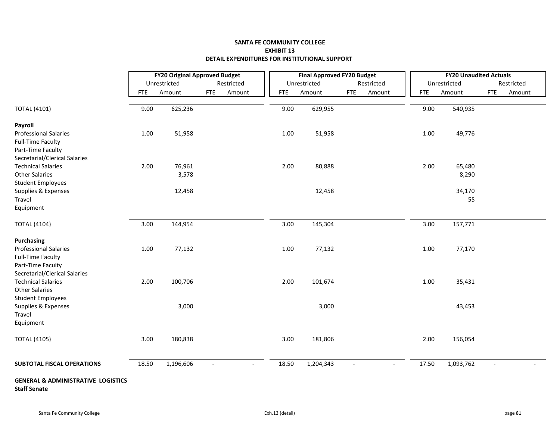|                                                                      | <b>FY20 Original Approved Budget</b> |              |                          |            |            | <b>Final Approved FY20 Budget</b> |                |                          |            |       | <b>FY20 Unaudited Actuals</b> |                          |            |
|----------------------------------------------------------------------|--------------------------------------|--------------|--------------------------|------------|------------|-----------------------------------|----------------|--------------------------|------------|-------|-------------------------------|--------------------------|------------|
|                                                                      |                                      | Unrestricted |                          | Restricted |            | Unrestricted                      |                | Restricted               |            |       | Unrestricted                  |                          | Restricted |
|                                                                      | <b>FTE</b>                           | Amount       | <b>FTE</b>               | Amount     | <b>FTE</b> | Amount                            | <b>FTE</b>     | Amount                   | <b>FTE</b> |       | Amount                        | <b>FTE</b>               | Amount     |
| <b>TOTAL (4101)</b>                                                  | 9.00                                 | 625,236      |                          |            | 9.00       | 629,955                           |                |                          |            | 9.00  | 540,935                       |                          |            |
| Payroll                                                              |                                      |              |                          |            |            |                                   |                |                          |            |       |                               |                          |            |
| <b>Professional Salaries</b>                                         | 1.00                                 | 51,958       |                          |            | 1.00       | 51,958                            |                |                          |            | 1.00  | 49,776                        |                          |            |
| <b>Full-Time Faculty</b>                                             |                                      |              |                          |            |            |                                   |                |                          |            |       |                               |                          |            |
| Part-Time Faculty                                                    |                                      |              |                          |            |            |                                   |                |                          |            |       |                               |                          |            |
| Secretarial/Clerical Salaries                                        |                                      |              |                          |            |            |                                   |                |                          |            |       |                               |                          |            |
| <b>Technical Salaries</b>                                            | 2.00                                 | 76,961       |                          |            | 2.00       | 80,888                            |                |                          |            | 2.00  | 65,480                        |                          |            |
| <b>Other Salaries</b>                                                |                                      | 3,578        |                          |            |            |                                   |                |                          |            |       | 8,290                         |                          |            |
| <b>Student Employees</b>                                             |                                      |              |                          |            |            |                                   |                |                          |            |       |                               |                          |            |
| Supplies & Expenses                                                  |                                      | 12,458       |                          |            |            | 12,458                            |                |                          |            |       | 34,170                        |                          |            |
| Travel                                                               |                                      |              |                          |            |            |                                   |                |                          |            |       | 55                            |                          |            |
| Equipment                                                            |                                      |              |                          |            |            |                                   |                |                          |            |       |                               |                          |            |
| <b>TOTAL (4104)</b>                                                  | 3.00                                 | 144,954      |                          |            | 3.00       | 145,304                           |                |                          |            | 3.00  | 157,771                       |                          |            |
| <b>Purchasing</b>                                                    |                                      |              |                          |            |            |                                   |                |                          |            |       |                               |                          |            |
| <b>Professional Salaries</b>                                         | 1.00                                 | 77,132       |                          |            | 1.00       | 77,132                            |                |                          |            | 1.00  | 77,170                        |                          |            |
| <b>Full-Time Faculty</b>                                             |                                      |              |                          |            |            |                                   |                |                          |            |       |                               |                          |            |
| Part-Time Faculty                                                    |                                      |              |                          |            |            |                                   |                |                          |            |       |                               |                          |            |
| Secretarial/Clerical Salaries                                        |                                      |              |                          |            |            |                                   |                |                          |            |       |                               |                          |            |
| <b>Technical Salaries</b>                                            | 2.00                                 | 100,706      |                          |            | 2.00       | 101,674                           |                |                          |            | 1.00  | 35,431                        |                          |            |
| <b>Other Salaries</b>                                                |                                      |              |                          |            |            |                                   |                |                          |            |       |                               |                          |            |
| <b>Student Employees</b>                                             |                                      |              |                          |            |            |                                   |                |                          |            |       |                               |                          |            |
| Supplies & Expenses                                                  |                                      | 3,000        |                          |            |            | 3,000                             |                |                          |            |       | 43,453                        |                          |            |
| Travel                                                               |                                      |              |                          |            |            |                                   |                |                          |            |       |                               |                          |            |
| Equipment                                                            |                                      |              |                          |            |            |                                   |                |                          |            |       |                               |                          |            |
| <b>TOTAL (4105)</b>                                                  | 3.00                                 | 180,838      |                          |            | 3.00       | 181,806                           |                |                          |            | 2.00  | 156,054                       |                          |            |
| <b>SUBTOTAL FISCAL OPERATIONS</b>                                    | 18.50                                | 1,196,606    | $\overline{\phantom{a}}$ | $\sim$     | 18.50      | 1,204,343                         | $\blacksquare$ | $\overline{\phantom{a}}$ |            | 17.50 | 1,093,762                     | $\overline{\phantom{a}}$ |            |
| <b>GENERAL &amp; ADMINISTRATIVE LOGISTICS</b><br><b>Staff Senate</b> |                                      |              |                          |            |            |                                   |                |                          |            |       |                               |                          |            |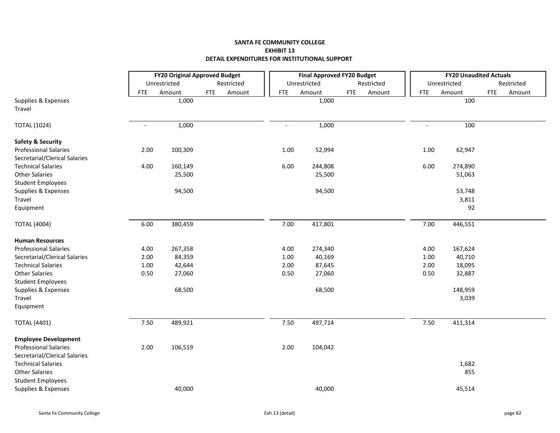|                                                               | <b>FY20 Original Approved Budget</b> |              |            |            |                | <b>Final Approved FY20 Budget</b> |            |            |                          | <b>FY20 Unaudited Actuals</b> |            |            |
|---------------------------------------------------------------|--------------------------------------|--------------|------------|------------|----------------|-----------------------------------|------------|------------|--------------------------|-------------------------------|------------|------------|
|                                                               |                                      | Unrestricted |            | Restricted |                | Unrestricted                      |            | Restricted |                          | Unrestricted                  |            | Restricted |
|                                                               | <b>FTE</b>                           | Amount       | <b>FTE</b> | Amount     | <b>FTE</b>     | Amount                            | <b>FTE</b> | Amount     | <b>FTE</b>               | Amount                        | <b>FTE</b> | Amount     |
| Supplies & Expenses<br>Travel                                 |                                      | 1,000        |            |            |                | 1,000                             |            |            |                          | 100                           |            |            |
| <b>TOTAL (1024)</b>                                           | $\sim$                               | 1,000        |            |            | $\blacksquare$ | 1,000                             |            |            | $\overline{\phantom{a}}$ | 100                           |            |            |
| <b>Safety &amp; Security</b>                                  |                                      |              |            |            |                |                                   |            |            |                          |                               |            |            |
| <b>Professional Salaries</b><br>Secretarial/Clerical Salaries | 2.00                                 | 100,309      |            |            | 1.00           | 52,994                            |            |            | 1.00                     | 62,947                        |            |            |
| <b>Technical Salaries</b>                                     | 4.00                                 | 160,149      |            |            | 6.00           | 244,808                           |            |            | 6.00                     | 274,890                       |            |            |
| <b>Other Salaries</b>                                         |                                      | 25,500       |            |            |                | 25,500                            |            |            |                          | 51,063                        |            |            |
| <b>Student Employees</b>                                      |                                      |              |            |            |                |                                   |            |            |                          |                               |            |            |
| Supplies & Expenses                                           |                                      | 94,500       |            |            |                | 94,500                            |            |            |                          | 53,748                        |            |            |
| Travel                                                        |                                      |              |            |            |                |                                   |            |            |                          | 3,811                         |            |            |
| Equipment                                                     |                                      |              |            |            |                |                                   |            |            |                          | 92                            |            |            |
| <b>TOTAL (4004)</b>                                           | 6.00                                 | 380,459      |            |            | 7.00           | 417,801                           |            |            | 7.00                     | 446,551                       |            |            |
| <b>Human Resources</b>                                        |                                      |              |            |            |                |                                   |            |            |                          |                               |            |            |
| <b>Professional Salaries</b>                                  | 4.00                                 | 267,358      |            |            | 4.00           | 274,340                           |            |            | 4.00                     | 167,624                       |            |            |
| Secretarial/Clerical Salaries                                 | 2.00                                 | 84,359       |            |            | 1.00           | 40,169                            |            |            | 1.00                     | 40,710                        |            |            |
| <b>Technical Salaries</b>                                     | 1.00                                 | 42,644       |            |            | 2.00           | 87,645                            |            |            | 2.00                     | 18,095                        |            |            |
| <b>Other Salaries</b>                                         | 0.50                                 | 27,060       |            |            | 0.50           | 27,060                            |            |            | 0.50                     | 32,887                        |            |            |
| <b>Student Employees</b>                                      |                                      |              |            |            |                |                                   |            |            |                          |                               |            |            |
| Supplies & Expenses                                           |                                      | 68,500       |            |            |                | 68,500                            |            |            |                          | 148,959                       |            |            |
| Travel                                                        |                                      |              |            |            |                |                                   |            |            |                          | 3,039                         |            |            |
| Equipment                                                     |                                      |              |            |            |                |                                   |            |            |                          |                               |            |            |
| <b>TOTAL (4401)</b>                                           | 7.50                                 | 489,921      |            |            | 7.50           | 497,714                           |            |            | 7.50                     | 411,314                       |            |            |
| <b>Employee Development</b>                                   |                                      |              |            |            |                |                                   |            |            |                          |                               |            |            |
| <b>Professional Salaries</b>                                  | 2.00                                 | 106,519      |            |            | 2.00           | 104,042                           |            |            |                          |                               |            |            |
| Secretarial/Clerical Salaries                                 |                                      |              |            |            |                |                                   |            |            |                          |                               |            |            |
| <b>Technical Salaries</b>                                     |                                      |              |            |            |                |                                   |            |            |                          | 1,682                         |            |            |
| <b>Other Salaries</b>                                         |                                      |              |            |            |                |                                   |            |            |                          | 855                           |            |            |
| <b>Student Employees</b>                                      |                                      |              |            |            |                |                                   |            |            |                          |                               |            |            |
| Supplies & Expenses                                           |                                      | 40,000       |            |            |                | 40,000                            |            |            |                          | 45,514                        |            |            |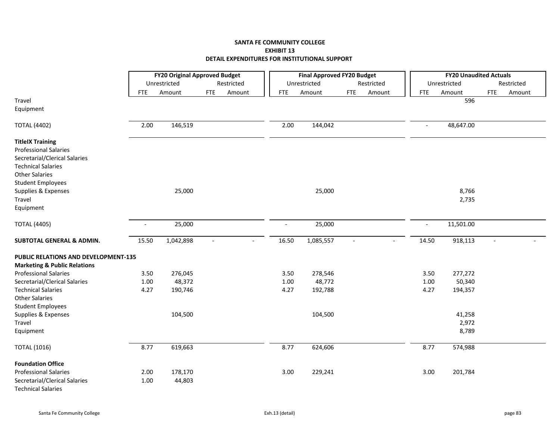|                                                                                                                                                                                                                          |        |              | <b>FY20 Original Approved Budget</b> |                | <b>Final Approved FY20 Budget</b> |                |            |                          | <b>FY20 Unaudited Actuals</b> |            |            |
|--------------------------------------------------------------------------------------------------------------------------------------------------------------------------------------------------------------------------|--------|--------------|--------------------------------------|----------------|-----------------------------------|----------------|------------|--------------------------|-------------------------------|------------|------------|
|                                                                                                                                                                                                                          |        | Unrestricted | Restricted                           |                | Unrestricted                      |                | Restricted |                          | Unrestricted                  |            | Restricted |
|                                                                                                                                                                                                                          | FTE.   | Amount       | <b>FTE</b><br>Amount                 | <b>FTE</b>     | Amount                            | <b>FTE</b>     | Amount     | <b>FTE</b>               | Amount                        | <b>FTE</b> | Amount     |
| Travel                                                                                                                                                                                                                   |        |              |                                      |                |                                   |                |            |                          | 596                           |            |            |
| Equipment                                                                                                                                                                                                                |        |              |                                      |                |                                   |                |            |                          |                               |            |            |
| <b>TOTAL (4402)</b>                                                                                                                                                                                                      | 2.00   | 146,519      |                                      | 2.00           | 144,042                           |                |            | $\overline{\phantom{a}}$ | 48,647.00                     |            |            |
| <b>TitleIX Training</b><br><b>Professional Salaries</b><br>Secretarial/Clerical Salaries<br><b>Technical Salaries</b><br><b>Other Salaries</b><br><b>Student Employees</b><br>Supplies & Expenses<br>Travel<br>Equipment |        | 25,000       |                                      |                | 25,000                            |                |            |                          | 8,766<br>2,735                |            |            |
|                                                                                                                                                                                                                          |        |              |                                      |                |                                   |                |            |                          |                               |            |            |
| <b>TOTAL (4405)</b>                                                                                                                                                                                                      | $\sim$ | 25,000       |                                      | $\overline{a}$ | 25,000                            |                |            | $\overline{\phantom{a}}$ | 11,501.00                     |            |            |
| <b>SUBTOTAL GENERAL &amp; ADMIN.</b>                                                                                                                                                                                     | 15.50  | 1,042,898    | $\sim$<br>$\overline{\phantom{a}}$   | 16.50          | 1,085,557                         | $\blacksquare$ |            | 14.50                    | 918,113                       | $\sim$     |            |
| <b>PUBLIC RELATIONS AND DEVELOPMENT-135</b>                                                                                                                                                                              |        |              |                                      |                |                                   |                |            |                          |                               |            |            |
| <b>Marketing &amp; Public Relations</b>                                                                                                                                                                                  |        |              |                                      |                |                                   |                |            |                          |                               |            |            |
| <b>Professional Salaries</b>                                                                                                                                                                                             | 3.50   | 276,045      |                                      | 3.50           | 278,546                           |                |            | 3.50                     | 277,272                       |            |            |
| Secretarial/Clerical Salaries                                                                                                                                                                                            | 1.00   | 48,372       |                                      | 1.00           | 48,772                            |                |            | 1.00                     | 50,340                        |            |            |
| <b>Technical Salaries</b>                                                                                                                                                                                                | 4.27   | 190,746      |                                      | 4.27           | 192,788                           |                |            | 4.27                     | 194,357                       |            |            |
| <b>Other Salaries</b>                                                                                                                                                                                                    |        |              |                                      |                |                                   |                |            |                          |                               |            |            |
| <b>Student Employees</b>                                                                                                                                                                                                 |        |              |                                      |                |                                   |                |            |                          |                               |            |            |
| Supplies & Expenses                                                                                                                                                                                                      |        | 104,500      |                                      |                | 104,500                           |                |            |                          | 41,258                        |            |            |
| Travel                                                                                                                                                                                                                   |        |              |                                      |                |                                   |                |            |                          | 2,972                         |            |            |
| Equipment                                                                                                                                                                                                                |        |              |                                      |                |                                   |                |            |                          | 8,789                         |            |            |
| <b>TOTAL (1016)</b>                                                                                                                                                                                                      | 8.77   | 619,663      |                                      | 8.77           | 624,606                           |                |            | 8.77                     | 574,988                       |            |            |
| <b>Foundation Office</b>                                                                                                                                                                                                 |        |              |                                      |                |                                   |                |            |                          |                               |            |            |
| <b>Professional Salaries</b>                                                                                                                                                                                             | 2.00   | 178,170      |                                      | 3.00           | 229,241                           |                |            | 3.00                     | 201,784                       |            |            |
| Secretarial/Clerical Salaries<br><b>Technical Salaries</b>                                                                                                                                                               | 1.00   | 44,803       |                                      |                |                                   |                |            |                          |                               |            |            |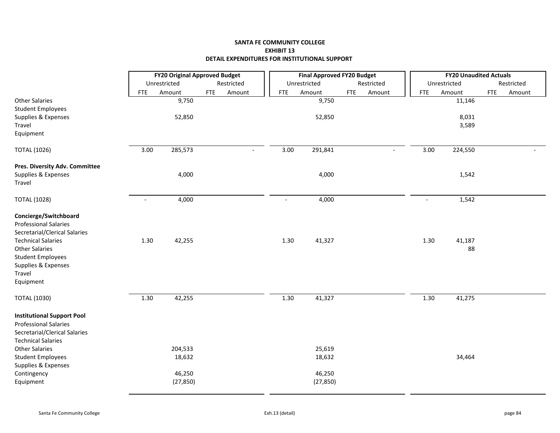|                                                                   |                |              | <b>FY20 Original Approved Budget</b> |            | <b>Final Approved FY20 Budget</b> |            |                |                | <b>FY20 Unaudited Actuals</b> |            |            |
|-------------------------------------------------------------------|----------------|--------------|--------------------------------------|------------|-----------------------------------|------------|----------------|----------------|-------------------------------|------------|------------|
|                                                                   |                | Unrestricted | Restricted                           |            | Unrestricted                      |            | Restricted     |                | Unrestricted                  |            | Restricted |
|                                                                   | <b>FTE</b>     | Amount       | <b>FTE</b><br>Amount                 | <b>FTE</b> | Amount                            | <b>FTE</b> | Amount         | <b>FTE</b>     | Amount                        | <b>FTE</b> | Amount     |
| <b>Other Salaries</b>                                             |                | 9,750        |                                      |            | 9,750                             |            |                |                | 11,146                        |            |            |
| <b>Student Employees</b>                                          |                |              |                                      |            |                                   |            |                |                |                               |            |            |
| Supplies & Expenses                                               |                | 52,850       |                                      |            | 52,850                            |            |                |                | 8,031                         |            |            |
| Travel                                                            |                |              |                                      |            |                                   |            |                |                | 3,589                         |            |            |
| Equipment                                                         |                |              |                                      |            |                                   |            |                |                |                               |            |            |
| <b>TOTAL (1026)</b>                                               | 3.00           | 285,573      | $\overline{\phantom{a}}$             | 3.00       | 291,841                           |            | $\blacksquare$ | 3.00           | 224,550                       |            |            |
| Pres. Diversity Adv. Committee                                    |                |              |                                      |            |                                   |            |                |                |                               |            |            |
| Supplies & Expenses                                               |                | 4,000        |                                      |            | 4,000                             |            |                |                | 1,542                         |            |            |
| Travel                                                            |                |              |                                      |            |                                   |            |                |                |                               |            |            |
| <b>TOTAL (1028)</b>                                               | $\overline{a}$ | 4,000        |                                      |            | 4,000                             |            |                | $\overline{a}$ | 1,542                         |            |            |
| Concierge/Switchboard                                             |                |              |                                      |            |                                   |            |                |                |                               |            |            |
| <b>Professional Salaries</b>                                      |                |              |                                      |            |                                   |            |                |                |                               |            |            |
| Secretarial/Clerical Salaries                                     |                |              |                                      |            |                                   |            |                |                |                               |            |            |
| <b>Technical Salaries</b>                                         | 1.30           | 42,255       |                                      | 1.30       | 41,327                            |            |                | 1.30           | 41,187                        |            |            |
| <b>Other Salaries</b>                                             |                |              |                                      |            |                                   |            |                |                | 88                            |            |            |
| <b>Student Employees</b><br>Supplies & Expenses                   |                |              |                                      |            |                                   |            |                |                |                               |            |            |
| Travel                                                            |                |              |                                      |            |                                   |            |                |                |                               |            |            |
| Equipment                                                         |                |              |                                      |            |                                   |            |                |                |                               |            |            |
| <b>TOTAL (1030)</b>                                               | 1.30           | 42,255       |                                      | 1.30       | 41,327                            |            |                | 1.30           | 41,275                        |            |            |
|                                                                   |                |              |                                      |            |                                   |            |                |                |                               |            |            |
| <b>Institutional Support Pool</b><br><b>Professional Salaries</b> |                |              |                                      |            |                                   |            |                |                |                               |            |            |
| Secretarial/Clerical Salaries                                     |                |              |                                      |            |                                   |            |                |                |                               |            |            |
| <b>Technical Salaries</b>                                         |                |              |                                      |            |                                   |            |                |                |                               |            |            |
| <b>Other Salaries</b>                                             |                | 204,533      |                                      |            | 25,619                            |            |                |                |                               |            |            |
| <b>Student Employees</b>                                          |                | 18,632       |                                      |            | 18,632                            |            |                |                | 34,464                        |            |            |
| Supplies & Expenses                                               |                |              |                                      |            |                                   |            |                |                |                               |            |            |
| Contingency                                                       |                | 46,250       |                                      |            | 46,250                            |            |                |                |                               |            |            |
| Equipment                                                         |                | (27, 850)    |                                      |            | (27, 850)                         |            |                |                |                               |            |            |
|                                                                   |                |              |                                      |            |                                   |            |                |                |                               |            |            |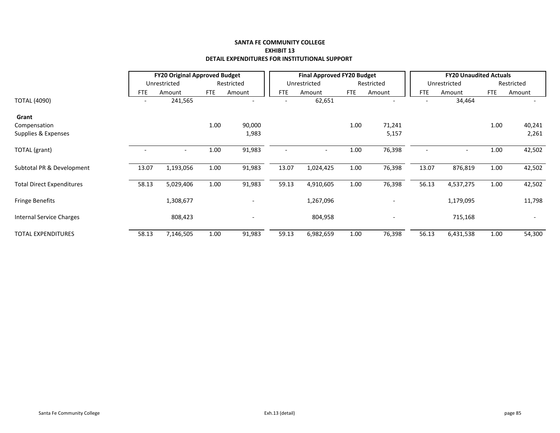|                                  |            | <b>FY20 Original Approved Budget</b> |            |                              |       | <b>Final Approved FY20 Budget</b> |            |            |       | <b>FY20 Unaudited Actuals</b> |            |                          |
|----------------------------------|------------|--------------------------------------|------------|------------------------------|-------|-----------------------------------|------------|------------|-------|-------------------------------|------------|--------------------------|
|                                  |            | Unrestricted                         |            | Restricted                   |       | Unrestricted                      |            | Restricted |       | Unrestricted                  |            | Restricted               |
|                                  | <b>FTE</b> | Amount                               | <b>FTE</b> | Amount                       | FTE   | Amount                            | <b>FTE</b> | Amount     | FTE   | Amount                        | <b>FTE</b> | Amount                   |
| <b>TOTAL (4090)</b>              |            | 241,565                              |            |                              |       | 62,651                            |            |            |       | 34,464                        |            |                          |
| Grant                            |            |                                      |            |                              |       |                                   |            |            |       |                               |            |                          |
| Compensation                     |            |                                      | 1.00       | 90,000                       |       |                                   | 1.00       | 71,241     |       |                               | 1.00       | 40,241                   |
| Supplies & Expenses              |            |                                      |            | 1,983                        |       |                                   |            | 5,157      |       |                               |            | 2,261                    |
| TOTAL (grant)                    |            | ٠                                    | 1.00       | 91,983                       |       |                                   | 1.00       | 76,398     |       |                               | 1.00       | 42,502                   |
| Subtotal PR & Development        | 13.07      | 1,193,056                            | 1.00       | 91,983                       | 13.07 | 1,024,425                         | 1.00       | 76,398     | 13.07 | 876,819                       | 1.00       | 42,502                   |
| <b>Total Direct Expenditures</b> | 58.13      | 5,029,406                            | 1.00       | 91,983                       | 59.13 | 4,910,605                         | 1.00       | 76,398     | 56.13 | 4,537,275                     | 1.00       | 42,502                   |
| <b>Fringe Benefits</b>           |            | 1,308,677                            |            | $\qquad \qquad \blacksquare$ |       | 1,267,096                         |            |            |       | 1,179,095                     |            | 11,798                   |
| Internal Service Charges         |            | 808,423                              |            | -                            |       | 804,958                           |            |            |       | 715,168                       |            | $\overline{\phantom{a}}$ |
| <b>TOTAL EXPENDITURES</b>        | 58.13      | 7,146,505                            | 1.00       | 91,983                       | 59.13 | 6,982,659                         | 1.00       | 76,398     | 56.13 | 6,431,538                     | 1.00       | 54,300                   |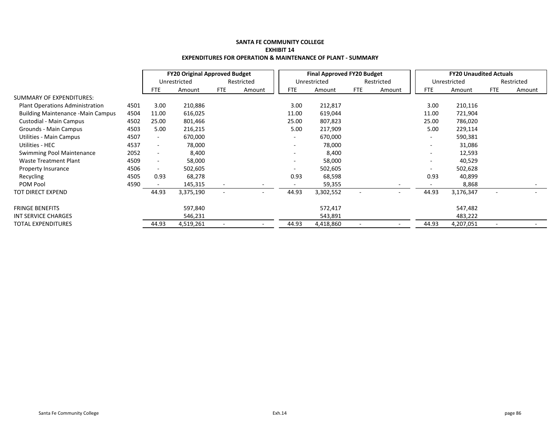|                                          |      | <b>FY20 Original Approved Budget</b> |              |            |            | <b>Final Approved FY20 Budget</b> |              |            |                          | <b>FY20 Unaudited Actuals</b> |              |                          |            |
|------------------------------------------|------|--------------------------------------|--------------|------------|------------|-----------------------------------|--------------|------------|--------------------------|-------------------------------|--------------|--------------------------|------------|
|                                          |      |                                      | Unrestricted |            | Restricted |                                   | Unrestricted |            | Restricted               |                               | Unrestricted |                          | Restricted |
|                                          |      | <b>FTE</b>                           | Amount       | <b>FTE</b> | Amount     | FTE                               | Amount       | <b>FTE</b> | Amount                   | <b>FTE</b>                    | Amount       | <b>FTE</b>               | Amount     |
| SUMMARY OF EXPENDITURES:                 |      |                                      |              |            |            |                                   |              |            |                          |                               |              |                          |            |
| <b>Plant Operations Administration</b>   | 4501 | 3.00                                 | 210,886      |            |            | 3.00                              | 212,817      |            |                          | 3.00                          | 210,116      |                          |            |
| <b>Building Maintenance -Main Campus</b> | 4504 | 11.00                                | 616,025      |            |            | 11.00                             | 619,044      |            |                          | 11.00                         | 721,904      |                          |            |
| Custodial - Main Campus                  | 4502 | 25.00                                | 801,466      |            |            | 25.00                             | 807,823      |            |                          | 25.00                         | 786,020      |                          |            |
| Grounds - Main Campus                    | 4503 | 5.00                                 | 216,215      |            |            | 5.00                              | 217,909      |            |                          | 5.00                          | 229,114      |                          |            |
| Utilities - Main Campus                  | 4507 | $\sim$                               | 670,000      |            |            |                                   | 670,000      |            |                          | $\overline{\phantom{a}}$      | 590,381      |                          |            |
| Utilities - HEC                          | 4537 | $\blacksquare$                       | 78,000       |            |            | $\overline{\phantom{a}}$          | 78,000       |            |                          | $\overline{\phantom{a}}$      | 31,086       |                          |            |
| <b>Swimming Pool Maintenance</b>         | 2052 | $\overline{\phantom{a}}$             | 8,400        |            |            |                                   | 8,400        |            |                          | $\overline{\phantom{a}}$      | 12,593       |                          |            |
| <b>Waste Treatment Plant</b>             | 4509 | $\overline{\phantom{a}}$             | 58,000       |            |            |                                   | 58,000       |            |                          | ٠                             | 40,529       |                          |            |
| Property Insurance                       | 4506 | $\overline{\phantom{a}}$             | 502,605      |            |            |                                   | 502,605      |            |                          | $\overline{\phantom{a}}$      | 502,628      |                          |            |
| Recycling                                | 4505 | 0.93                                 | 68,278       |            |            | 0.93                              | 68,598       |            |                          | 0.93                          | 40,899       |                          |            |
| POM Pool                                 | 4590 |                                      | 145,315      |            |            |                                   | 59,355       |            |                          |                               | 8,868        |                          |            |
| TOT DIRECT EXPEND                        |      | 44.93                                | 3,375,190    |            |            | 44.93                             | 3,302,552    |            | $\overline{\phantom{0}}$ | 44.93                         | 3,176,347    | $\overline{\phantom{a}}$ |            |
| <b>FRINGE BENEFITS</b>                   |      |                                      | 597,840      |            |            |                                   | 572,417      |            |                          |                               | 547,482      |                          |            |
| <b>INT SERVICE CHARGES</b>               |      |                                      | 546,231      |            |            |                                   | 543,891      |            |                          |                               | 483,222      |                          |            |
| TOTAL EXPENDITURES                       |      | 44.93                                | 4,519,261    |            |            | 44.93                             | 4,418,860    |            |                          | 44.93                         | 4,207,051    |                          |            |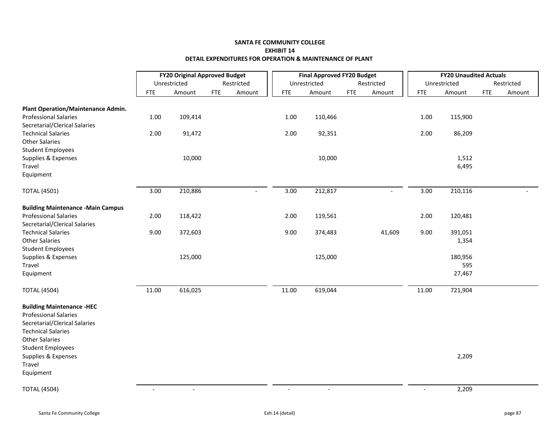|                                           |            | <b>FY20 Original Approved Budget</b> |            |            |                | <b>Final Approved FY20 Budget</b> |            |                          |            | <b>FY20 Unaudited Actuals</b> |            |            |
|-------------------------------------------|------------|--------------------------------------|------------|------------|----------------|-----------------------------------|------------|--------------------------|------------|-------------------------------|------------|------------|
|                                           |            | Unrestricted                         |            | Restricted |                | Unrestricted                      |            | Restricted               |            | Unrestricted                  |            | Restricted |
|                                           | <b>FTE</b> | Amount                               | <b>FTE</b> | Amount     | <b>FTE</b>     | Amount                            | <b>FTE</b> | Amount                   | <b>FTE</b> | Amount                        | <b>FTE</b> | Amount     |
| Plant Operation/Maintenance Admin.        |            |                                      |            |            |                |                                   |            |                          |            |                               |            |            |
| <b>Professional Salaries</b>              | 1.00       | 109,414                              |            |            | 1.00           | 110,466                           |            |                          | 1.00       | 115,900                       |            |            |
| Secretarial/Clerical Salaries             |            |                                      |            |            |                |                                   |            |                          |            |                               |            |            |
| <b>Technical Salaries</b>                 | 2.00       | 91,472                               |            |            | 2.00           | 92,351                            |            |                          | 2.00       | 86,209                        |            |            |
| <b>Other Salaries</b>                     |            |                                      |            |            |                |                                   |            |                          |            |                               |            |            |
| <b>Student Employees</b>                  |            |                                      |            |            |                |                                   |            |                          |            |                               |            |            |
| Supplies & Expenses                       |            | 10,000                               |            |            |                | 10,000                            |            |                          |            | 1,512                         |            |            |
| Travel                                    |            |                                      |            |            |                |                                   |            |                          |            | 6,495                         |            |            |
| Equipment                                 |            |                                      |            |            |                |                                   |            |                          |            |                               |            |            |
| <b>TOTAL (4501)</b>                       | 3.00       | 210,886                              |            |            | 3.00           | 212,817                           |            | $\overline{\phantom{a}}$ | 3.00       | 210,116                       |            |            |
| <b>Building Maintenance - Main Campus</b> |            |                                      |            |            |                |                                   |            |                          |            |                               |            |            |
| <b>Professional Salaries</b>              | 2.00       | 118,422                              |            |            | 2.00           | 119,561                           |            |                          | 2.00       | 120,481                       |            |            |
| Secretarial/Clerical Salaries             |            |                                      |            |            |                |                                   |            |                          |            |                               |            |            |
| <b>Technical Salaries</b>                 | 9.00       | 372,603                              |            |            | 9.00           | 374,483                           |            | 41,609                   | 9.00       | 391,051                       |            |            |
| <b>Other Salaries</b>                     |            |                                      |            |            |                |                                   |            |                          |            | 1,354                         |            |            |
| <b>Student Employees</b>                  |            |                                      |            |            |                |                                   |            |                          |            |                               |            |            |
| Supplies & Expenses                       |            | 125,000                              |            |            |                | 125,000                           |            |                          |            | 180,956                       |            |            |
| Travel                                    |            |                                      |            |            |                |                                   |            |                          |            | 595                           |            |            |
| Equipment                                 |            |                                      |            |            |                |                                   |            |                          |            | 27,467                        |            |            |
| <b>TOTAL (4504)</b>                       | 11.00      | 616,025                              |            |            | 11.00          | 619,044                           |            |                          | 11.00      | 721,904                       |            |            |
| <b>Building Maintenance -HEC</b>          |            |                                      |            |            |                |                                   |            |                          |            |                               |            |            |
| <b>Professional Salaries</b>              |            |                                      |            |            |                |                                   |            |                          |            |                               |            |            |
| Secretarial/Clerical Salaries             |            |                                      |            |            |                |                                   |            |                          |            |                               |            |            |
| <b>Technical Salaries</b>                 |            |                                      |            |            |                |                                   |            |                          |            |                               |            |            |
| <b>Other Salaries</b>                     |            |                                      |            |            |                |                                   |            |                          |            |                               |            |            |
| <b>Student Employees</b>                  |            |                                      |            |            |                |                                   |            |                          |            |                               |            |            |
| Supplies & Expenses                       |            |                                      |            |            |                |                                   |            |                          |            | 2,209                         |            |            |
| Travel                                    |            |                                      |            |            |                |                                   |            |                          |            |                               |            |            |
| Equipment                                 |            |                                      |            |            |                |                                   |            |                          |            |                               |            |            |
| <b>TOTAL (4504)</b>                       | $\sim$     | $\overline{\phantom{a}}$             |            |            | $\overline{a}$ | $\sim$                            |            |                          | $\sim$     | 2,209                         |            |            |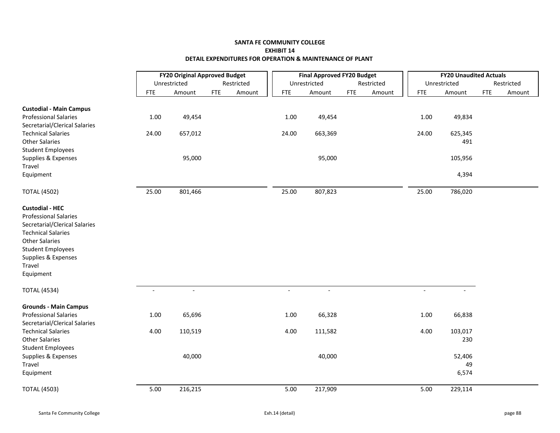|                                                                                                                                                                                                                         | <b>FY20 Original Approved Budget</b> |                |            |            |                | <b>Final Approved FY20 Budget</b> |            |            |                          | <b>FY20 Unaudited Actuals</b> |            |            |
|-------------------------------------------------------------------------------------------------------------------------------------------------------------------------------------------------------------------------|--------------------------------------|----------------|------------|------------|----------------|-----------------------------------|------------|------------|--------------------------|-------------------------------|------------|------------|
|                                                                                                                                                                                                                         |                                      | Unrestricted   |            | Restricted |                | Unrestricted                      |            | Restricted |                          | Unrestricted                  |            | Restricted |
|                                                                                                                                                                                                                         | <b>FTE</b>                           | Amount         | <b>FTE</b> | Amount     | <b>FTE</b>     | Amount                            | <b>FTE</b> | Amount     | <b>FTE</b>               | Amount                        | <b>FTE</b> | Amount     |
| <b>Custodial - Main Campus</b>                                                                                                                                                                                          |                                      |                |            |            |                |                                   |            |            |                          |                               |            |            |
| <b>Professional Salaries</b>                                                                                                                                                                                            | 1.00                                 | 49,454         |            |            | 1.00           | 49,454                            |            |            | 1.00                     | 49,834                        |            |            |
| Secretarial/Clerical Salaries                                                                                                                                                                                           |                                      |                |            |            |                |                                   |            |            |                          |                               |            |            |
| <b>Technical Salaries</b>                                                                                                                                                                                               | 24.00                                | 657,012        |            |            | 24.00          | 663,369                           |            |            | 24.00                    | 625,345                       |            |            |
| <b>Other Salaries</b>                                                                                                                                                                                                   |                                      |                |            |            |                |                                   |            |            |                          | 491                           |            |            |
| <b>Student Employees</b>                                                                                                                                                                                                |                                      |                |            |            |                |                                   |            |            |                          |                               |            |            |
| Supplies & Expenses                                                                                                                                                                                                     |                                      | 95,000         |            |            |                | 95,000                            |            |            |                          | 105,956                       |            |            |
| Travel                                                                                                                                                                                                                  |                                      |                |            |            |                |                                   |            |            |                          |                               |            |            |
| Equipment                                                                                                                                                                                                               |                                      |                |            |            |                |                                   |            |            |                          | 4,394                         |            |            |
| <b>TOTAL (4502)</b>                                                                                                                                                                                                     | 25.00                                | 801,466        |            |            | 25.00          | 807,823                           |            |            | 25.00                    | 786,020                       |            |            |
| <b>Custodial - HEC</b><br><b>Professional Salaries</b><br>Secretarial/Clerical Salaries<br><b>Technical Salaries</b><br><b>Other Salaries</b><br><b>Student Employees</b><br>Supplies & Expenses<br>Travel<br>Equipment |                                      |                |            |            |                |                                   |            |            |                          |                               |            |            |
| <b>TOTAL (4534)</b>                                                                                                                                                                                                     | $\overline{\phantom{a}}$             | $\blacksquare$ |            |            | $\blacksquare$ | $\blacksquare$                    |            |            | $\overline{\phantom{a}}$ |                               |            |            |
| <b>Grounds - Main Campus</b>                                                                                                                                                                                            |                                      |                |            |            |                |                                   |            |            |                          |                               |            |            |
| <b>Professional Salaries</b><br>Secretarial/Clerical Salaries                                                                                                                                                           | 1.00                                 | 65,696         |            |            | 1.00           | 66,328                            |            |            | 1.00                     | 66,838                        |            |            |
| <b>Technical Salaries</b><br><b>Other Salaries</b><br><b>Student Employees</b>                                                                                                                                          | 4.00                                 | 110,519        |            |            | 4.00           | 111,582                           |            |            | 4.00                     | 103,017<br>230                |            |            |
| Supplies & Expenses                                                                                                                                                                                                     |                                      | 40,000         |            |            |                | 40,000                            |            |            |                          | 52,406                        |            |            |
| Travel                                                                                                                                                                                                                  |                                      |                |            |            |                |                                   |            |            |                          | 49                            |            |            |
| Equipment                                                                                                                                                                                                               |                                      |                |            |            |                |                                   |            |            |                          | 6,574                         |            |            |
| <b>TOTAL (4503)</b>                                                                                                                                                                                                     | 5.00                                 | 216,215        |            |            | 5.00           | 217,909                           |            |            | 5.00                     | 229,114                       |            |            |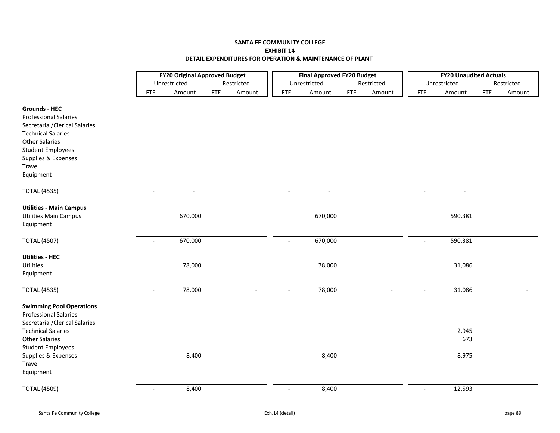|                                                                                                                                                                                                                                  | <b>FY20 Original Approved Budget</b><br>Unrestricted<br>Restricted |         |            |        |                | <b>Final Approved FY20 Budget</b> |            |                |                          | <b>FY20 Unaudited Actuals</b> |            |            |
|----------------------------------------------------------------------------------------------------------------------------------------------------------------------------------------------------------------------------------|--------------------------------------------------------------------|---------|------------|--------|----------------|-----------------------------------|------------|----------------|--------------------------|-------------------------------|------------|------------|
|                                                                                                                                                                                                                                  |                                                                    |         |            |        |                | Unrestricted                      |            | Restricted     |                          | Unrestricted                  |            | Restricted |
|                                                                                                                                                                                                                                  | <b>FTE</b>                                                         | Amount  | <b>FTE</b> | Amount | <b>FTE</b>     | Amount                            | <b>FTE</b> | Amount         | <b>FTE</b>               | Amount                        | <b>FTE</b> | Amount     |
| <b>Grounds - HEC</b><br><b>Professional Salaries</b><br>Secretarial/Clerical Salaries<br><b>Technical Salaries</b><br><b>Other Salaries</b><br><b>Student Employees</b><br>Supplies & Expenses<br>Travel<br>Equipment            |                                                                    |         |            |        |                |                                   |            |                |                          |                               |            |            |
| <b>TOTAL (4535)</b>                                                                                                                                                                                                              | $\sim$                                                             | $\sim$  |            |        | $\sim$         | $\blacksquare$                    |            |                | $\sim$                   | $\blacksquare$                |            |            |
| <b>Utilities - Main Campus</b><br><b>Utilities Main Campus</b><br>Equipment                                                                                                                                                      |                                                                    | 670,000 |            |        |                | 670,000                           |            |                |                          | 590,381                       |            |            |
| <b>TOTAL (4507)</b>                                                                                                                                                                                                              |                                                                    | 670,000 |            |        |                | 670,000                           |            |                | $\overline{a}$           | 590,381                       |            |            |
| <b>Utilities - HEC</b><br>Utilities<br>Equipment                                                                                                                                                                                 |                                                                    | 78,000  |            |        |                | 78,000                            |            |                |                          | 31,086                        |            |            |
| <b>TOTAL (4535)</b>                                                                                                                                                                                                              | $\overline{\phantom{a}}$                                           | 78,000  |            |        |                | 78,000                            |            | $\overline{a}$ | $\overline{\phantom{a}}$ | 31,086                        |            |            |
| <b>Swimming Pool Operations</b><br><b>Professional Salaries</b><br>Secretarial/Clerical Salaries<br><b>Technical Salaries</b><br><b>Other Salaries</b><br><b>Student Employees</b><br>Supplies & Expenses<br>Travel<br>Equipment |                                                                    | 8,400   |            |        |                | 8,400                             |            |                |                          | 2,945<br>673<br>8,975         |            |            |
| <b>TOTAL (4509)</b>                                                                                                                                                                                                              | $\blacksquare$                                                     | 8,400   |            |        | $\blacksquare$ | 8,400                             |            |                | $\blacksquare$           | 12,593                        |            |            |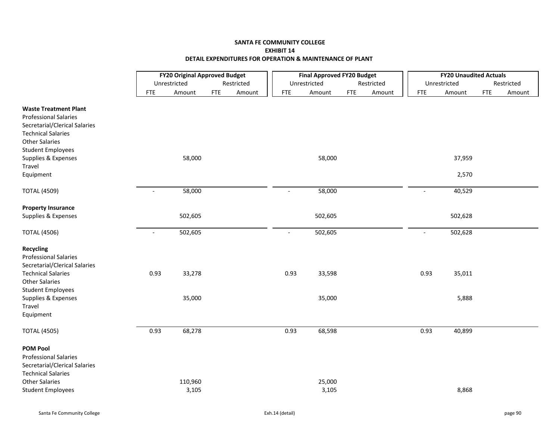|                               | <b>FY20 Original Approved Budget</b><br>Unrestricted |         |                      |  | <b>Final Approved FY20 Budget</b> |              |            |            | <b>FY20 Unaudited Actuals</b> |              |            |            |
|-------------------------------|------------------------------------------------------|---------|----------------------|--|-----------------------------------|--------------|------------|------------|-------------------------------|--------------|------------|------------|
|                               |                                                      |         | Restricted           |  |                                   | Unrestricted |            | Restricted |                               | Unrestricted |            | Restricted |
|                               | <b>FTE</b>                                           | Amount  | <b>FTE</b><br>Amount |  | <b>FTE</b>                        | Amount       | <b>FTE</b> | Amount     | <b>FTE</b>                    | Amount       | <b>FTE</b> | Amount     |
| <b>Waste Treatment Plant</b>  |                                                      |         |                      |  |                                   |              |            |            |                               |              |            |            |
| <b>Professional Salaries</b>  |                                                      |         |                      |  |                                   |              |            |            |                               |              |            |            |
| Secretarial/Clerical Salaries |                                                      |         |                      |  |                                   |              |            |            |                               |              |            |            |
| <b>Technical Salaries</b>     |                                                      |         |                      |  |                                   |              |            |            |                               |              |            |            |
| <b>Other Salaries</b>         |                                                      |         |                      |  |                                   |              |            |            |                               |              |            |            |
|                               |                                                      |         |                      |  |                                   |              |            |            |                               |              |            |            |
| <b>Student Employees</b>      |                                                      |         |                      |  |                                   |              |            |            |                               |              |            |            |
| Supplies & Expenses           |                                                      | 58,000  |                      |  |                                   | 58,000       |            |            |                               | 37,959       |            |            |
| Travel                        |                                                      |         |                      |  |                                   |              |            |            |                               |              |            |            |
| Equipment                     |                                                      |         |                      |  |                                   |              |            |            |                               | 2,570        |            |            |
| <b>TOTAL (4509)</b>           | $\blacksquare$                                       | 58,000  |                      |  | $\sim$                            | 58,000       |            |            | $\overline{\phantom{a}}$      | 40,529       |            |            |
|                               |                                                      |         |                      |  |                                   |              |            |            |                               |              |            |            |
| <b>Property Insurance</b>     |                                                      |         |                      |  |                                   |              |            |            |                               |              |            |            |
| Supplies & Expenses           |                                                      | 502,605 |                      |  |                                   | 502,605      |            |            |                               | 502,628      |            |            |
| <b>TOTAL (4506)</b>           |                                                      | 502,605 |                      |  | $\sim$                            | 502,605      |            |            |                               | 502,628      |            |            |
| <b>Recycling</b>              |                                                      |         |                      |  |                                   |              |            |            |                               |              |            |            |
| <b>Professional Salaries</b>  |                                                      |         |                      |  |                                   |              |            |            |                               |              |            |            |
| Secretarial/Clerical Salaries |                                                      |         |                      |  |                                   |              |            |            |                               |              |            |            |
| <b>Technical Salaries</b>     | 0.93                                                 | 33,278  |                      |  | 0.93                              | 33,598       |            |            | 0.93                          | 35,011       |            |            |
| <b>Other Salaries</b>         |                                                      |         |                      |  |                                   |              |            |            |                               |              |            |            |
| <b>Student Employees</b>      |                                                      |         |                      |  |                                   |              |            |            |                               |              |            |            |
| Supplies & Expenses           |                                                      | 35,000  |                      |  |                                   | 35,000       |            |            |                               | 5,888        |            |            |
| Travel                        |                                                      |         |                      |  |                                   |              |            |            |                               |              |            |            |
| Equipment                     |                                                      |         |                      |  |                                   |              |            |            |                               |              |            |            |
|                               |                                                      |         |                      |  |                                   |              |            |            |                               |              |            |            |
| <b>TOTAL (4505)</b>           | 0.93                                                 | 68,278  |                      |  | 0.93                              | 68,598       |            |            | 0.93                          | 40,899       |            |            |
| <b>POM Pool</b>               |                                                      |         |                      |  |                                   |              |            |            |                               |              |            |            |
| <b>Professional Salaries</b>  |                                                      |         |                      |  |                                   |              |            |            |                               |              |            |            |
| Secretarial/Clerical Salaries |                                                      |         |                      |  |                                   |              |            |            |                               |              |            |            |
| <b>Technical Salaries</b>     |                                                      |         |                      |  |                                   |              |            |            |                               |              |            |            |
| <b>Other Salaries</b>         |                                                      | 110,960 |                      |  |                                   | 25,000       |            |            |                               |              |            |            |
| <b>Student Employees</b>      |                                                      | 3,105   |                      |  |                                   | 3,105        |            |            |                               | 8,868        |            |            |
|                               |                                                      |         |                      |  |                                   |              |            |            |                               |              |            |            |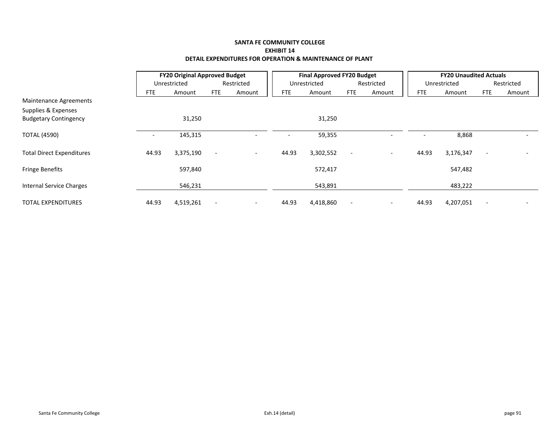|                                                     | <b>FY20 Original Approved Budget</b> |              |                          |                          |            | <b>Final Approved FY20 Budget</b> |                          |                          |       | <b>FY20 Unaudited Actuals</b> |                          |            |
|-----------------------------------------------------|--------------------------------------|--------------|--------------------------|--------------------------|------------|-----------------------------------|--------------------------|--------------------------|-------|-------------------------------|--------------------------|------------|
|                                                     |                                      | Unrestricted |                          | Restricted               |            | Unrestricted                      |                          | Restricted               |       | Unrestricted                  |                          | Restricted |
|                                                     | FTE                                  | Amount       | <b>FTE</b>               | Amount                   | <b>FTE</b> | Amount                            | <b>FTE</b>               | Amount                   | FTE   | Amount                        | <b>FTE</b>               | Amount     |
| <b>Maintenance Agreements</b>                       |                                      |              |                          |                          |            |                                   |                          |                          |       |                               |                          |            |
| Supplies & Expenses<br><b>Budgetary Contingency</b> |                                      | 31,250       |                          |                          |            | 31,250                            |                          |                          |       |                               |                          |            |
| <b>TOTAL (4590)</b>                                 |                                      | 145,315      |                          |                          |            | 59,355                            |                          |                          |       | 8,868                         |                          |            |
| <b>Total Direct Expenditures</b>                    | 44.93                                | 3,375,190    | $\overline{\phantom{a}}$ | $\overline{\phantom{a}}$ | 44.93      | 3,302,552                         | $\overline{\phantom{a}}$ | $\overline{\phantom{a}}$ | 44.93 | 3,176,347                     | $\blacksquare$           |            |
| <b>Fringe Benefits</b>                              |                                      | 597,840      |                          |                          |            | 572,417                           |                          |                          |       | 547,482                       |                          |            |
| Internal Service Charges                            |                                      | 546,231      |                          |                          |            | 543,891                           |                          |                          |       | 483,222                       |                          |            |
| <b>TOTAL EXPENDITURES</b>                           | 44.93                                | 4,519,261    | $\overline{\phantom{0}}$ | $\overline{\phantom{a}}$ | 44.93      | 4,418,860                         | $\overline{\phantom{a}}$ | $\overline{\phantom{a}}$ | 44.93 | 4,207,051                     | $\overline{\phantom{a}}$ |            |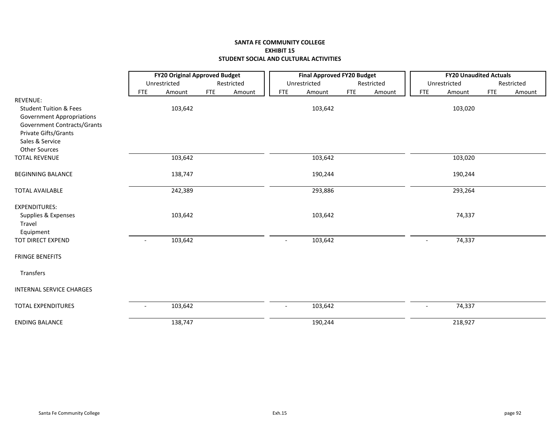# **SANTA FE COMMUNITY COLLEGE EXHIBIT 15 STUDENT SOCIAL AND CULTURAL ACTIVITIES**

|                                   |                          | <b>FY20 Original Approved Budget</b> |            |            |                          | <b>Final Approved FY20 Budget</b> |            |            |                          | <b>FY20 Unaudited Actuals</b> |            |            |
|-----------------------------------|--------------------------|--------------------------------------|------------|------------|--------------------------|-----------------------------------|------------|------------|--------------------------|-------------------------------|------------|------------|
|                                   |                          | Unrestricted                         |            | Restricted |                          | Unrestricted                      |            | Restricted |                          | Unrestricted                  |            | Restricted |
|                                   | <b>FTE</b>               | Amount                               | <b>FTE</b> | Amount     | <b>FTE</b>               | Amount                            | <b>FTE</b> | Amount     | <b>FTE</b>               | Amount                        | <b>FTE</b> | Amount     |
| <b>REVENUE:</b>                   |                          |                                      |            |            |                          |                                   |            |            |                          |                               |            |            |
| <b>Student Tuition &amp; Fees</b> |                          | 103,642                              |            |            |                          | 103,642                           |            |            |                          | 103,020                       |            |            |
| <b>Government Appropriations</b>  |                          |                                      |            |            |                          |                                   |            |            |                          |                               |            |            |
| Government Contracts/Grants       |                          |                                      |            |            |                          |                                   |            |            |                          |                               |            |            |
| Private Gifts/Grants              |                          |                                      |            |            |                          |                                   |            |            |                          |                               |            |            |
| Sales & Service                   |                          |                                      |            |            |                          |                                   |            |            |                          |                               |            |            |
| <b>Other Sources</b>              |                          |                                      |            |            |                          |                                   |            |            |                          |                               |            |            |
| <b>TOTAL REVENUE</b>              |                          | 103,642                              |            |            |                          | 103,642                           |            |            |                          | 103,020                       |            |            |
| <b>BEGINNING BALANCE</b>          |                          | 138,747                              |            |            |                          | 190,244                           |            |            |                          | 190,244                       |            |            |
| <b>TOTAL AVAILABLE</b>            |                          | 242,389                              |            |            |                          | 293,886                           |            |            |                          | 293,264                       |            |            |
| <b>EXPENDITURES:</b>              |                          |                                      |            |            |                          |                                   |            |            |                          |                               |            |            |
| Supplies & Expenses               |                          | 103,642                              |            |            |                          | 103,642                           |            |            |                          | 74,337                        |            |            |
| Travel                            |                          |                                      |            |            |                          |                                   |            |            |                          |                               |            |            |
| Equipment                         |                          |                                      |            |            |                          |                                   |            |            |                          |                               |            |            |
| TOT DIRECT EXPEND                 | $\overline{\phantom{a}}$ | 103,642                              |            |            | $\overline{\phantom{a}}$ | 103,642                           |            |            | $\overline{a}$           | 74,337                        |            |            |
| <b>FRINGE BENEFITS</b>            |                          |                                      |            |            |                          |                                   |            |            |                          |                               |            |            |
| Transfers                         |                          |                                      |            |            |                          |                                   |            |            |                          |                               |            |            |
| <b>INTERNAL SERVICE CHARGES</b>   |                          |                                      |            |            |                          |                                   |            |            |                          |                               |            |            |
| <b>TOTAL EXPENDITURES</b>         |                          | 103,642                              |            |            | $\sim$                   | 103,642                           |            |            | $\overline{\phantom{a}}$ | 74,337                        |            |            |
| <b>ENDING BALANCE</b>             |                          | 138,747                              |            |            |                          | 190,244                           |            |            |                          | 218,927                       |            |            |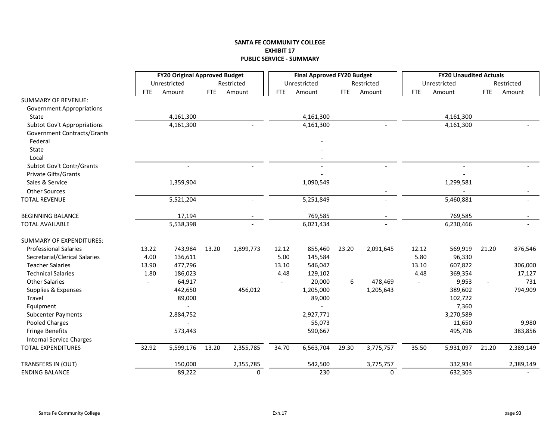### **SANTA FE COMMUNITY COLLEGE EXHIBIT 17 PUBLIC SERVICE ‐ SUMMARY**

|                                    |       | <b>FY20 Original Approved Budget</b> |            |            |            | <b>Final Approved FY20 Budget</b> |            |            |            | <b>FY20 Unaudited Actuals</b> |                |            |
|------------------------------------|-------|--------------------------------------|------------|------------|------------|-----------------------------------|------------|------------|------------|-------------------------------|----------------|------------|
|                                    |       | Unrestricted                         |            | Restricted |            | Unrestricted                      |            | Restricted |            | Unrestricted                  |                | Restricted |
|                                    | FTE   | Amount                               | <b>FTE</b> | Amount     | <b>FTE</b> | Amount                            | <b>FTE</b> | Amount     | <b>FTE</b> | Amount                        | <b>FTE</b>     | Amount     |
| <b>SUMMARY OF REVENUE:</b>         |       |                                      |            |            |            |                                   |            |            |            |                               |                |            |
| <b>Government Appropriations</b>   |       |                                      |            |            |            |                                   |            |            |            |                               |                |            |
| State                              |       | 4,161,300                            |            |            |            | 4,161,300                         |            |            |            | 4,161,300                     |                |            |
| <b>Subtot Gov't Appropriations</b> |       | 4,161,300                            |            |            |            | 4,161,300                         |            |            |            | 4,161,300                     |                |            |
| Government Contracts/Grants        |       |                                      |            |            |            |                                   |            |            |            |                               |                |            |
| Federal                            |       |                                      |            |            |            |                                   |            |            |            |                               |                |            |
| State                              |       |                                      |            |            |            |                                   |            |            |            |                               |                |            |
| Local                              |       |                                      |            |            |            |                                   |            |            |            |                               |                |            |
| Subtot Gov't Contr/Grants          |       | $\overline{\phantom{a}}$             |            |            |            |                                   |            |            |            |                               |                |            |
| Private Gifts/Grants               |       |                                      |            |            |            |                                   |            |            |            |                               |                |            |
| Sales & Service                    |       | 1,359,904                            |            |            |            | 1,090,549                         |            |            |            | 1,299,581                     |                |            |
| <b>Other Sources</b>               |       |                                      |            |            |            |                                   |            |            |            |                               |                |            |
| <b>TOTAL REVENUE</b>               |       | 5,521,204                            |            |            |            | 5,251,849                         |            |            |            | 5,460,881                     |                |            |
|                                    |       |                                      |            |            |            |                                   |            |            |            |                               |                |            |
| <b>BEGINNING BALANCE</b>           |       | 17,194                               |            |            |            | 769,585                           |            |            |            | 769,585                       |                |            |
| <b>TOTAL AVAILABLE</b>             |       | 5,538,398                            |            |            |            | 6,021,434                         |            |            |            | 6,230,466                     |                |            |
| <b>SUMMARY OF EXPENDITURES:</b>    |       |                                      |            |            |            |                                   |            |            |            |                               |                |            |
| <b>Professional Salaries</b>       | 13.22 | 743,984                              | 13.20      | 1,899,773  | 12.12      | 855,460                           | 23.20      | 2,091,645  | 12.12      | 569,919                       | 21.20          | 876,546    |
| Secretarial/Clerical Salaries      | 4.00  | 136,611                              |            |            | 5.00       | 145,584                           |            |            | 5.80       | 96,330                        |                |            |
| <b>Teacher Salaries</b>            | 13.90 | 477,796                              |            |            | 13.10      | 546,047                           |            |            | 13.10      | 607,822                       |                | 306,000    |
| <b>Technical Salaries</b>          | 1.80  | 186,023                              |            |            | 4.48       | 129,102                           |            |            | 4.48       | 369,354                       |                | 17,127     |
| <b>Other Salaries</b>              |       | 64,917                               |            |            |            | 20,000                            | 6          | 478,469    |            | 9,953                         | $\overline{a}$ | 731        |
| Supplies & Expenses                |       | 442,650                              |            | 456,012    |            | 1,205,000                         |            | 1,205,643  |            | 389,602                       |                | 794,909    |
| Travel                             |       | 89,000                               |            |            |            | 89,000                            |            |            |            | 102,722                       |                |            |
| Equipment                          |       |                                      |            |            |            |                                   |            |            |            | 7,360                         |                |            |
| <b>Subcenter Payments</b>          |       | 2,884,752                            |            |            |            | 2,927,771                         |            |            |            | 3,270,589                     |                |            |
| <b>Pooled Charges</b>              |       |                                      |            |            |            | 55,073                            |            |            |            | 11,650                        |                | 9,980      |
| <b>Fringe Benefits</b>             |       | 573,443                              |            |            |            | 590,667                           |            |            |            | 495,796                       |                | 383,856    |
| <b>Internal Service Charges</b>    |       |                                      |            |            |            |                                   |            |            |            |                               |                |            |
| <b>TOTAL EXPENDITURES</b>          | 32.92 | 5,599,176                            | 13.20      | 2,355,785  | 34.70      | 6,563,704                         | 29.30      | 3,775,757  | 35.50      | 5,931,097                     | 21.20          | 2,389,149  |
|                                    |       |                                      |            |            |            |                                   |            |            |            |                               |                |            |
| TRANSFERS IN (OUT)                 |       | 150,000                              |            | 2,355,785  |            | 542,500                           |            | 3,775,757  |            | 332,934                       |                | 2,389,149  |
| <b>ENDING BALANCE</b>              |       | 89,222                               |            | 0          |            | 230                               |            | 0          |            | 632,303                       |                |            |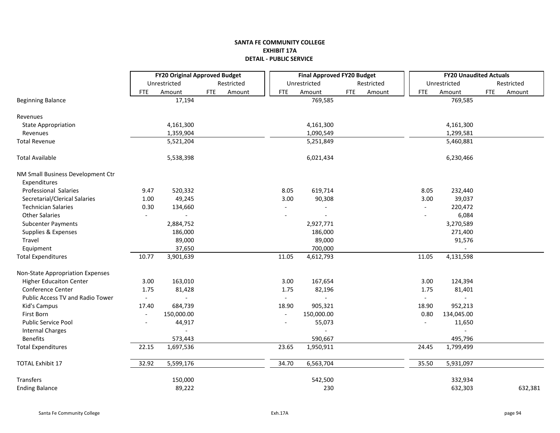|                                   | FY20 Original Approved Budget |                |            |            | <b>Final Approved FY20 Budget</b> |                |            |            | <b>FY20 Unaudited Actuals</b> |                |            |            |
|-----------------------------------|-------------------------------|----------------|------------|------------|-----------------------------------|----------------|------------|------------|-------------------------------|----------------|------------|------------|
|                                   |                               | Unrestricted   |            | Restricted |                                   | Unrestricted   |            | Restricted |                               | Unrestricted   |            | Restricted |
|                                   | FTE                           | Amount         | <b>FTE</b> | Amount     | FTE                               | Amount         | <b>FTE</b> | Amount     | <b>FTE</b>                    | Amount         | <b>FTE</b> | Amount     |
| <b>Beginning Balance</b>          |                               | 17,194         |            |            |                                   | 769,585        |            |            |                               | 769,585        |            |            |
|                                   |                               |                |            |            |                                   |                |            |            |                               |                |            |            |
| Revenues                          |                               |                |            |            |                                   | 4,161,300      |            |            |                               |                |            |            |
| <b>State Appropriation</b>        |                               | 4,161,300      |            |            |                                   |                |            |            |                               | 4,161,300      |            |            |
| Revenues                          |                               | 1,359,904      |            |            |                                   | 1,090,549      |            |            |                               | 1,299,581      |            |            |
| <b>Total Revenue</b>              |                               | 5,521,204      |            |            |                                   | 5,251,849      |            |            |                               | 5,460,881      |            |            |
| <b>Total Available</b>            |                               | 5,538,398      |            |            |                                   | 6,021,434      |            |            |                               | 6,230,466      |            |            |
| NM Small Business Development Ctr |                               |                |            |            |                                   |                |            |            |                               |                |            |            |
| Expenditures                      |                               |                |            |            |                                   |                |            |            |                               |                |            |            |
| Professional Salaries             | 9.47                          | 520,332        |            |            | 8.05                              | 619,714        |            |            | 8.05                          | 232,440        |            |            |
| Secretarial/Clerical Salaries     | 1.00                          | 49,245         |            |            | 3.00                              | 90,308         |            |            | 3.00                          | 39,037         |            |            |
| <b>Technician Salaries</b>        | 0.30                          | 134,660        |            |            |                                   |                |            |            |                               | 220,472        |            |            |
| <b>Other Salaries</b>             | $\sim$                        |                |            |            |                                   |                |            |            |                               | 6,084          |            |            |
| <b>Subcenter Payments</b>         |                               | 2,884,752      |            |            |                                   | 2,927,771      |            |            |                               | 3,270,589      |            |            |
| Supplies & Expenses               |                               | 186,000        |            |            |                                   | 186,000        |            |            |                               | 271,400        |            |            |
| Travel                            |                               | 89,000         |            |            |                                   | 89,000         |            |            |                               | 91,576         |            |            |
| Equipment                         |                               | 37,650         |            |            |                                   | 700,000        |            |            |                               |                |            |            |
| <b>Total Expenditures</b>         | 10.77                         | 3,901,639      |            |            | 11.05                             | 4,612,793      |            |            | 11.05                         | 4,131,598      |            |            |
| Non-State Appropriation Expenses  |                               |                |            |            |                                   |                |            |            |                               |                |            |            |
| <b>Higher Educaiton Center</b>    | 3.00                          | 163,010        |            |            | 3.00                              | 167,654        |            |            | 3.00                          | 124,394        |            |            |
| Conference Center                 | 1.75                          | 81,428         |            |            | 1.75                              | 82,196         |            |            | 1.75                          | 81,401         |            |            |
| Public Access TV and Radio Tower  | $\overline{\phantom{a}}$      | $\overline{a}$ |            |            | $\blacksquare$                    | $\overline{a}$ |            |            | $\sim$                        | $\overline{a}$ |            |            |
| Kid's Campus                      | 17.40                         | 684,739        |            |            | 18.90                             | 905,321        |            |            | 18.90                         | 952,213        |            |            |
| First Born                        | $\blacksquare$                | 150,000.00     |            |            | $\overline{\phantom{a}}$          | 150,000.00     |            |            | 0.80                          | 134,045.00     |            |            |
| <b>Public Service Pool</b>        | $\overline{\phantom{a}}$      | 44,917         |            |            | $\overline{\phantom{a}}$          | 55,073         |            |            |                               | 11,650         |            |            |
| <b>Internal Charges</b>           |                               |                |            |            |                                   |                |            |            |                               |                |            |            |
| <b>Benefits</b>                   |                               | 573,443        |            |            |                                   | 590,667        |            |            |                               | 495,796        |            |            |
| <b>Total Expenditures</b>         | 22.15                         | 1,697,536      |            |            | 23.65                             | 1,950,911      |            |            | 24.45                         | 1,799,499      |            |            |
|                                   |                               |                |            |            |                                   |                |            |            |                               |                |            |            |
| <b>TOTAL Exhibit 17</b>           | 32.92                         | 5,599,176      |            |            | 34.70                             | 6,563,704      |            |            | 35.50                         | 5,931,097      |            |            |
| Transfers                         |                               | 150,000        |            |            |                                   | 542,500        |            |            |                               | 332,934        |            |            |
| <b>Ending Balance</b>             |                               | 89,222         |            |            |                                   | 230            |            |            |                               | 632,303        |            | 632,381    |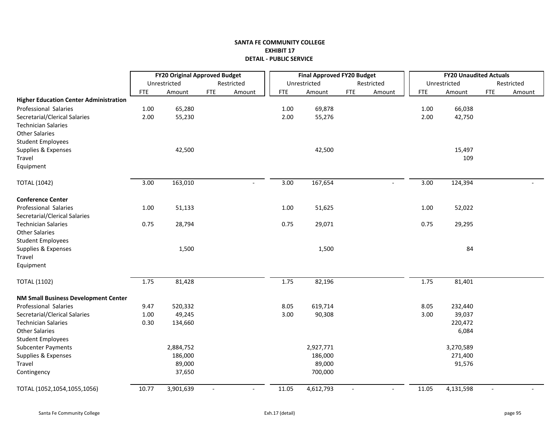|                                               |            | <b>FY20 Original Approved Budget</b> |                          |            |            | <b>Final Approved FY20 Budget</b> |                          |            |            | <b>FY20 Unaudited Actuals</b> |            |        |
|-----------------------------------------------|------------|--------------------------------------|--------------------------|------------|------------|-----------------------------------|--------------------------|------------|------------|-------------------------------|------------|--------|
|                                               |            | Unrestricted                         |                          | Restricted |            | Unrestricted                      |                          | Restricted |            | Unrestricted                  | Restricted |        |
|                                               | <b>FTE</b> | Amount                               | <b>FTE</b>               | Amount     | <b>FTE</b> | Amount                            | <b>FTE</b>               | Amount     | <b>FTE</b> | Amount                        | <b>FTE</b> | Amount |
| <b>Higher Education Center Administration</b> |            |                                      |                          |            |            |                                   |                          |            |            |                               |            |        |
| Professional Salaries                         | $1.00\,$   | 65,280                               |                          |            | 1.00       | 69,878                            |                          |            | 1.00       | 66,038                        |            |        |
| Secretarial/Clerical Salaries                 | 2.00       | 55,230                               |                          |            | 2.00       | 55,276                            |                          |            | 2.00       | 42,750                        |            |        |
| <b>Technician Salaries</b>                    |            |                                      |                          |            |            |                                   |                          |            |            |                               |            |        |
| <b>Other Salaries</b>                         |            |                                      |                          |            |            |                                   |                          |            |            |                               |            |        |
| <b>Student Employees</b>                      |            |                                      |                          |            |            |                                   |                          |            |            |                               |            |        |
| Supplies & Expenses                           |            | 42,500                               |                          |            |            | 42,500                            |                          |            |            | 15,497                        |            |        |
| Travel                                        |            |                                      |                          |            |            |                                   |                          |            |            | 109                           |            |        |
| Equipment                                     |            |                                      |                          |            |            |                                   |                          |            |            |                               |            |        |
| <b>TOTAL (1042)</b>                           | 3.00       | 163,010                              |                          |            | 3.00       | 167,654                           |                          |            | 3.00       | 124,394                       |            |        |
| <b>Conference Center</b>                      |            |                                      |                          |            |            |                                   |                          |            |            |                               |            |        |
| Professional Salaries                         | 1.00       | 51,133                               |                          |            | 1.00       | 51,625                            |                          |            | 1.00       | 52,022                        |            |        |
| Secretarial/Clerical Salaries                 |            |                                      |                          |            |            |                                   |                          |            |            |                               |            |        |
| <b>Technician Salaries</b>                    | 0.75       | 28,794                               |                          |            | 0.75       | 29,071                            |                          |            | 0.75       | 29,295                        |            |        |
| <b>Other Salaries</b>                         |            |                                      |                          |            |            |                                   |                          |            |            |                               |            |        |
| <b>Student Employees</b>                      |            |                                      |                          |            |            |                                   |                          |            |            |                               |            |        |
| Supplies & Expenses                           |            | 1,500                                |                          |            |            | 1,500                             |                          |            |            | 84                            |            |        |
| Travel                                        |            |                                      |                          |            |            |                                   |                          |            |            |                               |            |        |
| Equipment                                     |            |                                      |                          |            |            |                                   |                          |            |            |                               |            |        |
| <b>TOTAL (1102)</b>                           | 1.75       | 81,428                               |                          |            | 1.75       | 82,196                            |                          |            | 1.75       | 81,401                        |            |        |
| NM Small Business Development Center          |            |                                      |                          |            |            |                                   |                          |            |            |                               |            |        |
| Professional Salaries                         | 9.47       | 520,332                              |                          |            | 8.05       | 619,714                           |                          |            | 8.05       | 232,440                       |            |        |
| Secretarial/Clerical Salaries                 | $1.00\,$   | 49,245                               |                          |            | 3.00       | 90,308                            |                          |            | 3.00       | 39,037                        |            |        |
| <b>Technician Salaries</b>                    | 0.30       | 134,660                              |                          |            |            |                                   |                          |            |            | 220,472                       |            |        |
| <b>Other Salaries</b>                         |            |                                      |                          |            |            |                                   |                          |            |            | 6,084                         |            |        |
| <b>Student Employees</b>                      |            |                                      |                          |            |            |                                   |                          |            |            |                               |            |        |
| <b>Subcenter Payments</b>                     |            | 2,884,752                            |                          |            |            | 2,927,771                         |                          |            |            | 3,270,589                     |            |        |
| Supplies & Expenses                           |            | 186,000                              |                          |            |            | 186,000                           |                          |            |            | 271,400                       |            |        |
| Travel                                        |            | 89,000                               |                          |            |            | 89,000                            |                          |            |            | 91,576                        |            |        |
| Contingency                                   |            | 37,650                               |                          |            |            | 700,000                           |                          |            |            |                               |            |        |
| TOTAL (1052,1054,1055,1056)                   | 10.77      | 3,901,639                            | $\overline{\phantom{a}}$ |            | 11.05      | 4,612,793                         | $\overline{\phantom{a}}$ |            | 11.05      | 4,131,598                     | $\sim$     |        |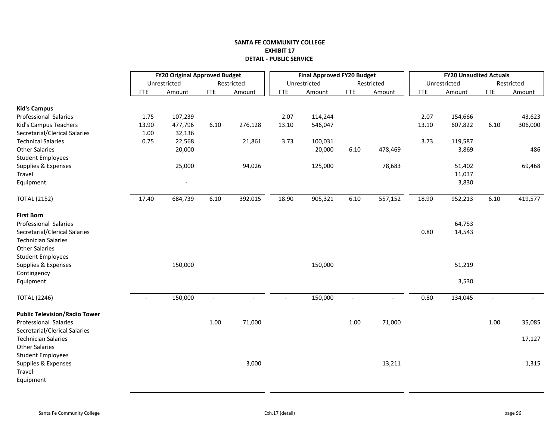|                                      | <b>FY20 Original Approved Budget</b><br><b>Final Approved FY20 Budget</b><br><b>FY20 Unaudited Actuals</b> |              |            |            |            |              |            |            |            |              |            |            |
|--------------------------------------|------------------------------------------------------------------------------------------------------------|--------------|------------|------------|------------|--------------|------------|------------|------------|--------------|------------|------------|
|                                      |                                                                                                            | Unrestricted |            | Restricted |            | Unrestricted |            | Restricted |            | Unrestricted |            | Restricted |
|                                      | <b>FTE</b>                                                                                                 | Amount       | <b>FTE</b> | Amount     | <b>FTE</b> | Amount       | <b>FTE</b> | Amount     | <b>FTE</b> | Amount       | <b>FTE</b> | Amount     |
| <b>Kid's Campus</b>                  |                                                                                                            |              |            |            |            |              |            |            |            |              |            |            |
| Professional Salaries                | 1.75                                                                                                       | 107,239      |            |            | 2.07       | 114,244      |            |            | 2.07       | 154,666      |            | 43,623     |
| Kid's Campus Teachers                | 13.90                                                                                                      | 477,796      | 6.10       | 276,128    | 13.10      | 546,047      |            |            | 13.10      | 607,822      | 6.10       | 306,000    |
| Secretarial/Clerical Salaries        | 1.00                                                                                                       | 32,136       |            |            |            |              |            |            |            |              |            |            |
| <b>Technical Salaries</b>            | 0.75                                                                                                       | 22,568       |            | 21,861     | 3.73       | 100,031      |            |            | 3.73       | 119,587      |            |            |
| <b>Other Salaries</b>                |                                                                                                            | 20,000       |            |            |            | 20,000       | 6.10       | 478,469    |            | 3,869        |            | 486        |
| <b>Student Employees</b>             |                                                                                                            |              |            |            |            |              |            |            |            |              |            |            |
| Supplies & Expenses                  |                                                                                                            | 25,000       |            | 94,026     |            | 125,000      |            | 78,683     |            | 51,402       |            | 69,468     |
| Travel                               |                                                                                                            |              |            |            |            |              |            |            |            |              |            |            |
|                                      |                                                                                                            |              |            |            |            |              |            |            |            | 11,037       |            |            |
| Equipment                            |                                                                                                            |              |            |            |            |              |            |            |            | 3,830        |            |            |
| <b>TOTAL (2152)</b>                  | 17.40                                                                                                      | 684,739      | 6.10       | 392,015    | 18.90      | 905,321      | 6.10       | 557,152    | 18.90      | 952,213      | 6.10       | 419,577    |
| <b>First Born</b>                    |                                                                                                            |              |            |            |            |              |            |            |            |              |            |            |
| Professional Salaries                |                                                                                                            |              |            |            |            |              |            |            |            | 64,753       |            |            |
| Secretarial/Clerical Salaries        |                                                                                                            |              |            |            |            |              |            |            | 0.80       | 14,543       |            |            |
| <b>Technician Salaries</b>           |                                                                                                            |              |            |            |            |              |            |            |            |              |            |            |
| <b>Other Salaries</b>                |                                                                                                            |              |            |            |            |              |            |            |            |              |            |            |
| <b>Student Employees</b>             |                                                                                                            |              |            |            |            |              |            |            |            |              |            |            |
| Supplies & Expenses                  |                                                                                                            | 150,000      |            |            |            | 150,000      |            |            |            | 51,219       |            |            |
| Contingency                          |                                                                                                            |              |            |            |            |              |            |            |            |              |            |            |
| Equipment                            |                                                                                                            |              |            |            |            |              |            |            |            | 3,530        |            |            |
|                                      |                                                                                                            |              |            |            |            |              |            |            |            |              |            |            |
| <b>TOTAL (2246)</b>                  |                                                                                                            | 150,000      |            |            |            | 150,000      |            |            | 0.80       | 134,045      |            |            |
| <b>Public Television/Radio Tower</b> |                                                                                                            |              |            |            |            |              |            |            |            |              |            |            |
| Professional Salaries                |                                                                                                            |              | 1.00       | 71,000     |            |              | 1.00       | 71,000     |            |              | 1.00       | 35,085     |
| Secretarial/Clerical Salaries        |                                                                                                            |              |            |            |            |              |            |            |            |              |            |            |
| <b>Technician Salaries</b>           |                                                                                                            |              |            |            |            |              |            |            |            |              |            | 17,127     |
| <b>Other Salaries</b>                |                                                                                                            |              |            |            |            |              |            |            |            |              |            |            |
| <b>Student Employees</b>             |                                                                                                            |              |            |            |            |              |            |            |            |              |            |            |
| Supplies & Expenses                  |                                                                                                            |              |            | 3,000      |            |              |            | 13,211     |            |              |            | 1,315      |
| Travel                               |                                                                                                            |              |            |            |            |              |            |            |            |              |            |            |
| Equipment                            |                                                                                                            |              |            |            |            |              |            |            |            |              |            |            |
|                                      |                                                                                                            |              |            |            |            |              |            |            |            |              |            |            |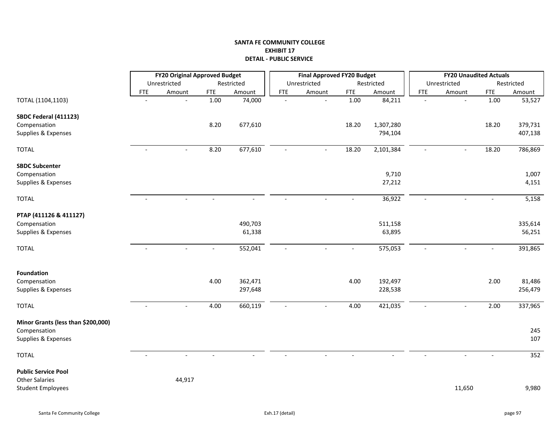|                                    |                          | <b>FY20 Original Approved Budget</b> |            |            |            | <b>Final Approved FY20 Budget</b> |            |            |                | <b>FY20 Unaudited Actuals</b> |            |            |
|------------------------------------|--------------------------|--------------------------------------|------------|------------|------------|-----------------------------------|------------|------------|----------------|-------------------------------|------------|------------|
|                                    |                          | Unrestricted                         |            | Restricted |            | Unrestricted                      |            | Restricted |                | Unrestricted                  |            | Restricted |
|                                    | <b>FTE</b>               | Amount                               | <b>FTE</b> | Amount     | <b>FTE</b> | Amount                            | <b>FTE</b> | Amount     | <b>FTE</b>     | Amount                        | <b>FTE</b> | Amount     |
| TOTAL (1104,1103)                  | $\blacksquare$           | $\mathbf{r}$                         | 1.00       | 74,000     | $\sim$     | $\sim$                            | 1.00       | 84,211     | $\blacksquare$ | $\mathbb{Z}^2$                | 1.00       | 53,527     |
| SBDC Federal (411123)              |                          |                                      |            |            |            |                                   |            |            |                |                               |            |            |
| Compensation                       |                          |                                      | 8.20       | 677,610    |            |                                   | 18.20      | 1,307,280  |                |                               | 18.20      | 379,731    |
| Supplies & Expenses                |                          |                                      |            |            |            |                                   |            | 794,104    |                |                               |            | 407,138    |
| <b>TOTAL</b>                       | $\overline{\phantom{a}}$ | $\overline{a}$                       | 8.20       | 677,610    |            |                                   | 18.20      | 2,101,384  |                |                               | 18.20      | 786,869    |
| <b>SBDC Subcenter</b>              |                          |                                      |            |            |            |                                   |            |            |                |                               |            |            |
| Compensation                       |                          |                                      |            |            |            |                                   |            | 9,710      |                |                               |            | 1,007      |
| Supplies & Expenses                |                          |                                      |            |            |            |                                   |            | 27,212     |                |                               |            | 4,151      |
| <b>TOTAL</b>                       |                          |                                      |            |            |            |                                   |            | 36,922     |                |                               |            | 5,158      |
| PTAP (411126 & 411127)             |                          |                                      |            |            |            |                                   |            |            |                |                               |            |            |
| Compensation                       |                          |                                      |            | 490,703    |            |                                   |            | 511,158    |                |                               |            | 335,614    |
| Supplies & Expenses                |                          |                                      |            | 61,338     |            |                                   |            | 63,895     |                |                               |            | 56,251     |
| <b>TOTAL</b>                       |                          |                                      |            | 552,041    |            |                                   |            | 575,053    |                |                               |            | 391,865    |
| <b>Foundation</b>                  |                          |                                      |            |            |            |                                   |            |            |                |                               |            |            |
| Compensation                       |                          |                                      | 4.00       | 362,471    |            |                                   | 4.00       | 192,497    |                |                               | 2.00       | 81,486     |
| Supplies & Expenses                |                          |                                      |            | 297,648    |            |                                   |            | 228,538    |                |                               |            | 256,479    |
| <b>TOTAL</b>                       | $\overline{\phantom{a}}$ |                                      | 4.00       | 660,119    | $\sim$     |                                   | 4.00       | 421,035    | $\sim$         |                               | 2.00       | 337,965    |
| Minor Grants (less than \$200,000) |                          |                                      |            |            |            |                                   |            |            |                |                               |            |            |
| Compensation                       |                          |                                      |            |            |            |                                   |            |            |                |                               |            | 245        |
| Supplies & Expenses                |                          |                                      |            |            |            |                                   |            |            |                |                               |            | 107        |
| <b>TOTAL</b>                       | $\blacksquare$           | $\blacksquare$                       |            |            |            |                                   |            |            |                | $\sim$                        |            | 352        |
| <b>Public Service Pool</b>         |                          |                                      |            |            |            |                                   |            |            |                |                               |            |            |
| <b>Other Salaries</b>              |                          | 44,917                               |            |            |            |                                   |            |            |                |                               |            |            |
| <b>Student Employees</b>           |                          |                                      |            |            |            |                                   |            |            |                | 11,650                        |            | 9,980      |
|                                    |                          |                                      |            |            |            |                                   |            |            |                |                               |            |            |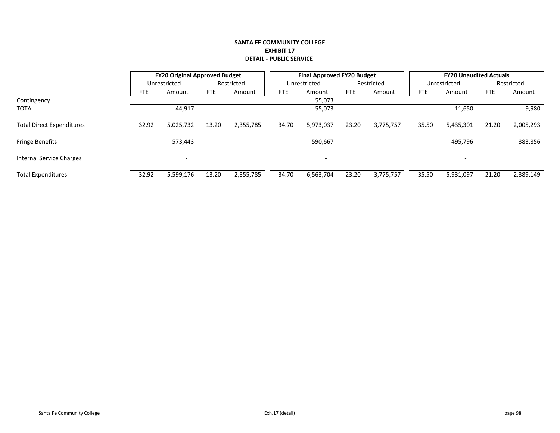|                                  |       | <b>FY20 Original Approved Budget</b> |            |            |            | <b>Final Approved FY20 Budget</b> |            |            |            | <b>FY20 Unaudited Actuals</b> |            |            |
|----------------------------------|-------|--------------------------------------|------------|------------|------------|-----------------------------------|------------|------------|------------|-------------------------------|------------|------------|
|                                  |       | Unrestricted                         |            | Restricted |            | Unrestricted                      |            | Restricted |            | Unrestricted                  |            | Restricted |
|                                  | FTE   | Amount                               | <b>FTE</b> | Amount     | <b>FTE</b> | Amount                            | <b>FTE</b> | Amount     | <b>FTE</b> | Amount                        | <b>FTE</b> | Amount     |
| Contingency                      |       |                                      |            |            |            | 55,073                            |            |            |            |                               |            |            |
| <b>TOTAL</b>                     |       | 44,917                               |            |            |            | 55,073                            |            |            |            | 11,650                        |            | 9,980      |
| <b>Total Direct Expenditures</b> | 32.92 | 5,025,732                            | 13.20      | 2,355,785  | 34.70      | 5,973,037                         | 23.20      | 3.775.757  | 35.50      | 5,435,301                     | 21.20      | 2,005,293  |
| <b>Fringe Benefits</b>           |       | 573,443                              |            |            |            | 590,667                           |            |            |            | 495,796                       |            | 383,856    |
| Internal Service Charges         |       |                                      |            |            |            |                                   |            |            |            | $\overline{\phantom{a}}$      |            |            |
| <b>Total Expenditures</b>        | 32.92 | 5,599,176                            | 13.20      | 2,355,785  | 34.70      | 6,563,704                         | 23.20      | 3,775,757  | 35.50      | 5,931,097                     | 21.20      | 2,389,149  |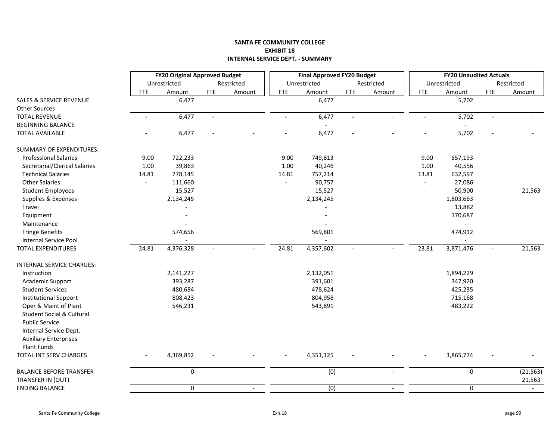## **SANTA FE COMMUNITY COLLEGE EXHIBIT 18 INTERNAL SERVICE DEPT. ‐ SUMMARY**

|                                    |                | <b>FY20 Original Approved Budget</b> |                          |                          |                          | <b>Final Approved FY20 Budget</b> |                |                          |                | <b>FY20 Unaudited Actuals</b> |                          |            |
|------------------------------------|----------------|--------------------------------------|--------------------------|--------------------------|--------------------------|-----------------------------------|----------------|--------------------------|----------------|-------------------------------|--------------------------|------------|
|                                    |                | Unrestricted                         |                          | Restricted               |                          | Unrestricted                      |                | Restricted               |                | Unrestricted                  |                          | Restricted |
|                                    | <b>FTE</b>     | Amount                               | <b>FTE</b>               | Amount                   | <b>FTE</b>               | Amount                            | <b>FTE</b>     | Amount                   | <b>FTE</b>     | Amount                        | <b>FTE</b>               | Amount     |
| <b>SALES &amp; SERVICE REVENUE</b> |                | 6,477                                |                          |                          |                          | 6,477                             |                |                          |                | 5,702                         |                          |            |
| <b>Other Sources</b>               |                |                                      |                          |                          |                          |                                   |                |                          |                |                               |                          |            |
| <b>TOTAL REVENUE</b>               | $\blacksquare$ | 6,477                                | $\overline{\phantom{0}}$ |                          | $\overline{a}$           | 6,477                             |                | $\overline{a}$           |                | 5,702                         |                          |            |
| <b>BEGINNING BALANCE</b>           |                |                                      |                          |                          |                          |                                   |                |                          |                |                               |                          |            |
| <b>TOTAL AVAILABLE</b>             | $\blacksquare$ | 6,477                                | $\blacksquare$           | $\sim$                   | $\blacksquare$           | 6,477                             | $\blacksquare$ | $\overline{\phantom{a}}$ | $\blacksquare$ | 5,702                         | $\blacksquare$           |            |
| <b>SUMMARY OF EXPENDITURES:</b>    |                |                                      |                          |                          |                          |                                   |                |                          |                |                               |                          |            |
| <b>Professional Salaries</b>       | 9.00           | 722,233                              |                          |                          | 9.00                     | 749,813                           |                |                          | 9.00           | 657,193                       |                          |            |
| Secretarial/Clerical Salaries      | 1.00           | 39,863                               |                          |                          | 1.00                     | 40,246                            |                |                          | 1.00           | 40,556                        |                          |            |
| <b>Technical Salaries</b>          | 14.81          | 778,145                              |                          |                          | 14.81                    | 757,214                           |                |                          | 13.81          | 632,597                       |                          |            |
| <b>Other Salaries</b>              | $\overline{a}$ | 111,660                              |                          |                          |                          | 90,757                            |                |                          |                | 27,086                        |                          |            |
| <b>Student Employees</b>           | $\overline{a}$ | 15,527                               |                          |                          |                          | 15,527                            |                |                          |                | 50,900                        |                          | 21,563     |
| Supplies & Expenses                |                | 2,134,245                            |                          |                          |                          | 2,134,245                         |                |                          |                | 1,803,663                     |                          |            |
| Travel                             |                |                                      |                          |                          |                          |                                   |                |                          |                | 13,882                        |                          |            |
| Equipment                          |                |                                      |                          |                          |                          |                                   |                |                          |                | 170,687                       |                          |            |
| Maintenance                        |                |                                      |                          |                          |                          |                                   |                |                          |                |                               |                          |            |
| <b>Fringe Benefits</b>             |                | 574,656                              |                          |                          |                          | 569,801                           |                |                          |                | 474,912                       |                          |            |
| <b>Internal Service Pool</b>       |                |                                      |                          |                          |                          |                                   |                |                          |                |                               |                          |            |
| TOTAL EXPENDITURES                 | 24.81          | 4,376,328                            |                          |                          | 24.81                    | 4,357,602                         |                |                          | 23.81          | 3,871,476                     | $\overline{\phantom{a}}$ | 21,563     |
| INTERNAL SERVICE CHARGES:          |                |                                      |                          |                          |                          |                                   |                |                          |                |                               |                          |            |
| Instruction                        |                | 2,141,227                            |                          |                          |                          | 2,132,051                         |                |                          |                | 1,894,229                     |                          |            |
| Academic Support                   |                | 393,287                              |                          |                          |                          | 391,601                           |                |                          |                | 347,920                       |                          |            |
| <b>Student Services</b>            |                | 480,684                              |                          |                          |                          | 478,624                           |                |                          |                | 425,235                       |                          |            |
| <b>Institutional Support</b>       |                | 808,423                              |                          |                          |                          | 804,958                           |                |                          |                | 715,168                       |                          |            |
| Oper & Maint of Plant              |                | 546,231                              |                          |                          |                          | 543,891                           |                |                          |                | 483,222                       |                          |            |
| Student Social & Cultural          |                |                                      |                          |                          |                          |                                   |                |                          |                |                               |                          |            |
| <b>Public Service</b>              |                |                                      |                          |                          |                          |                                   |                |                          |                |                               |                          |            |
| Internal Service Dept.             |                |                                      |                          |                          |                          |                                   |                |                          |                |                               |                          |            |
| <b>Auxiliary Enterprises</b>       |                |                                      |                          |                          |                          |                                   |                |                          |                |                               |                          |            |
| Plant Funds                        |                |                                      |                          |                          |                          |                                   |                |                          |                |                               |                          |            |
| TOTAL INT SERV CHARGES             | $\blacksquare$ | 4,369,852                            | $\overline{\phantom{a}}$ |                          | $\overline{\phantom{a}}$ | 4,351,125                         |                |                          | $\blacksquare$ | 3,865,774                     | $\overline{\phantom{a}}$ |            |
| <b>BALANCE BEFORE TRANSFER</b>     |                | 0                                    |                          | $\overline{a}$           |                          | (0)                               |                |                          |                | $\pmb{0}$                     |                          | (21, 563)  |
| TRANSFER IN (OUT)                  |                |                                      |                          |                          |                          |                                   |                |                          |                |                               |                          | 21,563     |
| <b>ENDING BALANCE</b>              |                | 0                                    |                          | $\overline{\phantom{a}}$ |                          | (0)                               |                | $\overline{\phantom{a}}$ |                | $\mathbf 0$                   |                          | $\sim$     |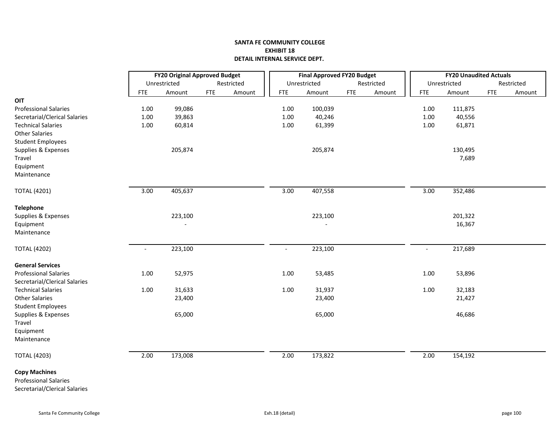|                               |            | <b>FY20 Original Approved Budget</b> |            |            |            | <b>Final Approved FY20 Budget</b> |            |            |            | <b>FY20 Unaudited Actuals</b> |            |            |
|-------------------------------|------------|--------------------------------------|------------|------------|------------|-----------------------------------|------------|------------|------------|-------------------------------|------------|------------|
|                               |            | Unrestricted                         |            | Restricted |            | Unrestricted                      |            | Restricted |            | Unrestricted                  |            | Restricted |
|                               | <b>FTE</b> | Amount                               | <b>FTE</b> | Amount     | <b>FTE</b> | Amount                            | <b>FTE</b> | Amount     | <b>FTE</b> | Amount                        | <b>FTE</b> | Amount     |
| OIT                           |            |                                      |            |            |            |                                   |            |            |            |                               |            |            |
| <b>Professional Salaries</b>  | 1.00       | 99,086                               |            |            | 1.00       | 100,039                           |            |            | 1.00       | 111,875                       |            |            |
| Secretarial/Clerical Salaries | 1.00       | 39,863                               |            |            | $1.00\,$   | 40,246                            |            |            | $1.00\,$   | 40,556                        |            |            |
| <b>Technical Salaries</b>     | 1.00       | 60,814                               |            |            | 1.00       | 61,399                            |            |            | $1.00\,$   | 61,871                        |            |            |
| <b>Other Salaries</b>         |            |                                      |            |            |            |                                   |            |            |            |                               |            |            |
| <b>Student Employees</b>      |            |                                      |            |            |            |                                   |            |            |            |                               |            |            |
| Supplies & Expenses           |            | 205,874                              |            |            |            | 205,874                           |            |            |            | 130,495                       |            |            |
| Travel                        |            |                                      |            |            |            |                                   |            |            |            | 7,689                         |            |            |
| Equipment                     |            |                                      |            |            |            |                                   |            |            |            |                               |            |            |
| Maintenance                   |            |                                      |            |            |            |                                   |            |            |            |                               |            |            |
| <b>TOTAL (4201)</b>           | 3.00       | 405,637                              |            |            | 3.00       | 407,558                           |            |            | 3.00       | 352,486                       |            |            |
| <b>Telephone</b>              |            |                                      |            |            |            |                                   |            |            |            |                               |            |            |
| Supplies & Expenses           |            | 223,100                              |            |            |            | 223,100                           |            |            |            | 201,322                       |            |            |
| Equipment                     |            |                                      |            |            |            |                                   |            |            |            | 16,367                        |            |            |
| Maintenance                   |            |                                      |            |            |            |                                   |            |            |            |                               |            |            |
| <b>TOTAL (4202)</b>           | $\sim$     | 223,100                              |            |            | $\sim$     | 223,100                           |            |            | $\omega$   | 217,689                       |            |            |
| <b>General Services</b>       |            |                                      |            |            |            |                                   |            |            |            |                               |            |            |
| <b>Professional Salaries</b>  | 1.00       | 52,975                               |            |            | $1.00\,$   | 53,485                            |            |            | $1.00\,$   | 53,896                        |            |            |
| Secretarial/Clerical Salaries |            |                                      |            |            |            |                                   |            |            |            |                               |            |            |
| <b>Technical Salaries</b>     | 1.00       | 31,633                               |            |            | 1.00       | 31,937                            |            |            | $1.00\,$   | 32,183                        |            |            |
| <b>Other Salaries</b>         |            | 23,400                               |            |            |            | 23,400                            |            |            |            | 21,427                        |            |            |
| <b>Student Employees</b>      |            |                                      |            |            |            |                                   |            |            |            |                               |            |            |
| Supplies & Expenses           |            | 65,000                               |            |            |            | 65,000                            |            |            |            | 46,686                        |            |            |
| Travel                        |            |                                      |            |            |            |                                   |            |            |            |                               |            |            |
| Equipment                     |            |                                      |            |            |            |                                   |            |            |            |                               |            |            |
| Maintenance                   |            |                                      |            |            |            |                                   |            |            |            |                               |            |            |
| <b>TOTAL (4203)</b>           | 2.00       | 173,008                              |            |            | 2.00       | 173,822                           |            |            | 2.00       | 154,192                       |            |            |
| <b>Copy Machines</b>          |            |                                      |            |            |            |                                   |            |            |            |                               |            |            |
| <b>Professional Salaries</b>  |            |                                      |            |            |            |                                   |            |            |            |                               |            |            |
| Secretarial/Clerical Salaries |            |                                      |            |            |            |                                   |            |            |            |                               |            |            |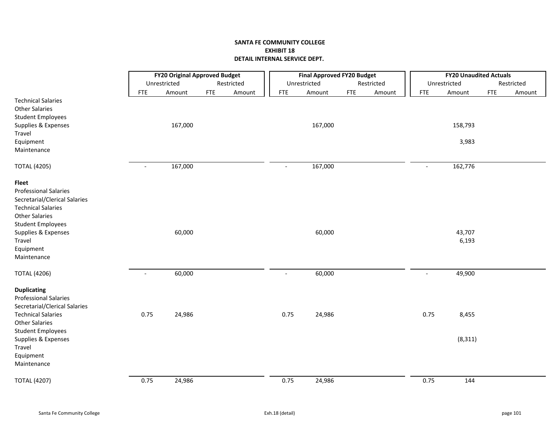|                                                                                                                                                                                                                                    |                          | <b>FY20 Original Approved Budget</b> |            |            |                | <b>Final Approved FY20 Budget</b> |            |            |                | <b>FY20 Unaudited Actuals</b> |            |            |
|------------------------------------------------------------------------------------------------------------------------------------------------------------------------------------------------------------------------------------|--------------------------|--------------------------------------|------------|------------|----------------|-----------------------------------|------------|------------|----------------|-------------------------------|------------|------------|
|                                                                                                                                                                                                                                    |                          | Unrestricted                         |            | Restricted |                | Unrestricted                      |            | Restricted |                | Unrestricted                  |            | Restricted |
|                                                                                                                                                                                                                                    | <b>FTE</b>               | Amount                               | <b>FTE</b> | Amount     | <b>FTE</b>     | Amount                            | <b>FTE</b> | Amount     | <b>FTE</b>     | Amount                        | <b>FTE</b> | Amount     |
| <b>Technical Salaries</b><br><b>Other Salaries</b><br><b>Student Employees</b>                                                                                                                                                     |                          |                                      |            |            |                |                                   |            |            |                |                               |            |            |
| Supplies & Expenses<br>Travel                                                                                                                                                                                                      |                          | 167,000                              |            |            |                | 167,000                           |            |            |                | 158,793                       |            |            |
| Equipment<br>Maintenance                                                                                                                                                                                                           |                          |                                      |            |            |                |                                   |            |            |                | 3,983                         |            |            |
| <b>TOTAL (4205)</b>                                                                                                                                                                                                                | $\overline{\phantom{a}}$ | 167,000                              |            |            | $\blacksquare$ | 167,000                           |            |            | $\blacksquare$ | 162,776                       |            |            |
| <b>Fleet</b><br><b>Professional Salaries</b><br>Secretarial/Clerical Salaries<br><b>Technical Salaries</b><br><b>Other Salaries</b><br><b>Student Employees</b><br>Supplies & Expenses<br>Travel<br>Equipment<br>Maintenance       |                          | 60,000                               |            |            |                | 60,000                            |            |            |                | 43,707<br>6,193               |            |            |
| <b>TOTAL (4206)</b>                                                                                                                                                                                                                | $\blacksquare$           | 60,000                               |            |            | $\sim$         | 60,000                            |            |            | $\blacksquare$ | 49,900                        |            |            |
| <b>Duplicating</b><br><b>Professional Salaries</b><br>Secretarial/Clerical Salaries<br><b>Technical Salaries</b><br><b>Other Salaries</b><br><b>Student Employees</b><br>Supplies & Expenses<br>Travel<br>Equipment<br>Maintenance | 0.75                     | 24,986                               |            |            | 0.75           | 24,986                            |            |            | 0.75           | 8,455<br>(8, 311)             |            |            |
| <b>TOTAL (4207)</b>                                                                                                                                                                                                                | 0.75                     | 24,986                               |            |            | 0.75           | 24,986                            |            |            | 0.75           | 144                           |            |            |
|                                                                                                                                                                                                                                    |                          |                                      |            |            |                |                                   |            |            |                |                               |            |            |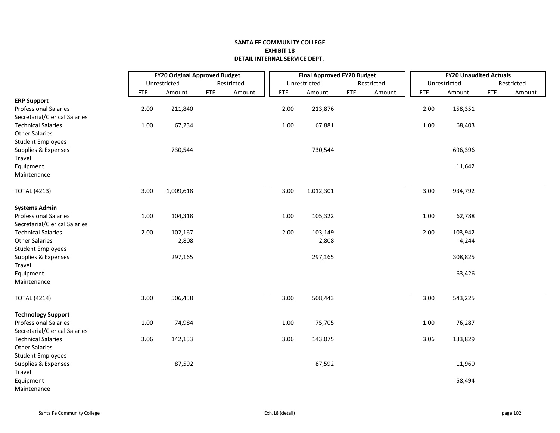|                               |            | <b>FY20 Original Approved Budget</b> |            |            |            | <b>Final Approved FY20 Budget</b> |            |            |            | <b>FY20 Unaudited Actuals</b> |            |            |
|-------------------------------|------------|--------------------------------------|------------|------------|------------|-----------------------------------|------------|------------|------------|-------------------------------|------------|------------|
|                               |            | Unrestricted                         |            | Restricted |            | Unrestricted                      |            | Restricted |            | Unrestricted                  |            | Restricted |
|                               | <b>FTE</b> | Amount                               | <b>FTE</b> | Amount     | <b>FTE</b> | Amount                            | <b>FTE</b> | Amount     | <b>FTE</b> | Amount                        | <b>FTE</b> | Amount     |
| <b>ERP Support</b>            |            |                                      |            |            |            |                                   |            |            |            |                               |            |            |
| <b>Professional Salaries</b>  | 2.00       | 211,840                              |            |            | 2.00       | 213,876                           |            |            | 2.00       | 158,351                       |            |            |
| Secretarial/Clerical Salaries |            |                                      |            |            |            |                                   |            |            |            |                               |            |            |
| <b>Technical Salaries</b>     | 1.00       | 67,234                               |            |            | 1.00       | 67,881                            |            |            | 1.00       | 68,403                        |            |            |
| <b>Other Salaries</b>         |            |                                      |            |            |            |                                   |            |            |            |                               |            |            |
| <b>Student Employees</b>      |            |                                      |            |            |            |                                   |            |            |            |                               |            |            |
| Supplies & Expenses           |            | 730,544                              |            |            |            | 730,544                           |            |            |            | 696,396                       |            |            |
| Travel                        |            |                                      |            |            |            |                                   |            |            |            |                               |            |            |
| Equipment                     |            |                                      |            |            |            |                                   |            |            |            | 11,642                        |            |            |
| Maintenance                   |            |                                      |            |            |            |                                   |            |            |            |                               |            |            |
| <b>TOTAL (4213)</b>           | 3.00       | 1,009,618                            |            |            | 3.00       | 1,012,301                         |            |            | 3.00       | 934,792                       |            |            |
| <b>Systems Admin</b>          |            |                                      |            |            |            |                                   |            |            |            |                               |            |            |
| <b>Professional Salaries</b>  | 1.00       | 104,318                              |            |            | 1.00       | 105,322                           |            |            | 1.00       | 62,788                        |            |            |
| Secretarial/Clerical Salaries |            |                                      |            |            |            |                                   |            |            |            |                               |            |            |
| <b>Technical Salaries</b>     | 2.00       | 102,167                              |            |            | 2.00       | 103,149                           |            |            | 2.00       | 103,942                       |            |            |
| <b>Other Salaries</b>         |            | 2,808                                |            |            |            | 2,808                             |            |            |            | 4,244                         |            |            |
| <b>Student Employees</b>      |            |                                      |            |            |            |                                   |            |            |            |                               |            |            |
| Supplies & Expenses           |            | 297,165                              |            |            |            | 297,165                           |            |            |            | 308,825                       |            |            |
| Travel                        |            |                                      |            |            |            |                                   |            |            |            |                               |            |            |
| Equipment                     |            |                                      |            |            |            |                                   |            |            |            | 63,426                        |            |            |
| Maintenance                   |            |                                      |            |            |            |                                   |            |            |            |                               |            |            |
| <b>TOTAL (4214)</b>           | 3.00       | 506,458                              |            |            | 3.00       | 508,443                           |            |            | 3.00       | 543,225                       |            |            |
| <b>Technology Support</b>     |            |                                      |            |            |            |                                   |            |            |            |                               |            |            |
| <b>Professional Salaries</b>  | 1.00       | 74,984                               |            |            | 1.00       | 75,705                            |            |            | 1.00       | 76,287                        |            |            |
| Secretarial/Clerical Salaries |            |                                      |            |            |            |                                   |            |            |            |                               |            |            |
| <b>Technical Salaries</b>     | 3.06       | 142,153                              |            |            | 3.06       | 143,075                           |            |            | 3.06       | 133,829                       |            |            |
| <b>Other Salaries</b>         |            |                                      |            |            |            |                                   |            |            |            |                               |            |            |
| <b>Student Employees</b>      |            |                                      |            |            |            |                                   |            |            |            |                               |            |            |
| Supplies & Expenses           |            | 87,592                               |            |            |            | 87,592                            |            |            |            | 11,960                        |            |            |
| Travel                        |            |                                      |            |            |            |                                   |            |            |            |                               |            |            |
| Equipment                     |            |                                      |            |            |            |                                   |            |            |            | 58,494                        |            |            |
| Maintenance                   |            |                                      |            |            |            |                                   |            |            |            |                               |            |            |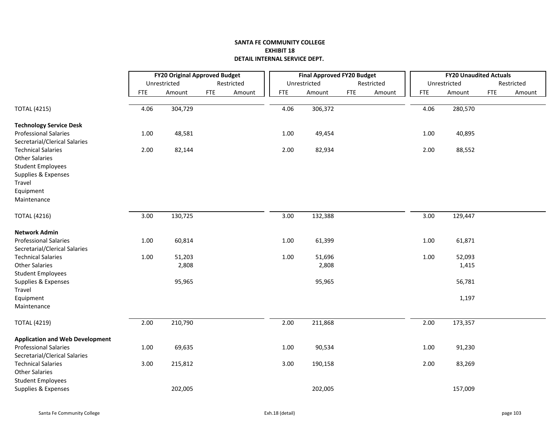|                                                               | <b>FY20 Original Approved Budget</b> |              |            |            |            | <b>Final Approved FY20 Budget</b> |            |            |            | <b>FY20 Unaudited Actuals</b> |            |            |
|---------------------------------------------------------------|--------------------------------------|--------------|------------|------------|------------|-----------------------------------|------------|------------|------------|-------------------------------|------------|------------|
|                                                               |                                      | Unrestricted |            | Restricted |            | Unrestricted                      |            | Restricted |            | Unrestricted                  |            | Restricted |
|                                                               | <b>FTE</b>                           | Amount       | <b>FTE</b> | Amount     | <b>FTE</b> | Amount                            | <b>FTE</b> | Amount     | <b>FTE</b> | Amount                        | <b>FTE</b> | Amount     |
| <b>TOTAL (4215)</b>                                           | 4.06                                 | 304,729      |            |            | 4.06       | 306,372                           |            |            | 4.06       | 280,570                       |            |            |
| <b>Technology Service Desk</b>                                |                                      |              |            |            |            |                                   |            |            |            |                               |            |            |
| <b>Professional Salaries</b><br>Secretarial/Clerical Salaries | 1.00                                 | 48,581       |            |            | 1.00       | 49,454                            |            |            | 1.00       | 40,895                        |            |            |
| <b>Technical Salaries</b><br><b>Other Salaries</b>            | 2.00                                 | 82,144       |            |            | 2.00       | 82,934                            |            |            | 2.00       | 88,552                        |            |            |
| <b>Student Employees</b><br>Supplies & Expenses               |                                      |              |            |            |            |                                   |            |            |            |                               |            |            |
| Travel                                                        |                                      |              |            |            |            |                                   |            |            |            |                               |            |            |
| Equipment                                                     |                                      |              |            |            |            |                                   |            |            |            |                               |            |            |
| Maintenance                                                   |                                      |              |            |            |            |                                   |            |            |            |                               |            |            |
| <b>TOTAL (4216)</b>                                           | 3.00                                 | 130,725      |            |            | 3.00       | 132,388                           |            |            | 3.00       | 129,447                       |            |            |
| <b>Network Admin</b>                                          |                                      |              |            |            |            |                                   |            |            |            |                               |            |            |
| <b>Professional Salaries</b><br>Secretarial/Clerical Salaries | 1.00                                 | 60,814       |            |            | 1.00       | 61,399                            |            |            | 1.00       | 61,871                        |            |            |
| <b>Technical Salaries</b>                                     | 1.00                                 | 51,203       |            |            | 1.00       | 51,696                            |            |            | 1.00       | 52,093                        |            |            |
| <b>Other Salaries</b>                                         |                                      | 2,808        |            |            |            | 2,808                             |            |            |            | 1,415                         |            |            |
| <b>Student Employees</b>                                      |                                      |              |            |            |            |                                   |            |            |            |                               |            |            |
| Supplies & Expenses<br>Travel                                 |                                      | 95,965       |            |            |            | 95,965                            |            |            |            | 56,781                        |            |            |
| Equipment<br>Maintenance                                      |                                      |              |            |            |            |                                   |            |            |            | 1,197                         |            |            |
|                                                               |                                      |              |            |            |            |                                   |            |            |            |                               |            |            |
| <b>TOTAL (4219)</b>                                           | 2.00                                 | 210,790      |            |            | 2.00       | 211,868                           |            |            | 2.00       | 173,357                       |            |            |
| <b>Application and Web Development</b>                        |                                      |              |            |            |            |                                   |            |            |            |                               |            |            |
| <b>Professional Salaries</b><br>Secretarial/Clerical Salaries | 1.00                                 | 69,635       |            |            | 1.00       | 90,534                            |            |            | 1.00       | 91,230                        |            |            |
| <b>Technical Salaries</b>                                     | 3.00                                 | 215,812      |            |            | 3.00       | 190,158                           |            |            | 2.00       | 83,269                        |            |            |
| <b>Other Salaries</b><br><b>Student Employees</b>             |                                      |              |            |            |            |                                   |            |            |            |                               |            |            |
| Supplies & Expenses                                           |                                      | 202,005      |            |            |            | 202,005                           |            |            |            | 157,009                       |            |            |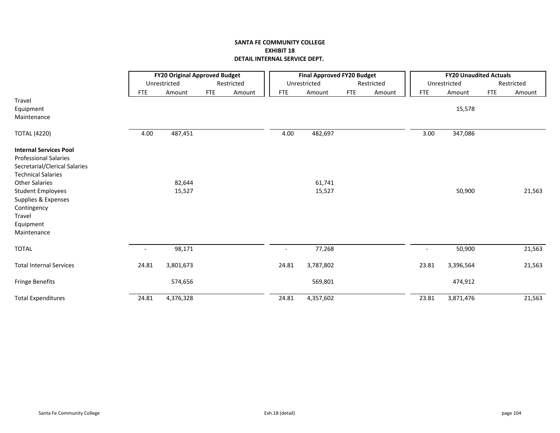|                                |                          | <b>FY20 Original Approved Budget</b> |            |            |                          | <b>Final Approved FY20 Budget</b> |            |            |                          | <b>FY20 Unaudited Actuals</b> |            |            |
|--------------------------------|--------------------------|--------------------------------------|------------|------------|--------------------------|-----------------------------------|------------|------------|--------------------------|-------------------------------|------------|------------|
|                                |                          | Unrestricted                         |            | Restricted |                          | Unrestricted                      |            | Restricted |                          | Unrestricted                  |            | Restricted |
|                                | <b>FTE</b>               | Amount                               | <b>FTE</b> | Amount     | <b>FTE</b>               | Amount                            | <b>FTE</b> | Amount     | <b>FTE</b>               | Amount                        | <b>FTE</b> | Amount     |
| Travel                         |                          |                                      |            |            |                          |                                   |            |            |                          |                               |            |            |
| Equipment                      |                          |                                      |            |            |                          |                                   |            |            |                          | 15,578                        |            |            |
| Maintenance                    |                          |                                      |            |            |                          |                                   |            |            |                          |                               |            |            |
| <b>TOTAL (4220)</b>            | 4.00                     | 487,451                              |            |            | 4.00                     | 482,697                           |            |            | 3.00                     | 347,086                       |            |            |
| <b>Internal Services Pool</b>  |                          |                                      |            |            |                          |                                   |            |            |                          |                               |            |            |
| <b>Professional Salaries</b>   |                          |                                      |            |            |                          |                                   |            |            |                          |                               |            |            |
| Secretarial/Clerical Salaries  |                          |                                      |            |            |                          |                                   |            |            |                          |                               |            |            |
| <b>Technical Salaries</b>      |                          |                                      |            |            |                          |                                   |            |            |                          |                               |            |            |
| <b>Other Salaries</b>          |                          | 82,644                               |            |            |                          | 61,741                            |            |            |                          |                               |            |            |
| <b>Student Employees</b>       |                          | 15,527                               |            |            |                          | 15,527                            |            |            |                          | 50,900                        |            | 21,563     |
| Supplies & Expenses            |                          |                                      |            |            |                          |                                   |            |            |                          |                               |            |            |
| Contingency                    |                          |                                      |            |            |                          |                                   |            |            |                          |                               |            |            |
| Travel                         |                          |                                      |            |            |                          |                                   |            |            |                          |                               |            |            |
| Equipment                      |                          |                                      |            |            |                          |                                   |            |            |                          |                               |            |            |
| Maintenance                    |                          |                                      |            |            |                          |                                   |            |            |                          |                               |            |            |
| <b>TOTAL</b>                   | $\overline{\phantom{a}}$ | 98,171                               |            |            | $\overline{\phantom{a}}$ | 77,268                            |            |            | $\overline{\phantom{a}}$ | 50,900                        |            | 21,563     |
| <b>Total Internal Services</b> | 24.81                    | 3,801,673                            |            |            | 24.81                    | 3,787,802                         |            |            | 23.81                    | 3,396,564                     |            | 21,563     |
| <b>Fringe Benefits</b>         |                          | 574,656                              |            |            |                          | 569,801                           |            |            |                          | 474,912                       |            |            |
| <b>Total Expenditures</b>      | 24.81                    | 4,376,328                            |            |            | 24.81                    | 4,357,602                         |            |            | 23.81                    | 3,871,476                     |            | 21,563     |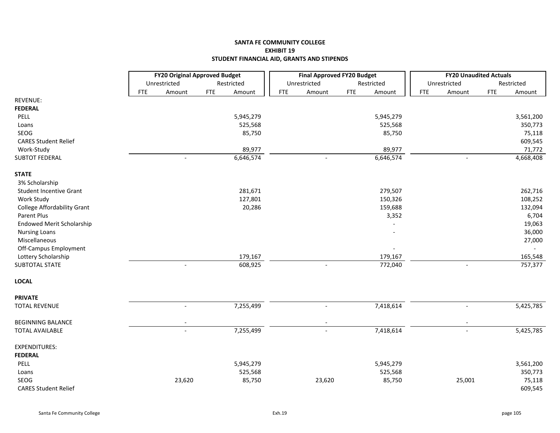# **SANTA FE COMMUNITY COLLEGE EXHIBIT 19 STUDENT FINANCIAL AID, GRANTS AND STIPENDS**

|                                  |            | <b>FY20 Original Approved Budget</b> |            |            |            | <b>Final Approved FY20 Budget</b> |            |                |            | <b>FY20 Unaudited Actuals</b> |            |            |
|----------------------------------|------------|--------------------------------------|------------|------------|------------|-----------------------------------|------------|----------------|------------|-------------------------------|------------|------------|
|                                  |            | Unrestricted                         |            | Restricted |            | Unrestricted                      |            | Restricted     |            | Unrestricted                  |            | Restricted |
|                                  | <b>FTE</b> | Amount                               | <b>FTE</b> | Amount     | <b>FTE</b> | Amount                            | <b>FTE</b> | Amount         | <b>FTE</b> | Amount                        | <b>FTE</b> | Amount     |
| REVENUE:                         |            |                                      |            |            |            |                                   |            |                |            |                               |            |            |
| <b>FEDERAL</b>                   |            |                                      |            |            |            |                                   |            |                |            |                               |            |            |
| <b>PELL</b>                      |            |                                      |            | 5,945,279  |            |                                   |            | 5,945,279      |            |                               |            | 3,561,200  |
| Loans                            |            |                                      |            | 525,568    |            |                                   |            | 525,568        |            |                               |            | 350,773    |
| SEOG                             |            |                                      |            | 85,750     |            |                                   |            | 85,750         |            |                               |            | 75,118     |
| <b>CARES Student Relief</b>      |            |                                      |            |            |            |                                   |            |                |            |                               |            | 609,545    |
| Work-Study                       |            |                                      |            | 89,977     |            |                                   |            | 89,977         |            |                               |            | 71,772     |
| <b>SUBTOT FEDERAL</b>            |            |                                      |            | 6,646,574  |            |                                   |            | 6,646,574      |            |                               |            | 4,668,408  |
| <b>STATE</b>                     |            |                                      |            |            |            |                                   |            |                |            |                               |            |            |
| 3% Scholarship                   |            |                                      |            |            |            |                                   |            |                |            |                               |            |            |
| <b>Student Incentive Grant</b>   |            |                                      |            | 281,671    |            |                                   |            | 279,507        |            |                               |            | 262,716    |
| Work Study                       |            |                                      |            | 127,801    |            |                                   |            | 150,326        |            |                               |            | 108,252    |
| College Affordability Grant      |            |                                      |            | 20,286     |            |                                   |            | 159,688        |            |                               |            | 132,094    |
| Parent Plus                      |            |                                      |            |            |            |                                   |            | 3,352          |            |                               |            | 6,704      |
| <b>Endowed Merit Scholarship</b> |            |                                      |            |            |            |                                   |            |                |            |                               |            | 19,063     |
| <b>Nursing Loans</b>             |            |                                      |            |            |            |                                   |            |                |            |                               |            | 36,000     |
| Miscellaneous                    |            |                                      |            |            |            |                                   |            |                |            |                               |            | 27,000     |
| Off-Campus Employment            |            |                                      |            |            |            |                                   |            | $\overline{a}$ |            |                               |            |            |
| Lottery Scholarship              |            |                                      |            | 179,167    |            |                                   |            | 179,167        |            |                               |            | 165,548    |
| <b>SUBTOTAL STATE</b>            |            | $\blacksquare$                       |            | 608,925    |            | $\sim$                            |            | 772,040        |            | $\sim$                        |            | 757,377    |
| <b>LOCAL</b>                     |            |                                      |            |            |            |                                   |            |                |            |                               |            |            |
| <b>PRIVATE</b>                   |            |                                      |            |            |            |                                   |            |                |            |                               |            |            |
| <b>TOTAL REVENUE</b>             |            | $\overline{\phantom{a}}$             |            | 7,255,499  |            | $\overline{\phantom{a}}$          |            | 7,418,614      |            | $\overline{\phantom{a}}$      |            | 5,425,785  |
| <b>BEGINNING BALANCE</b>         |            |                                      |            |            |            |                                   |            |                |            |                               |            |            |
| <b>TOTAL AVAILABLE</b>           |            | $\overline{a}$                       |            | 7,255,499  |            | $\overline{\phantom{a}}$          |            | 7,418,614      |            | $\overline{\phantom{a}}$      |            | 5,425,785  |
| <b>EXPENDITURES:</b>             |            |                                      |            |            |            |                                   |            |                |            |                               |            |            |
| <b>FEDERAL</b>                   |            |                                      |            |            |            |                                   |            |                |            |                               |            |            |
| PELL                             |            |                                      |            | 5,945,279  |            |                                   |            | 5,945,279      |            |                               |            | 3,561,200  |
| Loans                            |            |                                      |            | 525,568    |            |                                   |            | 525,568        |            |                               |            | 350,773    |
| SEOG                             |            | 23,620                               |            | 85,750     |            | 23,620                            |            | 85,750         |            | 25,001                        |            | 75,118     |
| <b>CARES Student Relief</b>      |            |                                      |            |            |            |                                   |            |                |            |                               |            | 609,545    |
|                                  |            |                                      |            |            |            |                                   |            |                |            |                               |            |            |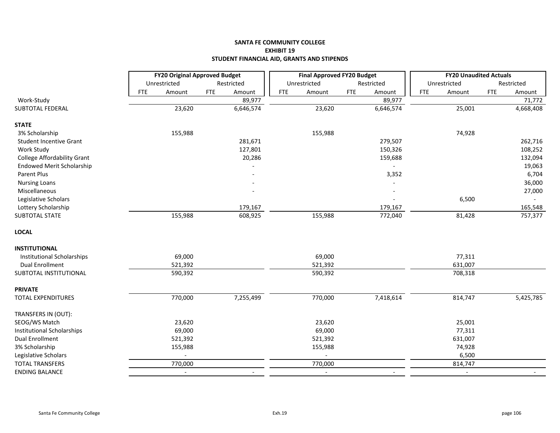## **SANTA FE COMMUNITY COLLEGE EXHIBIT 19 STUDENT FINANCIAL AID, GRANTS AND STIPENDS**

|                                |            | <b>FY20 Original Approved Budget</b> |            |            |            | <b>Final Approved FY20 Budget</b> |            |            |            | <b>FY20 Unaudited Actuals</b> |            |            |
|--------------------------------|------------|--------------------------------------|------------|------------|------------|-----------------------------------|------------|------------|------------|-------------------------------|------------|------------|
|                                |            | Unrestricted                         |            | Restricted |            | Unrestricted                      |            | Restricted |            | Unrestricted                  |            | Restricted |
|                                | <b>FTE</b> | Amount                               | <b>FTE</b> | Amount     | <b>FTE</b> | Amount                            | <b>FTE</b> | Amount     | <b>FTE</b> | Amount                        | <b>FTE</b> | Amount     |
| Work-Study                     |            |                                      |            | 89,977     |            |                                   |            | 89,977     |            |                               |            | 71,772     |
| SUBTOTAL FEDERAL               |            | 23,620                               |            | 6,646,574  |            | 23,620                            |            | 6,646,574  |            | 25,001                        |            | 4,668,408  |
| <b>STATE</b>                   |            |                                      |            |            |            |                                   |            |            |            |                               |            |            |
| 3% Scholarship                 |            | 155,988                              |            |            |            | 155,988                           |            |            |            | 74,928                        |            |            |
| <b>Student Incentive Grant</b> |            |                                      |            | 281,671    |            |                                   |            | 279,507    |            |                               |            | 262,716    |
| Work Study                     |            |                                      |            | 127,801    |            |                                   |            | 150,326    |            |                               |            | 108,252    |
| College Affordability Grant    |            |                                      |            | 20,286     |            |                                   |            | 159,688    |            |                               |            | 132,094    |
| Endowed Merit Scholarship      |            |                                      |            |            |            |                                   |            |            |            |                               |            | 19,063     |
| Parent Plus                    |            |                                      |            |            |            |                                   |            | 3,352      |            |                               |            | 6,704      |
| <b>Nursing Loans</b>           |            |                                      |            |            |            |                                   |            |            |            |                               |            | 36,000     |
| Miscellaneous                  |            |                                      |            |            |            |                                   |            |            |            |                               |            | 27,000     |
| Legislative Scholars           |            |                                      |            |            |            |                                   |            |            |            | 6,500                         |            |            |
| Lottery Scholarship            |            |                                      |            | 179,167    |            |                                   |            | 179,167    |            |                               |            | 165,548    |
| SUBTOTAL STATE                 |            | 155,988                              |            | 608,925    |            | 155,988                           |            | 772,040    |            | 81,428                        |            | 757,377    |
| <b>LOCAL</b>                   |            |                                      |            |            |            |                                   |            |            |            |                               |            |            |
| <b>INSTITUTIONAL</b>           |            |                                      |            |            |            |                                   |            |            |            |                               |            |            |
| Institutional Scholarships     |            | 69,000                               |            |            |            | 69,000                            |            |            |            | 77,311                        |            |            |
| <b>Dual Enrollment</b>         |            | 521,392                              |            |            |            | 521,392                           |            |            |            | 631,007                       |            |            |
| SUBTOTAL INSTITUTIONAL         |            | 590,392                              |            |            |            | 590,392                           |            |            |            | 708,318                       |            |            |
| <b>PRIVATE</b>                 |            |                                      |            |            |            |                                   |            |            |            |                               |            |            |
| <b>TOTAL EXPENDITURES</b>      |            | 770,000                              |            | 7,255,499  |            | 770,000                           |            | 7,418,614  |            | 814,747                       |            | 5,425,785  |
| TRANSFERS IN (OUT):            |            |                                      |            |            |            |                                   |            |            |            |                               |            |            |
| SEOG/WS Match                  |            | 23,620                               |            |            |            | 23,620                            |            |            |            | 25,001                        |            |            |
| Institutional Scholarships     |            | 69,000                               |            |            |            | 69,000                            |            |            |            | 77,311                        |            |            |
| <b>Dual Enrollment</b>         |            | 521,392                              |            |            |            | 521,392                           |            |            |            | 631,007                       |            |            |
| 3% Scholarship                 |            | 155,988                              |            |            |            | 155,988                           |            |            |            | 74,928                        |            |            |
| Legislative Scholars           |            |                                      |            |            |            |                                   |            |            |            | 6,500                         |            |            |
| <b>TOTAL TRANSFERS</b>         |            | 770,000                              |            |            |            | 770,000                           |            |            |            | 814,747                       |            |            |
| <b>ENDING BALANCE</b>          |            | $\blacksquare$                       |            |            |            | $\overline{\phantom{a}}$          |            |            |            | $\overline{\phantom{a}}$      |            |            |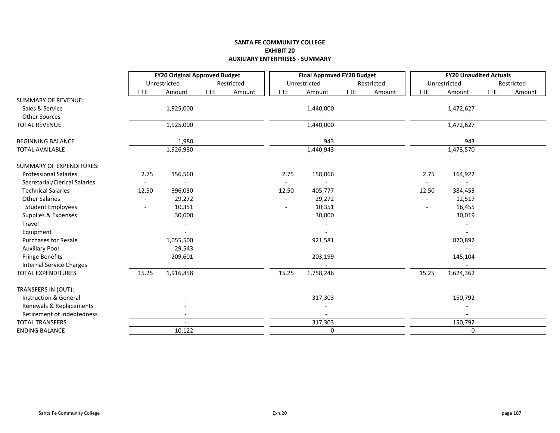### **SANTA FE COMMUNITY COLLEGE EXHIBIT 20 AUXILIARY ENTERPRISES ‐ SUMMARY**

|                                 |            | <b>FY20 Original Approved Budget</b>                                    |            |            |                          | <b>Final Approved FY20 Budget</b> |            |            |            | <b>FY20 Unaudited Actuals</b> |            |            |
|---------------------------------|------------|-------------------------------------------------------------------------|------------|------------|--------------------------|-----------------------------------|------------|------------|------------|-------------------------------|------------|------------|
|                                 |            | Unrestricted                                                            |            | Restricted |                          | Unrestricted                      |            | Restricted |            | Unrestricted                  |            | Restricted |
|                                 | <b>FTE</b> | Amount                                                                  | <b>FTE</b> | Amount     | <b>FTE</b>               | Amount                            | <b>FTE</b> | Amount     | <b>FTE</b> | Amount                        | <b>FTE</b> | Amount     |
| <b>SUMMARY OF REVENUE:</b>      |            |                                                                         |            |            |                          |                                   |            |            |            |                               |            |            |
| Sales & Service                 |            | 1,925,000                                                               |            |            |                          | 1,440,000                         |            |            |            | 1,472,627                     |            |            |
| Other Sources                   |            |                                                                         |            |            |                          |                                   |            |            |            |                               |            |            |
| <b>TOTAL REVENUE</b>            |            | 1,925,000                                                               |            |            |                          | 1,440,000                         |            |            |            | 1,472,627                     |            |            |
| <b>BEGINNING BALANCE</b>        |            | 1,980                                                                   |            |            |                          | 943                               |            |            |            | 943                           |            |            |
| <b>TOTAL AVAILABLE</b>          |            | 1,926,980                                                               |            |            |                          | 1,440,943                         |            |            |            | 1,473,570                     |            |            |
| <b>SUMMARY OF EXPENDITURES:</b> |            | 156,560<br>2.75<br>$\overline{\phantom{a}}$<br>$\overline{\phantom{a}}$ |            |            |                          |                                   |            |            |            |                               |            |            |
| <b>Professional Salaries</b>    |            |                                                                         |            |            | 2.75                     | 158,066                           |            |            | 2.75       | 164,922                       |            |            |
| Secretarial/Clerical Salaries   |            |                                                                         |            |            | $\overline{\phantom{a}}$ |                                   |            |            |            | $\overline{\phantom{a}}$      |            |            |
| <b>Technical Salaries</b>       | 12.50      | 396,030                                                                 |            |            | 12.50                    | 405,777                           |            |            | 12.50      | 384,453                       |            |            |
| <b>Other Salaries</b>           |            | 29,272                                                                  |            |            | $\overline{\phantom{a}}$ | 29,272                            |            |            |            | 12,517                        |            |            |
| <b>Student Employees</b>        |            | 10,351                                                                  |            |            |                          | 10,351                            |            |            |            | 16,455                        |            |            |
| Supplies & Expenses             |            | 30,000                                                                  |            |            |                          | 30,000                            |            |            |            | 30,019                        |            |            |
| Travel                          |            |                                                                         |            |            |                          |                                   |            |            |            |                               |            |            |
| Equipment                       |            |                                                                         |            |            |                          |                                   |            |            |            |                               |            |            |
| <b>Purchases for Resale</b>     |            | 1,055,500                                                               |            |            |                          | 921,581                           |            |            |            | 870,892                       |            |            |
| <b>Auxiliary Pool</b>           |            | 29,543                                                                  |            |            |                          |                                   |            |            |            |                               |            |            |
| <b>Fringe Benefits</b>          |            | 209,601                                                                 |            |            |                          | 203,199                           |            |            |            | 145,104                       |            |            |
| <b>Internal Service Charges</b> |            |                                                                         |            |            |                          |                                   |            |            |            |                               |            |            |
| <b>TOTAL EXPENDITURES</b>       | 15.25      | 1,916,858                                                               |            |            | 15.25                    | 1,758,246                         |            |            | 15.25      | 1,624,362                     |            |            |
| TRANSFERS IN (OUT):             |            |                                                                         |            |            |                          |                                   |            |            |            |                               |            |            |
| Instruction & General           |            |                                                                         |            |            |                          | 317,303                           |            |            |            | 150,792                       |            |            |
| Renewals & Replacements         |            |                                                                         |            |            |                          |                                   |            |            |            |                               |            |            |
| Retirement of Indebtedness      |            |                                                                         |            |            |                          |                                   |            |            |            |                               |            |            |
| <b>TOTAL TRANSFERS</b>          |            | $\overline{\phantom{0}}$                                                |            |            |                          | 317,303                           |            |            |            | 150,792                       |            |            |
| <b>ENDING BALANCE</b>           |            | 10,122                                                                  |            |            |                          | $\pmb{0}$                         |            |            |            | 0                             |            |            |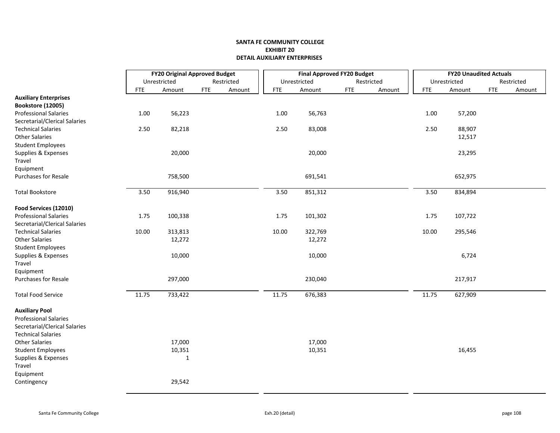#### **SANTA FE COMMUNITY COLLEGE EXHIBIT 20DETAIL AUXILIARY ENTERPRISES**

|                               |            | <b>FY20 Original Approved Budget</b> |            |            |  |            | <b>Final Approved FY20 Budget</b> |            |            |        |            | <b>FY20 Unaudited Actuals</b> |             |            |
|-------------------------------|------------|--------------------------------------|------------|------------|--|------------|-----------------------------------|------------|------------|--------|------------|-------------------------------|-------------|------------|
|                               |            | Unrestricted                         |            | Restricted |  |            | Unrestricted                      |            | Restricted |        |            | Unrestricted                  |             | Restricted |
|                               | <b>FTE</b> | Amount                               | <b>FTE</b> | Amount     |  | <b>FTE</b> | Amount                            | <b>FTE</b> |            | Amount | <b>FTE</b> | Amount                        | ${\sf FTE}$ | Amount     |
| <b>Auxiliary Enterprises</b>  |            |                                      |            |            |  |            |                                   |            |            |        |            |                               |             |            |
| Bookstore (12005)             |            |                                      |            |            |  |            |                                   |            |            |        |            |                               |             |            |
| <b>Professional Salaries</b>  | 1.00       | 56,223                               |            |            |  | 1.00       | 56,763                            |            |            |        | 1.00       | 57,200                        |             |            |
| Secretarial/Clerical Salaries |            |                                      |            |            |  |            |                                   |            |            |        |            |                               |             |            |
| <b>Technical Salaries</b>     | 2.50       | 82,218                               |            |            |  | 2.50       | 83,008                            |            |            |        | 2.50       | 88,907                        |             |            |
| <b>Other Salaries</b>         |            |                                      |            |            |  |            |                                   |            |            |        |            | 12,517                        |             |            |
| <b>Student Employees</b>      |            |                                      |            |            |  |            |                                   |            |            |        |            |                               |             |            |
| Supplies & Expenses           |            | 20,000                               |            |            |  |            | 20,000                            |            |            |        |            | 23,295                        |             |            |
| Travel                        |            |                                      |            |            |  |            |                                   |            |            |        |            |                               |             |            |
| Equipment                     |            |                                      |            |            |  |            |                                   |            |            |        |            |                               |             |            |
| Purchases for Resale          |            | 758,500                              |            |            |  |            | 691,541                           |            |            |        |            | 652,975                       |             |            |
| <b>Total Bookstore</b>        | 3.50       | 916,940                              |            |            |  | 3.50       | 851,312                           |            |            |        | 3.50       | 834,894                       |             |            |
| Food Services (12010)         |            |                                      |            |            |  |            |                                   |            |            |        |            |                               |             |            |
| <b>Professional Salaries</b>  | 1.75       | 100,338                              |            |            |  | 1.75       | 101,302                           |            |            |        | 1.75       | 107,722                       |             |            |
| Secretarial/Clerical Salaries |            |                                      |            |            |  |            |                                   |            |            |        |            |                               |             |            |
| <b>Technical Salaries</b>     | 10.00      | 313,813                              |            |            |  | 10.00      | 322,769                           |            |            |        | 10.00      | 295,546                       |             |            |
| <b>Other Salaries</b>         |            | 12,272                               |            |            |  |            | 12,272                            |            |            |        |            |                               |             |            |
| <b>Student Employees</b>      |            |                                      |            |            |  |            |                                   |            |            |        |            |                               |             |            |
| Supplies & Expenses           |            | 10,000                               |            |            |  |            | 10,000                            |            |            |        |            | 6,724                         |             |            |
| Travel                        |            |                                      |            |            |  |            |                                   |            |            |        |            |                               |             |            |
| Equipment                     |            |                                      |            |            |  |            |                                   |            |            |        |            |                               |             |            |
| <b>Purchases for Resale</b>   |            | 297,000                              |            |            |  |            | 230,040                           |            |            |        |            | 217,917                       |             |            |
| <b>Total Food Service</b>     | 11.75      | 733,422                              |            |            |  | 11.75      | 676,383                           |            |            |        | 11.75      | 627,909                       |             |            |
| <b>Auxiliary Pool</b>         |            |                                      |            |            |  |            |                                   |            |            |        |            |                               |             |            |
| Professional Salaries         |            |                                      |            |            |  |            |                                   |            |            |        |            |                               |             |            |
| Secretarial/Clerical Salaries |            |                                      |            |            |  |            |                                   |            |            |        |            |                               |             |            |
| <b>Technical Salaries</b>     |            |                                      |            |            |  |            |                                   |            |            |        |            |                               |             |            |
| <b>Other Salaries</b>         |            | 17,000                               |            |            |  |            | 17,000                            |            |            |        |            |                               |             |            |
| <b>Student Employees</b>      |            | 10,351                               |            |            |  |            | 10,351                            |            |            |        |            | 16,455                        |             |            |
| Supplies & Expenses           |            | $\mathbf{1}$                         |            |            |  |            |                                   |            |            |        |            |                               |             |            |
| Travel                        |            |                                      |            |            |  |            |                                   |            |            |        |            |                               |             |            |
| Equipment                     |            |                                      |            |            |  |            |                                   |            |            |        |            |                               |             |            |
| Contingency                   |            | 29,542                               |            |            |  |            |                                   |            |            |        |            |                               |             |            |
|                               |            |                                      |            |            |  |            |                                   |            |            |        |            |                               |             |            |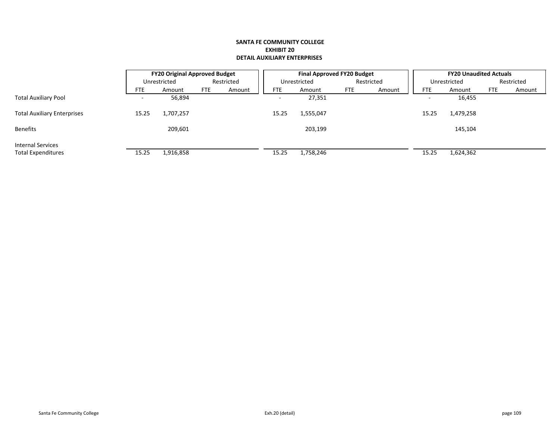#### **SANTA FE COMMUNITY COLLEGE EXHIBIT 20DETAIL AUXILIARY ENTERPRISES**

|                                    |            | <b>FY20 Original Approved Budget</b> |            |            |            | <b>Final Approved FY20 Budget</b> |            |        |                          | <b>FY20 Unaudited Actuals</b> |            |            |
|------------------------------------|------------|--------------------------------------|------------|------------|------------|-----------------------------------|------------|--------|--------------------------|-------------------------------|------------|------------|
|                                    |            | Unrestricted                         |            | Restricted |            | Unrestricted                      | Restricted |        |                          | Unrestricted                  |            | Restricted |
|                                    | <b>FTE</b> | Amount                               | <b>FTE</b> | Amount     | <b>FTE</b> | Amount                            | <b>FTE</b> | Amount | <b>FTE</b>               | Amount                        | <b>FTE</b> | Amount     |
| <b>Total Auxiliary Pool</b>        |            | 56,894                               |            |            |            | 27,351                            |            |        | $\overline{\phantom{0}}$ | 16,455                        |            |            |
| <b>Total Auxiliary Enterprises</b> | 15.25      | 1,707,257                            |            |            | 15.25      | 1,555,047                         |            |        | 15.25                    | 1,479,258                     |            |            |
| Benefits                           |            | 209,601                              |            |            |            | 203,199                           |            |        |                          | 145,104                       |            |            |
| <b>Internal Services</b>           |            |                                      |            |            |            |                                   |            |        |                          |                               |            |            |
| <b>Total Expenditures</b>          | 15.25      | 1,916,858                            |            |            | 15.25      | 1,758,246                         |            |        | 15.25                    | 1,624,362                     |            |            |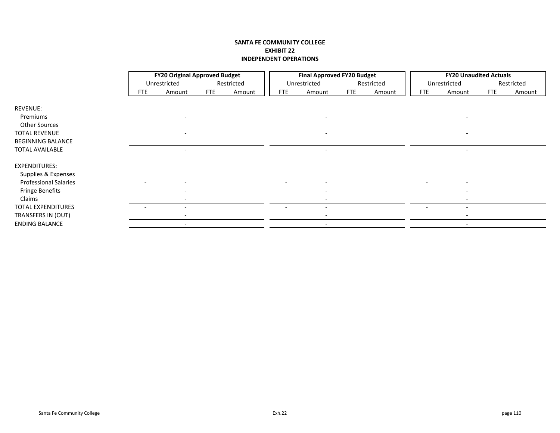### **SANTA FE COMMUNITY COLLEGE EXHIBIT 22 INDEPENDENT OPERATIONS**

|                              |            | <b>FY20 Original Approved Budget</b> |            |            | <b>Final Approved FY20 Budget</b> |              |            |            | <b>FY20 Unaudited Actuals</b> |              |            |            |
|------------------------------|------------|--------------------------------------|------------|------------|-----------------------------------|--------------|------------|------------|-------------------------------|--------------|------------|------------|
|                              |            | Unrestricted                         |            | Restricted |                                   | Unrestricted |            | Restricted |                               | Unrestricted |            | Restricted |
|                              | <b>FTE</b> | Amount                               | <b>FTE</b> | Amount     | <b>FTE</b>                        | Amount       | <b>FTE</b> | Amount     | <b>FTE</b>                    | Amount       | <b>FTE</b> | Amount     |
|                              |            |                                      |            |            |                                   |              |            |            |                               |              |            |            |
| <b>REVENUE:</b>              |            |                                      |            |            |                                   |              |            |            |                               |              |            |            |
| Premiums                     |            |                                      |            |            |                                   |              |            |            |                               |              |            |            |
| Other Sources                |            |                                      |            |            |                                   |              |            |            |                               |              |            |            |
| <b>TOTAL REVENUE</b>         |            |                                      |            |            |                                   |              |            |            |                               |              |            |            |
| <b>BEGINNING BALANCE</b>     |            |                                      |            |            |                                   |              |            |            |                               |              |            |            |
| <b>TOTAL AVAILABLE</b>       |            |                                      |            |            |                                   |              |            |            |                               |              |            |            |
|                              |            |                                      |            |            |                                   |              |            |            |                               |              |            |            |
| EXPENDITURES:                |            |                                      |            |            |                                   |              |            |            |                               |              |            |            |
| Supplies & Expenses          |            |                                      |            |            |                                   |              |            |            |                               |              |            |            |
| <b>Professional Salaries</b> |            |                                      |            |            | $\overline{a}$                    |              |            |            |                               |              |            |            |
| <b>Fringe Benefits</b>       |            |                                      |            |            |                                   |              |            |            |                               |              |            |            |
| Claims                       |            |                                      |            |            |                                   |              |            |            |                               |              |            |            |
| <b>TOTAL EXPENDITURES</b>    |            |                                      |            |            |                                   |              |            |            |                               |              |            |            |
| TRANSFERS IN (OUT)           |            |                                      |            |            |                                   |              |            |            |                               |              |            |            |
| <b>ENDING BALANCE</b>        |            | $\overline{\phantom{a}}$             |            |            |                                   |              |            |            |                               |              |            |            |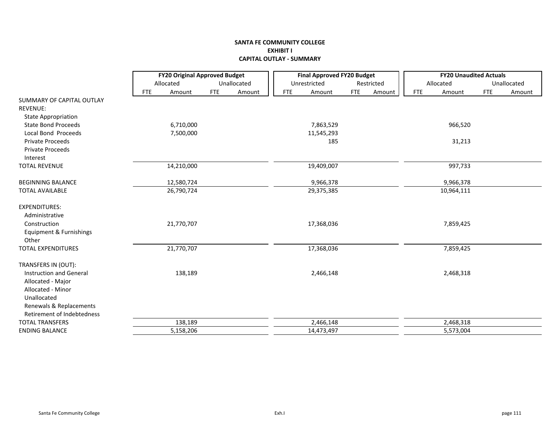### **SANTA FE COMMUNITY COLLEGE EXHIBIT I CAPITAL OUTLAY ‐ SUMMARY**

|                            |            | <b>FY20 Original Approved Budget</b> |            |             |            | <b>Final Approved FY20 Budget</b> |            |            |            | <b>FY20 Unaudited Actuals</b> |     |             |
|----------------------------|------------|--------------------------------------|------------|-------------|------------|-----------------------------------|------------|------------|------------|-------------------------------|-----|-------------|
|                            |            | Allocated                            |            | Unallocated |            | Unrestricted                      |            | Restricted |            | Allocated                     |     | Unallocated |
|                            | <b>FTE</b> | Amount                               | <b>FTE</b> | Amount      | <b>FTE</b> | Amount                            | <b>FTE</b> | Amount     | <b>FTE</b> | Amount                        | FTE | Amount      |
| SUMMARY OF CAPITAL OUTLAY  |            |                                      |            |             |            |                                   |            |            |            |                               |     |             |
| <b>REVENUE:</b>            |            |                                      |            |             |            |                                   |            |            |            |                               |     |             |
| <b>State Appropriation</b> |            |                                      |            |             |            |                                   |            |            |            |                               |     |             |
| <b>State Bond Proceeds</b> |            | 6,710,000                            |            |             |            | 7,863,529                         |            |            |            | 966,520                       |     |             |
| Local Bond Proceeds        |            | 7,500,000                            |            |             |            | 11,545,293                        |            |            |            |                               |     |             |
| <b>Private Proceeds</b>    |            |                                      |            |             |            | 185                               |            |            |            | 31,213                        |     |             |
| <b>Private Proceeds</b>    |            |                                      |            |             |            |                                   |            |            |            |                               |     |             |
| Interest                   |            |                                      |            |             |            |                                   |            |            |            |                               |     |             |
| <b>TOTAL REVENUE</b>       |            | 14,210,000                           |            |             |            | 19,409,007                        |            |            |            | 997,733                       |     |             |
| <b>BEGINNING BALANCE</b>   |            | 12,580,724                           |            |             |            | 9,966,378                         |            |            |            | 9,966,378                     |     |             |
| <b>TOTAL AVAILABLE</b>     |            | 26,790,724                           |            |             |            | 29,375,385                        |            |            |            | 10,964,111                    |     |             |
| <b>EXPENDITURES:</b>       |            |                                      |            |             |            |                                   |            |            |            |                               |     |             |
| Administrative             |            |                                      |            |             |            |                                   |            |            |            |                               |     |             |
| Construction               |            | 21,770,707                           |            |             |            | 17,368,036                        |            |            |            | 7,859,425                     |     |             |
| Equipment & Furnishings    |            |                                      |            |             |            |                                   |            |            |            |                               |     |             |
| Other                      |            |                                      |            |             |            |                                   |            |            |            |                               |     |             |
| <b>TOTAL EXPENDITURES</b>  |            | 21,770,707                           |            |             |            | 17,368,036                        |            |            |            | 7,859,425                     |     |             |
| TRANSFERS IN (OUT):        |            |                                      |            |             |            |                                   |            |            |            |                               |     |             |
| Instruction and General    |            | 138,189                              |            |             |            | 2,466,148                         |            |            |            | 2,468,318                     |     |             |
| Allocated - Major          |            |                                      |            |             |            |                                   |            |            |            |                               |     |             |
| Allocated - Minor          |            |                                      |            |             |            |                                   |            |            |            |                               |     |             |
| Unallocated                |            |                                      |            |             |            |                                   |            |            |            |                               |     |             |
| Renewals & Replacements    |            |                                      |            |             |            |                                   |            |            |            |                               |     |             |
| Retirement of Indebtedness |            |                                      |            |             |            |                                   |            |            |            |                               |     |             |
| <b>TOTAL TRANSFERS</b>     |            | 138,189                              |            |             |            | 2,466,148                         |            |            |            | 2,468,318                     |     |             |
| <b>ENDING BALANCE</b>      |            | 5,158,206                            |            |             |            | 14,473,497                        |            |            |            | 5,573,004                     |     |             |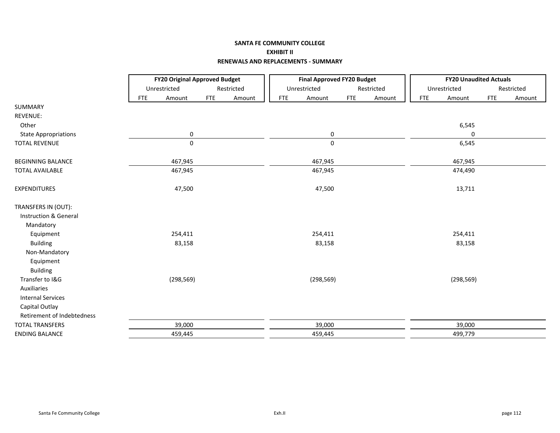## **SANTA FE COMMUNITY COLLEGE EXHIBIT II RENEWALS AND REPLACEMENTS ‐ SUMMARY**

|                             |            | <b>FY20 Original Approved Budget</b> |            |            |            | <b>Final Approved FY20 Budget</b> |            |            |            | <b>FY20 Unaudited Actuals</b> |            |            |
|-----------------------------|------------|--------------------------------------|------------|------------|------------|-----------------------------------|------------|------------|------------|-------------------------------|------------|------------|
|                             |            | Unrestricted                         |            | Restricted |            | Unrestricted                      |            | Restricted |            | Unrestricted                  |            | Restricted |
|                             | <b>FTE</b> | Amount                               | <b>FTE</b> | Amount     | <b>FTE</b> | Amount                            | <b>FTE</b> | Amount     | <b>FTE</b> | Amount                        | <b>FTE</b> | Amount     |
| <b>SUMMARY</b>              |            |                                      |            |            |            |                                   |            |            |            |                               |            |            |
| REVENUE:                    |            |                                      |            |            |            |                                   |            |            |            |                               |            |            |
| Other                       |            |                                      |            |            |            |                                   |            |            |            | 6,545                         |            |            |
| <b>State Appropriations</b> |            | 0                                    |            |            |            | 0                                 |            |            |            | 0                             |            |            |
| <b>TOTAL REVENUE</b>        |            | $\mathbf 0$                          |            |            |            | $\mathsf{O}\xspace$               |            |            |            | 6,545                         |            |            |
| <b>BEGINNING BALANCE</b>    |            | 467,945                              |            |            |            | 467,945                           |            |            |            | 467,945                       |            |            |
| <b>TOTAL AVAILABLE</b>      |            | 467,945                              |            |            |            | 467,945                           |            |            |            | 474,490                       |            |            |
| <b>EXPENDITURES</b>         |            | 47,500                               |            |            |            | 47,500                            |            |            |            | 13,711                        |            |            |
| TRANSFERS IN (OUT):         |            |                                      |            |            |            |                                   |            |            |            |                               |            |            |
| Instruction & General       |            |                                      |            |            |            |                                   |            |            |            |                               |            |            |
| Mandatory                   |            |                                      |            |            |            |                                   |            |            |            |                               |            |            |
| Equipment                   |            | 254,411                              |            |            |            | 254,411                           |            |            |            | 254,411                       |            |            |
| <b>Building</b>             |            | 83,158                               |            |            |            | 83,158                            |            |            |            | 83,158                        |            |            |
| Non-Mandatory               |            |                                      |            |            |            |                                   |            |            |            |                               |            |            |
| Equipment                   |            |                                      |            |            |            |                                   |            |            |            |                               |            |            |
| <b>Building</b>             |            |                                      |            |            |            |                                   |            |            |            |                               |            |            |
| Transfer to I&G             |            | (298, 569)                           |            |            |            | (298, 569)                        |            |            |            | (298, 569)                    |            |            |
| Auxiliaries                 |            |                                      |            |            |            |                                   |            |            |            |                               |            |            |
| <b>Internal Services</b>    |            |                                      |            |            |            |                                   |            |            |            |                               |            |            |
| Capital Outlay              |            |                                      |            |            |            |                                   |            |            |            |                               |            |            |
| Retirement of Indebtedness  |            |                                      |            |            |            |                                   |            |            |            |                               |            |            |
| <b>TOTAL TRANSFERS</b>      |            | 39,000                               |            |            |            | 39,000                            |            |            |            | 39,000                        |            |            |
| <b>ENDING BALANCE</b>       |            | 459,445                              |            |            |            | 459,445                           |            |            |            | 499,779                       |            |            |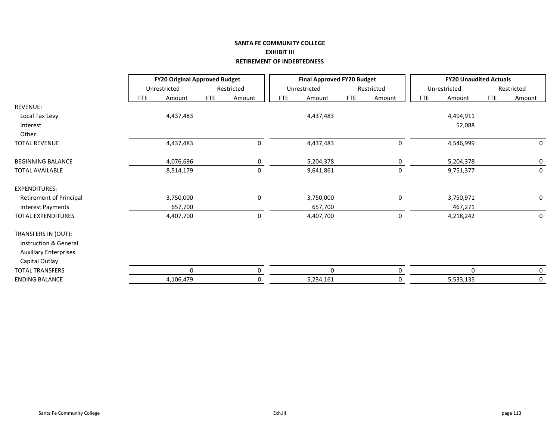### **SANTA FE COMMUNITY COLLEGE EXHIBIT III RETIREMENT OF INDEBTEDNESS**

|                                | <b>FY20 Original Approved Budget</b> |              |            |             |            | <b>Final Approved FY20 Budget</b> |            |            |            | <b>FY20 Unaudited Actuals</b> |            |             |
|--------------------------------|--------------------------------------|--------------|------------|-------------|------------|-----------------------------------|------------|------------|------------|-------------------------------|------------|-------------|
|                                |                                      | Unrestricted |            | Restricted  |            | Unrestricted                      |            | Restricted |            | Unrestricted                  |            | Restricted  |
|                                | <b>FTE</b>                           | Amount       | <b>FTE</b> | Amount      | <b>FTE</b> | Amount                            | <b>FTE</b> | Amount     | <b>FTE</b> | Amount                        | <b>FTE</b> | Amount      |
| REVENUE:                       |                                      |              |            |             |            |                                   |            |            |            |                               |            |             |
| Local Tax Levy                 |                                      | 4,437,483    |            |             |            | 4,437,483                         |            |            |            | 4,494,911                     |            |             |
| Interest                       |                                      |              |            |             |            |                                   |            |            |            | 52,088                        |            |             |
| Other                          |                                      |              |            |             |            |                                   |            |            |            |                               |            |             |
| <b>TOTAL REVENUE</b>           |                                      | 4,437,483    |            | $\pmb{0}$   |            | 4,437,483                         |            | 0          |            | 4,546,999                     |            | 0           |
| <b>BEGINNING BALANCE</b>       |                                      | 4,076,696    |            | 0           |            | 5,204,378                         |            | 0          |            | 5,204,378                     |            | 0           |
| <b>TOTAL AVAILABLE</b>         |                                      | 8,514,179    |            | $\mathsf 0$ |            | 9,641,861                         |            | 0          |            | 9,751,377                     |            | $\mathbf 0$ |
| <b>EXPENDITURES:</b>           |                                      |              |            |             |            |                                   |            |            |            |                               |            |             |
| <b>Retirement of Principal</b> |                                      | 3,750,000    |            | 0           |            | 3,750,000                         |            | 0          |            | 3,750,971                     |            | 0           |
| <b>Interest Payments</b>       |                                      | 657,700      |            |             |            | 657,700                           |            |            |            | 467,271                       |            |             |
| <b>TOTAL EXPENDITURES</b>      |                                      | 4,407,700    |            | $\pmb{0}$   |            | 4,407,700                         |            | $\pmb{0}$  |            | 4,218,242                     |            | 0           |
| TRANSFERS IN (OUT):            |                                      |              |            |             |            |                                   |            |            |            |                               |            |             |
| Instruction & General          |                                      |              |            |             |            |                                   |            |            |            |                               |            |             |
| <b>Auxiliary Enterprises</b>   |                                      |              |            |             |            |                                   |            |            |            |                               |            |             |
| Capital Outlay                 |                                      |              |            |             |            |                                   |            |            |            |                               |            |             |
| <b>TOTAL TRANSFERS</b>         |                                      | 0            |            | 0           |            | $\mathbf 0$                       |            | 0          |            | $\Omega$                      |            | 0           |
| <b>ENDING BALANCE</b>          |                                      | 4,106,479    |            | 0           |            | 5,234,161                         |            | 0          |            | 5,533,135                     |            | 0           |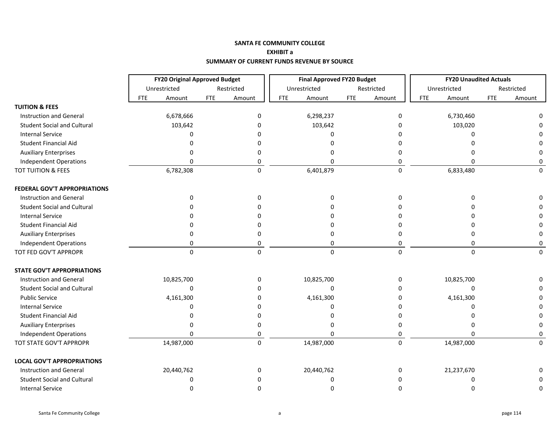|                                     |                      | <b>FY20 Original Approved Budget</b> | <b>Final Approved FY20 Budget</b> |                      | <b>FY20 Unaudited Actuals</b> |                      |
|-------------------------------------|----------------------|--------------------------------------|-----------------------------------|----------------------|-------------------------------|----------------------|
|                                     | Unrestricted         | Restricted                           | Unrestricted                      | Restricted           | Unrestricted                  | Restricted           |
|                                     | <b>FTE</b><br>Amount | <b>FTE</b><br>Amount                 | <b>FTE</b><br>Amount              | <b>FTE</b><br>Amount | <b>FTE</b><br>Amount          | <b>FTE</b><br>Amount |
| <b>TUITION &amp; FEES</b>           |                      |                                      |                                   |                      |                               |                      |
| <b>Instruction and General</b>      | 6,678,666            | $\Omega$                             | 6,298,237                         | 0                    | 6,730,460                     |                      |
| <b>Student Social and Cultural</b>  | 103,642              | $\Omega$                             | 103,642                           | $\Omega$             | 103,020                       |                      |
| <b>Internal Service</b>             | O                    |                                      | U                                 |                      | 0                             |                      |
| Student Financial Aid               |                      |                                      | n                                 |                      | n                             |                      |
| <b>Auxiliary Enterprises</b>        |                      |                                      |                                   | 0                    |                               |                      |
| <b>Independent Operations</b>       | O                    | 0                                    | U                                 | 0                    | n                             | 0                    |
| TOT TUITION & FEES                  | 6,782,308            | $\mathsf 0$                          | 6,401,879                         | $\mathbf 0$          | 6,833,480                     | $\Omega$             |
| <b>FEDERAL GOV'T APPROPRIATIONS</b> |                      |                                      |                                   |                      |                               |                      |
| <b>Instruction and General</b>      | $\Omega$             | $\Omega$                             | $\Omega$                          | $\Omega$             | $\Omega$                      | ŋ                    |
| <b>Student Social and Cultural</b>  |                      |                                      |                                   |                      |                               |                      |
| <b>Internal Service</b>             |                      |                                      |                                   |                      |                               |                      |
| <b>Student Financial Aid</b>        |                      |                                      |                                   |                      | n                             |                      |
| <b>Auxiliary Enterprises</b>        |                      | ŋ                                    | n                                 | 0                    | 0                             | 0                    |
| <b>Independent Operations</b>       | $\Omega$             | 0                                    | $\Omega$                          | 0                    | $\mathbf{0}$                  | 0                    |
| TOT FED GOV'T APPROPR               | $\Omega$             | $\Omega$                             | $\Omega$                          | $\mathbf 0$          | $\mathbf{0}$                  | $\Omega$             |
| <b>STATE GOV'T APPROPRIATIONS</b>   |                      |                                      |                                   |                      |                               |                      |
| <b>Instruction and General</b>      | 10,825,700           | 0                                    | 10,825,700                        | 0                    | 10,825,700                    |                      |
| <b>Student Social and Cultural</b>  | $\Omega$             |                                      | 0                                 | 0                    | 0                             |                      |
| <b>Public Service</b>               | 4,161,300            |                                      | 4,161,300                         | 0                    | 4,161,300                     |                      |
| <b>Internal Service</b>             | $\Omega$             |                                      | U                                 | $\Omega$             | $\Omega$                      | n                    |
| <b>Student Financial Aid</b>        |                      |                                      |                                   | $\Omega$             | n                             | 0                    |
| <b>Auxiliary Enterprises</b>        |                      | O                                    |                                   | 0                    | n                             | 0                    |
| <b>Independent Operations</b>       | $\Omega$             | 0                                    | 0                                 | 0                    | 0                             | 0                    |
| TOT STATE GOV'T APPROPR             | 14,987,000           | $\pmb{0}$                            | 14,987,000                        | 0                    | 14,987,000                    | $\Omega$             |
| <b>LOCAL GOV'T APPROPRIATIONS</b>   |                      |                                      |                                   |                      |                               |                      |
| <b>Instruction and General</b>      | 20,440,762           | O                                    | 20,440,762                        | 0                    | 21,237,670                    |                      |
| <b>Student Social and Cultural</b>  | ∩                    |                                      | U                                 | <sup>0</sup>         | O                             | 0                    |
| <b>Internal Service</b>             | ∩                    | n                                    | U                                 | $\Omega$             | $\Omega$                      | 0                    |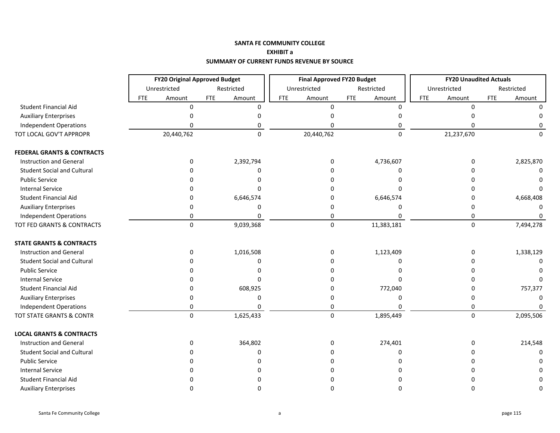|                                       | <b>FY20 Original Approved Budget</b> |                      | <b>Final Approved FY20 Budget</b> |                      | <b>FY20 Unaudited Actuals</b> |                      |
|---------------------------------------|--------------------------------------|----------------------|-----------------------------------|----------------------|-------------------------------|----------------------|
|                                       | Unrestricted                         | Restricted           | Unrestricted                      | Restricted           | Unrestricted                  | Restricted           |
|                                       | <b>FTE</b><br>Amount                 | <b>FTE</b><br>Amount | <b>FTE</b><br>Amount              | <b>FTE</b><br>Amount | <b>FTE</b><br>Amount          | <b>FTE</b><br>Amount |
| <b>Student Financial Aid</b>          | $\Omega$                             | $\Omega$             | $\Omega$                          | $\Omega$             | $\Omega$                      | O                    |
| <b>Auxiliary Enterprises</b>          | U                                    |                      |                                   |                      |                               |                      |
| <b>Independent Operations</b>         | U                                    |                      |                                   |                      |                               |                      |
| TOT LOCAL GOV'T APPROPR               | 20,440,762                           | $\Omega$             | 20,440,762                        | $\Omega$             | 21,237,670                    | O                    |
| <b>FEDERAL GRANTS &amp; CONTRACTS</b> |                                      |                      |                                   |                      |                               |                      |
| <b>Instruction and General</b>        | 0                                    | 2,392,794            | 0                                 | 4,736,607            | $\Omega$                      | 2,825,870            |
| <b>Student Social and Cultural</b>    | n                                    | O                    |                                   |                      |                               | $\Omega$             |
| <b>Public Service</b>                 |                                      |                      |                                   |                      |                               |                      |
| <b>Internal Service</b>               |                                      |                      |                                   |                      |                               |                      |
| Student Financial Aid                 | ŋ                                    | 6,646,574            |                                   | 6,646,574            |                               | 4,668,408            |
| <b>Auxiliary Enterprises</b>          | o                                    | 0                    | 0                                 |                      |                               |                      |
| <b>Independent Operations</b>         | 0                                    | 0                    | 0                                 |                      | 0                             | O                    |
| TOT FED GRANTS & CONTRACTS            | $\Omega$                             | 9,039,368            | $\mathbf 0$                       | 11,383,181           | $\mathbf 0$                   | 7,494,278            |
| <b>STATE GRANTS &amp; CONTRACTS</b>   |                                      |                      |                                   |                      |                               |                      |
| <b>Instruction and General</b>        | 0                                    | 1,016,508            | 0                                 | 1,123,409            | n                             | 1,338,129            |
| <b>Student Social and Cultural</b>    | U                                    | O                    |                                   |                      |                               | O                    |
| <b>Public Service</b>                 |                                      |                      |                                   |                      |                               |                      |
| <b>Internal Service</b>               |                                      | n                    |                                   |                      |                               |                      |
| <b>Student Financial Aid</b>          | n                                    | 608,925              |                                   | 772,040              |                               | 757,377              |
| <b>Auxiliary Enterprises</b>          | ŋ                                    | O                    |                                   |                      |                               |                      |
| <b>Independent Operations</b>         | 0                                    |                      | 0                                 |                      | O                             |                      |
| TOT STATE GRANTS & CONTR              | $\Omega$                             | 1,625,433            | $\Omega$                          | 1,895,449            | $\Omega$                      | 2,095,506            |
| <b>LOCAL GRANTS &amp; CONTRACTS</b>   |                                      |                      |                                   |                      |                               |                      |
| <b>Instruction and General</b>        | 0                                    | 364,802              | 0                                 | 274,401              |                               | 214,548              |
| <b>Student Social and Cultural</b>    |                                      | O                    |                                   |                      |                               |                      |
| <b>Public Service</b>                 |                                      |                      |                                   |                      |                               |                      |
| <b>Internal Service</b>               |                                      |                      |                                   |                      |                               |                      |
| Student Financial Aid                 |                                      |                      |                                   |                      |                               |                      |
| <b>Auxiliary Enterprises</b>          | n                                    | ŋ                    | ŋ                                 |                      |                               | O                    |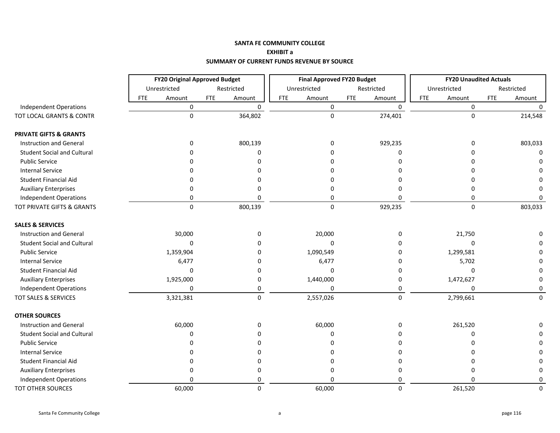|                                    |                      | <b>FY20 Original Approved Budget</b> | <b>Final Approved FY20 Budget</b> |                      | <b>FY20 Unaudited Actuals</b> |                      |
|------------------------------------|----------------------|--------------------------------------|-----------------------------------|----------------------|-------------------------------|----------------------|
|                                    | Unrestricted         | Restricted                           | Unrestricted                      | Restricted           | Unrestricted                  | Restricted           |
|                                    | <b>FTE</b><br>Amount | <b>FTE</b><br>Amount                 | <b>FTE</b><br>Amount              | <b>FTE</b><br>Amount | <b>FTE</b><br>Amount          | <b>FTE</b><br>Amount |
| <b>Independent Operations</b>      | $\mathbf 0$          | $\mathbf 0$                          | $\pmb{0}$                         | $\mathbf 0$          | $\mathsf 0$                   | $\Omega$             |
| TOT LOCAL GRANTS & CONTR           | $\mathbf 0$          | 364,802                              | $\pmb{0}$                         | 274,401              | $\pmb{0}$                     | 214,548              |
| <b>PRIVATE GIFTS &amp; GRANTS</b>  |                      |                                      |                                   |                      |                               |                      |
| <b>Instruction and General</b>     | 0                    | 800,139                              | 0                                 | 929,235              | 0                             | 803,033              |
| <b>Student Social and Cultural</b> |                      | 0                                    | n                                 | 0                    | ŋ                             | 0                    |
| <b>Public Service</b>              |                      | ŋ                                    | n                                 | n                    | ŋ                             | $\Omega$             |
| <b>Internal Service</b>            |                      | n                                    | ŋ                                 | 0                    | ŋ                             | $\Omega$             |
| <b>Student Financial Aid</b>       |                      |                                      | ŋ                                 | n                    | ŋ                             | O                    |
| <b>Auxiliary Enterprises</b>       |                      | 0                                    | 0                                 | 0                    | 0                             | $\Omega$             |
| <b>Independent Operations</b>      | 0                    | 0                                    | 0                                 | $\Omega$             | 0                             | $\Omega$             |
| TOT PRIVATE GIFTS & GRANTS         | $\mathbf 0$          | 800,139                              | $\pmb{0}$                         | 929,235              | 0                             | 803,033              |
| <b>SALES &amp; SERVICES</b>        |                      |                                      |                                   |                      |                               |                      |
| <b>Instruction and General</b>     | 30,000               | 0                                    | 20,000                            | 0                    | 21,750                        | $\Omega$             |
| <b>Student Social and Cultural</b> | $\Omega$             | 0                                    | 0                                 | 0                    | $\Omega$                      | $\Omega$             |
| <b>Public Service</b>              | 1,359,904            | 0                                    | 1,090,549                         | 0                    | 1,299,581                     | 0                    |
| <b>Internal Service</b>            | 6,477                | $\Omega$                             | 6,477                             | 0                    | 5,702                         | 0                    |
| <b>Student Financial Aid</b>       | 0                    | 0                                    | 0                                 | 0                    | 0                             | 0                    |
| <b>Auxiliary Enterprises</b>       | 1,925,000            | 0                                    | 1,440,000                         | 0                    | 1,472,627                     | 0                    |
| <b>Independent Operations</b>      | O                    | 0                                    | 0                                 | 0                    | 0                             | 0                    |
| <b>TOT SALES &amp; SERVICES</b>    | 3,321,381            | 0                                    | 2,557,026                         | 0                    | 2,799,661                     | $\Omega$             |
| <b>OTHER SOURCES</b>               |                      |                                      |                                   |                      |                               |                      |
| <b>Instruction and General</b>     | 60,000               | 0                                    | 60,000                            | 0                    | 261,520                       | $\Omega$             |
| <b>Student Social and Cultural</b> | O                    | O                                    | 0                                 | 0                    | ŋ                             | 0                    |
| <b>Public Service</b>              |                      |                                      | 0                                 | 0                    |                               | 0                    |
| <b>Internal Service</b>            |                      |                                      | o                                 | 0                    |                               | 0                    |
| Student Financial Aid              |                      |                                      | n                                 | 0                    |                               | 0                    |
| <b>Auxiliary Enterprises</b>       | ŋ                    | 0                                    | 0                                 | 0                    | ŋ                             | 0                    |
| <b>Independent Operations</b>      | n                    | 0                                    | O                                 | 0                    | $\Omega$                      | 0                    |
| <b>TOT OTHER SOURCES</b>           | 60,000               | 0                                    | 60,000                            | $\Omega$             | 261,520                       | $\Omega$             |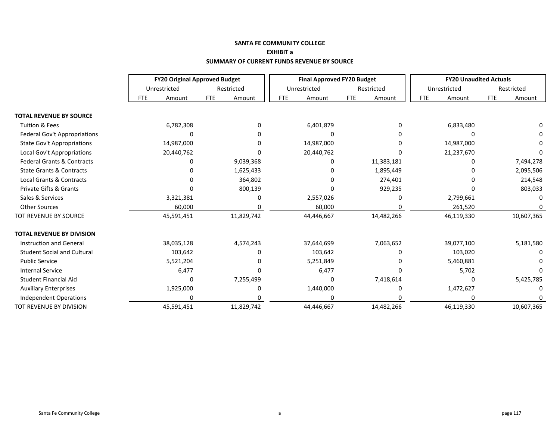|                                       |            | <b>FY20 Original Approved Budget</b> |            |            |            | <b>Final Approved FY20 Budget</b> |            |            |            | <b>FY20 Unaudited Actuals</b> |            |            |
|---------------------------------------|------------|--------------------------------------|------------|------------|------------|-----------------------------------|------------|------------|------------|-------------------------------|------------|------------|
|                                       |            | Unrestricted                         |            | Restricted |            | Unrestricted                      |            | Restricted |            | Unrestricted                  |            | Restricted |
|                                       | <b>FTE</b> | Amount                               | <b>FTE</b> | Amount     | <b>FTE</b> | Amount                            | <b>FTE</b> | Amount     | <b>FTE</b> | Amount                        | <b>FTE</b> | Amount     |
| <b>TOTAL REVENUE BY SOURCE</b>        |            |                                      |            |            |            |                                   |            |            |            |                               |            |            |
| <b>Tuition &amp; Fees</b>             |            | 6,782,308                            |            | 0          |            | 6,401,879                         |            |            |            | 6,833,480                     |            |            |
| Federal Gov't Appropriations          |            | O                                    |            |            |            |                                   |            |            |            |                               |            |            |
| <b>State Gov't Appropriations</b>     |            | 14,987,000                           |            |            |            | 14,987,000                        |            |            |            | 14,987,000                    |            |            |
| Local Gov't Appropriations            |            | 20,440,762                           |            |            |            | 20,440,762                        |            |            |            | 21,237,670                    |            |            |
| <b>Federal Grants &amp; Contracts</b> |            | 0                                    |            | 9,039,368  |            |                                   |            | 11,383,181 |            |                               |            | 7,494,278  |
| <b>State Grants &amp; Contracts</b>   |            |                                      |            | 1,625,433  |            |                                   |            | 1,895,449  |            |                               |            | 2,095,506  |
| <b>Local Grants &amp; Contracts</b>   |            |                                      |            | 364,802    |            |                                   |            | 274,401    |            |                               |            | 214,548    |
| <b>Private Gifts &amp; Grants</b>     |            |                                      |            | 800,139    |            |                                   |            | 929,235    |            |                               |            | 803,033    |
| Sales & Services                      |            | 3,321,381                            |            | 0          |            | 2,557,026                         |            |            |            | 2,799,661                     |            |            |
| <b>Other Sources</b>                  |            | 60,000                               |            | 0          |            | 60,000                            |            |            |            | 261,520                       |            |            |
| TOT REVENUE BY SOURCE                 |            | 45,591,451                           |            | 11,829,742 |            | 44,446,667                        |            | 14,482,266 |            | 46,119,330                    |            | 10,607,365 |
| <b>TOTAL REVENUE BY DIVISION</b>      |            |                                      |            |            |            |                                   |            |            |            |                               |            |            |
| <b>Instruction and General</b>        |            | 38,035,128                           |            | 4,574,243  |            | 37,644,699                        |            | 7,063,652  |            | 39,077,100                    |            | 5,181,580  |
| <b>Student Social and Cultural</b>    |            | 103,642                              |            | 0          |            | 103,642                           |            |            |            | 103,020                       |            |            |
| <b>Public Service</b>                 |            | 5,521,204                            |            |            |            | 5,251,849                         |            |            |            | 5,460,881                     |            |            |
| <b>Internal Service</b>               |            | 6,477                                |            |            |            | 6,477                             |            |            |            | 5,702                         |            |            |
| <b>Student Financial Aid</b>          |            | 0                                    |            | 7,255,499  |            | O                                 |            | 7,418,614  |            | $\Omega$                      |            | 5,425,785  |
| <b>Auxiliary Enterprises</b>          |            | 1,925,000                            |            | 0          |            | 1,440,000                         |            |            |            | 1,472,627                     |            | n          |
| Independent Operations                |            | $\Omega$                             |            |            |            |                                   |            |            |            |                               |            |            |
| TOT REVENUE BY DIVISION               |            | 45,591,451                           |            | 11,829,742 |            | 44,446,667                        |            | 14,482,266 |            | 46,119,330                    |            | 10,607,365 |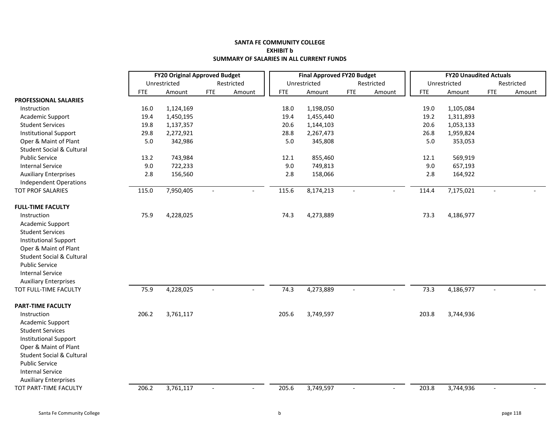### **SANTA FE COMMUNITY COLLEGE EXHIBIT b SUMMARY OF SALARIES IN ALL CURRENT FUNDS**

|                                      |            | <b>FY20 Original Approved Budget</b> |            |            |            | <b>Final Approved FY20 Budget</b> |                          |                |            | <b>FY20 Unaudited Actuals</b> |                |            |
|--------------------------------------|------------|--------------------------------------|------------|------------|------------|-----------------------------------|--------------------------|----------------|------------|-------------------------------|----------------|------------|
|                                      |            | Unrestricted                         |            | Restricted |            | Unrestricted                      |                          | Restricted     |            | Unrestricted                  |                | Restricted |
|                                      | <b>FTE</b> | Amount                               | <b>FTE</b> | Amount     | <b>FTE</b> | Amount                            | <b>FTE</b>               | Amount         | <b>FTE</b> | Amount                        | <b>FTE</b>     | Amount     |
| PROFESSIONAL SALARIES                |            |                                      |            |            |            |                                   |                          |                |            |                               |                |            |
| Instruction                          | 16.0       | 1,124,169                            |            |            | 18.0       | 1,198,050                         |                          |                | 19.0       | 1,105,084                     |                |            |
| Academic Support                     | 19.4       | 1,450,195                            |            |            | 19.4       | 1,455,440                         |                          |                | 19.2       | 1,311,893                     |                |            |
| <b>Student Services</b>              | 19.8       | 1,137,357                            |            |            | 20.6       | 1,144,103                         |                          |                | 20.6       | 1,053,133                     |                |            |
| <b>Institutional Support</b>         | 29.8       | 2,272,921                            |            |            | 28.8       | 2,267,473                         |                          |                | 26.8       | 1,959,824                     |                |            |
| Oper & Maint of Plant                | 5.0        | 342,986                              |            |            | 5.0        | 345,808                           |                          |                | 5.0        | 353,053                       |                |            |
| <b>Student Social &amp; Cultural</b> |            |                                      |            |            |            |                                   |                          |                |            |                               |                |            |
| <b>Public Service</b>                | 13.2       | 743,984                              |            |            | 12.1       | 855,460                           |                          |                | 12.1       | 569,919                       |                |            |
| <b>Internal Service</b>              | 9.0        | 722,233                              |            |            | 9.0        | 749,813                           |                          |                | 9.0        | 657,193                       |                |            |
| <b>Auxiliary Enterprises</b>         | 2.8        | 156,560                              |            |            | 2.8        | 158,066                           |                          |                | 2.8        | 164,922                       |                |            |
| <b>Independent Operations</b>        |            |                                      |            |            |            |                                   |                          |                |            |                               |                |            |
| TOT PROF SALARIES                    | 115.0      | 7,950,405                            |            |            | 115.6      | 8,174,213                         |                          |                | 114.4      | 7,175,021                     |                |            |
| <b>FULL-TIME FACULTY</b>             |            |                                      |            |            |            |                                   |                          |                |            |                               |                |            |
| Instruction                          | 75.9       | 4,228,025                            |            |            | 74.3       | 4,273,889                         |                          |                | 73.3       | 4,186,977                     |                |            |
| Academic Support                     |            |                                      |            |            |            |                                   |                          |                |            |                               |                |            |
| <b>Student Services</b>              |            |                                      |            |            |            |                                   |                          |                |            |                               |                |            |
| <b>Institutional Support</b>         |            |                                      |            |            |            |                                   |                          |                |            |                               |                |            |
| Oper & Maint of Plant                |            |                                      |            |            |            |                                   |                          |                |            |                               |                |            |
| <b>Student Social &amp; Cultural</b> |            |                                      |            |            |            |                                   |                          |                |            |                               |                |            |
| <b>Public Service</b>                |            |                                      |            |            |            |                                   |                          |                |            |                               |                |            |
| <b>Internal Service</b>              |            |                                      |            |            |            |                                   |                          |                |            |                               |                |            |
| <b>Auxiliary Enterprises</b>         |            |                                      |            |            |            |                                   |                          |                |            |                               |                |            |
| TOT FULL-TIME FACULTY                | 75.9       | 4,228,025                            | $\sim$     |            | 74.3       | 4,273,889                         | $\overline{\phantom{a}}$ | $\blacksquare$ | 73.3       | 4,186,977                     | $\overline{a}$ |            |
| <b>PART-TIME FACULTY</b>             |            |                                      |            |            |            |                                   |                          |                |            |                               |                |            |
| Instruction                          | 206.2      | 3,761,117                            |            |            | 205.6      | 3,749,597                         |                          |                | 203.8      | 3,744,936                     |                |            |
| Academic Support                     |            |                                      |            |            |            |                                   |                          |                |            |                               |                |            |
| <b>Student Services</b>              |            |                                      |            |            |            |                                   |                          |                |            |                               |                |            |
| <b>Institutional Support</b>         |            |                                      |            |            |            |                                   |                          |                |            |                               |                |            |
| Oper & Maint of Plant                |            |                                      |            |            |            |                                   |                          |                |            |                               |                |            |
| <b>Student Social &amp; Cultural</b> |            |                                      |            |            |            |                                   |                          |                |            |                               |                |            |
| <b>Public Service</b>                |            |                                      |            |            |            |                                   |                          |                |            |                               |                |            |
| <b>Internal Service</b>              |            |                                      |            |            |            |                                   |                          |                |            |                               |                |            |
| <b>Auxiliary Enterprises</b>         |            |                                      |            |            |            |                                   |                          |                |            |                               |                |            |
| TOT PART-TIME FACULTY                | 206.2      | 3,761,117                            | $\sim$     | $\sim$     | 205.6      | 3,749,597                         | $\sim$                   | $\blacksquare$ | 203.8      | 3,744,936                     | $\sim$         |            |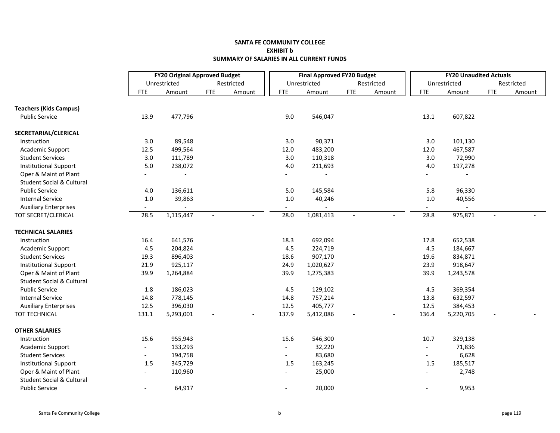### **SANTA FE COMMUNITY COLLEGE EXHIBIT b SUMMARY OF SALARIES IN ALL CURRENT FUNDS**

|                                      |                          | <b>FY20 Original Approved Budget</b> |                |              |                | <b>Final Approved FY20 Budget</b> |                |            |                          | <b>FY20 Unaudited Actuals</b> |                |            |
|--------------------------------------|--------------------------|--------------------------------------|----------------|--------------|----------------|-----------------------------------|----------------|------------|--------------------------|-------------------------------|----------------|------------|
|                                      |                          | Unrestricted                         |                | Restricted   |                | Unrestricted                      |                | Restricted |                          | Unrestricted                  |                | Restricted |
|                                      | <b>FTE</b>               | Amount                               | <b>FTE</b>     | Amount       | <b>FTE</b>     | Amount                            | <b>FTE</b>     | Amount     | <b>FTE</b>               | Amount                        | <b>FTE</b>     | Amount     |
| <b>Teachers (Kids Campus)</b>        |                          |                                      |                |              |                |                                   |                |            |                          |                               |                |            |
| <b>Public Service</b>                | 13.9                     | 477,796                              |                |              | 9.0            | 546,047                           |                |            | 13.1                     | 607,822                       |                |            |
| SECRETARIAL/CLERICAL                 |                          |                                      |                |              |                |                                   |                |            |                          |                               |                |            |
| Instruction                          | 3.0                      | 89,548                               |                |              | 3.0            | 90,371                            |                |            | 3.0                      | 101,130                       |                |            |
| Academic Support                     | 12.5                     | 499,564                              |                |              | 12.0           | 483,200                           |                |            | 12.0                     | 467,587                       |                |            |
| <b>Student Services</b>              | 3.0                      | 111,789                              |                |              | 3.0            | 110,318                           |                |            | 3.0                      | 72,990                        |                |            |
| <b>Institutional Support</b>         | $5.0\,$                  | 238,072                              |                |              | $4.0\,$        | 211,693                           |                |            | $4.0\,$                  | 197,278                       |                |            |
| Oper & Maint of Plant                |                          |                                      |                |              |                |                                   |                |            |                          |                               |                |            |
| <b>Student Social &amp; Cultural</b> |                          |                                      |                |              |                |                                   |                |            |                          |                               |                |            |
| <b>Public Service</b>                | 4.0                      | 136,611                              |                |              | 5.0            | 145,584                           |                |            | 5.8                      | 96,330                        |                |            |
| <b>Internal Service</b>              | $1.0\,$                  | 39,863                               |                |              | $1.0\,$        | 40,246                            |                |            | $1.0\,$                  | 40,556                        |                |            |
| <b>Auxiliary Enterprises</b>         | $\overline{\phantom{a}}$ |                                      |                |              |                |                                   |                |            |                          |                               |                |            |
| TOT SECRET/CLERICAL                  | 28.5                     | 1,115,447                            |                | $\mathbf{r}$ | 28.0           | 1,081,413                         |                |            | 28.8                     | 975,871                       | $\overline{a}$ |            |
| <b>TECHNICAL SALARIES</b>            |                          |                                      |                |              |                |                                   |                |            |                          |                               |                |            |
| Instruction                          | 16.4                     | 641,576                              |                |              | 18.3           | 692,094                           |                |            | 17.8                     | 652,538                       |                |            |
| Academic Support                     | 4.5                      | 204,824                              |                |              | 4.5            | 224,719                           |                |            | 4.5                      | 184,667                       |                |            |
| <b>Student Services</b>              | 19.3                     | 896,403                              |                |              | 18.6           | 907,170                           |                |            | 19.6                     | 834,871                       |                |            |
| <b>Institutional Support</b>         | 21.9                     | 925,117                              |                |              | 24.9           | 1,020,627                         |                |            | 23.9                     | 918,647                       |                |            |
| Oper & Maint of Plant                | 39.9                     | 1,264,884                            |                |              | 39.9           | 1,275,383                         |                |            | 39.9                     | 1,243,578                     |                |            |
| <b>Student Social &amp; Cultural</b> |                          |                                      |                |              |                |                                   |                |            |                          |                               |                |            |
| <b>Public Service</b>                | 1.8                      | 186,023                              |                |              | 4.5            | 129,102                           |                |            | 4.5                      | 369,354                       |                |            |
| <b>Internal Service</b>              | 14.8                     | 778,145                              |                |              | 14.8           | 757,214                           |                |            | 13.8                     | 632,597                       |                |            |
| <b>Auxiliary Enterprises</b>         | 12.5                     | 396,030                              |                |              | 12.5           | 405,777                           |                |            | 12.5                     | 384,453                       |                |            |
| <b>TOT TECHNICAL</b>                 | 131.1                    | 5,293,001                            | $\blacksquare$ | $\sim$       | 137.9          | 5,412,086                         | $\blacksquare$ | $\sim$     | 136.4                    | 5,220,705                     | $\blacksquare$ |            |
| <b>OTHER SALARIES</b>                |                          |                                      |                |              |                |                                   |                |            |                          |                               |                |            |
| Instruction                          | 15.6                     | 955,943                              |                |              | 15.6           | 546,300                           |                |            | 10.7                     | 329,138                       |                |            |
| Academic Support                     | $\overline{\phantom{a}}$ | 133,293                              |                |              | $\blacksquare$ | 32,220                            |                |            | $\overline{\phantom{a}}$ | 71,836                        |                |            |
| <b>Student Services</b>              | $\overline{\phantom{a}}$ | 194,758                              |                |              |                | 83,680                            |                |            |                          | 6,628                         |                |            |
| <b>Institutional Support</b>         | 1.5                      | 345,729                              |                |              | 1.5            | 163,245                           |                |            | $1.5$                    | 185,517                       |                |            |
| Oper & Maint of Plant                |                          | 110,960                              |                |              |                | 25,000                            |                |            |                          | 2,748                         |                |            |
| <b>Student Social &amp; Cultural</b> |                          |                                      |                |              |                |                                   |                |            |                          |                               |                |            |
| <b>Public Service</b>                | $\overline{\phantom{a}}$ | 64,917                               |                |              |                | 20,000                            |                |            |                          | 9,953                         |                |            |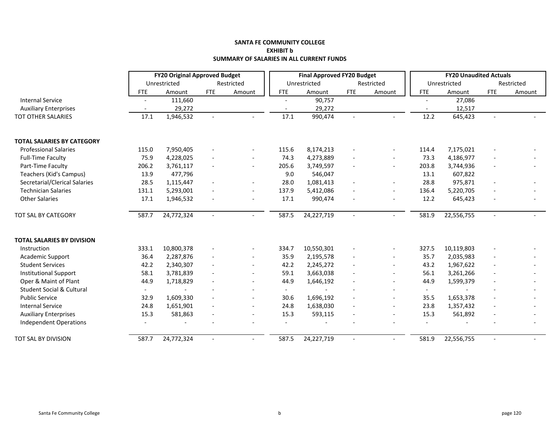#### **SANTA FE COMMUNITY COLLEGE EXHIBIT b SUMMARY OF SALARIES IN ALL CURRENT FUNDS**

|                                      |                          | <b>FY20 Original Approved Budget</b> |                          |                          |                          | <b>Final Approved FY20 Budget</b> |                          |                          |                          | <b>FY20 Unaudited Actuals</b> |                          |            |
|--------------------------------------|--------------------------|--------------------------------------|--------------------------|--------------------------|--------------------------|-----------------------------------|--------------------------|--------------------------|--------------------------|-------------------------------|--------------------------|------------|
|                                      |                          | Unrestricted                         |                          | Restricted               |                          | Unrestricted                      |                          | Restricted               |                          | Unrestricted                  |                          | Restricted |
|                                      | <b>FTE</b>               | Amount                               | <b>FTE</b>               | Amount                   | <b>FTE</b>               | Amount                            | <b>FTE</b>               | Amount                   | <b>FTE</b>               | Amount                        | <b>FTE</b>               | Amount     |
| <b>Internal Service</b>              | $\overline{\phantom{a}}$ | 111,660                              |                          |                          | $\overline{\phantom{a}}$ | 90,757                            |                          |                          |                          | 27,086                        |                          |            |
| <b>Auxiliary Enterprises</b>         | $\overline{\phantom{a}}$ | 29,272                               |                          |                          | $\overline{\phantom{a}}$ | 29,272                            |                          |                          | $\overline{\phantom{a}}$ | 12,517                        |                          |            |
| <b>TOT OTHER SALARIES</b>            | 17.1                     | 1,946,532                            | $\blacksquare$           |                          | 17.1                     | 990,474                           |                          |                          | 12.2                     | 645,423                       | $\sim$                   |            |
| <b>TOTAL SALARIES BY CATEGORY</b>    |                          |                                      |                          |                          |                          |                                   |                          |                          |                          |                               |                          |            |
| <b>Professional Salaries</b>         | 115.0                    | 7,950,405                            |                          | $\overline{a}$           | 115.6                    | 8,174,213                         |                          | $\overline{\phantom{a}}$ | 114.4                    | 7,175,021                     |                          |            |
| <b>Full-Time Faculty</b>             | 75.9                     | 4,228,025                            | $\overline{\phantom{a}}$ | $\overline{a}$           | 74.3                     | 4,273,889                         |                          | $\overline{a}$           | 73.3                     | 4,186,977                     | $\overline{\phantom{a}}$ |            |
| Part-Time Faculty                    | 206.2                    | 3,761,117                            |                          | $\overline{\phantom{a}}$ | 205.6                    | 3,749,597                         |                          | $\overline{\phantom{a}}$ | 203.8                    | 3,744,936                     |                          |            |
| Teachers (Kid's Campus)              | 13.9                     | 477,796                              |                          |                          | 9.0                      | 546,047                           |                          |                          | 13.1                     | 607,822                       |                          |            |
| Secretarial/Clerical Salaries        | 28.5                     | 1,115,447                            | $\blacksquare$           | $\overline{\phantom{a}}$ | 28.0                     | 1,081,413                         |                          | $\overline{\phantom{a}}$ | 28.8                     | 975,871                       | $\overline{\phantom{a}}$ |            |
| <b>Technician Salaries</b>           | 131.1                    | 5,293,001                            |                          | $\blacksquare$           | 137.9                    | 5,412,086                         |                          | $\overline{a}$           | 136.4                    | 5,220,705                     | $\overline{a}$           |            |
| <b>Other Salaries</b>                | 17.1                     | 1,946,532                            |                          |                          | 17.1                     | 990,474                           |                          |                          | 12.2                     | 645,423                       |                          |            |
| TOT SAL BY CATEGORY                  | 587.7                    | 24,772,324                           | $\blacksquare$           |                          | 587.5                    | 24,227,719                        | $\overline{\phantom{a}}$ |                          | 581.9                    | 22,556,755                    | $\sim$                   |            |
| <b>TOTAL SALARIES BY DIVISION</b>    |                          |                                      |                          |                          |                          |                                   |                          |                          |                          |                               |                          |            |
| Instruction                          | 333.1                    | 10,800,378                           |                          |                          | 334.7                    | 10,550,301                        |                          | $\overline{a}$           | 327.5                    | 10,119,803                    |                          |            |
| Academic Support                     | 36.4                     | 2,287,876                            | $\blacksquare$           | $\blacksquare$           | 35.9                     | 2,195,578                         |                          | $\blacksquare$           | 35.7                     | 2,035,983                     | $\blacksquare$           |            |
| <b>Student Services</b>              | 42.2                     | 2,340,307                            | $\overline{\phantom{a}}$ | $\overline{\phantom{a}}$ | 42.2                     | 2,245,272                         |                          | $\overline{a}$           | 43.2                     | 1,967,622                     | $\overline{\phantom{a}}$ |            |
| <b>Institutional Support</b>         | 58.1                     | 3,781,839                            |                          | $\overline{a}$           | 59.1                     | 3,663,038                         |                          | $\overline{a}$           | 56.1                     | 3,261,266                     | $\overline{a}$           |            |
| Oper & Maint of Plant                | 44.9                     | 1,718,829                            | $\blacksquare$           | $\overline{\phantom{a}}$ | 44.9                     | 1,646,192                         |                          | $\overline{\phantom{a}}$ | 44.9                     | 1,599,379                     | $\overline{\phantom{a}}$ |            |
| <b>Student Social &amp; Cultural</b> | $\overline{\phantom{0}}$ | $\sim$                               |                          | $\blacksquare$           | $\sim$                   | $\sim$                            |                          | $\overline{a}$           | $\sim$                   | $\overline{\phantom{a}}$      |                          |            |
| <b>Public Service</b>                | 32.9                     | 1,609,330                            | $\overline{\phantom{a}}$ | $\overline{\phantom{a}}$ | 30.6                     | 1,696,192                         |                          | $\overline{a}$           | 35.5                     | 1,653,378                     | $\overline{\phantom{a}}$ |            |
| <b>Internal Service</b>              | 24.8                     | 1,651,901                            |                          | $\overline{\phantom{a}}$ | 24.8                     | 1,638,030                         |                          | $\overline{\phantom{a}}$ | 23.8                     | 1,357,432                     | $\overline{a}$           |            |
| <b>Auxiliary Enterprises</b>         | 15.3                     | 581,863                              |                          | $\overline{a}$           | 15.3                     | 593,115                           |                          | $\overline{a}$           | 15.3                     | 561,892                       | $\overline{a}$           |            |
| Independent Operations               |                          |                                      |                          |                          |                          |                                   |                          |                          |                          |                               |                          |            |
| TOT SAL BY DIVISION                  | 587.7                    | 24,772,324                           | $\sim$                   | $\overline{\phantom{a}}$ | 587.5                    | 24,227,719                        | $\overline{\phantom{a}}$ | $\blacksquare$           | 581.9                    | 22,556,755                    | $\sim$                   |            |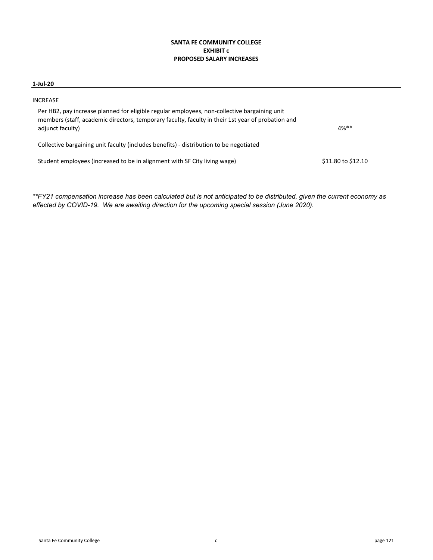# **SANTA FE COMMUNITY COLLEGE EXHIBIT c PROPOSED SALARY INCREASES**

### **1‐Jul‐20**

| INCREASE                                                                                                                                                                                                              |                    |
|-----------------------------------------------------------------------------------------------------------------------------------------------------------------------------------------------------------------------|--------------------|
| Per HB2, pay increase planned for eligible regular employees, non-collective bargaining unit<br>members (staff, academic directors, temporary faculty, faculty in their 1st year of probation and<br>adjunct faculty) | $4%***$            |
| Collective bargaining unit faculty (includes benefits) - distribution to be negotiated                                                                                                                                |                    |
| Student employees (increased to be in alignment with SF City living wage)                                                                                                                                             | \$11.80 to \$12.10 |

*\*\*FY21 compensation increase has been calculated but is not anticipated to be distributed, given the current economy as effected by COVID-19. We are awaiting direction for the upcoming special session (June 2020).*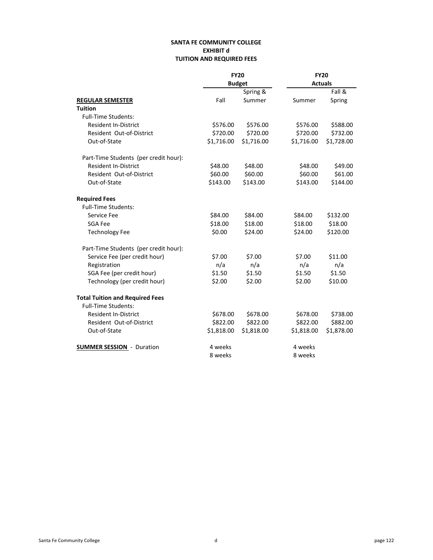# **SANTA FE COMMUNITY COLLEGE EXHIBIT d TUITION AND REQUIRED FEES**

|                                        | <b>FY20</b> |               | <b>FY20</b> |                |
|----------------------------------------|-------------|---------------|-------------|----------------|
|                                        |             | <b>Budget</b> |             | <b>Actuals</b> |
|                                        |             | Spring &      |             | Fall &         |
| <b>REGULAR SEMESTER</b>                | Fall        | Summer        | Summer      | Spring         |
| <b>Tuition</b>                         |             |               |             |                |
| <b>Full-Time Students:</b>             |             |               |             |                |
| <b>Resident In-District</b>            | \$576.00    | \$576.00      | \$576.00    | \$588.00       |
| Resident Out-of-District               | \$720.00    | \$720.00      | \$720.00    | \$732.00       |
| Out-of-State                           | \$1,716.00  | \$1,716.00    | \$1,716.00  | \$1,728.00     |
| Part-Time Students (per credit hour):  |             |               |             |                |
| <b>Resident In-District</b>            | \$48.00     | \$48.00       | \$48.00     | \$49.00        |
| Resident Out-of-District               | \$60.00     | \$60.00       | \$60.00     | \$61.00        |
| Out-of-State                           | \$143.00    | \$143.00      | \$143.00    | \$144.00       |
| <b>Required Fees</b>                   |             |               |             |                |
| <b>Full-Time Students:</b>             |             |               |             |                |
| Service Fee                            | \$84.00     | \$84.00       | \$84.00     | \$132.00       |
| <b>SGA Fee</b>                         | \$18.00     | \$18.00       | \$18.00     | \$18.00        |
| <b>Technology Fee</b>                  | \$0.00      | \$24.00       | \$24.00     | \$120.00       |
| Part-Time Students (per credit hour):  |             |               |             |                |
| Service Fee (per credit hour)          | \$7.00      | \$7.00        | \$7.00      | \$11.00        |
| Registration                           | n/a         | n/a           | n/a         | n/a            |
| SGA Fee (per credit hour)              | \$1.50      | \$1.50        | \$1.50      | \$1.50         |
| Technology (per credit hour)           | \$2.00      | \$2.00        | \$2.00      | \$10.00        |
| <b>Total Tuition and Required Fees</b> |             |               |             |                |
| <b>Full-Time Students:</b>             |             |               |             |                |
| <b>Resident In-District</b>            | \$678.00    | \$678.00      | \$678.00    | \$738.00       |
| Resident Out-of-District               | \$822.00    | \$822.00      | \$822.00    | \$882.00       |
| Out-of-State                           | \$1,818.00  | \$1,818.00    | \$1,818.00  | \$1,878.00     |
| <b>SUMMER SESSION - Duration</b>       | 4 weeks     |               | 4 weeks     |                |
|                                        | 8 weeks     |               | 8 weeks     |                |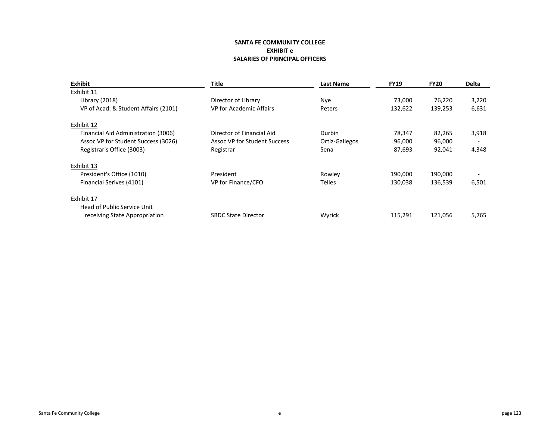### **SANTA FE COMMUNITY COLLEGE EXHIBIT e SALARIES OF PRINCIPAL OFFICERS**

| Exhibit                              | <b>Title</b>                 | <b>Last Name</b> | <b>FY19</b> | <b>FY20</b> | <b>Delta</b>             |
|--------------------------------------|------------------------------|------------------|-------------|-------------|--------------------------|
| Exhibit 11                           |                              |                  |             |             |                          |
| Library (2018)                       | Director of Library          | <b>Nye</b>       | 73,000      | 76,220      | 3,220                    |
| VP of Acad. & Student Affairs (2101) | VP for Academic Affairs      | Peters           | 132,622     | 139,253     | 6,631                    |
| Exhibit 12                           |                              |                  |             |             |                          |
| Financial Aid Administration (3006)  | Director of Financial Aid    | Durbin           | 78,347      | 82,265      | 3,918                    |
| Assoc VP for Student Success (3026)  | Assoc VP for Student Success | Ortiz-Gallegos   | 96,000      | 96,000      |                          |
| Registrar's Office (3003)            | Registrar                    | Sena             | 87,693      | 92,041      | 4,348                    |
| Exhibit 13                           |                              |                  |             |             |                          |
| President's Office (1010)            | President                    | Rowley           | 190,000     | 190,000     | $\overline{\phantom{0}}$ |
| Financial Serives (4101)             | VP for Finance/CFO           | <b>Telles</b>    | 130,038     | 136,539     | 6,501                    |
| Exhibit 17                           |                              |                  |             |             |                          |
| Head of Public Service Unit          |                              |                  |             |             |                          |
| receiving State Appropriation        | <b>SBDC State Director</b>   | Wyrick           | 115,291     | 121,056     | 5,765                    |